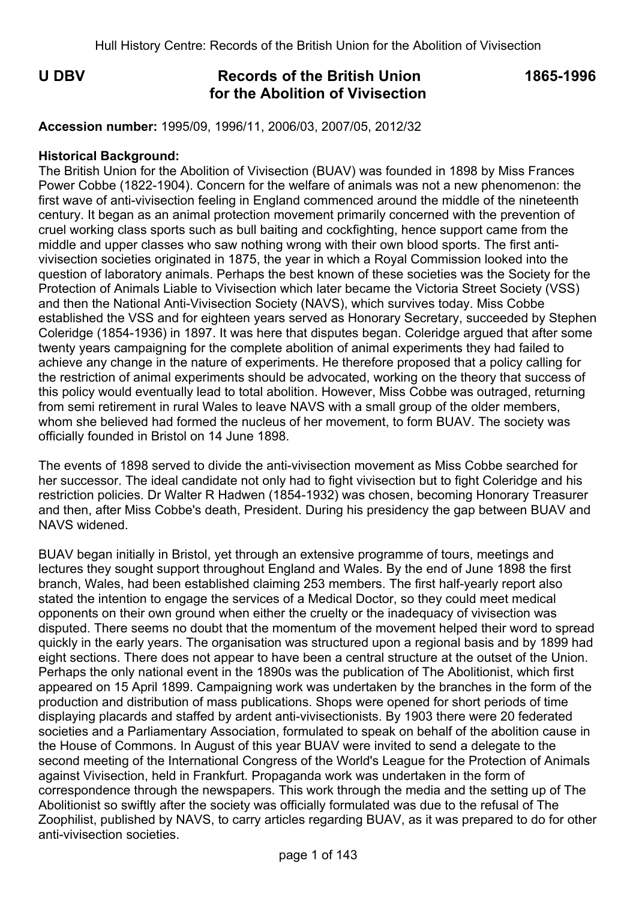# **U DBV Records of the British Union 1865-1996 for the Abolition of Vivisection**

**Accession number:** 1995/09, 1996/11, 2006/03, 2007/05, 2012/32

#### **Historical Background:**

The British Union for the Abolition of Vivisection (BUAV) was founded in 1898 by Miss Frances Power Cobbe (1822-1904). Concern for the welfare of animals was not a new phenomenon: the first wave of anti-vivisection feeling in England commenced around the middle of the nineteenth century. It began as an animal protection movement primarily concerned with the prevention of cruel working class sports such as bull baiting and cockfighting, hence support came from the middle and upper classes who saw nothing wrong with their own blood sports. The first antivivisection societies originated in 1875, the year in which a Royal Commission looked into the question of laboratory animals. Perhaps the best known of these societies was the Society for the Protection of Animals Liable to Vivisection which later became the Victoria Street Society (VSS) and then the National Anti-Vivisection Society (NAVS), which survives today. Miss Cobbe established the VSS and for eighteen years served as Honorary Secretary, succeeded by Stephen Coleridge (1854-1936) in 1897. It was here that disputes began. Coleridge argued that after some twenty years campaigning for the complete abolition of animal experiments they had failed to achieve any change in the nature of experiments. He therefore proposed that a policy calling for the restriction of animal experiments should be advocated, working on the theory that success of this policy would eventually lead to total abolition. However, Miss Cobbe was outraged, returning from semi retirement in rural Wales to leave NAVS with a small group of the older members, whom she believed had formed the nucleus of her movement, to form BUAV. The society was officially founded in Bristol on 14 June 1898.

The events of 1898 served to divide the anti-vivisection movement as Miss Cobbe searched for her successor. The ideal candidate not only had to fight vivisection but to fight Coleridge and his restriction policies. Dr Walter R Hadwen (1854-1932) was chosen, becoming Honorary Treasurer and then, after Miss Cobbe's death, President. During his presidency the gap between BUAV and NAVS widened.

BUAV began initially in Bristol, yet through an extensive programme of tours, meetings and lectures they sought support throughout England and Wales. By the end of June 1898 the first branch, Wales, had been established claiming 253 members. The first half-yearly report also stated the intention to engage the services of a Medical Doctor, so they could meet medical opponents on their own ground when either the cruelty or the inadequacy of vivisection was disputed. There seems no doubt that the momentum of the movement helped their word to spread quickly in the early years. The organisation was structured upon a regional basis and by 1899 had eight sections. There does not appear to have been a central structure at the outset of the Union. Perhaps the only national event in the 1890s was the publication of The Abolitionist, which first appeared on 15 April 1899. Campaigning work was undertaken by the branches in the form of the production and distribution of mass publications. Shops were opened for short periods of time displaying placards and staffed by ardent anti-vivisectionists. By 1903 there were 20 federated societies and a Parliamentary Association, formulated to speak on behalf of the abolition cause in the House of Commons. In August of this year BUAV were invited to send a delegate to the second meeting of the International Congress of the World's League for the Protection of Animals against Vivisection, held in Frankfurt. Propaganda work was undertaken in the form of correspondence through the newspapers. This work through the media and the setting up of The Abolitionist so swiftly after the society was officially formulated was due to the refusal of The Zoophilist, published by NAVS, to carry articles regarding BUAV, as it was prepared to do for other anti-vivisection societies.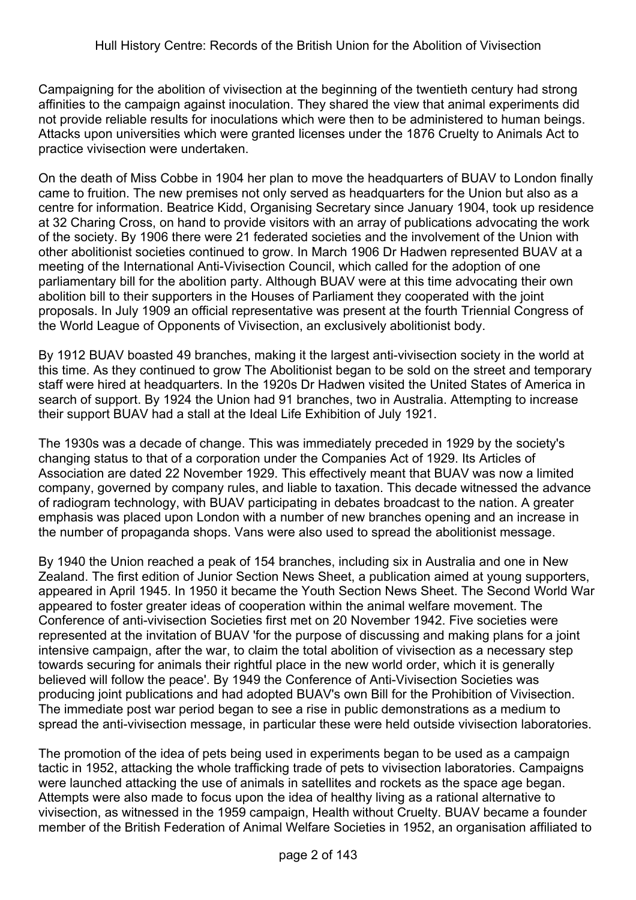Campaigning for the abolition of vivisection at the beginning of the twentieth century had strong affinities to the campaign against inoculation. They shared the view that animal experiments did not provide reliable results for inoculations which were then to be administered to human beings. Attacks upon universities which were granted licenses under the 1876 Cruelty to Animals Act to practice vivisection were undertaken.

On the death of Miss Cobbe in 1904 her plan to move the headquarters of BUAV to London finally came to fruition. The new premises not only served as headquarters for the Union but also as a centre for information. Beatrice Kidd, Organising Secretary since January 1904, took up residence at 32 Charing Cross, on hand to provide visitors with an array of publications advocating the work of the society. By 1906 there were 21 federated societies and the involvement of the Union with other abolitionist societies continued to grow. In March 1906 Dr Hadwen represented BUAV at a meeting of the International Anti-Vivisection Council, which called for the adoption of one parliamentary bill for the abolition party. Although BUAV were at this time advocating their own abolition bill to their supporters in the Houses of Parliament they cooperated with the joint proposals. In July 1909 an official representative was present at the fourth Triennial Congress of the World League of Opponents of Vivisection, an exclusively abolitionist body.

By 1912 BUAV boasted 49 branches, making it the largest anti-vivisection society in the world at this time. As they continued to grow The Abolitionist began to be sold on the street and temporary staff were hired at headquarters. In the 1920s Dr Hadwen visited the United States of America in search of support. By 1924 the Union had 91 branches, two in Australia. Attempting to increase their support BUAV had a stall at the Ideal Life Exhibition of July 1921.

The 1930s was a decade of change. This was immediately preceded in 1929 by the society's changing status to that of a corporation under the Companies Act of 1929. Its Articles of Association are dated 22 November 1929. This effectively meant that BUAV was now a limited company, governed by company rules, and liable to taxation. This decade witnessed the advance of radiogram technology, with BUAV participating in debates broadcast to the nation. A greater emphasis was placed upon London with a number of new branches opening and an increase in the number of propaganda shops. Vans were also used to spread the abolitionist message.

By 1940 the Union reached a peak of 154 branches, including six in Australia and one in New Zealand. The first edition of Junior Section News Sheet, a publication aimed at young supporters, appeared in April 1945. In 1950 it became the Youth Section News Sheet. The Second World War appeared to foster greater ideas of cooperation within the animal welfare movement. The Conference of anti-vivisection Societies first met on 20 November 1942. Five societies were represented at the invitation of BUAV 'for the purpose of discussing and making plans for a joint intensive campaign, after the war, to claim the total abolition of vivisection as a necessary step towards securing for animals their rightful place in the new world order, which it is generally believed will follow the peace'. By 1949 the Conference of Anti-Vivisection Societies was producing joint publications and had adopted BUAV's own Bill for the Prohibition of Vivisection. The immediate post war period began to see a rise in public demonstrations as a medium to spread the anti-vivisection message, in particular these were held outside vivisection laboratories.

The promotion of the idea of pets being used in experiments began to be used as a campaign tactic in 1952, attacking the whole trafficking trade of pets to vivisection laboratories. Campaigns were launched attacking the use of animals in satellites and rockets as the space age began. Attempts were also made to focus upon the idea of healthy living as a rational alternative to vivisection, as witnessed in the 1959 campaign, Health without Cruelty. BUAV became a founder member of the British Federation of Animal Welfare Societies in 1952, an organisation affiliated to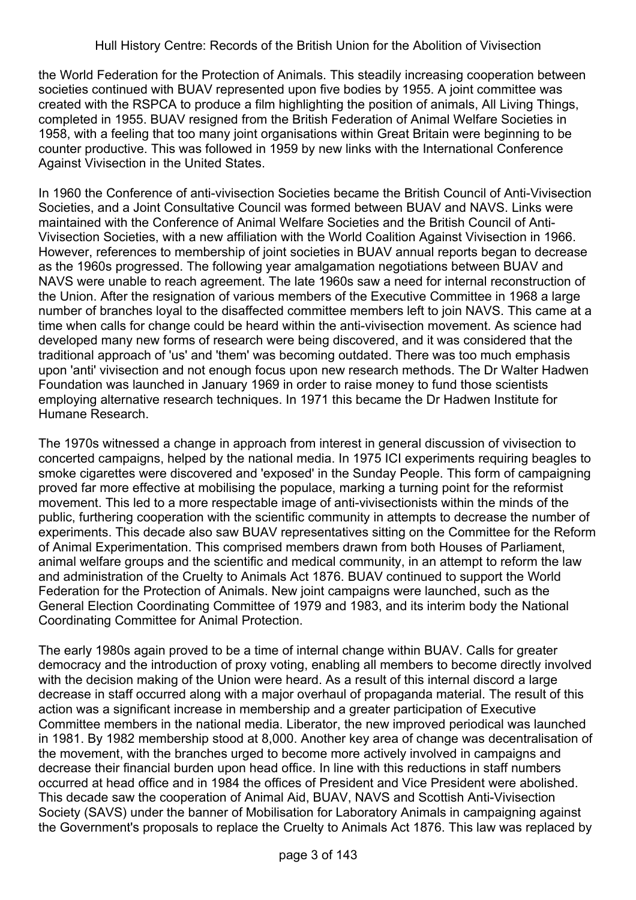the World Federation for the Protection of Animals. This steadily increasing cooperation between societies continued with BUAV represented upon five bodies by 1955. A joint committee was created with the RSPCA to produce a film highlighting the position of animals, All Living Things, completed in 1955. BUAV resigned from the British Federation of Animal Welfare Societies in 1958, with a feeling that too many joint organisations within Great Britain were beginning to be counter productive. This was followed in 1959 by new links with the International Conference Against Vivisection in the United States.

In 1960 the Conference of anti-vivisection Societies became the British Council of Anti-Vivisection Societies, and a Joint Consultative Council was formed between BUAV and NAVS. Links were maintained with the Conference of Animal Welfare Societies and the British Council of Anti-Vivisection Societies, with a new affiliation with the World Coalition Against Vivisection in 1966. However, references to membership of joint societies in BUAV annual reports began to decrease as the 1960s progressed. The following year amalgamation negotiations between BUAV and NAVS were unable to reach agreement. The late 1960s saw a need for internal reconstruction of the Union. After the resignation of various members of the Executive Committee in 1968 a large number of branches loyal to the disaffected committee members left to join NAVS. This came at a time when calls for change could be heard within the anti-vivisection movement. As science had developed many new forms of research were being discovered, and it was considered that the traditional approach of 'us' and 'them' was becoming outdated. There was too much emphasis upon 'anti' vivisection and not enough focus upon new research methods. The Dr Walter Hadwen Foundation was launched in January 1969 in order to raise money to fund those scientists employing alternative research techniques. In 1971 this became the Dr Hadwen Institute for Humane Research.

The 1970s witnessed a change in approach from interest in general discussion of vivisection to concerted campaigns, helped by the national media. In 1975 ICI experiments requiring beagles to smoke cigarettes were discovered and 'exposed' in the Sunday People. This form of campaigning proved far more effective at mobilising the populace, marking a turning point for the reformist movement. This led to a more respectable image of anti-vivisectionists within the minds of the public, furthering cooperation with the scientific community in attempts to decrease the number of experiments. This decade also saw BUAV representatives sitting on the Committee for the Reform of Animal Experimentation. This comprised members drawn from both Houses of Parliament, animal welfare groups and the scientific and medical community, in an attempt to reform the law and administration of the Cruelty to Animals Act 1876. BUAV continued to support the World Federation for the Protection of Animals. New joint campaigns were launched, such as the General Election Coordinating Committee of 1979 and 1983, and its interim body the National Coordinating Committee for Animal Protection.

The early 1980s again proved to be a time of internal change within BUAV. Calls for greater democracy and the introduction of proxy voting, enabling all members to become directly involved with the decision making of the Union were heard. As a result of this internal discord a large decrease in staff occurred along with a major overhaul of propaganda material. The result of this action was a significant increase in membership and a greater participation of Executive Committee members in the national media. Liberator, the new improved periodical was launched in 1981. By 1982 membership stood at 8,000. Another key area of change was decentralisation of the movement, with the branches urged to become more actively involved in campaigns and decrease their financial burden upon head office. In line with this reductions in staff numbers occurred at head office and in 1984 the offices of President and Vice President were abolished. This decade saw the cooperation of Animal Aid, BUAV, NAVS and Scottish Anti-Vivisection Society (SAVS) under the banner of Mobilisation for Laboratory Animals in campaigning against the Government's proposals to replace the Cruelty to Animals Act 1876. This law was replaced by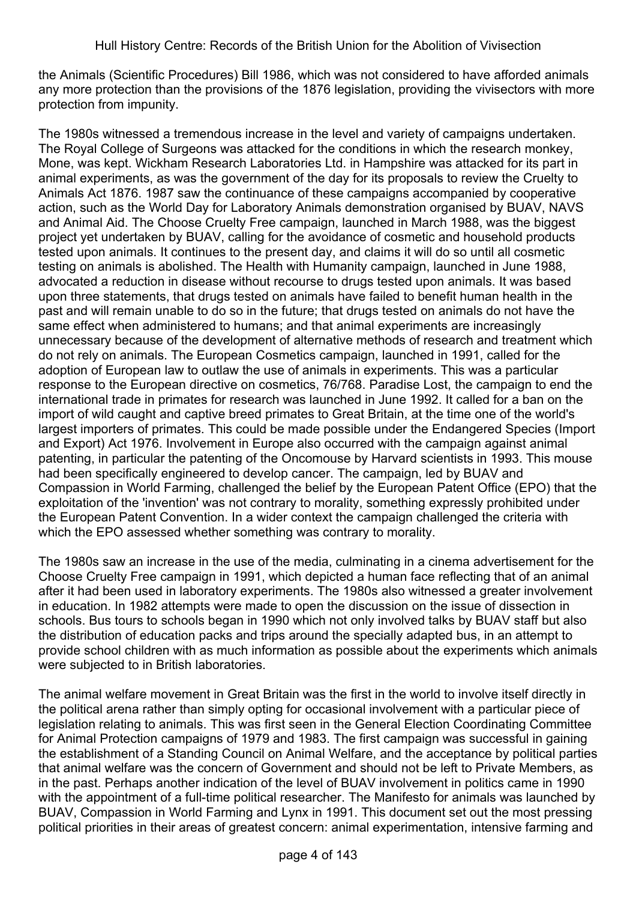the Animals (Scientific Procedures) Bill 1986, which was not considered to have afforded animals any more protection than the provisions of the 1876 legislation, providing the vivisectors with more protection from impunity.

The 1980s witnessed a tremendous increase in the level and variety of campaigns undertaken. The Royal College of Surgeons was attacked for the conditions in which the research monkey, Mone, was kept. Wickham Research Laboratories Ltd. in Hampshire was attacked for its part in animal experiments, as was the government of the day for its proposals to review the Cruelty to Animals Act 1876. 1987 saw the continuance of these campaigns accompanied by cooperative action, such as the World Day for Laboratory Animals demonstration organised by BUAV, NAVS and Animal Aid. The Choose Cruelty Free campaign, launched in March 1988, was the biggest project yet undertaken by BUAV, calling for the avoidance of cosmetic and household products tested upon animals. It continues to the present day, and claims it will do so until all cosmetic testing on animals is abolished. The Health with Humanity campaign, launched in June 1988, advocated a reduction in disease without recourse to drugs tested upon animals. It was based upon three statements, that drugs tested on animals have failed to benefit human health in the past and will remain unable to do so in the future; that drugs tested on animals do not have the same effect when administered to humans; and that animal experiments are increasingly unnecessary because of the development of alternative methods of research and treatment which do not rely on animals. The European Cosmetics campaign, launched in 1991, called for the adoption of European law to outlaw the use of animals in experiments. This was a particular response to the European directive on cosmetics, 76/768. Paradise Lost, the campaign to end the international trade in primates for research was launched in June 1992. It called for a ban on the import of wild caught and captive breed primates to Great Britain, at the time one of the world's largest importers of primates. This could be made possible under the Endangered Species (Import and Export) Act 1976. Involvement in Europe also occurred with the campaign against animal patenting, in particular the patenting of the Oncomouse by Harvard scientists in 1993. This mouse had been specifically engineered to develop cancer. The campaign, led by BUAV and Compassion in World Farming, challenged the belief by the European Patent Office (EPO) that the exploitation of the 'invention' was not contrary to morality, something expressly prohibited under the European Patent Convention. In a wider context the campaign challenged the criteria with which the EPO assessed whether something was contrary to morality.

The 1980s saw an increase in the use of the media, culminating in a cinema advertisement for the Choose Cruelty Free campaign in 1991, which depicted a human face reflecting that of an animal after it had been used in laboratory experiments. The 1980s also witnessed a greater involvement in education. In 1982 attempts were made to open the discussion on the issue of dissection in schools. Bus tours to schools began in 1990 which not only involved talks by BUAV staff but also the distribution of education packs and trips around the specially adapted bus, in an attempt to provide school children with as much information as possible about the experiments which animals were subjected to in British laboratories.

The animal welfare movement in Great Britain was the first in the world to involve itself directly in the political arena rather than simply opting for occasional involvement with a particular piece of legislation relating to animals. This was first seen in the General Election Coordinating Committee for Animal Protection campaigns of 1979 and 1983. The first campaign was successful in gaining the establishment of a Standing Council on Animal Welfare, and the acceptance by political parties that animal welfare was the concern of Government and should not be left to Private Members, as in the past. Perhaps another indication of the level of BUAV involvement in politics came in 1990 with the appointment of a full-time political researcher. The Manifesto for animals was launched by BUAV, Compassion in World Farming and Lynx in 1991. This document set out the most pressing political priorities in their areas of greatest concern: animal experimentation, intensive farming and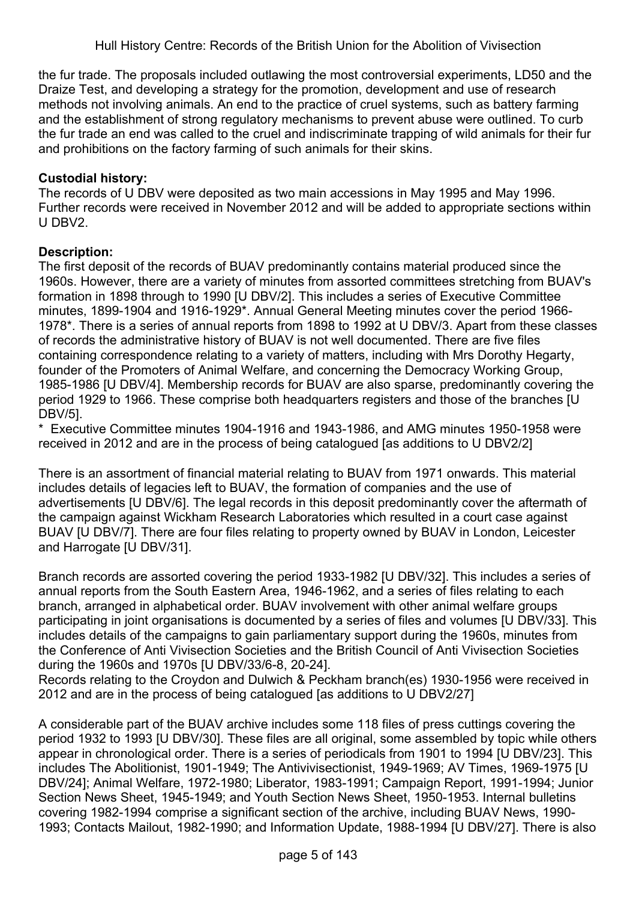the fur trade. The proposals included outlawing the most controversial experiments, LD50 and the Draize Test, and developing a strategy for the promotion, development and use of research methods not involving animals. An end to the practice of cruel systems, such as battery farming and the establishment of strong regulatory mechanisms to prevent abuse were outlined. To curb the fur trade an end was called to the cruel and indiscriminate trapping of wild animals for their fur and prohibitions on the factory farming of such animals for their skins.

# **Custodial history:**

The records of U DBV were deposited as two main accessions in May 1995 and May 1996. Further records were received in November 2012 and will be added to appropriate sections within U DBV2.

## **Description:**

The first deposit of the records of BUAV predominantly contains material produced since the 1960s. However, there are a variety of minutes from assorted committees stretching from BUAV's formation in 1898 through to 1990 [U DBV/2]. This includes a series of Executive Committee minutes, 1899-1904 and 1916-1929\*. Annual General Meeting minutes cover the period 1966- 1978\*. There is a series of annual reports from 1898 to 1992 at U DBV/3. Apart from these classes of records the administrative history of BUAV is not well documented. There are five files containing correspondence relating to a variety of matters, including with Mrs Dorothy Hegarty, founder of the Promoters of Animal Welfare, and concerning the Democracy Working Group, 1985-1986 [U DBV/4]. Membership records for BUAV are also sparse, predominantly covering the period 1929 to 1966. These comprise both headquarters registers and those of the branches [U DBV/5].

\* Executive Committee minutes 1904-1916 and 1943-1986, and AMG minutes 1950-1958 were received in 2012 and are in the process of being catalogued [as additions to U DBV2/2]

There is an assortment of financial material relating to BUAV from 1971 onwards. This material includes details of legacies left to BUAV, the formation of companies and the use of advertisements [U DBV/6]. The legal records in this deposit predominantly cover the aftermath of the campaign against Wickham Research Laboratories which resulted in a court case against BUAV [U DBV/7]. There are four files relating to property owned by BUAV in London, Leicester and Harrogate [U DBV/31].

Branch records are assorted covering the period 1933-1982 [U DBV/32]. This includes a series of annual reports from the South Eastern Area, 1946-1962, and a series of files relating to each branch, arranged in alphabetical order. BUAV involvement with other animal welfare groups participating in joint organisations is documented by a series of files and volumes [U DBV/33]. This includes details of the campaigns to gain parliamentary support during the 1960s, minutes from the Conference of Anti Vivisection Societies and the British Council of Anti Vivisection Societies during the 1960s and 1970s [U DBV/33/6-8, 20-24].

Records relating to the Croydon and Dulwich & Peckham branch(es) 1930-1956 were received in 2012 and are in the process of being catalogued [as additions to U DBV2/27]

A considerable part of the BUAV archive includes some 118 files of press cuttings covering the period 1932 to 1993 [U DBV/30]. These files are all original, some assembled by topic while others appear in chronological order. There is a series of periodicals from 1901 to 1994 [U DBV/23]. This includes The Abolitionist, 1901-1949; The Antivivisectionist, 1949-1969; AV Times, 1969-1975 [U DBV/24]; Animal Welfare, 1972-1980; Liberator, 1983-1991; Campaign Report, 1991-1994; Junior Section News Sheet, 1945-1949; and Youth Section News Sheet, 1950-1953. Internal bulletins covering 1982-1994 comprise a significant section of the archive, including BUAV News, 1990- 1993; Contacts Mailout, 1982-1990; and Information Update, 1988-1994 [U DBV/27]. There is also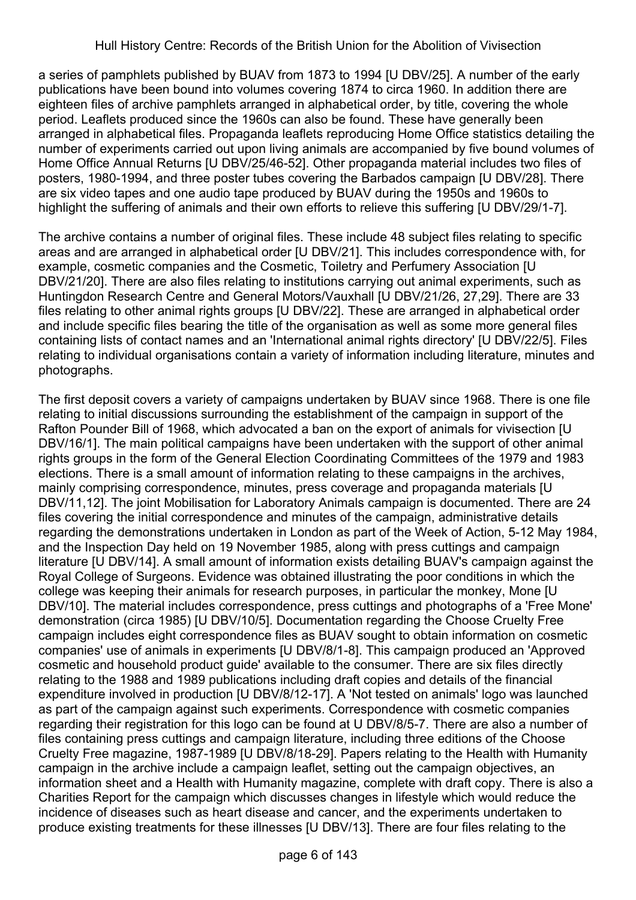a series of pamphlets published by BUAV from 1873 to 1994 [U DBV/25]. A number of the early publications have been bound into volumes covering 1874 to circa 1960. In addition there are eighteen files of archive pamphlets arranged in alphabetical order, by title, covering the whole period. Leaflets produced since the 1960s can also be found. These have generally been arranged in alphabetical files. Propaganda leaflets reproducing Home Office statistics detailing the number of experiments carried out upon living animals are accompanied by five bound volumes of Home Office Annual Returns [U DBV/25/46-52]. Other propaganda material includes two files of posters, 1980-1994, and three poster tubes covering the Barbados campaign [U DBV/28]. There are six video tapes and one audio tape produced by BUAV during the 1950s and 1960s to highlight the suffering of animals and their own efforts to relieve this suffering [U DBV/29/1-7].

The archive contains a number of original files. These include 48 subject files relating to specific areas and are arranged in alphabetical order [U DBV/21]. This includes correspondence with, for example, cosmetic companies and the Cosmetic, Toiletry and Perfumery Association [U DBV/21/20]. There are also files relating to institutions carrying out animal experiments, such as Huntingdon Research Centre and General Motors/Vauxhall [U DBV/21/26, 27,29]. There are 33 files relating to other animal rights groups [U DBV/22]. These are arranged in alphabetical order and include specific files bearing the title of the organisation as well as some more general files containing lists of contact names and an 'International animal rights directory' [U DBV/22/5]. Files relating to individual organisations contain a variety of information including literature, minutes and photographs.

The first deposit covers a variety of campaigns undertaken by BUAV since 1968. There is one file relating to initial discussions surrounding the establishment of the campaign in support of the Rafton Pounder Bill of 1968, which advocated a ban on the export of animals for vivisection [U DBV/16/1]. The main political campaigns have been undertaken with the support of other animal rights groups in the form of the General Election Coordinating Committees of the 1979 and 1983 elections. There is a small amount of information relating to these campaigns in the archives, mainly comprising correspondence, minutes, press coverage and propaganda materials [U DBV/11,12]. The joint Mobilisation for Laboratory Animals campaign is documented. There are 24 files covering the initial correspondence and minutes of the campaign, administrative details regarding the demonstrations undertaken in London as part of the Week of Action, 5-12 May 1984, and the Inspection Day held on 19 November 1985, along with press cuttings and campaign literature [U DBV/14]. A small amount of information exists detailing BUAV's campaign against the Royal College of Surgeons. Evidence was obtained illustrating the poor conditions in which the college was keeping their animals for research purposes, in particular the monkey, Mone [U DBV/10]. The material includes correspondence, press cuttings and photographs of a 'Free Mone' demonstration (circa 1985) [U DBV/10/5]. Documentation regarding the Choose Cruelty Free campaign includes eight correspondence files as BUAV sought to obtain information on cosmetic companies' use of animals in experiments [U DBV/8/1-8]. This campaign produced an 'Approved cosmetic and household product guide' available to the consumer. There are six files directly relating to the 1988 and 1989 publications including draft copies and details of the financial expenditure involved in production [U DBV/8/12-17]. A 'Not tested on animals' logo was launched as part of the campaign against such experiments. Correspondence with cosmetic companies regarding their registration for this logo can be found at U DBV/8/5-7. There are also a number of files containing press cuttings and campaign literature, including three editions of the Choose Cruelty Free magazine, 1987-1989 [U DBV/8/18-29]. Papers relating to the Health with Humanity campaign in the archive include a campaign leaflet, setting out the campaign objectives, an information sheet and a Health with Humanity magazine, complete with draft copy. There is also a Charities Report for the campaign which discusses changes in lifestyle which would reduce the incidence of diseases such as heart disease and cancer, and the experiments undertaken to produce existing treatments for these illnesses [U DBV/13]. There are four files relating to the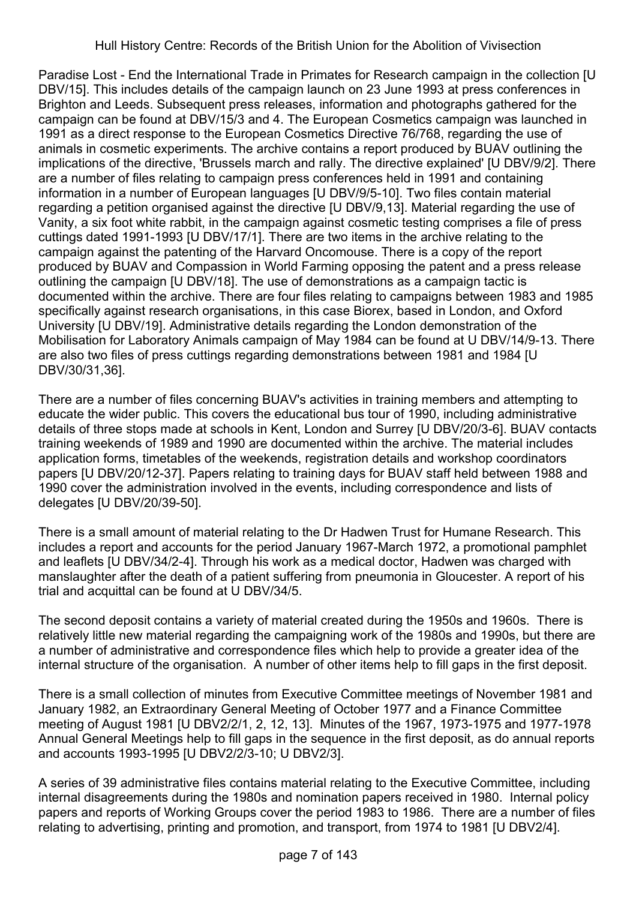Paradise Lost - End the International Trade in Primates for Research campaign in the collection [U DBV/15]. This includes details of the campaign launch on 23 June 1993 at press conferences in Brighton and Leeds. Subsequent press releases, information and photographs gathered for the campaign can be found at DBV/15/3 and 4. The European Cosmetics campaign was launched in 1991 as a direct response to the European Cosmetics Directive 76/768, regarding the use of animals in cosmetic experiments. The archive contains a report produced by BUAV outlining the implications of the directive, 'Brussels march and rally. The directive explained' [U DBV/9/2]. There are a number of files relating to campaign press conferences held in 1991 and containing information in a number of European languages [U DBV/9/5-10]. Two files contain material regarding a petition organised against the directive [U DBV/9,13]. Material regarding the use of Vanity, a six foot white rabbit, in the campaign against cosmetic testing comprises a file of press cuttings dated 1991-1993 [U DBV/17/1]. There are two items in the archive relating to the campaign against the patenting of the Harvard Oncomouse. There is a copy of the report produced by BUAV and Compassion in World Farming opposing the patent and a press release outlining the campaign [U DBV/18]. The use of demonstrations as a campaign tactic is documented within the archive. There are four files relating to campaigns between 1983 and 1985 specifically against research organisations, in this case Biorex, based in London, and Oxford University [U DBV/19]. Administrative details regarding the London demonstration of the Mobilisation for Laboratory Animals campaign of May 1984 can be found at U DBV/14/9-13. There are also two files of press cuttings regarding demonstrations between 1981 and 1984 [U DBV/30/31,36].

There are a number of files concerning BUAV's activities in training members and attempting to educate the wider public. This covers the educational bus tour of 1990, including administrative details of three stops made at schools in Kent, London and Surrey [U DBV/20/3-6]. BUAV contacts training weekends of 1989 and 1990 are documented within the archive. The material includes application forms, timetables of the weekends, registration details and workshop coordinators papers [U DBV/20/12-37]. Papers relating to training days for BUAV staff held between 1988 and 1990 cover the administration involved in the events, including correspondence and lists of delegates [U DBV/20/39-50].

There is a small amount of material relating to the Dr Hadwen Trust for Humane Research. This includes a report and accounts for the period January 1967-March 1972, a promotional pamphlet and leaflets [U DBV/34/2-4]. Through his work as a medical doctor, Hadwen was charged with manslaughter after the death of a patient suffering from pneumonia in Gloucester. A report of his trial and acquittal can be found at U DBV/34/5.

The second deposit contains a variety of material created during the 1950s and 1960s. There is relatively little new material regarding the campaigning work of the 1980s and 1990s, but there are a number of administrative and correspondence files which help to provide a greater idea of the internal structure of the organisation. A number of other items help to fill gaps in the first deposit.

There is a small collection of minutes from Executive Committee meetings of November 1981 and January 1982, an Extraordinary General Meeting of October 1977 and a Finance Committee meeting of August 1981 [U DBV2/2/1, 2, 12, 13]. Minutes of the 1967, 1973-1975 and 1977-1978 Annual General Meetings help to fill gaps in the sequence in the first deposit, as do annual reports and accounts 1993-1995 [U DBV2/2/3-10; U DBV2/3].

A series of 39 administrative files contains material relating to the Executive Committee, including internal disagreements during the 1980s and nomination papers received in 1980. Internal policy papers and reports of Working Groups cover the period 1983 to 1986. There are a number of files relating to advertising, printing and promotion, and transport, from 1974 to 1981 [U DBV2/4].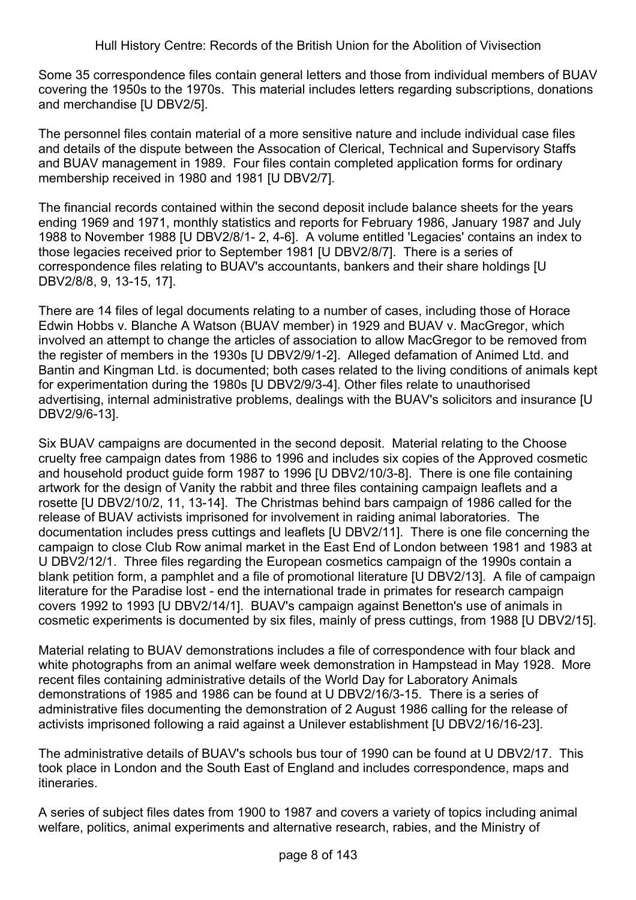Hull History Centre: Records of the British Union for the Abolition of Vivisection

Some 35 correspondence files contain general letters and those from individual members of BUAV covering the 1950s to the 1970s. This material includes letters regarding subscriptions, donations and merchandise [U DBV2/5].

The personnel files contain material of a more sensitive nature and include individual case files and details of the dispute between the Assocation of Clerical, Technical and Supervisory Staffs and BUAV management in 1989. Four files contain completed application forms for ordinary membership received in 1980 and 1981 [U DBV2/7].

The financial records contained within the second deposit include balance sheets for the years ending 1969 and 1971, monthly statistics and reports for February 1986, January 1987 and July 1988 to November 1988 [U DBV2/8/1- 2, 4-6]. A volume entitled 'Legacies' contains an index to those legacies received prior to September 1981 [U DBV2/8/7]. There is a series of correspondence files relating to BUAV's accountants, bankers and their share holdings [U DBV2/8/8, 9, 13-15, 17].

There are 14 files of legal documents relating to a number of cases, including those of Horace Edwin Hobbs v. Blanche A Watson (BUAV member) in 1929 and BUAV v. MacGregor, which involved an attempt to change the articles of association to allow MacGregor to be removed from the register of members in the 1930s [U DBV2/9/1-2]. Alleged defamation of Animed Ltd. and Bantin and Kingman Ltd. is documented; both cases related to the living conditions of animals kept for experimentation during the 1980s [U DBV2/9/3-4]. Other files relate to unauthorised advertising, internal administrative problems, dealings with the BUAV's solicitors and insurance [U DBV2/9/6-13].

Six BUAV campaigns are documented in the second deposit. Material relating to the Choose cruelty free campaign dates from 1986 to 1996 and includes six copies of the Approved cosmetic and household product guide form 1987 to 1996 [U DBV2/10/3-8]. There is one file containing artwork for the design of Vanity the rabbit and three files containing campaign leaflets and a rosette [U DBV2/10/2, 11, 13-14]. The Christmas behind bars campaign of 1986 called for the release of BUAV activists imprisoned for involvement in raiding animal laboratories. The documentation includes press cuttings and leaflets [U DBV2/11]. There is one file concerning the campaign to close Club Row animal market in the East End of London between 1981 and 1983 at U DBV2/12/1. Three files regarding the European cosmetics campaign of the 1990s contain a blank petition form, a pamphlet and a file of promotional literature [U DBV2/13]. A file of campaign literature for the Paradise lost - end the international trade in primates for research campaign covers 1992 to 1993 [U DBV2/14/1]. BUAV's campaign against Benetton's use of animals in cosmetic experiments is documented by six files, mainly of press cuttings, from 1988 [U DBV2/15].

Material relating to BUAV demonstrations includes a file of correspondence with four black and white photographs from an animal welfare week demonstration in Hampstead in May 1928. More recent files containing administrative details of the World Day for Laboratory Animals demonstrations of 1985 and 1986 can be found at U DBV2/16/3-15. There is a series of administrative files documenting the demonstration of 2 August 1986 calling for the release of activists imprisoned following a raid against a Unilever establishment [U DBV2/16/16-23].

The administrative details of BUAV's schools bus tour of 1990 can be found at U DBV2/17. This took place in London and the South East of England and includes correspondence, maps and itineraries.

A series of subject files dates from 1900 to 1987 and covers a variety of topics including animal welfare, politics, animal experiments and alternative research, rabies, and the Ministry of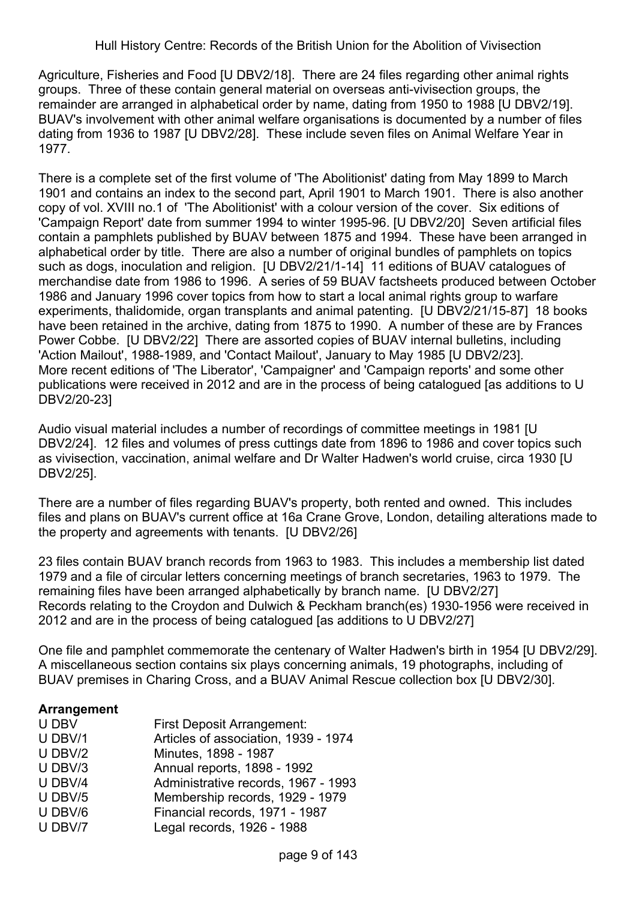Agriculture, Fisheries and Food [U DBV2/18]. There are 24 files regarding other animal rights groups. Three of these contain general material on overseas anti-vivisection groups, the remainder are arranged in alphabetical order by name, dating from 1950 to 1988 [U DBV2/19]. BUAV's involvement with other animal welfare organisations is documented by a number of files dating from 1936 to 1987 [U DBV2/28]. These include seven files on Animal Welfare Year in 1977.

There is a complete set of the first volume of 'The Abolitionist' dating from May 1899 to March 1901 and contains an index to the second part, April 1901 to March 1901. There is also another copy of vol. XVIII no.1 of 'The Abolitionist' with a colour version of the cover. Six editions of 'Campaign Report' date from summer 1994 to winter 1995-96. [U DBV2/20] Seven artificial files contain a pamphlets published by BUAV between 1875 and 1994. These have been arranged in alphabetical order by title. There are also a number of original bundles of pamphlets on topics such as dogs, inoculation and religion. [U DBV2/21/1-14] 11 editions of BUAV catalogues of merchandise date from 1986 to 1996. A series of 59 BUAV factsheets produced between October 1986 and January 1996 cover topics from how to start a local animal rights group to warfare experiments, thalidomide, organ transplants and animal patenting. [U DBV2/21/15-87] 18 books have been retained in the archive, dating from 1875 to 1990. A number of these are by Frances Power Cobbe. [U DBV2/22] There are assorted copies of BUAV internal bulletins, including 'Action Mailout', 1988-1989, and 'Contact Mailout', January to May 1985 [U DBV2/23]. More recent editions of 'The Liberator', 'Campaigner' and 'Campaign reports' and some other publications were received in 2012 and are in the process of being catalogued [as additions to U DBV2/20-23]

Audio visual material includes a number of recordings of committee meetings in 1981 [U DBV2/24]. 12 files and volumes of press cuttings date from 1896 to 1986 and cover topics such as vivisection, vaccination, animal welfare and Dr Walter Hadwen's world cruise, circa 1930 [U DBV2/25].

There are a number of files regarding BUAV's property, both rented and owned. This includes files and plans on BUAV's current office at 16a Crane Grove, London, detailing alterations made to the property and agreements with tenants. [U DBV2/26]

23 files contain BUAV branch records from 1963 to 1983. This includes a membership list dated 1979 and a file of circular letters concerning meetings of branch secretaries, 1963 to 1979. The remaining files have been arranged alphabetically by branch name. [U DBV2/27] Records relating to the Croydon and Dulwich & Peckham branch(es) 1930-1956 were received in 2012 and are in the process of being catalogued [as additions to U DBV2/27]

One file and pamphlet commemorate the centenary of Walter Hadwen's birth in 1954 [U DBV2/29]. A miscellaneous section contains six plays concerning animals, 19 photographs, including of BUAV premises in Charing Cross, and a BUAV Animal Rescue collection box [U DBV2/30].

### **Arrangement**

| U DBV     | <b>First Deposit Arrangement:</b>    |
|-----------|--------------------------------------|
| U DBV/1   | Articles of association, 1939 - 1974 |
| $U$ DBV/2 | Minutes, 1898 - 1987                 |
| U DBV/3   | Annual reports, 1898 - 1992          |
| U DBV/4   | Administrative records, 1967 - 1993  |
| U DBV/5   | Membership records, 1929 - 1979      |
| U DBV/6   | Financial records, 1971 - 1987       |
| U DBV/7   | Legal records, 1926 - 1988           |
|           |                                      |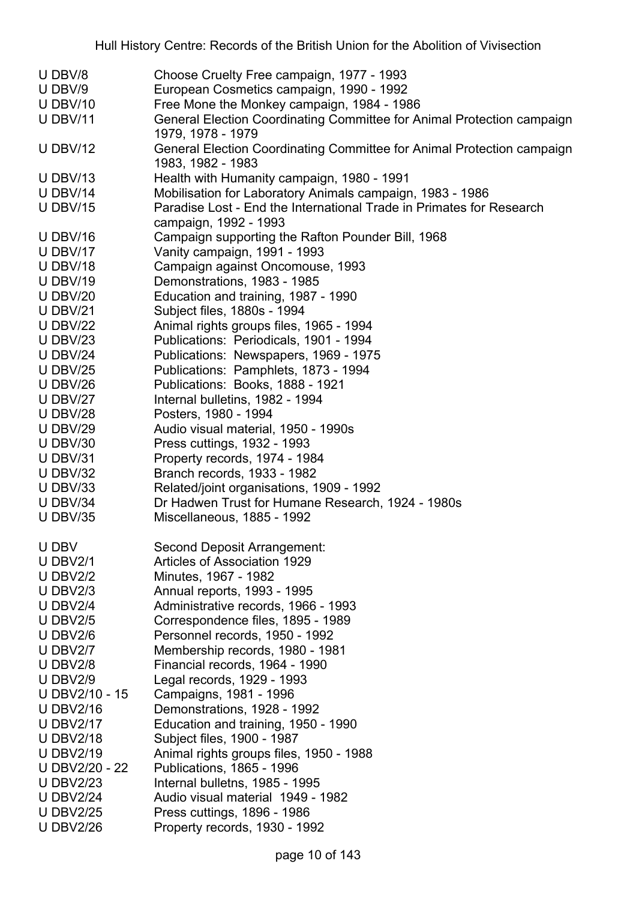| U DBV/8<br>Choose Cruelty Free campaign, 1977 - 1993                                                     |  |
|----------------------------------------------------------------------------------------------------------|--|
| U DBV/9<br>European Cosmetics campaign, 1990 - 1992                                                      |  |
| Free Mone the Monkey campaign, 1984 - 1986<br>$U$ DBV/10                                                 |  |
| General Election Coordinating Committee for Animal Protection campaign<br><b>U DBV/11</b>                |  |
| 1979, 1978 - 1979                                                                                        |  |
| <b>U DBV/12</b><br>General Election Coordinating Committee for Animal Protection campaign                |  |
| 1983, 1982 - 1983                                                                                        |  |
| Health with Humanity campaign, 1980 - 1991<br><b>U DBV/13</b>                                            |  |
| Mobilisation for Laboratory Animals campaign, 1983 - 1986<br><b>U DBV/14</b>                             |  |
| Paradise Lost - End the International Trade in Primates for Research<br><b>U DBV/15</b>                  |  |
| campaign, 1992 - 1993                                                                                    |  |
| <b>U DBV/16</b><br>Campaign supporting the Rafton Pounder Bill, 1968                                     |  |
| Vanity campaign, 1991 - 1993<br><b>U DBV/17</b>                                                          |  |
| <b>U DBV/18</b><br>Campaign against Oncomouse, 1993                                                      |  |
| <b>U DBV/19</b><br>Demonstrations, 1983 - 1985                                                           |  |
| <b>U DBV/20</b><br>Education and training, 1987 - 1990                                                   |  |
| Subject files, 1880s - 1994<br><b>U DBV/21</b>                                                           |  |
| Animal rights groups files, 1965 - 1994<br><b>U DBV/22</b>                                               |  |
| Publications: Periodicals, 1901 - 1994<br><b>U DBV/23</b>                                                |  |
| Publications: Newspapers, 1969 - 1975<br><b>U DBV/24</b>                                                 |  |
| Publications: Pamphlets, 1873 - 1994<br>U DBV/25                                                         |  |
| <b>U DBV/26</b><br>Publications: Books, 1888 - 1921                                                      |  |
| Internal bulletins, 1982 - 1994<br><b>U DBV/27</b>                                                       |  |
| <b>U DBV/28</b><br>Posters, 1980 - 1994                                                                  |  |
| Audio visual material, 1950 - 1990s<br><b>U DBV/29</b>                                                   |  |
| Press cuttings, 1932 - 1993<br>$U$ DBV/30                                                                |  |
| <b>U DBV/31</b><br>Property records, 1974 - 1984                                                         |  |
| Branch records, 1933 - 1982<br><b>U DBV/32</b>                                                           |  |
| Related/joint organisations, 1909 - 1992<br><b>U DBV/33</b>                                              |  |
| Dr Hadwen Trust for Humane Research, 1924 - 1980s<br><b>U DBV/34</b>                                     |  |
| <b>U DBV/35</b><br>Miscellaneous, 1885 - 1992                                                            |  |
|                                                                                                          |  |
| U DBV<br><b>Second Deposit Arrangement:</b>                                                              |  |
| Articles of Association 1929<br>U DBV $2/1$                                                              |  |
| Minutes, 1967 - 1982<br>U DBV $2/2$                                                                      |  |
| U DBV $2/3$<br>Annual reports, 1993 - 1995                                                               |  |
| U DBV $2/4$<br>Administrative records, 1966 - 1993                                                       |  |
| Correspondence files, 1895 - 1989<br>U DBV $2/5$                                                         |  |
| Personnel records, 1950 - 1992<br>U DBV $2/6$                                                            |  |
| <b>U DBV2/7</b><br>Membership records, 1980 - 1981                                                       |  |
| Financial records, 1964 - 1990<br><b>U DBV2/8</b>                                                        |  |
| <b>U DBV2/9</b><br>Legal records, 1929 - 1993                                                            |  |
| Campaigns, 1981 - 1996<br>U DBV2/10 - 15                                                                 |  |
| <b>U DBV2/16</b><br>Demonstrations, 1928 - 1992                                                          |  |
| Education and training, 1950 - 1990<br><b>U DBV2/17</b>                                                  |  |
| Subject files, 1900 - 1987<br><b>U DBV2/18</b>                                                           |  |
| <b>U DBV2/19</b><br>Animal rights groups files, 1950 - 1988                                              |  |
| U DBV2/20 - 22<br>Publications, 1865 - 1996                                                              |  |
| <b>U DBV2/23</b><br>Internal bulletns, 1985 - 1995                                                       |  |
|                                                                                                          |  |
|                                                                                                          |  |
| Audio visual material 1949 - 1982<br><b>U DBV2/24</b><br>Press cuttings, 1896 - 1986<br><b>U DBV2/25</b> |  |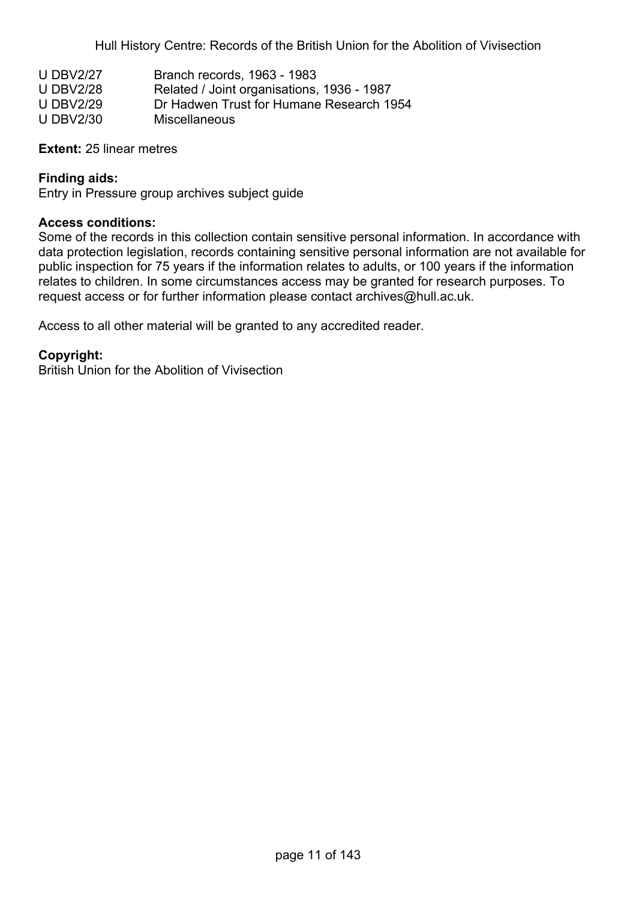Hull History Centre: Records of the British Union for the Abolition of Vivisection

| <b>U DBV2/27</b> | Branch records, 1963 - 1983                |
|------------------|--------------------------------------------|
| <b>U DBV2/28</b> | Related / Joint organisations, 1936 - 1987 |
| <b>U DBV2/29</b> | Dr Hadwen Trust for Humane Research 1954   |
| <b>U DBV2/30</b> | Miscellaneous                              |

#### **Extent:** 25 linear metres

### **Finding aids:**

Entry in Pressure group archives subject guide

#### **Access conditions:**

Some of the records in this collection contain sensitive personal information. In accordance with data protection legislation, records containing sensitive personal information are not available for public inspection for 75 years if the information relates to adults, or 100 years if the information relates to children. In some circumstances access may be granted for research purposes. To request access or for further information please contact archives@hull.ac.uk.

Access to all other material will be granted to any accredited reader.

#### **Copyright:**

British Union for the Abolition of Vivisection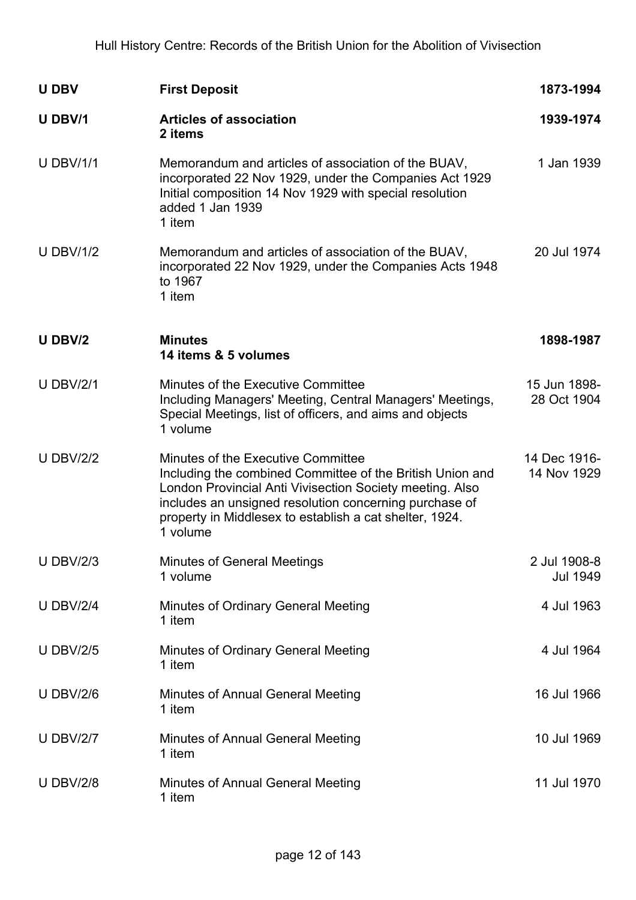| <b>U DBV</b>     | <b>First Deposit</b>                                                                                                                                                                                                                                                                         | 1873-1994                   |
|------------------|----------------------------------------------------------------------------------------------------------------------------------------------------------------------------------------------------------------------------------------------------------------------------------------------|-----------------------------|
| U DBV/1          | <b>Articles of association</b><br>2 items                                                                                                                                                                                                                                                    | 1939-1974                   |
| <b>U DBV/1/1</b> | Memorandum and articles of association of the BUAV,<br>incorporated 22 Nov 1929, under the Companies Act 1929<br>Initial composition 14 Nov 1929 with special resolution<br>added 1 Jan 1939<br>1 item                                                                                       | 1 Jan 1939                  |
| <b>U DBV/1/2</b> | Memorandum and articles of association of the BUAV,<br>incorporated 22 Nov 1929, under the Companies Acts 1948<br>to 1967<br>1 item                                                                                                                                                          | 20 Jul 1974                 |
| U DBV/2          | <b>Minutes</b><br>14 items & 5 volumes                                                                                                                                                                                                                                                       | 1898-1987                   |
| <b>U DBV/2/1</b> | Minutes of the Executive Committee<br>Including Managers' Meeting, Central Managers' Meetings,<br>Special Meetings, list of officers, and aims and objects<br>1 volume                                                                                                                       | 15 Jun 1898-<br>28 Oct 1904 |
| <b>U DBV/2/2</b> | Minutes of the Executive Committee<br>Including the combined Committee of the British Union and<br>London Provincial Anti Vivisection Society meeting. Also<br>includes an unsigned resolution concerning purchase of<br>property in Middlesex to establish a cat shelter, 1924.<br>1 volume | 14 Dec 1916-<br>14 Nov 1929 |
| <b>U DBV/2/3</b> | <b>Minutes of General Meetings</b><br>1 volume                                                                                                                                                                                                                                               | 2 Jul 1908-8<br>Jul 1949    |
| <b>U DBV/2/4</b> | <b>Minutes of Ordinary General Meeting</b><br>1 item                                                                                                                                                                                                                                         | 4 Jul 1963                  |
| <b>U DBV/2/5</b> | <b>Minutes of Ordinary General Meeting</b><br>1 item                                                                                                                                                                                                                                         | 4 Jul 1964                  |
| <b>U DBV/2/6</b> | <b>Minutes of Annual General Meeting</b><br>1 item                                                                                                                                                                                                                                           | 16 Jul 1966                 |
| <b>U DBV/2/7</b> | <b>Minutes of Annual General Meeting</b><br>1 item                                                                                                                                                                                                                                           | 10 Jul 1969                 |
| <b>U DBV/2/8</b> | <b>Minutes of Annual General Meeting</b><br>1 item                                                                                                                                                                                                                                           | 11 Jul 1970                 |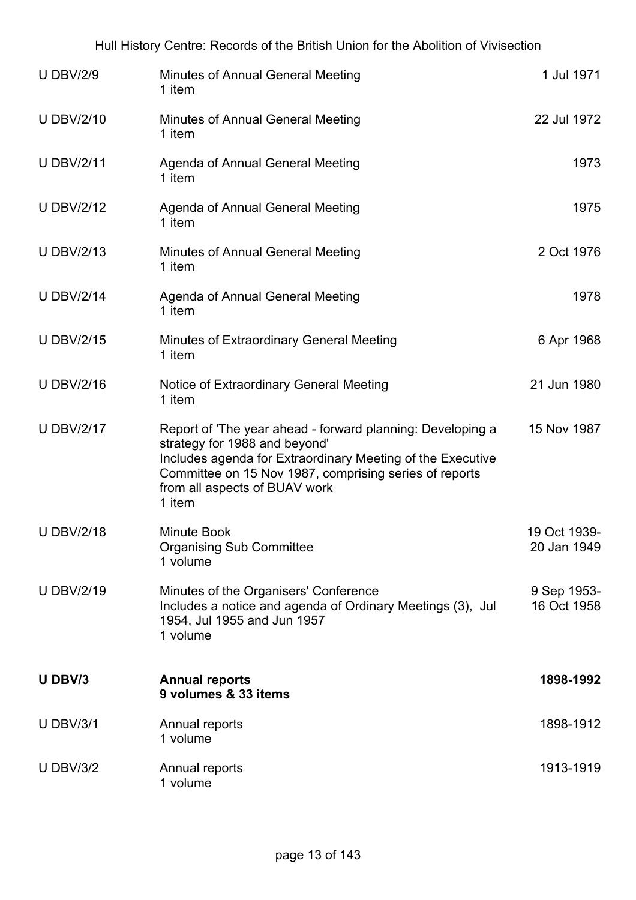| <b>U DBV/2/9</b>  | <b>Minutes of Annual General Meeting</b><br>1 item                                                                                                                                                                                                             | 1 Jul 1971                  |
|-------------------|----------------------------------------------------------------------------------------------------------------------------------------------------------------------------------------------------------------------------------------------------------------|-----------------------------|
| <b>U DBV/2/10</b> | <b>Minutes of Annual General Meeting</b><br>1 item                                                                                                                                                                                                             | 22 Jul 1972                 |
| <b>U DBV/2/11</b> | Agenda of Annual General Meeting<br>1 item                                                                                                                                                                                                                     | 1973                        |
| <b>U DBV/2/12</b> | Agenda of Annual General Meeting<br>1 item                                                                                                                                                                                                                     | 1975                        |
| <b>U DBV/2/13</b> | <b>Minutes of Annual General Meeting</b><br>1 item                                                                                                                                                                                                             | 2 Oct 1976                  |
| <b>U DBV/2/14</b> | Agenda of Annual General Meeting<br>1 item                                                                                                                                                                                                                     | 1978                        |
| <b>U DBV/2/15</b> | Minutes of Extraordinary General Meeting<br>1 item                                                                                                                                                                                                             | 6 Apr 1968                  |
| <b>U DBV/2/16</b> | Notice of Extraordinary General Meeting<br>1 item                                                                                                                                                                                                              | 21 Jun 1980                 |
| <b>U DBV/2/17</b> | Report of 'The year ahead - forward planning: Developing a<br>strategy for 1988 and beyond'<br>Includes agenda for Extraordinary Meeting of the Executive<br>Committee on 15 Nov 1987, comprising series of reports<br>from all aspects of BUAV work<br>1 item | 15 Nov 1987                 |
| <b>U DBV/2/18</b> | <b>Minute Book</b><br><b>Organising Sub Committee</b><br>1 volume                                                                                                                                                                                              | 19 Oct 1939-<br>20 Jan 1949 |
| <b>U DBV/2/19</b> | Minutes of the Organisers' Conference<br>Includes a notice and agenda of Ordinary Meetings (3), Jul<br>1954, Jul 1955 and Jun 1957<br>1 volume                                                                                                                 | 9 Sep 1953-<br>16 Oct 1958  |
| U DBV/3           | <b>Annual reports</b><br>9 volumes & 33 items                                                                                                                                                                                                                  | 1898-1992                   |
| <b>U DBV/3/1</b>  | Annual reports<br>1 volume                                                                                                                                                                                                                                     | 1898-1912                   |
| <b>U DBV/3/2</b>  | Annual reports<br>1 volume                                                                                                                                                                                                                                     | 1913-1919                   |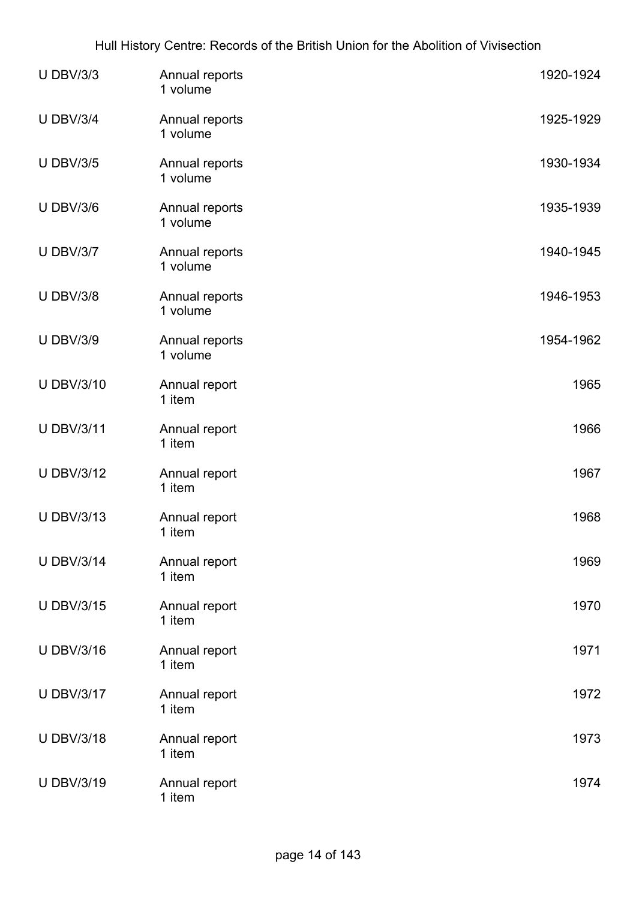| <b>U DBV/3/3</b>  | Annual reports<br>1 volume | 1920-1924 |
|-------------------|----------------------------|-----------|
| <b>U DBV/3/4</b>  | Annual reports<br>1 volume | 1925-1929 |
| <b>U DBV/3/5</b>  | Annual reports<br>1 volume | 1930-1934 |
| <b>U DBV/3/6</b>  | Annual reports<br>1 volume | 1935-1939 |
| <b>U DBV/3/7</b>  | Annual reports<br>1 volume | 1940-1945 |
| <b>U DBV/3/8</b>  | Annual reports<br>1 volume | 1946-1953 |
| <b>U DBV/3/9</b>  | Annual reports<br>1 volume | 1954-1962 |
| <b>U DBV/3/10</b> | Annual report<br>1 item    | 1965      |
| <b>U DBV/3/11</b> | Annual report<br>1 item    | 1966      |
| <b>U DBV/3/12</b> | Annual report<br>1 item    | 1967      |
| <b>U DBV/3/13</b> | Annual report<br>1 item    | 1968      |
| <b>U DBV/3/14</b> | Annual report<br>1 item    | 1969      |
| <b>U DBV/3/15</b> | Annual report<br>1 item    | 1970      |
| <b>U DBV/3/16</b> | Annual report<br>1 item    | 1971      |
| <b>U DBV/3/17</b> | Annual report<br>1 item    | 1972      |
| <b>U DBV/3/18</b> | Annual report<br>1 item    | 1973      |
| <b>U DBV/3/19</b> | Annual report<br>1 item    | 1974      |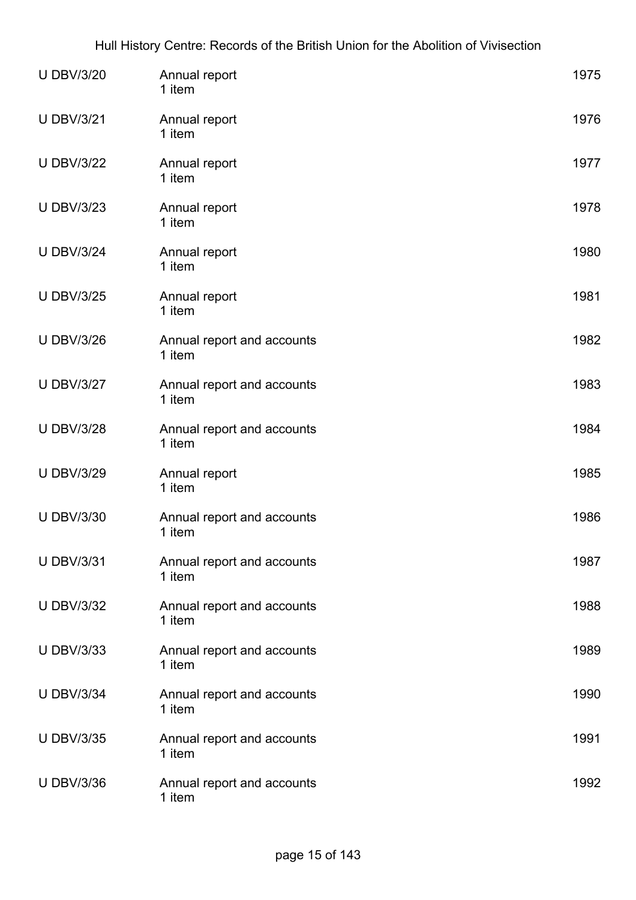| <b>U DBV/3/20</b> | Annual report<br>1 item              | 1975 |
|-------------------|--------------------------------------|------|
| <b>U DBV/3/21</b> | Annual report<br>1 item              | 1976 |
| <b>U DBV/3/22</b> | Annual report<br>1 item              | 1977 |
| <b>U DBV/3/23</b> | Annual report<br>1 item              | 1978 |
| <b>U DBV/3/24</b> | Annual report<br>1 item              | 1980 |
| <b>U DBV/3/25</b> | Annual report<br>1 item              | 1981 |
| <b>U DBV/3/26</b> | Annual report and accounts<br>1 item | 1982 |
| <b>U DBV/3/27</b> | Annual report and accounts<br>1 item | 1983 |
| <b>U DBV/3/28</b> | Annual report and accounts<br>1 item | 1984 |
| <b>U DBV/3/29</b> | Annual report<br>1 item              | 1985 |
| <b>U DBV/3/30</b> | Annual report and accounts<br>1 item | 1986 |
| <b>U DBV/3/31</b> | Annual report and accounts<br>1 item | 1987 |
| <b>U DBV/3/32</b> | Annual report and accounts<br>1 item | 1988 |
| <b>U DBV/3/33</b> | Annual report and accounts<br>1 item | 1989 |
| <b>U DBV/3/34</b> | Annual report and accounts<br>1 item | 1990 |
| <b>U DBV/3/35</b> | Annual report and accounts<br>1 item | 1991 |
| <b>U DBV/3/36</b> | Annual report and accounts<br>1 item | 1992 |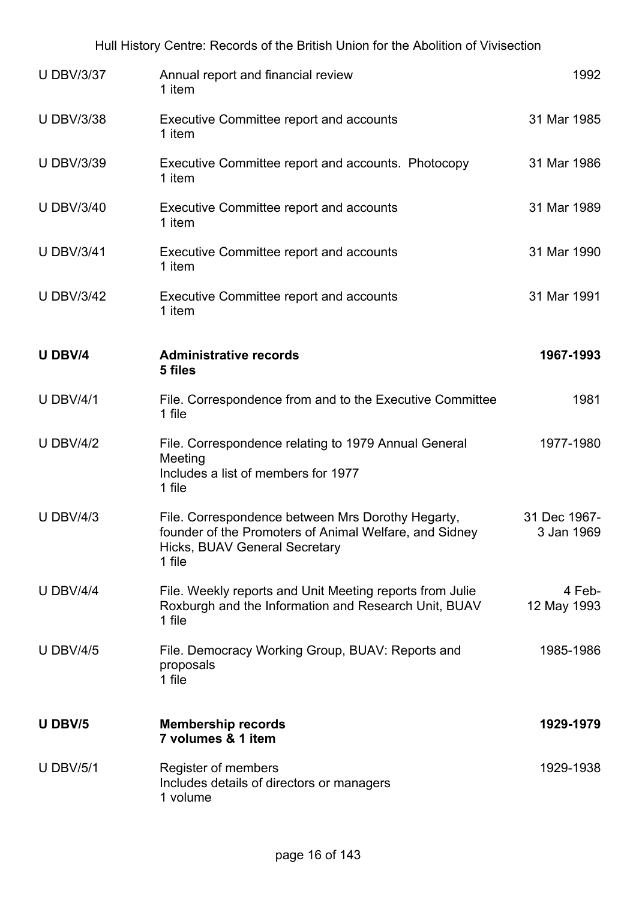|                   | Hull History Centre: Records of the British Union for the Abolition of Vivisection                                                                            |                            |
|-------------------|---------------------------------------------------------------------------------------------------------------------------------------------------------------|----------------------------|
| <b>U DBV/3/37</b> | Annual report and financial review<br>1 item                                                                                                                  | 1992                       |
| <b>U DBV/3/38</b> | <b>Executive Committee report and accounts</b><br>1 item                                                                                                      | 31 Mar 1985                |
| <b>U DBV/3/39</b> | Executive Committee report and accounts. Photocopy<br>1 item                                                                                                  | 31 Mar 1986                |
| <b>U DBV/3/40</b> | <b>Executive Committee report and accounts</b><br>1 item                                                                                                      | 31 Mar 1989                |
| <b>U DBV/3/41</b> | <b>Executive Committee report and accounts</b><br>1 item                                                                                                      | 31 Mar 1990                |
| <b>U DBV/3/42</b> | <b>Executive Committee report and accounts</b><br>1 item                                                                                                      | 31 Mar 1991                |
| U DBV/4           | <b>Administrative records</b><br>5 files                                                                                                                      | 1967-1993                  |
| <b>U DBV/4/1</b>  | File. Correspondence from and to the Executive Committee<br>1 file                                                                                            | 1981                       |
| <b>U DBV/4/2</b>  | File. Correspondence relating to 1979 Annual General<br>Meeting<br>Includes a list of members for 1977<br>1 file                                              | 1977-1980                  |
| U DBV/4/3         | File. Correspondence between Mrs Dorothy Hegarty,<br>founder of the Promoters of Animal Welfare, and Sidney<br><b>Hicks, BUAV General Secretary</b><br>1 file | 31 Dec 1967-<br>3 Jan 1969 |
| <b>U DBV/4/4</b>  | File. Weekly reports and Unit Meeting reports from Julie<br>Roxburgh and the Information and Research Unit, BUAV<br>1 file                                    | 4 Feb-<br>12 May 1993      |
| <b>U DBV/4/5</b>  | File. Democracy Working Group, BUAV: Reports and<br>proposals<br>1 file                                                                                       | 1985-1986                  |
| U DBV/5           | <b>Membership records</b><br>7 volumes & 1 item                                                                                                               | 1929-1979                  |
| <b>U DBV/5/1</b>  | Register of members<br>Includes details of directors or managers<br>1 volume                                                                                  | 1929-1938                  |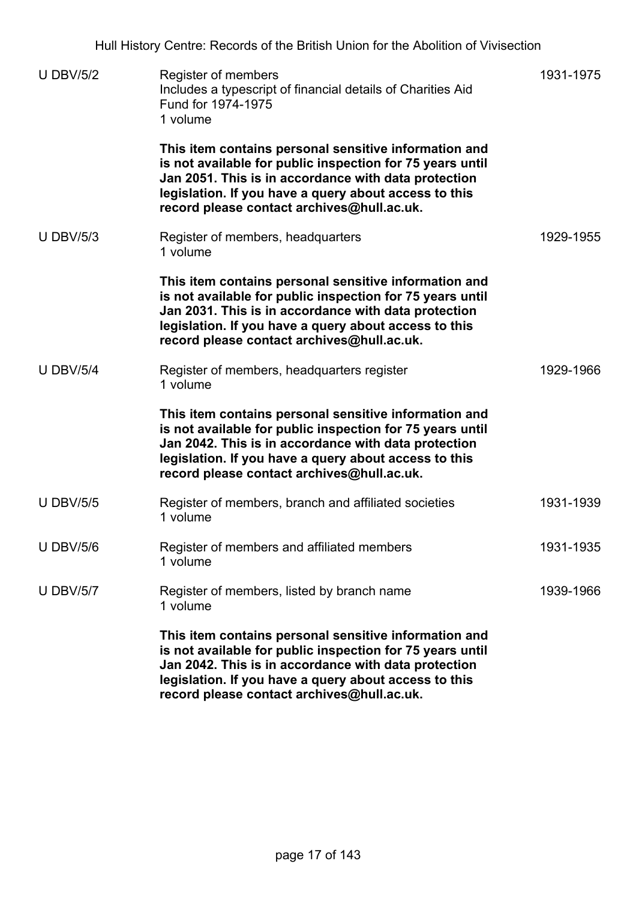Hull History Centre: Records of the British Union for the Abolition of Vivisection

| <b>U DBV/5/2</b> | Register of members<br>Includes a typescript of financial details of Charities Aid<br>Fund for 1974-1975<br>1 volume                                                                                                                                                              | 1931-1975 |
|------------------|-----------------------------------------------------------------------------------------------------------------------------------------------------------------------------------------------------------------------------------------------------------------------------------|-----------|
|                  | This item contains personal sensitive information and<br>is not available for public inspection for 75 years until<br>Jan 2051. This is in accordance with data protection<br>legislation. If you have a query about access to this<br>record please contact archives@hull.ac.uk. |           |
| <b>U DBV/5/3</b> | Register of members, headquarters<br>1 volume                                                                                                                                                                                                                                     | 1929-1955 |
|                  | This item contains personal sensitive information and<br>is not available for public inspection for 75 years until<br>Jan 2031. This is in accordance with data protection<br>legislation. If you have a query about access to this<br>record please contact archives@hull.ac.uk. |           |
| <b>U DBV/5/4</b> | Register of members, headquarters register<br>1 volume                                                                                                                                                                                                                            | 1929-1966 |
|                  | This item contains personal sensitive information and<br>is not available for public inspection for 75 years until<br>Jan 2042. This is in accordance with data protection<br>legislation. If you have a query about access to this<br>record please contact archives@hull.ac.uk. |           |
| <b>U DBV/5/5</b> | Register of members, branch and affiliated societies<br>1 volume                                                                                                                                                                                                                  | 1931-1939 |
| <b>U DBV/5/6</b> | Register of members and affiliated members<br>1 volume                                                                                                                                                                                                                            | 1931-1935 |
| <b>U DBV/5/7</b> | Register of members, listed by branch name<br>1 volume                                                                                                                                                                                                                            | 1939-1966 |
|                  | This item contains personal sensitive information and<br>is not available for public inspection for 75 years until<br>Jan 2042. This is in accordance with data protection<br>legislation. If you have a query about access to this<br>record please contact archives@hull.ac.uk. |           |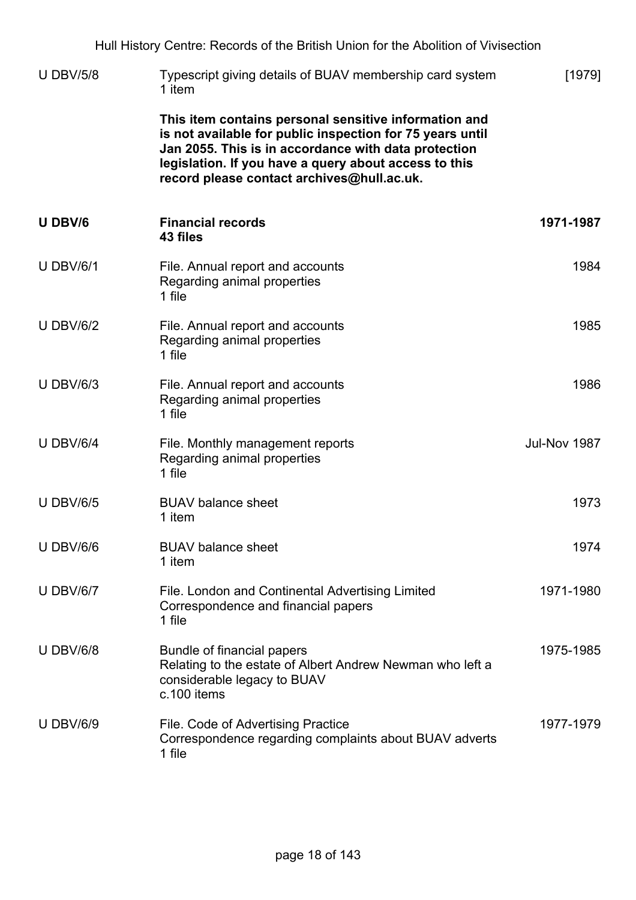|                  | Hull History Centre: Records of the British Union for the Abolition of Vivisection                                                                                                                                                                                                |              |
|------------------|-----------------------------------------------------------------------------------------------------------------------------------------------------------------------------------------------------------------------------------------------------------------------------------|--------------|
| <b>U DBV/5/8</b> | Typescript giving details of BUAV membership card system<br>1 item                                                                                                                                                                                                                | [1979]       |
|                  | This item contains personal sensitive information and<br>is not available for public inspection for 75 years until<br>Jan 2055. This is in accordance with data protection<br>legislation. If you have a query about access to this<br>record please contact archives@hull.ac.uk. |              |
| U DBV/6          | <b>Financial records</b><br>43 files                                                                                                                                                                                                                                              | 1971-1987    |
| <b>U DBV/6/1</b> | File. Annual report and accounts<br>Regarding animal properties<br>1 file                                                                                                                                                                                                         | 1984         |
| <b>U DBV/6/2</b> | File. Annual report and accounts<br>Regarding animal properties<br>1 file                                                                                                                                                                                                         | 1985         |
| <b>U DBV/6/3</b> | File. Annual report and accounts<br>Regarding animal properties<br>1 file                                                                                                                                                                                                         | 1986         |
| <b>U DBV/6/4</b> | File. Monthly management reports<br>Regarding animal properties<br>1 file                                                                                                                                                                                                         | Jul-Nov 1987 |
| <b>U DBV/6/5</b> | <b>BUAV</b> balance sheet<br>1 item                                                                                                                                                                                                                                               | 1973         |
| <b>U DBV/6/6</b> | <b>BUAV</b> balance sheet<br>1 item                                                                                                                                                                                                                                               | 1974         |
| <b>U DBV/6/7</b> | File. London and Continental Advertising Limited<br>Correspondence and financial papers<br>1 file                                                                                                                                                                                 | 1971-1980    |
| <b>U DBV/6/8</b> | Bundle of financial papers<br>Relating to the estate of Albert Andrew Newman who left a<br>considerable legacy to BUAV<br>c.100 items                                                                                                                                             | 1975-1985    |
| <b>U DBV/6/9</b> | File. Code of Advertising Practice<br>Correspondence regarding complaints about BUAV adverts<br>1 file                                                                                                                                                                            | 1977-1979    |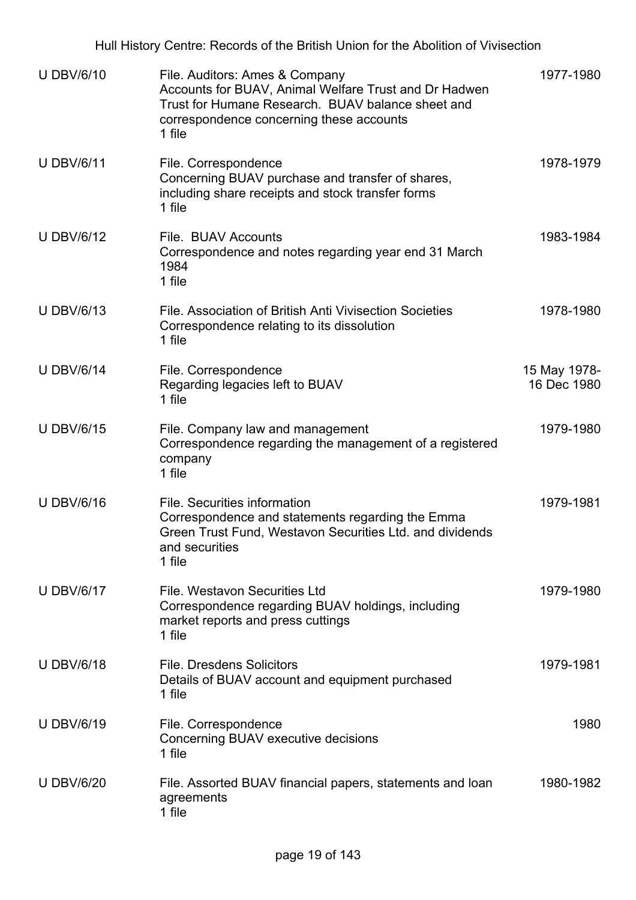Hull History Centre: Records of the British Union for the Abolition of Vivisection U DBV/6/10 File. Auditors: Ames & Company Accounts for BUAV, Animal Welfare Trust and Dr Hadwen Trust for Humane Research. BUAV balance sheet and correspondence concerning these accounts 1 file 1977-1980 U DBV/6/11 File. Correspondence Concerning BUAV purchase and transfer of shares, including share receipts and stock transfer forms 1 file 1978-1979 U DBV/6/12 File. BUAV Accounts Correspondence and notes regarding year end 31 March 1984 1 file 1983-1984 U DBV/6/13 File. Association of British Anti Vivisection Societies Correspondence relating to its dissolution 1 file 1978-1980 U DBV/6/14 File. Correspondence Regarding legacies left to BUAV 1 file 15 May 1978- 16 Dec 1980 U DBV/6/15 File. Company law and management Correspondence regarding the management of a registered company 1 file 1979-1980 U DBV/6/16 File. Securities information Correspondence and statements regarding the Emma Green Trust Fund, Westavon Securities Ltd. and dividends and securities 1 file 1979-1981 U DBV/6/17 File. Westavon Securities Ltd Correspondence regarding BUAV holdings, including market reports and press cuttings 1 file 1979-1980 U DBV/6/18 File. Dresdens Solicitors Details of BUAV account and equipment purchased 1 file 1979-1981 U DBV/6/19 File. Correspondence Concerning BUAV executive decisions 1 file 1980 U DBV/6/20 File. Assorted BUAV financial papers, statements and loan agreements 1980-1982

1 file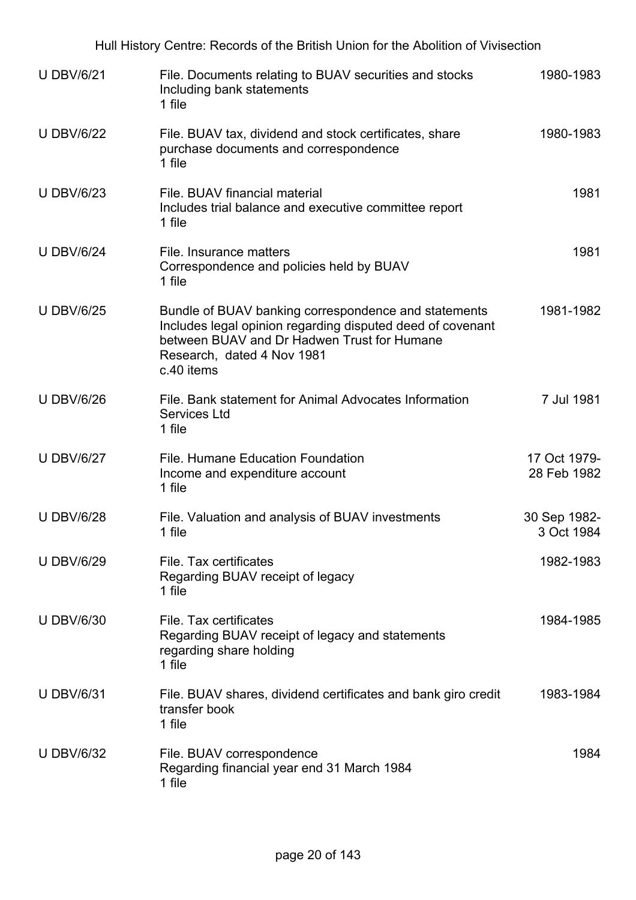| Hull History Centre: Records of the British Union for the Abolition of Vivisection |                                                                                                                                                                                                               |                             |  |
|------------------------------------------------------------------------------------|---------------------------------------------------------------------------------------------------------------------------------------------------------------------------------------------------------------|-----------------------------|--|
| <b>U DBV/6/21</b>                                                                  | File. Documents relating to BUAV securities and stocks<br>Including bank statements<br>1 file                                                                                                                 | 1980-1983                   |  |
| <b>U DBV/6/22</b>                                                                  | File. BUAV tax, dividend and stock certificates, share<br>purchase documents and correspondence<br>1 file                                                                                                     | 1980-1983                   |  |
| <b>U DBV/6/23</b>                                                                  | File. BUAV financial material<br>Includes trial balance and executive committee report<br>1 file                                                                                                              | 1981                        |  |
| <b>U DBV/6/24</b>                                                                  | File. Insurance matters<br>Correspondence and policies held by BUAV<br>1 file                                                                                                                                 | 1981                        |  |
| <b>U DBV/6/25</b>                                                                  | Bundle of BUAV banking correspondence and statements<br>Includes legal opinion regarding disputed deed of covenant<br>between BUAV and Dr Hadwen Trust for Humane<br>Research, dated 4 Nov 1981<br>c.40 items | 1981-1982                   |  |
| <b>U DBV/6/26</b>                                                                  | File. Bank statement for Animal Advocates Information<br><b>Services Ltd</b><br>1 file                                                                                                                        | 7 Jul 1981                  |  |
| <b>U DBV/6/27</b>                                                                  | File. Humane Education Foundation<br>Income and expenditure account<br>1 file                                                                                                                                 | 17 Oct 1979-<br>28 Feb 1982 |  |
| <b>U DBV/6/28</b>                                                                  | File. Valuation and analysis of BUAV investments<br>1 file                                                                                                                                                    | 30 Sep 1982-<br>3 Oct 1984  |  |
| <b>U DBV/6/29</b>                                                                  | File. Tax certificates<br>Regarding BUAV receipt of legacy<br>1 file                                                                                                                                          | 1982-1983                   |  |
| <b>UDBV/6/30</b>                                                                   | File. Tax certificates<br>Regarding BUAV receipt of legacy and statements<br>regarding share holding<br>1 file                                                                                                | 1984-1985                   |  |
| <b>U DBV/6/31</b>                                                                  | File. BUAV shares, dividend certificates and bank giro credit<br>transfer book<br>1 file                                                                                                                      | 1983-1984                   |  |
| <b>U DBV/6/32</b>                                                                  | File. BUAV correspondence<br>Regarding financial year end 31 March 1984<br>1 file                                                                                                                             | 1984                        |  |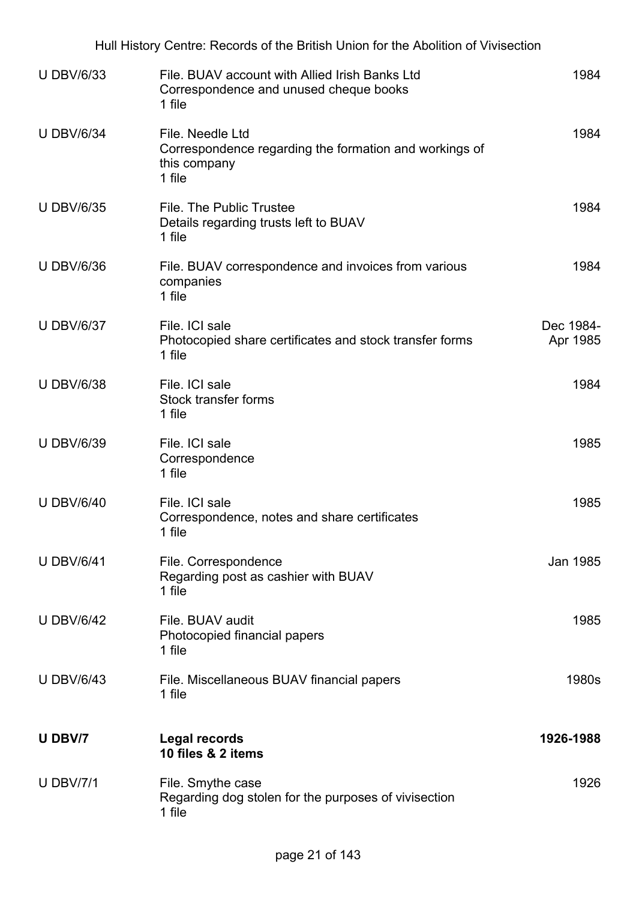|                   | Hull History Centre: Records of the British Union for the Abolition of Vivisection                   |                       |
|-------------------|------------------------------------------------------------------------------------------------------|-----------------------|
| <b>U DBV/6/33</b> | File. BUAV account with Allied Irish Banks Ltd<br>Correspondence and unused cheque books<br>1 file   | 1984                  |
| <b>U DBV/6/34</b> | File. Needle Ltd<br>Correspondence regarding the formation and workings of<br>this company<br>1 file | 1984                  |
| <b>U DBV/6/35</b> | File. The Public Trustee<br>Details regarding trusts left to BUAV<br>1 file                          | 1984                  |
| <b>U DBV/6/36</b> | File. BUAV correspondence and invoices from various<br>companies<br>1 file                           | 1984                  |
| <b>U DBV/6/37</b> | File. ICI sale<br>Photocopied share certificates and stock transfer forms<br>1 file                  | Dec 1984-<br>Apr 1985 |
| <b>U DBV/6/38</b> | File. ICI sale<br><b>Stock transfer forms</b><br>1 file                                              | 1984                  |
| <b>U DBV/6/39</b> | File. ICI sale<br>Correspondence<br>1 file                                                           | 1985                  |
| <b>U DBV/6/40</b> | File. ICI sale<br>Correspondence, notes and share certificates<br>1 file                             | 1985                  |
| <b>U DBV/6/41</b> | File. Correspondence<br>Regarding post as cashier with BUAV<br>1 file                                | Jan 1985              |
| <b>U DBV/6/42</b> | File, BUAV audit<br>Photocopied financial papers<br>1 file                                           | 1985                  |
| <b>U DBV/6/43</b> | File. Miscellaneous BUAV financial papers<br>1 file                                                  | 1980s                 |
| U DBV/7           | <b>Legal records</b><br>10 files & 2 items                                                           | 1926-1988             |
| <b>U DBV/7/1</b>  | File. Smythe case<br>Regarding dog stolen for the purposes of vivisection<br>1 file                  | 1926                  |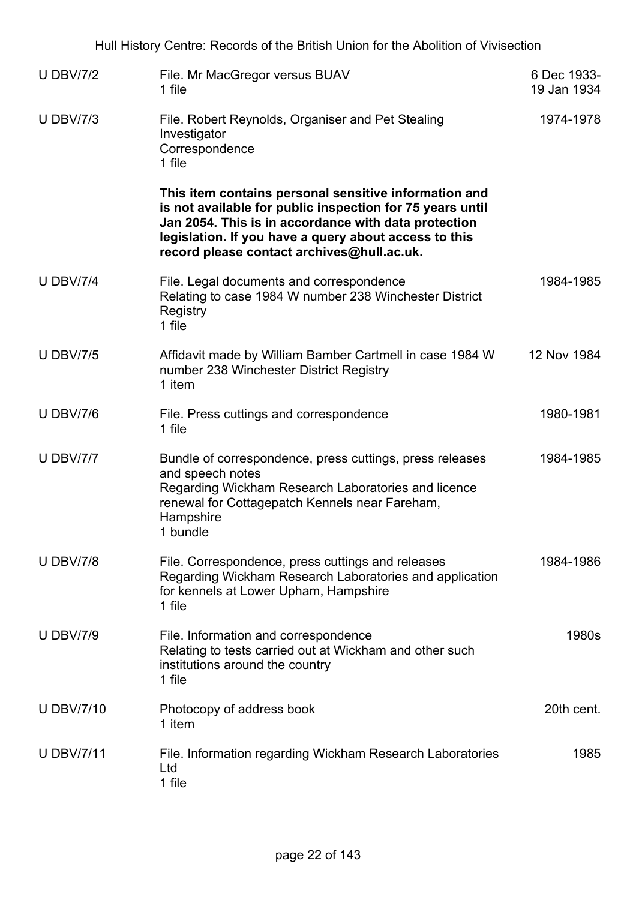| <b>U DBV/7/2</b>  | File. Mr MacGregor versus BUAV<br>1 file                                                                                                                                                                                                                                          | 6 Dec 1933-<br>19 Jan 1934 |
|-------------------|-----------------------------------------------------------------------------------------------------------------------------------------------------------------------------------------------------------------------------------------------------------------------------------|----------------------------|
| <b>U DBV/7/3</b>  | File. Robert Reynolds, Organiser and Pet Stealing<br>Investigator<br>Correspondence<br>1 file                                                                                                                                                                                     | 1974-1978                  |
|                   | This item contains personal sensitive information and<br>is not available for public inspection for 75 years until<br>Jan 2054. This is in accordance with data protection<br>legislation. If you have a query about access to this<br>record please contact archives@hull.ac.uk. |                            |
| <b>U DBV/7/4</b>  | File. Legal documents and correspondence<br>Relating to case 1984 W number 238 Winchester District<br>Registry<br>1 file                                                                                                                                                          | 1984-1985                  |
| <b>U DBV/7/5</b>  | Affidavit made by William Bamber Cartmell in case 1984 W<br>number 238 Winchester District Registry<br>1 item                                                                                                                                                                     | 12 Nov 1984                |
| <b>U DBV/7/6</b>  | File. Press cuttings and correspondence<br>1 file                                                                                                                                                                                                                                 | 1980-1981                  |
| <b>U DBV/7/7</b>  | Bundle of correspondence, press cuttings, press releases<br>and speech notes<br>Regarding Wickham Research Laboratories and licence<br>renewal for Cottagepatch Kennels near Fareham,<br>Hampshire<br>1 bundle                                                                    | 1984-1985                  |
| <b>U DBV/7/8</b>  | File. Correspondence, press cuttings and releases<br>Regarding Wickham Research Laboratories and application<br>for kennels at Lower Upham, Hampshire<br>1 file                                                                                                                   | 1984-1986                  |
| <b>U DBV/7/9</b>  | File. Information and correspondence<br>Relating to tests carried out at Wickham and other such<br>institutions around the country<br>1 file                                                                                                                                      | 1980s                      |
| <b>U DBV/7/10</b> | Photocopy of address book<br>1 item                                                                                                                                                                                                                                               | 20th cent.                 |
| <b>U DBV/7/11</b> | File. Information regarding Wickham Research Laboratories<br>Ltd<br>1 file                                                                                                                                                                                                        | 1985                       |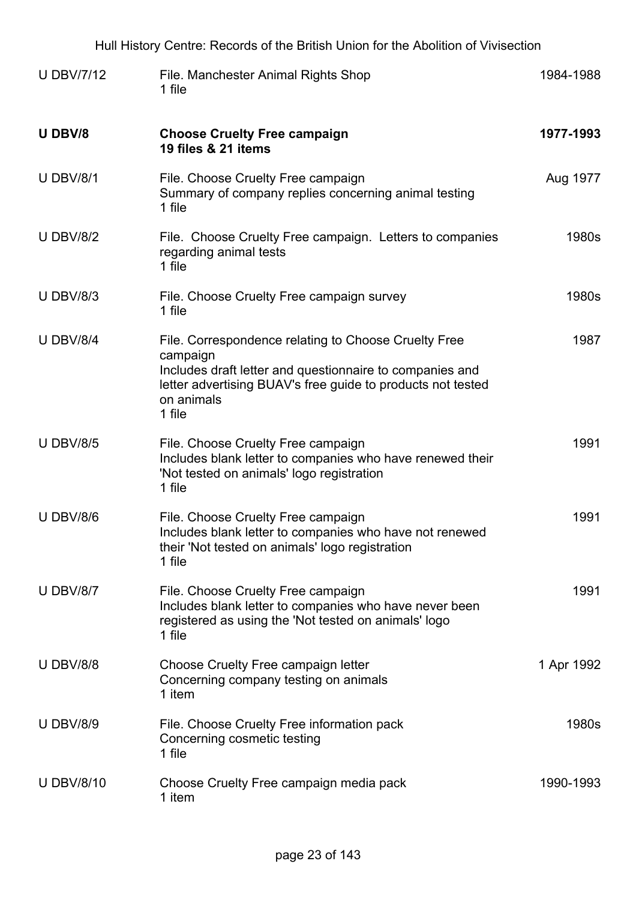| Hull History Centre: Records of the British Union for the Abolition of Vivisection |                                                                                                                                                                                                                     |            |
|------------------------------------------------------------------------------------|---------------------------------------------------------------------------------------------------------------------------------------------------------------------------------------------------------------------|------------|
| <b>U DBV/7/12</b>                                                                  | File. Manchester Animal Rights Shop<br>1 file                                                                                                                                                                       | 1984-1988  |
| U DBV/8                                                                            | <b>Choose Cruelty Free campaign</b><br>19 files & 21 items                                                                                                                                                          | 1977-1993  |
| <b>U DBV/8/1</b>                                                                   | File. Choose Cruelty Free campaign<br>Summary of company replies concerning animal testing<br>1 file                                                                                                                | Aug 1977   |
| <b>U DBV/8/2</b>                                                                   | File. Choose Cruelty Free campaign. Letters to companies<br>regarding animal tests<br>1 file                                                                                                                        | 1980s      |
| <b>U DBV/8/3</b>                                                                   | File. Choose Cruelty Free campaign survey<br>1 file                                                                                                                                                                 | 1980s      |
| <b>U DBV/8/4</b>                                                                   | File. Correspondence relating to Choose Cruelty Free<br>campaign<br>Includes draft letter and questionnaire to companies and<br>letter advertising BUAV's free guide to products not tested<br>on animals<br>1 file | 1987       |
| <b>U DBV/8/5</b>                                                                   | File. Choose Cruelty Free campaign<br>Includes blank letter to companies who have renewed their<br>'Not tested on animals' logo registration<br>1 file                                                              | 1991       |
| <b>U DBV/8/6</b>                                                                   | File. Choose Cruelty Free campaign<br>Includes blank letter to companies who have not renewed<br>their 'Not tested on animals' logo registration<br>1 file                                                          | 1991       |
| <b>U DBV/8/7</b>                                                                   | File. Choose Cruelty Free campaign<br>Includes blank letter to companies who have never been<br>registered as using the 'Not tested on animals' logo<br>1 file                                                      | 1991       |
| <b>U DBV/8/8</b>                                                                   | Choose Cruelty Free campaign letter<br>Concerning company testing on animals<br>1 item                                                                                                                              | 1 Apr 1992 |
| <b>U DBV/8/9</b>                                                                   | File. Choose Cruelty Free information pack<br>Concerning cosmetic testing<br>1 file                                                                                                                                 | 1980s      |
| <b>U DBV/8/10</b>                                                                  | Choose Cruelty Free campaign media pack<br>1 item                                                                                                                                                                   | 1990-1993  |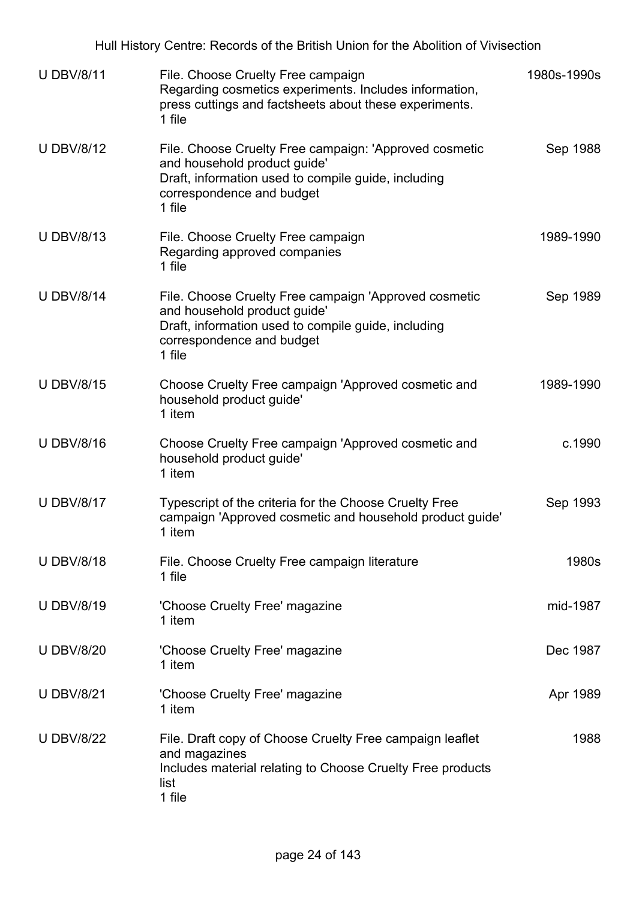Hull History Centre: Records of the British Union for the Abolition of Vivisection U DBV/8/11 File. Choose Cruelty Free campaign Regarding cosmetics experiments. Includes information, press cuttings and factsheets about these experiments. 1 file 1980s-1990s U DBV/8/12 File. Choose Cruelty Free campaign: 'Approved cosmetic and household product guide' Draft, information used to compile guide, including correspondence and budget 1 file Sep 1988 U DBV/8/13 File. Choose Cruelty Free campaign Regarding approved companies 1 file 1989-1990 U DBV/8/14 File. Choose Cruelty Free campaign 'Approved cosmetic and household product guide' Draft, information used to compile guide, including correspondence and budget 1 file Sep 1989 U DBV/8/15 Choose Cruelty Free campaign 'Approved cosmetic and household product guide' 1 item 1989-1990 U DBV/8/16 Choose Cruelty Free campaign 'Approved cosmetic and household product guide' 1 item c.1990 U DBV/8/17 Typescript of the criteria for the Choose Cruelty Free campaign 'Approved cosmetic and household product guide' 1 item Sep 1993 U DBV/8/18 File. Choose Cruelty Free campaign literature 1 file 1980s U DBV/8/19 'Choose Cruelty Free' magazine 1 item mid-1987 U DBV/8/20 'Choose Cruelty Free' magazine 1 item Dec 1987 U DBV/8/21 'Choose Cruelty Free' magazine 1 item Apr 1989 U DBV/8/22 File. Draft copy of Choose Cruelty Free campaign leaflet and magazines Includes material relating to Choose Cruelty Free products list 1 file 1988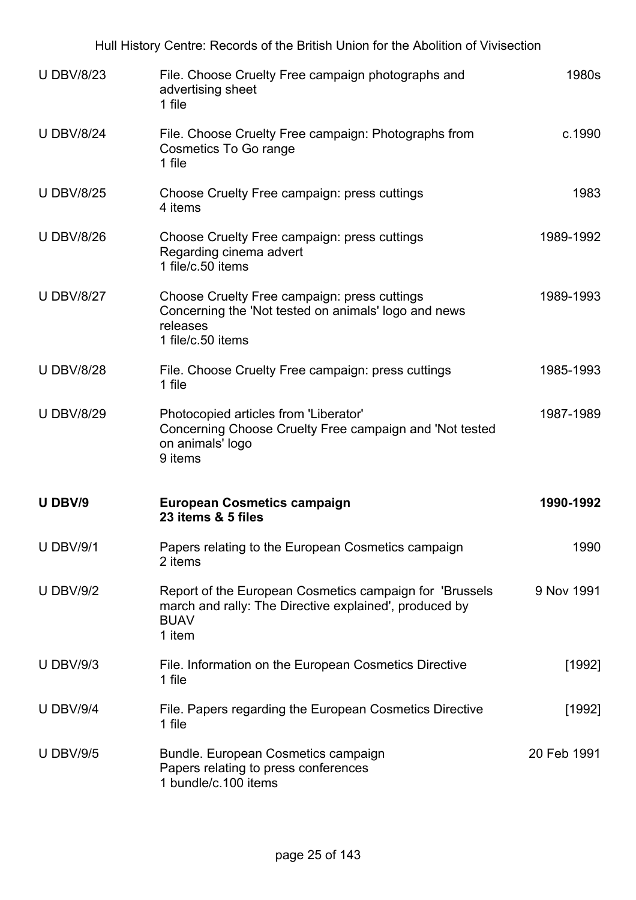| Hull History Centre: Records of the British Union for the Abolition of Vivisection |                                                                                                                                             |             |  |
|------------------------------------------------------------------------------------|---------------------------------------------------------------------------------------------------------------------------------------------|-------------|--|
| <b>U DBV/8/23</b>                                                                  | File. Choose Cruelty Free campaign photographs and<br>advertising sheet<br>1 file                                                           | 1980s       |  |
| <b>U DBV/8/24</b>                                                                  | File. Choose Cruelty Free campaign: Photographs from<br><b>Cosmetics To Go range</b><br>1 file                                              | c.1990      |  |
| <b>U DBV/8/25</b>                                                                  | Choose Cruelty Free campaign: press cuttings<br>4 items                                                                                     | 1983        |  |
| <b>U DBV/8/26</b>                                                                  | Choose Cruelty Free campaign: press cuttings<br>Regarding cinema advert<br>1 file/c.50 items                                                | 1989-1992   |  |
| <b>U DBV/8/27</b>                                                                  | Choose Cruelty Free campaign: press cuttings<br>Concerning the 'Not tested on animals' logo and news<br>releases<br>1 file/c.50 items       | 1989-1993   |  |
| <b>U DBV/8/28</b>                                                                  | File. Choose Cruelty Free campaign: press cuttings<br>1 file                                                                                | 1985-1993   |  |
| <b>U DBV/8/29</b>                                                                  | Photocopied articles from 'Liberator'<br>Concerning Choose Cruelty Free campaign and 'Not tested<br>on animals' logo<br>9 items             | 1987-1989   |  |
| U DBV/9                                                                            | <b>European Cosmetics campaign</b><br>23 items & 5 files                                                                                    | 1990-1992   |  |
| <b>U DBV/9/1</b>                                                                   | Papers relating to the European Cosmetics campaign<br>2 items                                                                               | 1990        |  |
| <b>U DBV/9/2</b>                                                                   | Report of the European Cosmetics campaign for 'Brussels'<br>march and rally: The Directive explained', produced by<br><b>BUAV</b><br>1 item | 9 Nov 1991  |  |
| <b>U DBV/9/3</b>                                                                   | File. Information on the European Cosmetics Directive<br>1 file                                                                             | [1992]      |  |
| <b>U DBV/9/4</b>                                                                   | File. Papers regarding the European Cosmetics Directive<br>1 file                                                                           | [1992]      |  |
| <b>U DBV/9/5</b>                                                                   | Bundle. European Cosmetics campaign<br>Papers relating to press conferences<br>1 bundle/c.100 items                                         | 20 Feb 1991 |  |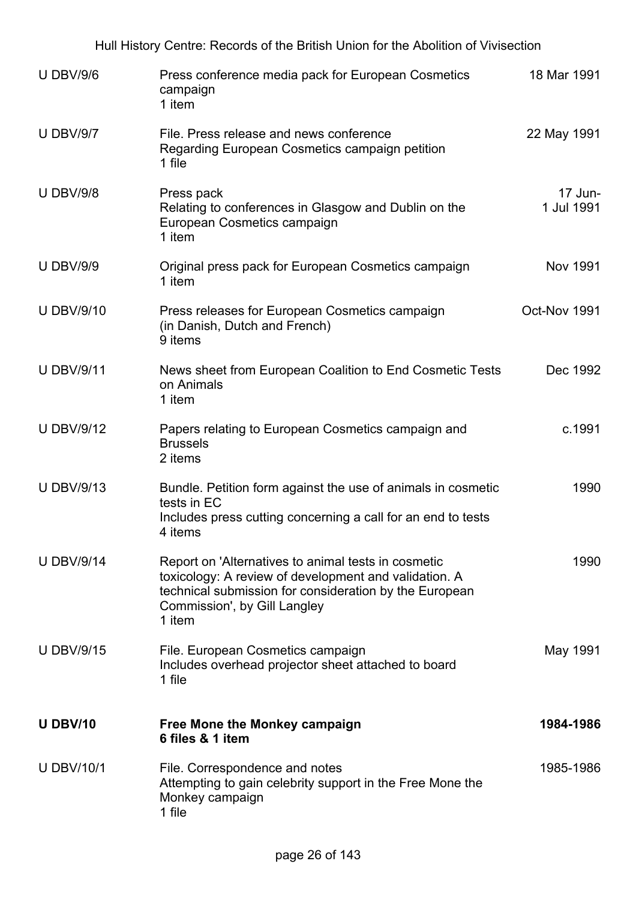|                   | Hull History Centre: Records of the British Union for the Abolition of Vivisection                                                                                                                               |                       |
|-------------------|------------------------------------------------------------------------------------------------------------------------------------------------------------------------------------------------------------------|-----------------------|
| <b>U DBV/9/6</b>  | Press conference media pack for European Cosmetics<br>campaign<br>1 item                                                                                                                                         | 18 Mar 1991           |
| <b>U DBV/9/7</b>  | File. Press release and news conference<br>Regarding European Cosmetics campaign petition<br>1 file                                                                                                              | 22 May 1991           |
| <b>U DBV/9/8</b>  | Press pack<br>Relating to conferences in Glasgow and Dublin on the<br>European Cosmetics campaign<br>1 item                                                                                                      | 17 Jun-<br>1 Jul 1991 |
| <b>U DBV/9/9</b>  | Original press pack for European Cosmetics campaign<br>1 item                                                                                                                                                    | Nov 1991              |
| <b>U DBV/9/10</b> | Press releases for European Cosmetics campaign<br>(in Danish, Dutch and French)<br>9 items                                                                                                                       | Oct-Nov 1991          |
| <b>U DBV/9/11</b> | News sheet from European Coalition to End Cosmetic Tests<br>on Animals<br>1 item                                                                                                                                 | Dec 1992              |
| <b>U DBV/9/12</b> | Papers relating to European Cosmetics campaign and<br><b>Brussels</b><br>2 items                                                                                                                                 | c.1991                |
| <b>U DBV/9/13</b> | Bundle. Petition form against the use of animals in cosmetic<br>tests in EC<br>Includes press cutting concerning a call for an end to tests<br>4 items                                                           | 1990                  |
| <b>U DBV/9/14</b> | Report on 'Alternatives to animal tests in cosmetic<br>toxicology: A review of development and validation. A<br>technical submission for consideration by the European<br>Commission', by Gill Langley<br>1 item | 1990                  |
| <b>U DBV/9/15</b> | File. European Cosmetics campaign<br>Includes overhead projector sheet attached to board<br>1 file                                                                                                               | May 1991              |
| <b>U DBV/10</b>   | Free Mone the Monkey campaign<br>6 files & 1 item                                                                                                                                                                | 1984-1986             |
| <b>U DBV/10/1</b> | File. Correspondence and notes<br>Attempting to gain celebrity support in the Free Mone the<br>Monkey campaign<br>1 file                                                                                         | 1985-1986             |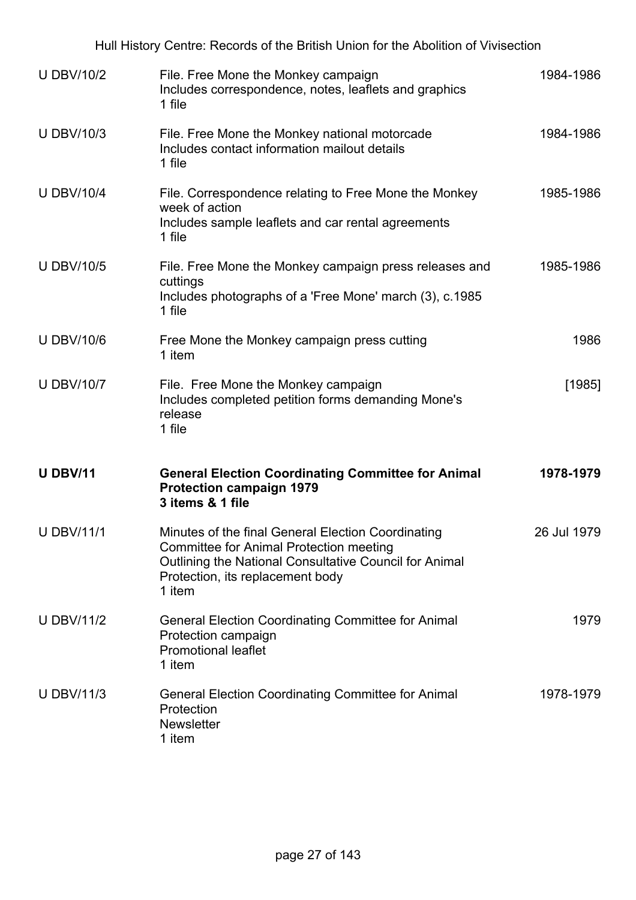|                   | Hull History Centre: Records of the British Union for the Abolition of Vivisection                                                                                                                           |             |
|-------------------|--------------------------------------------------------------------------------------------------------------------------------------------------------------------------------------------------------------|-------------|
| <b>U DBV/10/2</b> | File. Free Mone the Monkey campaign<br>Includes correspondence, notes, leaflets and graphics<br>1 file                                                                                                       | 1984-1986   |
| <b>U DBV/10/3</b> | File. Free Mone the Monkey national motorcade<br>Includes contact information mailout details<br>1 file                                                                                                      | 1984-1986   |
| <b>U DBV/10/4</b> | File. Correspondence relating to Free Mone the Monkey<br>week of action<br>Includes sample leaflets and car rental agreements<br>1 file                                                                      | 1985-1986   |
| <b>U DBV/10/5</b> | File. Free Mone the Monkey campaign press releases and<br>cuttings<br>Includes photographs of a 'Free Mone' march (3), c.1985<br>1 file                                                                      | 1985-1986   |
| <b>U DBV/10/6</b> | Free Mone the Monkey campaign press cutting<br>1 item                                                                                                                                                        | 1986        |
| <b>U DBV/10/7</b> | File. Free Mone the Monkey campaign<br>Includes completed petition forms demanding Mone's<br>release<br>1 file                                                                                               | [1985]      |
| <b>U DBV/11</b>   | <b>General Election Coordinating Committee for Animal</b><br><b>Protection campaign 1979</b><br>3 items & 1 file                                                                                             | 1978-1979   |
| <b>U DBV/11/1</b> | Minutes of the final General Election Coordinating<br><b>Committee for Animal Protection meeting</b><br>Outlining the National Consultative Council for Animal<br>Protection, its replacement body<br>1 item | 26 Jul 1979 |
| <b>U DBV/11/2</b> | <b>General Election Coordinating Committee for Animal</b><br>Protection campaign<br><b>Promotional leaflet</b><br>1 item                                                                                     | 1979        |
| <b>U DBV/11/3</b> | <b>General Election Coordinating Committee for Animal</b><br>Protection<br><b>Newsletter</b><br>1 item                                                                                                       | 1978-1979   |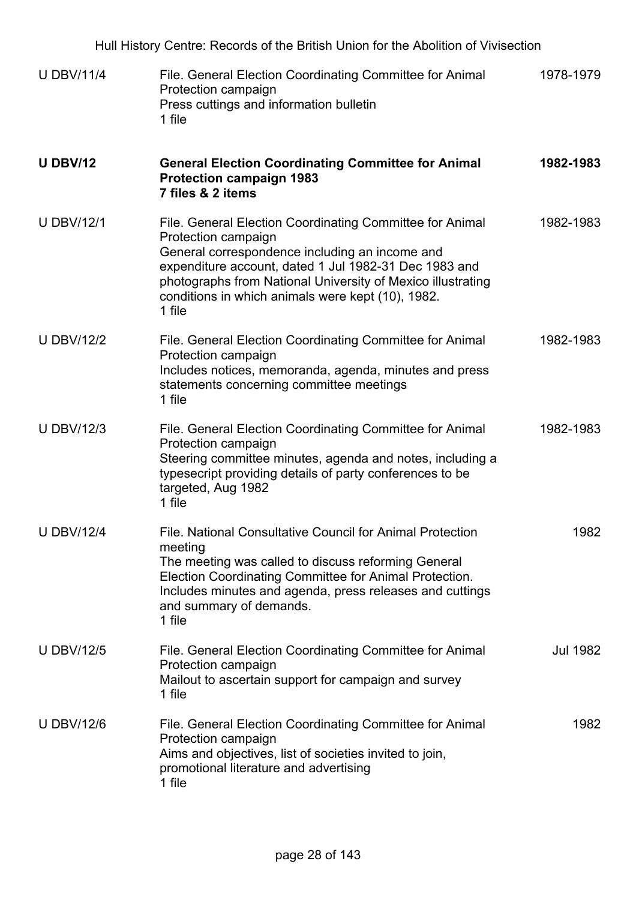| Hull History Centre: Records of the British Union for the Abolition of Vivisection |                                                                                                                                                                                                                                                                                                                          |                 |
|------------------------------------------------------------------------------------|--------------------------------------------------------------------------------------------------------------------------------------------------------------------------------------------------------------------------------------------------------------------------------------------------------------------------|-----------------|
| <b>U DBV/11/4</b>                                                                  | File. General Election Coordinating Committee for Animal<br>Protection campaign<br>Press cuttings and information bulletin<br>1 file                                                                                                                                                                                     | 1978-1979       |
| <b>U DBV/12</b>                                                                    | <b>General Election Coordinating Committee for Animal</b><br><b>Protection campaign 1983</b><br>7 files & 2 items                                                                                                                                                                                                        | 1982-1983       |
| <b>U DBV/12/1</b>                                                                  | File. General Election Coordinating Committee for Animal<br>Protection campaign<br>General correspondence including an income and<br>expenditure account, dated 1 Jul 1982-31 Dec 1983 and<br>photographs from National University of Mexico illustrating<br>conditions in which animals were kept (10), 1982.<br>1 file | 1982-1983       |
| <b>U DBV/12/2</b>                                                                  | File. General Election Coordinating Committee for Animal<br>Protection campaign<br>Includes notices, memoranda, agenda, minutes and press<br>statements concerning committee meetings<br>1 file                                                                                                                          | 1982-1983       |
| <b>U DBV/12/3</b>                                                                  | File. General Election Coordinating Committee for Animal<br>Protection campaign<br>Steering committee minutes, agenda and notes, including a<br>typesecript providing details of party conferences to be<br>targeted, Aug 1982<br>1 file                                                                                 | 1982-1983       |
| <b>U DBV/12/4</b>                                                                  | File. National Consultative Council for Animal Protection<br>meeting<br>The meeting was called to discuss reforming General<br>Election Coordinating Committee for Animal Protection.<br>Includes minutes and agenda, press releases and cuttings<br>and summary of demands.<br>1 file                                   | 1982            |
| <b>U DBV/12/5</b>                                                                  | File. General Election Coordinating Committee for Animal<br>Protection campaign<br>Mailout to ascertain support for campaign and survey<br>1 file                                                                                                                                                                        | <b>Jul 1982</b> |
| <b>U DBV/12/6</b>                                                                  | File. General Election Coordinating Committee for Animal<br>Protection campaign<br>Aims and objectives, list of societies invited to join,<br>promotional literature and advertising<br>1 file                                                                                                                           | 1982            |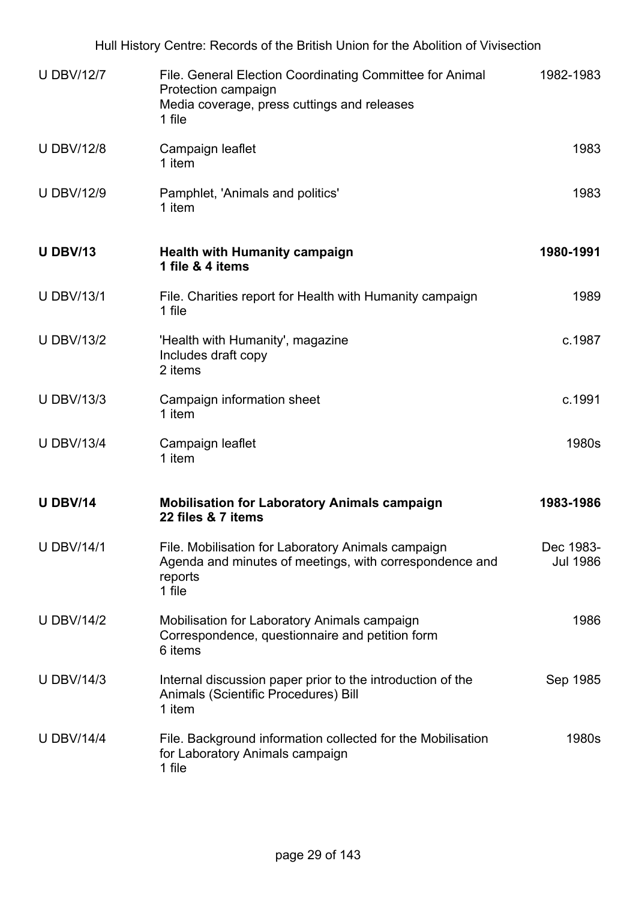| Hull History Centre: Records of the British Union for the Abolition of Vivisection |                                                                                                                                          |                              |  |
|------------------------------------------------------------------------------------|------------------------------------------------------------------------------------------------------------------------------------------|------------------------------|--|
| <b>U DBV/12/7</b>                                                                  | File. General Election Coordinating Committee for Animal<br>Protection campaign<br>Media coverage, press cuttings and releases<br>1 file | 1982-1983                    |  |
| <b>U DBV/12/8</b>                                                                  | Campaign leaflet<br>1 item                                                                                                               | 1983                         |  |
| <b>U DBV/12/9</b>                                                                  | Pamphlet, 'Animals and politics'<br>1 item                                                                                               | 1983                         |  |
| <b>U DBV/13</b>                                                                    | <b>Health with Humanity campaign</b><br>1 file & 4 items                                                                                 | 1980-1991                    |  |
| <b>U DBV/13/1</b>                                                                  | File. Charities report for Health with Humanity campaign<br>1 file                                                                       | 1989                         |  |
| <b>U DBV/13/2</b>                                                                  | 'Health with Humanity', magazine<br>Includes draft copy<br>2 items                                                                       | c.1987                       |  |
| <b>U DBV/13/3</b>                                                                  | Campaign information sheet<br>1 item                                                                                                     | c.1991                       |  |
| <b>U DBV/13/4</b>                                                                  | Campaign leaflet<br>1 item                                                                                                               | 1980s                        |  |
| <b>U DBV/14</b>                                                                    | <b>Mobilisation for Laboratory Animals campaign</b><br>22 files & 7 items                                                                | 1983-1986                    |  |
| <b>U DBV/14/1</b>                                                                  | File. Mobilisation for Laboratory Animals campaign<br>Agenda and minutes of meetings, with correspondence and<br>reports<br>1 file       | Dec 1983-<br><b>Jul 1986</b> |  |
| <b>U DBV/14/2</b>                                                                  | Mobilisation for Laboratory Animals campaign<br>Correspondence, questionnaire and petition form<br>6 items                               | 1986                         |  |
| <b>U DBV/14/3</b>                                                                  | Internal discussion paper prior to the introduction of the<br>Animals (Scientific Procedures) Bill<br>1 item                             | Sep 1985                     |  |
| <b>U DBV/14/4</b>                                                                  | File. Background information collected for the Mobilisation<br>for Laboratory Animals campaign<br>1 file                                 | 1980s                        |  |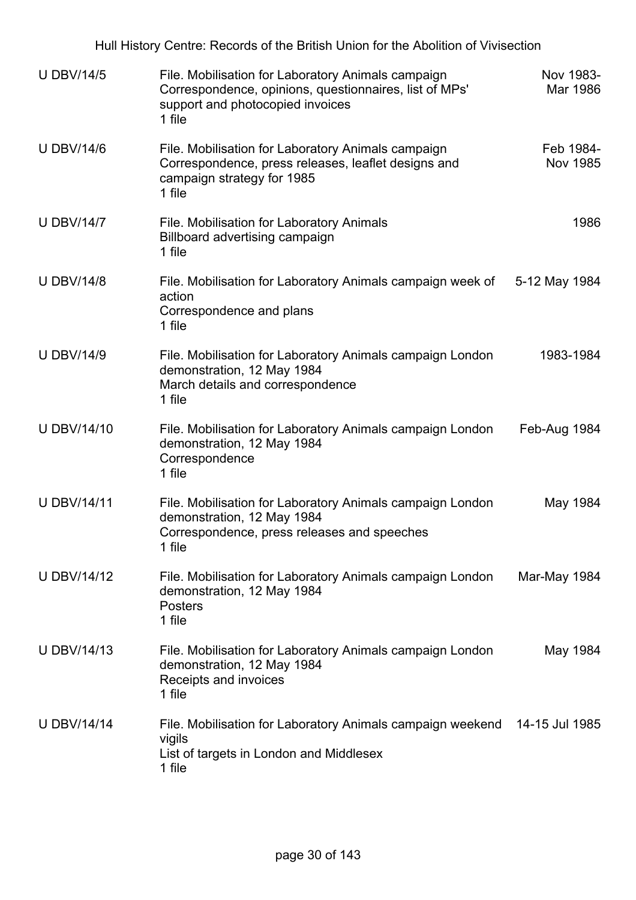| Hull History Centre: Records of the British Union for the Abolition of Vivisection |                                                                                                                                                            |                       |  |
|------------------------------------------------------------------------------------|------------------------------------------------------------------------------------------------------------------------------------------------------------|-----------------------|--|
| <b>U DBV/14/5</b>                                                                  | File. Mobilisation for Laboratory Animals campaign<br>Correspondence, opinions, questionnaires, list of MPs'<br>support and photocopied invoices<br>1 file | Nov 1983-<br>Mar 1986 |  |
| <b>U DBV/14/6</b>                                                                  | File. Mobilisation for Laboratory Animals campaign<br>Correspondence, press releases, leaflet designs and<br>campaign strategy for 1985<br>1 file          | Feb 1984-<br>Nov 1985 |  |
| <b>U DBV/14/7</b>                                                                  | File. Mobilisation for Laboratory Animals<br>Billboard advertising campaign<br>1 file                                                                      | 1986                  |  |
| <b>U DBV/14/8</b>                                                                  | File. Mobilisation for Laboratory Animals campaign week of<br>action<br>Correspondence and plans<br>1 file                                                 | 5-12 May 1984         |  |
| <b>U DBV/14/9</b>                                                                  | File. Mobilisation for Laboratory Animals campaign London<br>demonstration, 12 May 1984<br>March details and correspondence<br>1 file                      | 1983-1984             |  |
| <b>U DBV/14/10</b>                                                                 | File. Mobilisation for Laboratory Animals campaign London<br>demonstration, 12 May 1984<br>Correspondence<br>1 file                                        | Feb-Aug 1984          |  |
| <b>U DBV/14/11</b>                                                                 | File. Mobilisation for Laboratory Animals campaign London<br>demonstration, 12 May 1984<br>Correspondence, press releases and speeches<br>1 file           | May 1984              |  |
| <b>U DBV/14/12</b>                                                                 | File. Mobilisation for Laboratory Animals campaign London<br>demonstration, 12 May 1984<br><b>Posters</b><br>1 file                                        | Mar-May 1984          |  |
| <b>U DBV/14/13</b>                                                                 | File. Mobilisation for Laboratory Animals campaign London<br>demonstration, 12 May 1984<br>Receipts and invoices<br>1 file                                 | May 1984              |  |
| <b>U DBV/14/14</b>                                                                 | File. Mobilisation for Laboratory Animals campaign weekend 14-15 Jul 1985<br>vigils<br>List of targets in London and Middlesex<br>1 file                   |                       |  |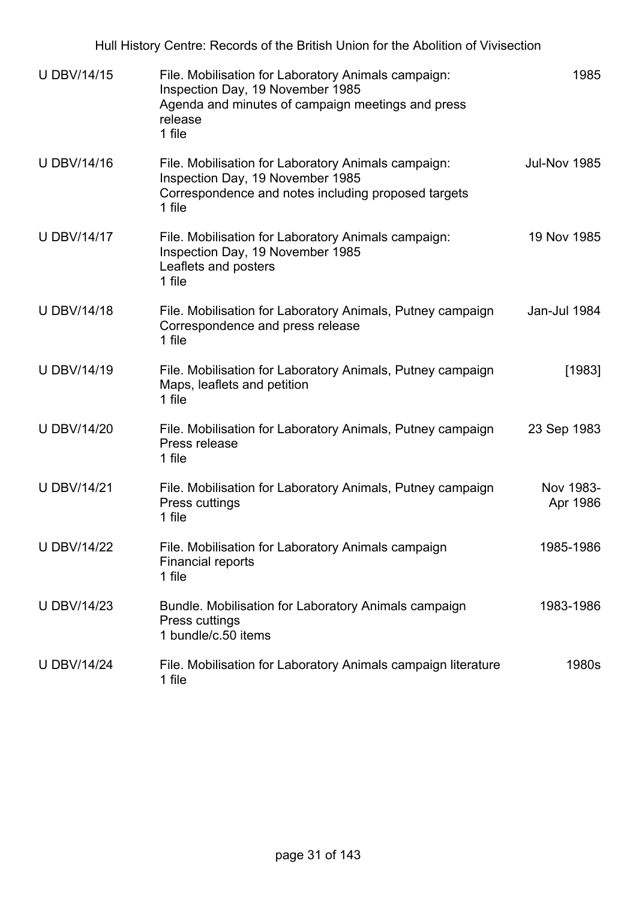| Hull History Centre: Records of the British Union for the Abolition of Vivisection |                                                                                                                                                                   |                       |  |
|------------------------------------------------------------------------------------|-------------------------------------------------------------------------------------------------------------------------------------------------------------------|-----------------------|--|
| <b>U DBV/14/15</b>                                                                 | File. Mobilisation for Laboratory Animals campaign:<br>Inspection Day, 19 November 1985<br>Agenda and minutes of campaign meetings and press<br>release<br>1 file | 1985                  |  |
| <b>U DBV/14/16</b>                                                                 | File. Mobilisation for Laboratory Animals campaign:<br>Inspection Day, 19 November 1985<br>Correspondence and notes including proposed targets<br>1 file          | <b>Jul-Nov 1985</b>   |  |
| <b>U DBV/14/17</b>                                                                 | File. Mobilisation for Laboratory Animals campaign:<br>Inspection Day, 19 November 1985<br>Leaflets and posters<br>1 file                                         | 19 Nov 1985           |  |
| <b>U DBV/14/18</b>                                                                 | File. Mobilisation for Laboratory Animals, Putney campaign<br>Correspondence and press release<br>1 file                                                          | Jan-Jul 1984          |  |
| <b>U DBV/14/19</b>                                                                 | File. Mobilisation for Laboratory Animals, Putney campaign<br>Maps, leaflets and petition<br>1 file                                                               | [1983]                |  |
| <b>U DBV/14/20</b>                                                                 | File. Mobilisation for Laboratory Animals, Putney campaign<br>Press release<br>1 file                                                                             | 23 Sep 1983           |  |
| <b>U DBV/14/21</b>                                                                 | File. Mobilisation for Laboratory Animals, Putney campaign<br>Press cuttings<br>1 file                                                                            | Nov 1983-<br>Apr 1986 |  |
| <b>U DBV/14/22</b>                                                                 | File. Mobilisation for Laboratory Animals campaign<br><b>Financial reports</b><br>1 file                                                                          | 1985-1986             |  |
| <b>U DBV/14/23</b>                                                                 | Bundle. Mobilisation for Laboratory Animals campaign<br><b>Press cuttings</b><br>1 bundle/c.50 items                                                              | 1983-1986             |  |
| <b>U DBV/14/24</b>                                                                 | File. Mobilisation for Laboratory Animals campaign literature<br>1 file                                                                                           | 1980s                 |  |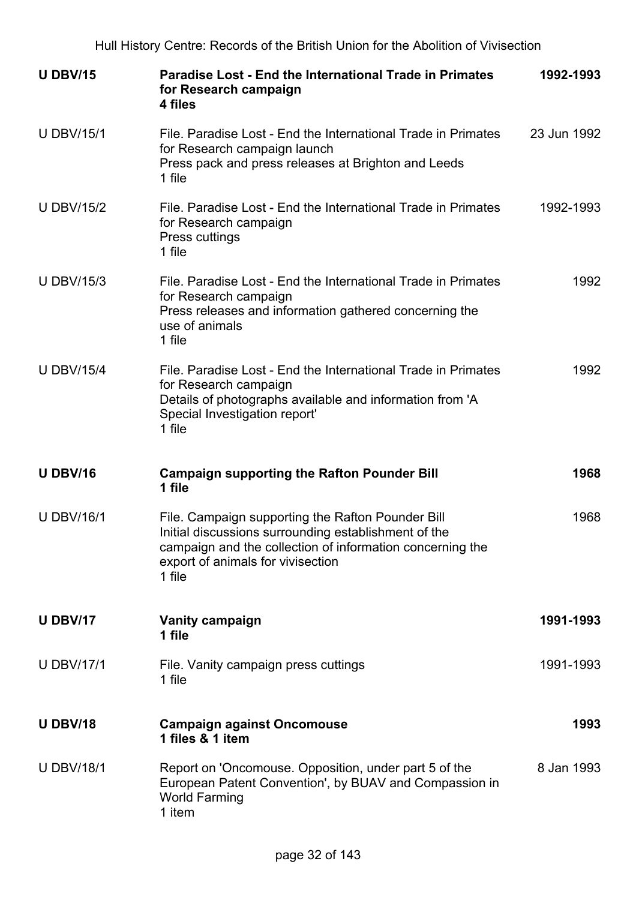| <b>U DBV/15</b>   | <b>Paradise Lost - End the International Trade in Primates</b><br>for Research campaign<br>4 files                                                                                                                    | 1992-1993   |
|-------------------|-----------------------------------------------------------------------------------------------------------------------------------------------------------------------------------------------------------------------|-------------|
| <b>U DBV/15/1</b> | File, Paradise Lost - End the International Trade in Primates<br>for Research campaign launch<br>Press pack and press releases at Brighton and Leeds<br>1 file                                                        | 23 Jun 1992 |
| <b>U DBV/15/2</b> | File. Paradise Lost - End the International Trade in Primates<br>for Research campaign<br>Press cuttings<br>1 file                                                                                                    | 1992-1993   |
| <b>U DBV/15/3</b> | File. Paradise Lost - End the International Trade in Primates<br>for Research campaign<br>Press releases and information gathered concerning the<br>use of animals<br>1 file                                          | 1992        |
| <b>U DBV/15/4</b> | File, Paradise Lost - End the International Trade in Primates<br>for Research campaign<br>Details of photographs available and information from 'A<br>Special Investigation report'<br>1 file                         | 1992        |
| <b>U DBV/16</b>   | <b>Campaign supporting the Rafton Pounder Bill</b><br>1 file                                                                                                                                                          | 1968        |
| <b>U DBV/16/1</b> | File. Campaign supporting the Rafton Pounder Bill<br>Initial discussions surrounding establishment of the<br>campaign and the collection of information concerning the<br>export of animals for vivisection<br>1 file | 1968        |
| <b>U DBV/17</b>   | <b>Vanity campaign</b><br>1 file                                                                                                                                                                                      | 1991-1993   |
| <b>U DBV/17/1</b> | File. Vanity campaign press cuttings<br>1 file                                                                                                                                                                        | 1991-1993   |
| <b>U DBV/18</b>   | <b>Campaign against Oncomouse</b><br>1 files & 1 item                                                                                                                                                                 | 1993        |
| <b>U DBV/18/1</b> | Report on 'Oncomouse. Opposition, under part 5 of the<br>European Patent Convention', by BUAV and Compassion in<br><b>World Farming</b><br>1 item                                                                     | 8 Jan 1993  |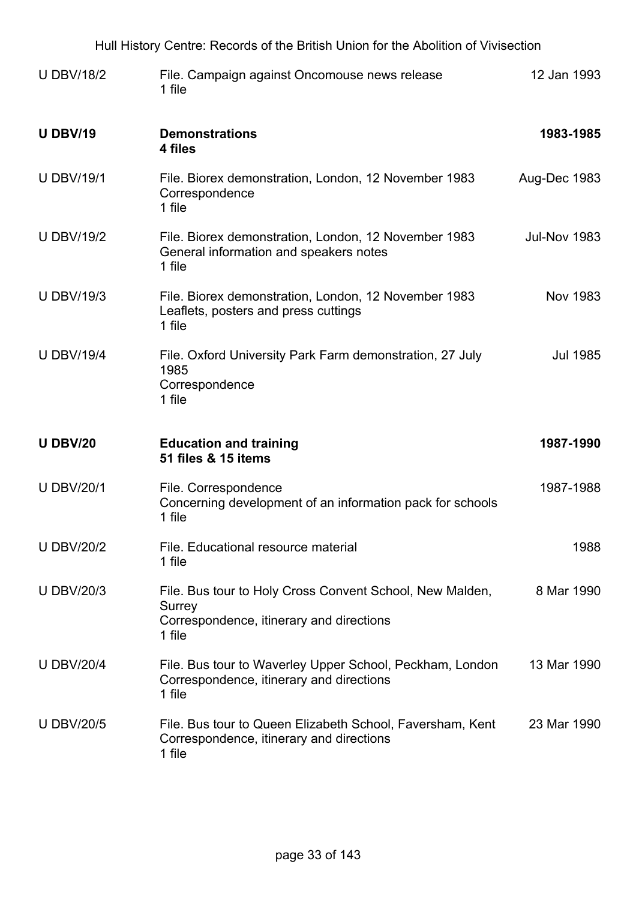| Hull History Centre: Records of the British Union for the Abolition of Vivisection |                                                                                                                          |                     |  |
|------------------------------------------------------------------------------------|--------------------------------------------------------------------------------------------------------------------------|---------------------|--|
| <b>U DBV/18/2</b>                                                                  | File. Campaign against Oncomouse news release<br>1 file                                                                  | 12 Jan 1993         |  |
| <b>U DBV/19</b>                                                                    | <b>Demonstrations</b><br>4 files                                                                                         | 1983-1985           |  |
| <b>U DBV/19/1</b>                                                                  | File. Biorex demonstration, London, 12 November 1983<br>Correspondence<br>1 file                                         | Aug-Dec 1983        |  |
| <b>U DBV/19/2</b>                                                                  | File. Biorex demonstration, London, 12 November 1983<br>General information and speakers notes<br>1 file                 | <b>Jul-Nov 1983</b> |  |
| <b>U DBV/19/3</b>                                                                  | File. Biorex demonstration, London, 12 November 1983<br>Leaflets, posters and press cuttings<br>1 file                   | <b>Nov 1983</b>     |  |
| <b>U DBV/19/4</b>                                                                  | File. Oxford University Park Farm demonstration, 27 July<br>1985<br>Correspondence<br>1 file                             | <b>Jul 1985</b>     |  |
| <b>U DBV/20</b>                                                                    | <b>Education and training</b><br>51 files & 15 items                                                                     | 1987-1990           |  |
| <b>U DBV/20/1</b>                                                                  | File. Correspondence<br>Concerning development of an information pack for schools<br>1 file                              | 1987-1988           |  |
| <b>U DBV/20/2</b>                                                                  | File. Educational resource material<br>1 file                                                                            | 1988                |  |
| <b>U DBV/20/3</b>                                                                  | File. Bus tour to Holy Cross Convent School, New Malden,<br>Surrey<br>Correspondence, itinerary and directions<br>1 file | 8 Mar 1990          |  |
| <b>U DBV/20/4</b>                                                                  | File. Bus tour to Waverley Upper School, Peckham, London<br>Correspondence, itinerary and directions<br>1 file           | 13 Mar 1990         |  |
| <b>U DBV/20/5</b>                                                                  | File. Bus tour to Queen Elizabeth School, Faversham, Kent<br>Correspondence, itinerary and directions<br>1 file          | 23 Mar 1990         |  |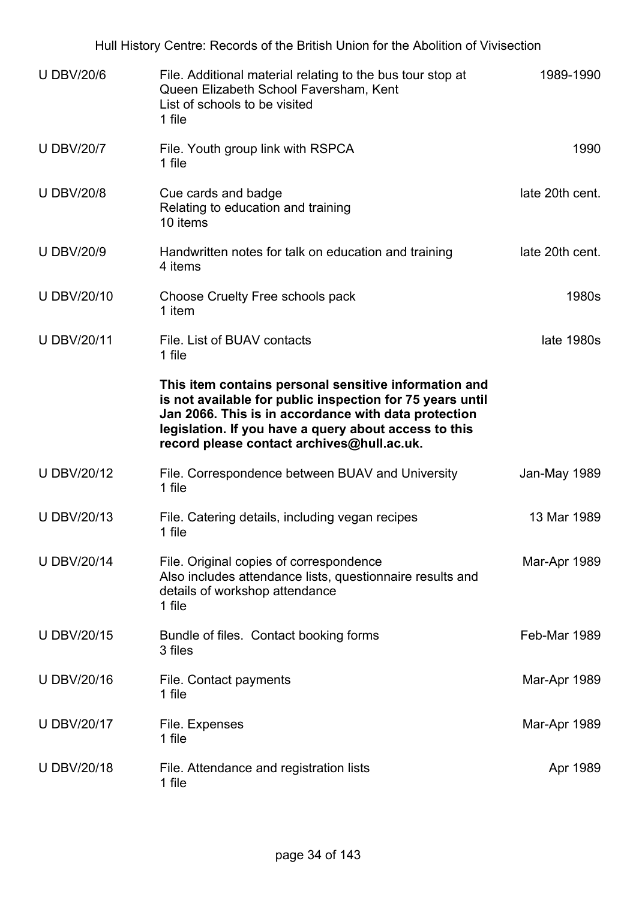Hull History Centre: Records of the British Union for the Abolition of Vivisection U DBV/20/6 File. Additional material relating to the bus tour stop at Queen Elizabeth School Faversham, Kent List of schools to be visited 1 file 1989-1990 U DBV/20/7 File. Youth group link with RSPCA 1 file 1990 U DBV/20/8 Cue cards and badge Relating to education and training 10 items late 20th cent. U DBV/20/9 Handwritten notes for talk on education and training 4 items late 20th cent. U DBV/20/10 Choose Cruelty Free schools pack 1 item 1980s U DBV/20/11 File. List of BUAV contacts 1 file **This item contains personal sensitive information and is not available for public inspection for 75 years until Jan 2066. This is in accordance with data protection legislation. If you have a query about access to this record please contact archives@hull.ac.uk.** late 1980s U DBV/20/12 File. Correspondence between BUAV and University 1 file Jan-May 1989 U DBV/20/13 File. Catering details, including vegan recipes 1 file 13 Mar 1989 U DBV/20/14 File. Original copies of correspondence Also includes attendance lists, questionnaire results and details of workshop attendance 1 file Mar-Apr 1989 U DBV/20/15 Bundle of files. Contact booking forms 3 files Feb-Mar 1989 U DBV/20/16 File. Contact payments 1 file Mar-Apr 1989 U DBV/20/17 File. Expenses 1 file Mar-Apr 1989 U DBV/20/18 File. Attendance and registration lists 1 file Apr 1989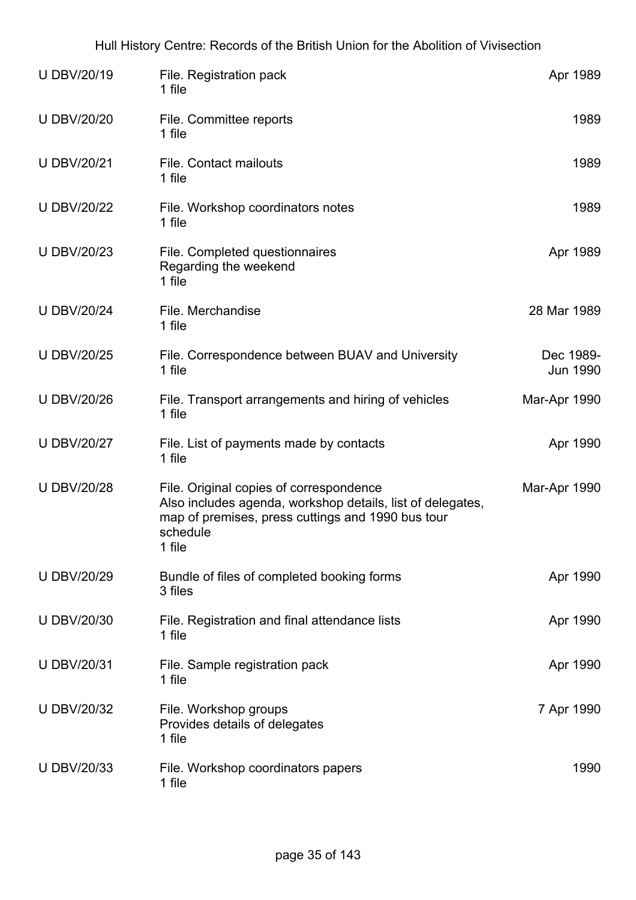| <b>U DBV/20/19</b> | File. Registration pack<br>1 file                                                                                                                                                | Apr 1989                     |
|--------------------|----------------------------------------------------------------------------------------------------------------------------------------------------------------------------------|------------------------------|
| <b>U DBV/20/20</b> | File. Committee reports<br>1 file                                                                                                                                                | 1989                         |
| <b>U DBV/20/21</b> | <b>File. Contact mailouts</b><br>1 file                                                                                                                                          | 1989                         |
| <b>U DBV/20/22</b> | File. Workshop coordinators notes<br>1 file                                                                                                                                      | 1989                         |
| <b>U DBV/20/23</b> | File. Completed questionnaires<br>Regarding the weekend<br>1 file                                                                                                                | Apr 1989                     |
| <b>U DBV/20/24</b> | File. Merchandise<br>1 file                                                                                                                                                      | 28 Mar 1989                  |
| <b>U DBV/20/25</b> | File. Correspondence between BUAV and University<br>1 file                                                                                                                       | Dec 1989-<br><b>Jun 1990</b> |
| <b>U DBV/20/26</b> | File. Transport arrangements and hiring of vehicles<br>1 file                                                                                                                    | Mar-Apr 1990                 |
| <b>U DBV/20/27</b> | File. List of payments made by contacts<br>1 file                                                                                                                                | Apr 1990                     |
| <b>U DBV/20/28</b> | File. Original copies of correspondence<br>Also includes agenda, workshop details, list of delegates,<br>map of premises, press cuttings and 1990 bus tour<br>schedule<br>1 file | Mar-Apr 1990                 |
| <b>U DBV/20/29</b> | Bundle of files of completed booking forms<br>3 files                                                                                                                            | Apr 1990                     |
| <b>U DBV/20/30</b> | File. Registration and final attendance lists<br>1 file                                                                                                                          | Apr 1990                     |
| <b>U DBV/20/31</b> | File. Sample registration pack<br>1 file                                                                                                                                         | Apr 1990                     |
| <b>U DBV/20/32</b> | File. Workshop groups<br>Provides details of delegates<br>1 file                                                                                                                 | 7 Apr 1990                   |
| <b>U DBV/20/33</b> | File. Workshop coordinators papers<br>1 file                                                                                                                                     | 1990                         |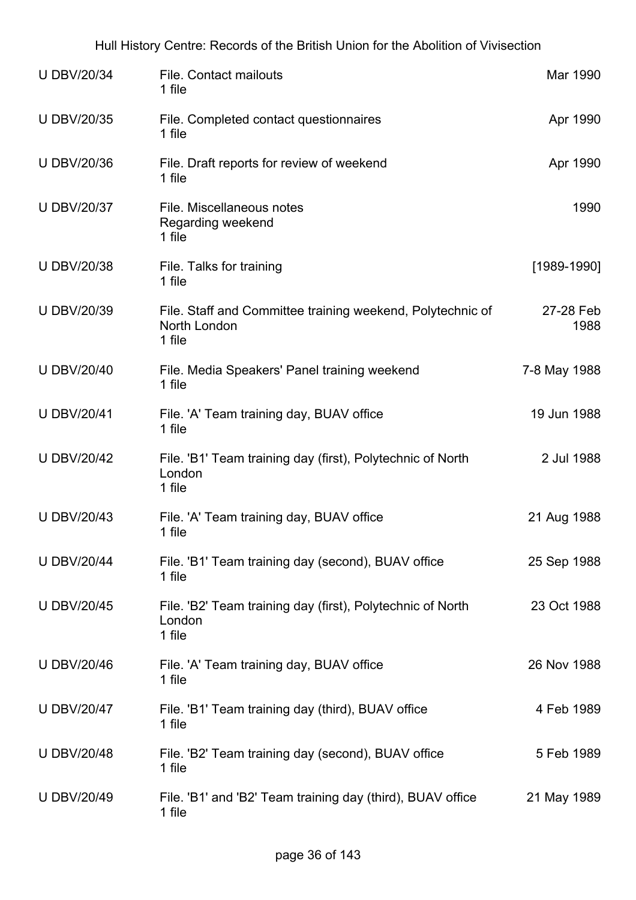| <b>U DBV/20/34</b> | <b>File. Contact mailouts</b><br>1 file                                              | Mar 1990          |
|--------------------|--------------------------------------------------------------------------------------|-------------------|
| <b>U DBV/20/35</b> | File. Completed contact questionnaires<br>1 file                                     | Apr 1990          |
| <b>U DBV/20/36</b> | File. Draft reports for review of weekend<br>1 file                                  | Apr 1990          |
| <b>U DBV/20/37</b> | File. Miscellaneous notes<br>Regarding weekend<br>1 file                             | 1990              |
| <b>U DBV/20/38</b> | File. Talks for training<br>1 file                                                   | $[1989-1990]$     |
| <b>U DBV/20/39</b> | File. Staff and Committee training weekend, Polytechnic of<br>North London<br>1 file | 27-28 Feb<br>1988 |
| <b>U DBV/20/40</b> | File. Media Speakers' Panel training weekend<br>1 file                               | 7-8 May 1988      |
| <b>U DBV/20/41</b> | File. 'A' Team training day, BUAV office<br>1 file                                   | 19 Jun 1988       |
| <b>U DBV/20/42</b> | File. 'B1' Team training day (first), Polytechnic of North<br>London<br>1 file       | 2 Jul 1988        |
| <b>U DBV/20/43</b> | File. 'A' Team training day, BUAV office<br>1 file                                   | 21 Aug 1988       |
| <b>U DBV/20/44</b> | File. 'B1' Team training day (second), BUAV office<br>1 file                         | 25 Sep 1988       |
| <b>U DBV/20/45</b> | File. 'B2' Team training day (first), Polytechnic of North<br>London<br>1 file       | 23 Oct 1988       |
| <b>U DBV/20/46</b> | File. 'A' Team training day, BUAV office<br>1 file                                   | 26 Nov 1988       |
| <b>U DBV/20/47</b> | File. 'B1' Team training day (third), BUAV office<br>1 file                          | 4 Feb 1989        |
| <b>U DBV/20/48</b> | File. 'B2' Team training day (second), BUAV office<br>1 file                         | 5 Feb 1989        |
| <b>U DBV/20/49</b> | File. 'B1' and 'B2' Team training day (third), BUAV office<br>1 file                 | 21 May 1989       |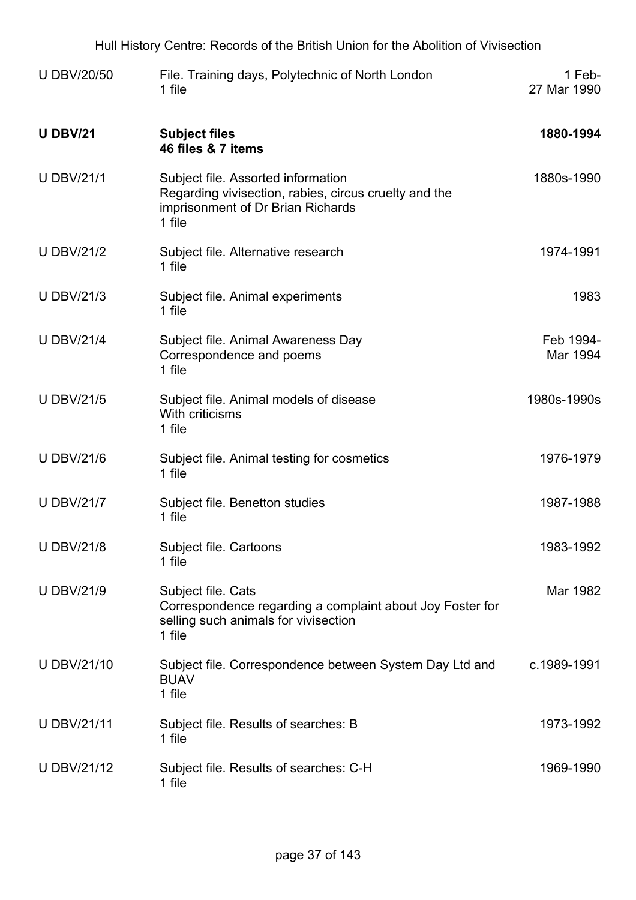| <b>U DBV/20/50</b> | File. Training days, Polytechnic of North London<br>1 file                                                                                 | 1 Feb-<br>27 Mar 1990 |
|--------------------|--------------------------------------------------------------------------------------------------------------------------------------------|-----------------------|
| <b>U DBV/21</b>    | <b>Subject files</b><br>46 files & 7 items                                                                                                 | 1880-1994             |
| <b>U DBV/21/1</b>  | Subject file. Assorted information<br>Regarding vivisection, rabies, circus cruelty and the<br>imprisonment of Dr Brian Richards<br>1 file | 1880s-1990            |
| <b>U DBV/21/2</b>  | Subject file. Alternative research<br>1 file                                                                                               | 1974-1991             |
| <b>U DBV/21/3</b>  | Subject file. Animal experiments<br>1 file                                                                                                 | 1983                  |
| <b>U DBV/21/4</b>  | Subject file. Animal Awareness Day<br>Correspondence and poems<br>1 file                                                                   | Feb 1994-<br>Mar 1994 |
| <b>U DBV/21/5</b>  | Subject file. Animal models of disease<br>With criticisms<br>1 file                                                                        | 1980s-1990s           |
| <b>U DBV/21/6</b>  | Subject file. Animal testing for cosmetics<br>1 file                                                                                       | 1976-1979             |
| <b>U DBV/21/7</b>  | Subject file. Benetton studies<br>1 file                                                                                                   | 1987-1988             |
| <b>U DBV/21/8</b>  | Subject file. Cartoons<br>1 file                                                                                                           | 1983-1992             |
| <b>U DBV/21/9</b>  | Subject file. Cats<br>Correspondence regarding a complaint about Joy Foster for<br>selling such animals for vivisection<br>1 file          | Mar 1982              |
| U DBV/21/10        | Subject file. Correspondence between System Day Ltd and<br><b>BUAV</b><br>1 file                                                           | c.1989-1991           |
| <b>U DBV/21/11</b> | Subject file. Results of searches: B<br>1 file                                                                                             | 1973-1992             |
| <b>UDBV/21/12</b>  | Subject file. Results of searches: C-H<br>1 file                                                                                           | 1969-1990             |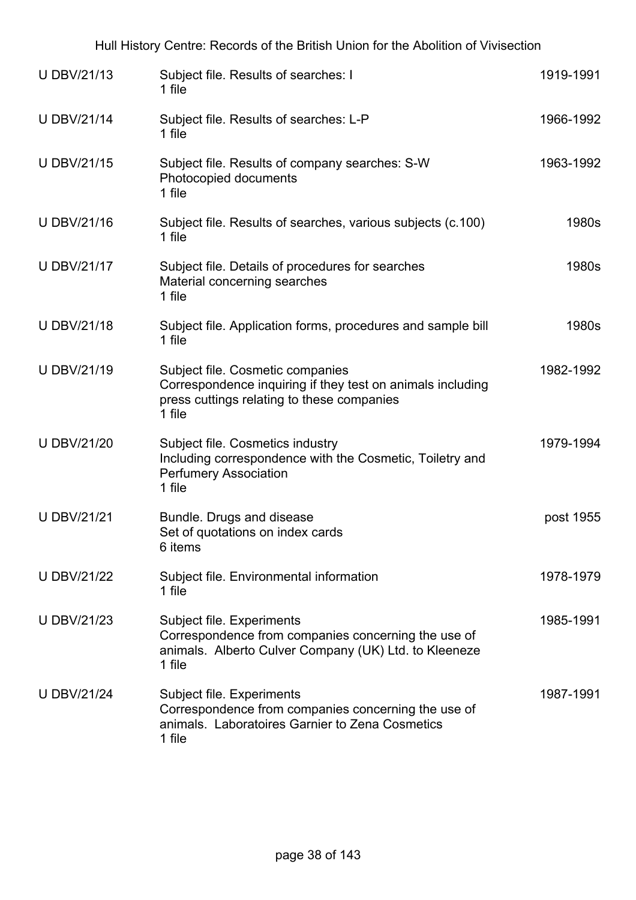| <b>U DBV/21/13</b> | Subject file. Results of searches: I<br>1 file                                                                                                         | 1919-1991 |
|--------------------|--------------------------------------------------------------------------------------------------------------------------------------------------------|-----------|
| <b>U DBV/21/14</b> | Subject file. Results of searches: L-P<br>1 file                                                                                                       | 1966-1992 |
| <b>U DBV/21/15</b> | Subject file. Results of company searches: S-W<br>Photocopied documents<br>1 file                                                                      | 1963-1992 |
| <b>U DBV/21/16</b> | Subject file. Results of searches, various subjects (c.100)<br>1 file                                                                                  | 1980s     |
| <b>U DBV/21/17</b> | Subject file. Details of procedures for searches<br>Material concerning searches<br>1 file                                                             | 1980s     |
| <b>U DBV/21/18</b> | Subject file. Application forms, procedures and sample bill<br>1 file                                                                                  | 1980s     |
| <b>U DBV/21/19</b> | Subject file. Cosmetic companies<br>Correspondence inquiring if they test on animals including<br>press cuttings relating to these companies<br>1 file | 1982-1992 |
| <b>U DBV/21/20</b> | Subject file. Cosmetics industry<br>Including correspondence with the Cosmetic, Toiletry and<br><b>Perfumery Association</b><br>1 file                 | 1979-1994 |
| <b>U DBV/21/21</b> | Bundle. Drugs and disease<br>Set of quotations on index cards<br>6 items                                                                               | post 1955 |
| <b>U DBV/21/22</b> | Subject file. Environmental information<br>1 file                                                                                                      | 1978-1979 |
| <b>U DBV/21/23</b> | Subject file. Experiments<br>Correspondence from companies concerning the use of<br>animals. Alberto Culver Company (UK) Ltd. to Kleeneze<br>1 file    | 1985-1991 |
| <b>U DBV/21/24</b> | Subject file. Experiments<br>Correspondence from companies concerning the use of<br>animals. Laboratoires Garnier to Zena Cosmetics<br>1 file          | 1987-1991 |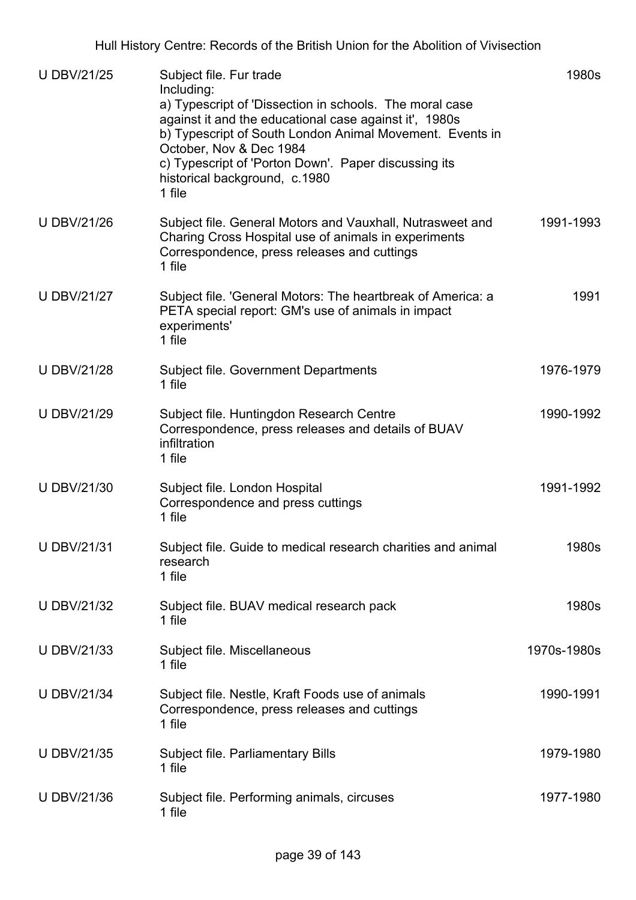| <b>U DBV/21/25</b> | Subject file. Fur trade<br>Including:<br>a) Typescript of 'Dissection in schools. The moral case<br>against it and the educational case against it', 1980s<br>b) Typescript of South London Animal Movement. Events in<br>October, Nov & Dec 1984<br>c) Typescript of 'Porton Down'. Paper discussing its<br>historical background, c.1980<br>1 file | 1980s       |
|--------------------|------------------------------------------------------------------------------------------------------------------------------------------------------------------------------------------------------------------------------------------------------------------------------------------------------------------------------------------------------|-------------|
| <b>U DBV/21/26</b> | Subject file. General Motors and Vauxhall, Nutrasweet and<br>Charing Cross Hospital use of animals in experiments<br>Correspondence, press releases and cuttings<br>1 file                                                                                                                                                                           | 1991-1993   |
| <b>U DBV/21/27</b> | Subject file. 'General Motors: The heartbreak of America: a<br>PETA special report: GM's use of animals in impact<br>experiments'<br>1 file                                                                                                                                                                                                          | 1991        |
| <b>U DBV/21/28</b> | Subject file. Government Departments<br>1 file                                                                                                                                                                                                                                                                                                       | 1976-1979   |
| <b>U DBV/21/29</b> | Subject file. Huntingdon Research Centre<br>Correspondence, press releases and details of BUAV<br>infiltration<br>1 file                                                                                                                                                                                                                             | 1990-1992   |
| <b>U DBV/21/30</b> | Subject file. London Hospital<br>Correspondence and press cuttings<br>1 file                                                                                                                                                                                                                                                                         | 1991-1992   |
| U DBV/21/31        | Subject file. Guide to medical research charities and animal<br>research<br>1 file                                                                                                                                                                                                                                                                   | 1980s       |
| <b>U DBV/21/32</b> | Subject file. BUAV medical research pack<br>1 file                                                                                                                                                                                                                                                                                                   | 1980s       |
| <b>U DBV/21/33</b> | Subject file. Miscellaneous<br>1 file                                                                                                                                                                                                                                                                                                                | 1970s-1980s |
| <b>U DBV/21/34</b> | Subject file. Nestle, Kraft Foods use of animals<br>Correspondence, press releases and cuttings<br>1 file                                                                                                                                                                                                                                            | 1990-1991   |
| <b>U DBV/21/35</b> | Subject file. Parliamentary Bills<br>1 file                                                                                                                                                                                                                                                                                                          | 1979-1980   |
| <b>U DBV/21/36</b> | Subject file. Performing animals, circuses<br>1 file                                                                                                                                                                                                                                                                                                 | 1977-1980   |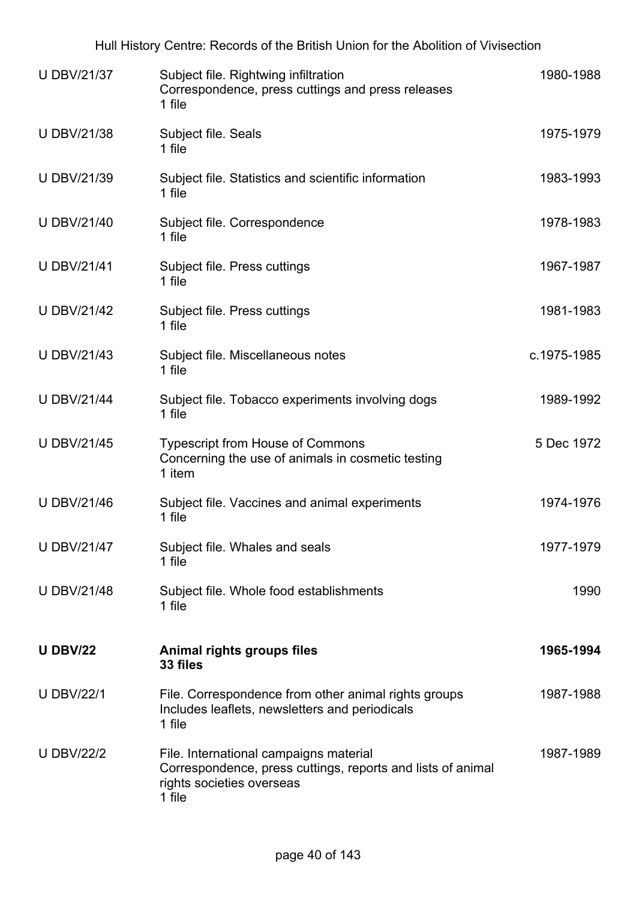Hull History Centre: Records of the British Union for the Abolition of Vivisection

| <b>U DBV/21/37</b> | Subject file. Rightwing infiltration<br>Correspondence, press cuttings and press releases<br>1 file                                          | 1980-1988   |
|--------------------|----------------------------------------------------------------------------------------------------------------------------------------------|-------------|
| <b>U DBV/21/38</b> | Subject file. Seals<br>1 file                                                                                                                | 1975-1979   |
| <b>U DBV/21/39</b> | Subject file. Statistics and scientific information<br>1 file                                                                                | 1983-1993   |
| <b>U DBV/21/40</b> | Subject file. Correspondence<br>1 file                                                                                                       | 1978-1983   |
| <b>U DBV/21/41</b> | Subject file. Press cuttings<br>1 file                                                                                                       | 1967-1987   |
| <b>U DBV/21/42</b> | Subject file. Press cuttings<br>1 file                                                                                                       | 1981-1983   |
| <b>U DBV/21/43</b> | Subject file. Miscellaneous notes<br>1 file                                                                                                  | c.1975-1985 |
| <b>U DBV/21/44</b> | Subject file. Tobacco experiments involving dogs<br>1 file                                                                                   | 1989-1992   |
| <b>U DBV/21/45</b> | <b>Typescript from House of Commons</b><br>Concerning the use of animals in cosmetic testing<br>1 item                                       | 5 Dec 1972  |
| <b>U DBV/21/46</b> | Subject file. Vaccines and animal experiments<br>1 file                                                                                      | 1974-1976   |
| <b>U DBV/21/47</b> | Subject file. Whales and seals<br>1 file                                                                                                     | 1977-1979   |
| <b>U DBV/21/48</b> | Subject file. Whole food establishments<br>1 file                                                                                            | 1990        |
| <b>U DBV/22</b>    | Animal rights groups files<br>33 files                                                                                                       | 1965-1994   |
| <b>U DBV/22/1</b>  | File. Correspondence from other animal rights groups<br>Includes leaflets, newsletters and periodicals<br>1 file                             | 1987-1988   |
| <b>U DBV/22/2</b>  | File. International campaigns material<br>Correspondence, press cuttings, reports and lists of animal<br>rights societies overseas<br>1 file | 1987-1989   |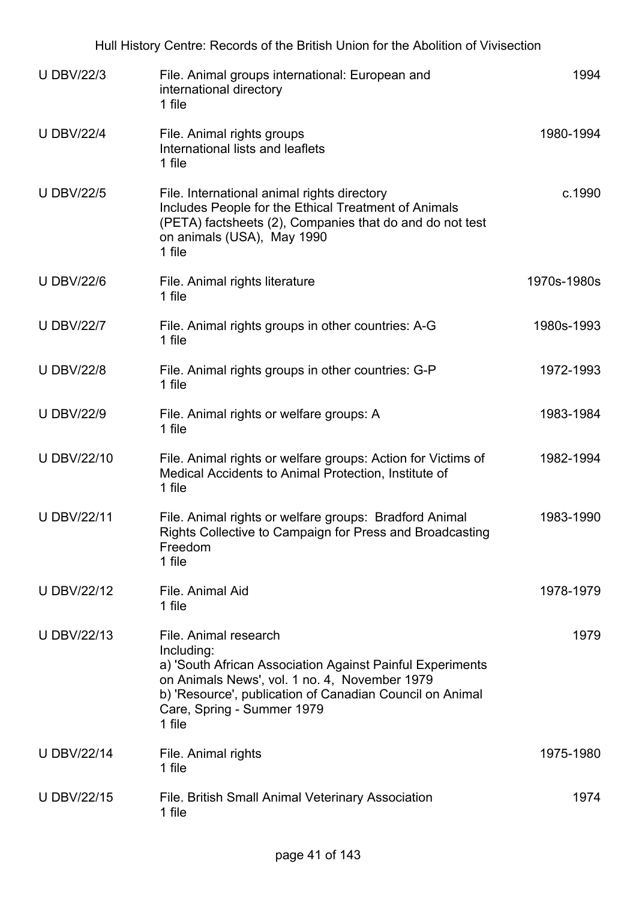| Hull History Centre: Records of the British Union for the Abolition of Vivisection |                                                                                                                                                                                                                                                       |             |  |
|------------------------------------------------------------------------------------|-------------------------------------------------------------------------------------------------------------------------------------------------------------------------------------------------------------------------------------------------------|-------------|--|
| <b>U DBV/22/3</b>                                                                  | File. Animal groups international: European and<br>international directory<br>1 file                                                                                                                                                                  | 1994        |  |
| <b>U DBV/22/4</b>                                                                  | File. Animal rights groups<br>International lists and leaflets<br>1 file                                                                                                                                                                              | 1980-1994   |  |
| <b>U DBV/22/5</b>                                                                  | File. International animal rights directory<br>Includes People for the Ethical Treatment of Animals<br>(PETA) factsheets (2), Companies that do and do not test<br>on animals (USA), May 1990<br>1 file                                               | c.1990      |  |
| <b>U DBV/22/6</b>                                                                  | File. Animal rights literature<br>1 file                                                                                                                                                                                                              | 1970s-1980s |  |
| <b>U DBV/22/7</b>                                                                  | File. Animal rights groups in other countries: A-G<br>1 file                                                                                                                                                                                          | 1980s-1993  |  |
| <b>U DBV/22/8</b>                                                                  | File. Animal rights groups in other countries: G-P<br>1 file                                                                                                                                                                                          | 1972-1993   |  |
| <b>U DBV/22/9</b>                                                                  | File. Animal rights or welfare groups: A<br>1 file                                                                                                                                                                                                    | 1983-1984   |  |
| <b>U DBV/22/10</b>                                                                 | File. Animal rights or welfare groups: Action for Victims of<br>Medical Accidents to Animal Protection, Institute of<br>1 file                                                                                                                        | 1982-1994   |  |
| <b>U DBV/22/11</b>                                                                 | File. Animal rights or welfare groups: Bradford Animal<br>Rights Collective to Campaign for Press and Broadcasting<br>Freedom<br>1 file                                                                                                               | 1983-1990   |  |
| <b>U DBV/22/12</b>                                                                 | File. Animal Aid<br>1 file                                                                                                                                                                                                                            | 1978-1979   |  |
| <b>U DBV/22/13</b>                                                                 | File, Animal research<br>Including:<br>a) 'South African Association Against Painful Experiments<br>on Animals News', vol. 1 no. 4, November 1979<br>b) 'Resource', publication of Canadian Council on Animal<br>Care, Spring - Summer 1979<br>1 file | 1979        |  |
| <b>U DBV/22/14</b>                                                                 | File. Animal rights<br>1 file                                                                                                                                                                                                                         | 1975-1980   |  |
| <b>U DBV/22/15</b>                                                                 | <b>File. British Small Animal Veterinary Association</b><br>1 file                                                                                                                                                                                    | 1974        |  |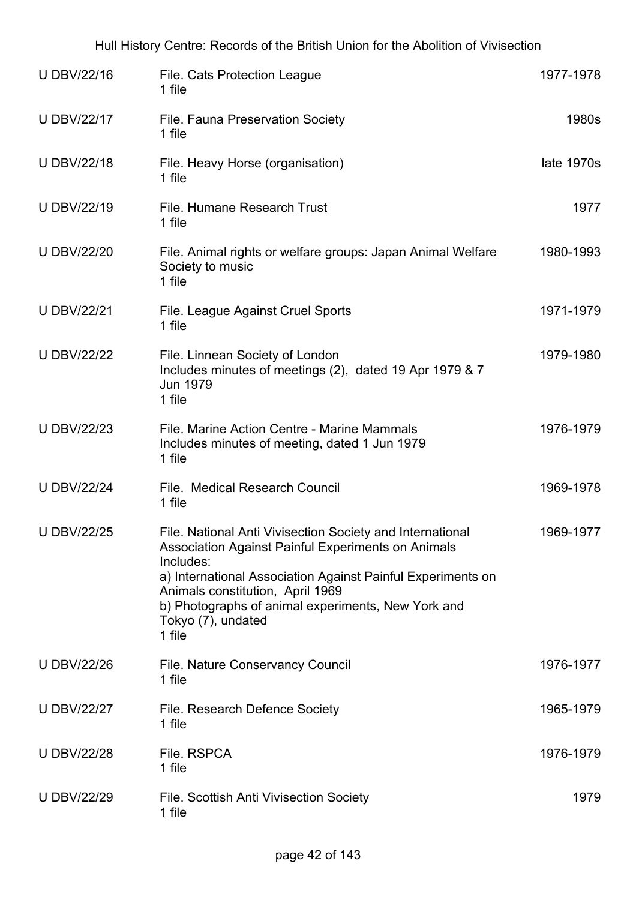| U DBV/22/16        | File. Cats Protection League<br>1 file                                                                                                                                                                                                                                                                                | 1977-1978  |
|--------------------|-----------------------------------------------------------------------------------------------------------------------------------------------------------------------------------------------------------------------------------------------------------------------------------------------------------------------|------------|
| <b>U DBV/22/17</b> | File. Fauna Preservation Society<br>1 file                                                                                                                                                                                                                                                                            | 1980s      |
| <b>U DBV/22/18</b> | File. Heavy Horse (organisation)<br>1 file                                                                                                                                                                                                                                                                            | late 1970s |
| <b>U DBV/22/19</b> | File. Humane Research Trust<br>1 file                                                                                                                                                                                                                                                                                 | 1977       |
| <b>U DBV/22/20</b> | File. Animal rights or welfare groups: Japan Animal Welfare<br>Society to music<br>1 file                                                                                                                                                                                                                             | 1980-1993  |
| <b>U DBV/22/21</b> | File. League Against Cruel Sports<br>1 file                                                                                                                                                                                                                                                                           | 1971-1979  |
| <b>U DBV/22/22</b> | File. Linnean Society of London<br>Includes minutes of meetings (2), dated 19 Apr 1979 & 7<br><b>Jun 1979</b><br>1 file                                                                                                                                                                                               | 1979-1980  |
| <b>U DBV/22/23</b> | File, Marine Action Centre - Marine Mammals<br>Includes minutes of meeting, dated 1 Jun 1979<br>1 file                                                                                                                                                                                                                | 1976-1979  |
| <b>U DBV/22/24</b> | File. Medical Research Council<br>1 file                                                                                                                                                                                                                                                                              | 1969-1978  |
| <b>U DBV/22/25</b> | File. National Anti Vivisection Society and International<br>Association Against Painful Experiments on Animals<br>Includes:<br>a) International Association Against Painful Experiments on<br>Animals constitution, April 1969<br>b) Photographs of animal experiments, New York and<br>Tokyo (7), undated<br>1 file | 1969-1977  |
| <b>U DBV/22/26</b> | File. Nature Conservancy Council<br>1 file                                                                                                                                                                                                                                                                            | 1976-1977  |
| <b>U DBV/22/27</b> | File. Research Defence Society<br>1 file                                                                                                                                                                                                                                                                              | 1965-1979  |
| <b>U DBV/22/28</b> | File. RSPCA<br>1 file                                                                                                                                                                                                                                                                                                 | 1976-1979  |
| <b>U DBV/22/29</b> | File. Scottish Anti Vivisection Society<br>1 file                                                                                                                                                                                                                                                                     | 1979       |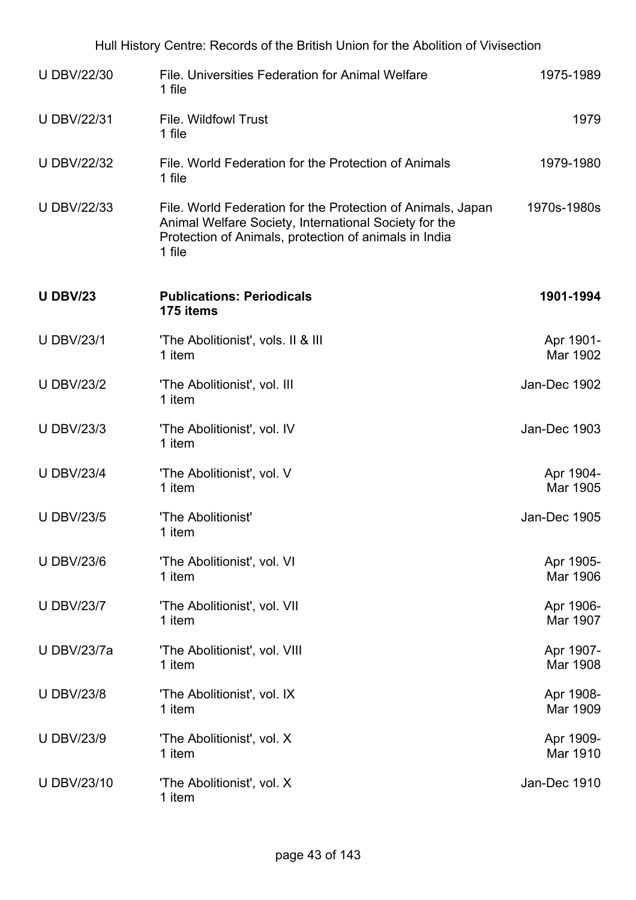| <b>U DBV/22/30</b> | File, Universities Federation for Animal Welfare<br>1 file                                                                                                                              | 1975-1989             |
|--------------------|-----------------------------------------------------------------------------------------------------------------------------------------------------------------------------------------|-----------------------|
| <b>U DBV/22/31</b> | <b>File. Wildfowl Trust</b><br>1 file                                                                                                                                                   | 1979                  |
| <b>U DBV/22/32</b> | File, World Federation for the Protection of Animals<br>1 file                                                                                                                          | 1979-1980             |
| <b>U DBV/22/33</b> | File. World Federation for the Protection of Animals, Japan<br>Animal Welfare Society, International Society for the<br>Protection of Animals, protection of animals in India<br>1 file | 1970s-1980s           |
| <b>U DBV/23</b>    | <b>Publications: Periodicals</b><br>175 items                                                                                                                                           | 1901-1994             |
| <b>U DBV/23/1</b>  | 'The Abolitionist', vols. II & III<br>1 item                                                                                                                                            | Apr 1901-<br>Mar 1902 |
| <b>U DBV/23/2</b>  | 'The Abolitionist', vol. III<br>1 item                                                                                                                                                  | Jan-Dec 1902          |
| <b>U DBV/23/3</b>  | 'The Abolitionist', vol. IV<br>1 item                                                                                                                                                   | Jan-Dec 1903          |
| <b>U DBV/23/4</b>  | 'The Abolitionist', vol. V<br>1 item                                                                                                                                                    | Apr 1904-<br>Mar 1905 |
| <b>U DBV/23/5</b>  | 'The Abolitionist'<br>1 item                                                                                                                                                            | Jan-Dec 1905          |
| <b>U DBV/23/6</b>  | 'The Abolitionist', vol. VI<br>1 item                                                                                                                                                   | Apr 1905-<br>Mar 1906 |
| <b>U DBV/23/7</b>  | 'The Abolitionist', vol. VII<br>1 item                                                                                                                                                  | Apr 1906-<br>Mar 1907 |
| <b>U DBV/23/7a</b> | 'The Abolitionist', vol. VIII<br>1 item                                                                                                                                                 | Apr 1907-<br>Mar 1908 |
| <b>U DBV/23/8</b>  | 'The Abolitionist', vol. IX<br>1 item                                                                                                                                                   | Apr 1908-<br>Mar 1909 |
| <b>U DBV/23/9</b>  | 'The Abolitionist', vol. X<br>1 item                                                                                                                                                    | Apr 1909-<br>Mar 1910 |
| <b>U DBV/23/10</b> | 'The Abolitionist', vol. X<br>1 item                                                                                                                                                    | Jan-Dec 1910          |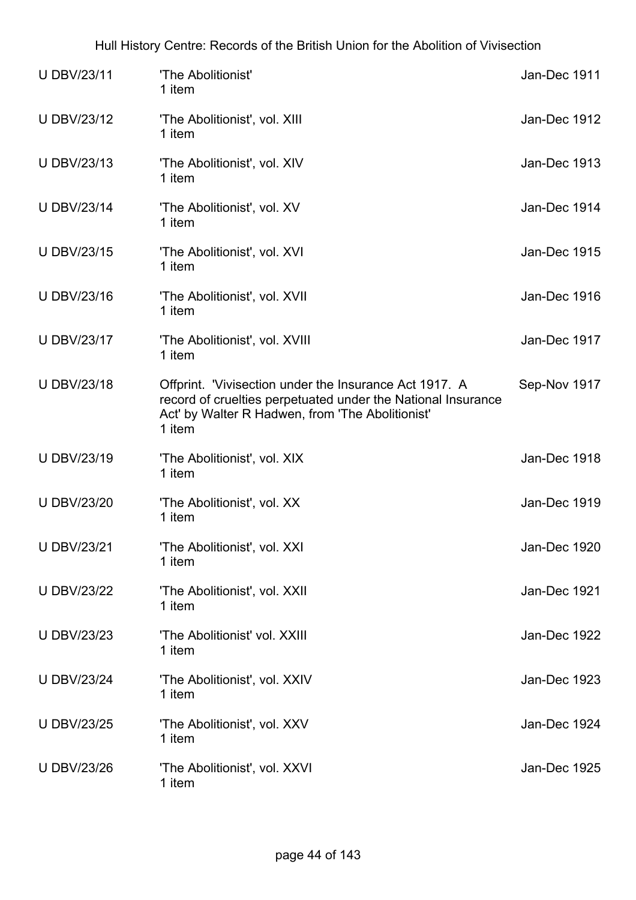| <b>U DBV/23/11</b> | 'The Abolitionist'<br>1 item                                                                                                                                                         | Jan-Dec 1911        |
|--------------------|--------------------------------------------------------------------------------------------------------------------------------------------------------------------------------------|---------------------|
| <b>U DBV/23/12</b> | 'The Abolitionist', vol. XIII<br>1 item                                                                                                                                              | Jan-Dec 1912        |
| <b>U DBV/23/13</b> | 'The Abolitionist', vol. XIV<br>1 item                                                                                                                                               | Jan-Dec 1913        |
| <b>U DBV/23/14</b> | 'The Abolitionist', vol. XV<br>1 item                                                                                                                                                | Jan-Dec 1914        |
| <b>U DBV/23/15</b> | 'The Abolitionist', vol. XVI<br>1 item                                                                                                                                               | <b>Jan-Dec 1915</b> |
| <b>U DBV/23/16</b> | 'The Abolitionist', vol. XVII<br>1 item                                                                                                                                              | Jan-Dec 1916        |
| <b>U DBV/23/17</b> | 'The Abolitionist', vol. XVIII<br>1 item                                                                                                                                             | Jan-Dec 1917        |
| <b>U DBV/23/18</b> | Offprint. 'Vivisection under the Insurance Act 1917. A<br>record of cruelties perpetuated under the National Insurance<br>Act' by Walter R Hadwen, from 'The Abolitionist'<br>1 item | Sep-Nov 1917        |
| <b>U DBV/23/19</b> | 'The Abolitionist', vol. XIX<br>1 item                                                                                                                                               | Jan-Dec 1918        |
| <b>U DBV/23/20</b> | 'The Abolitionist', vol. XX<br>1 item                                                                                                                                                | Jan-Dec 1919        |
| <b>U DBV/23/21</b> | 'The Abolitionist', vol. XXI<br>1 item                                                                                                                                               | Jan-Dec 1920        |
| <b>U DBV/23/22</b> | 'The Abolitionist', vol. XXII<br>1 item                                                                                                                                              | Jan-Dec 1921        |
| <b>U DBV/23/23</b> | 'The Abolitionist' vol. XXIII<br>1 item                                                                                                                                              | Jan-Dec 1922        |
| <b>U DBV/23/24</b> | 'The Abolitionist', vol. XXIV<br>1 item                                                                                                                                              | Jan-Dec 1923        |
| <b>U DBV/23/25</b> | 'The Abolitionist', vol. XXV<br>1 item                                                                                                                                               | Jan-Dec 1924        |
| <b>U DBV/23/26</b> | 'The Abolitionist', vol. XXVI<br>1 item                                                                                                                                              | Jan-Dec 1925        |

## Hull History Centre: Records of the British Union for the Abolition of Vivisection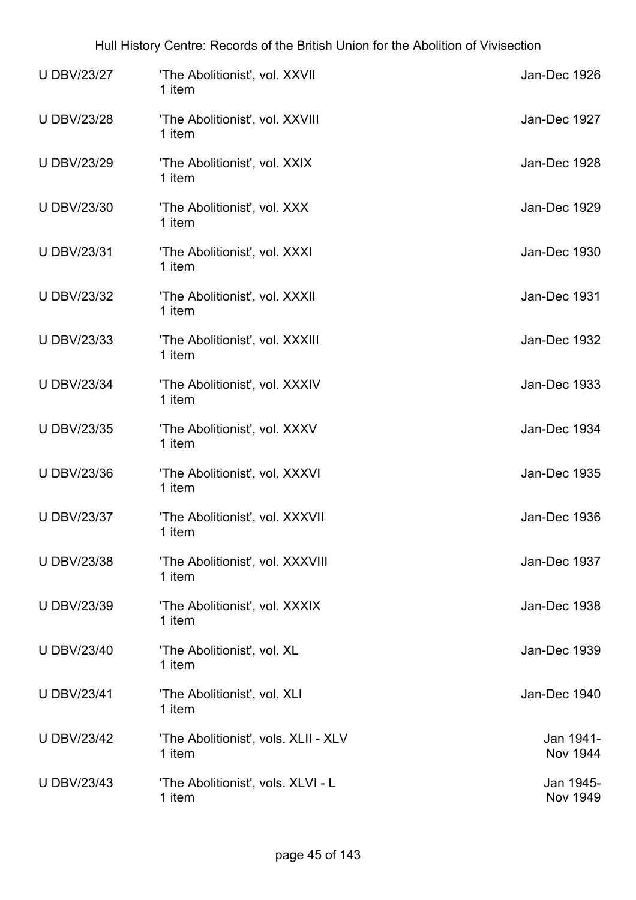| <b>U DBV/23/27</b> | 'The Abolitionist', vol. XXVII<br>1 item       | Jan-Dec 1926                 |
|--------------------|------------------------------------------------|------------------------------|
| <b>U DBV/23/28</b> | 'The Abolitionist', vol. XXVIII<br>1 item      | Jan-Dec 1927                 |
| <b>U DBV/23/29</b> | 'The Abolitionist', vol. XXIX<br>1 item        | Jan-Dec 1928                 |
| <b>U DBV/23/30</b> | 'The Abolitionist', vol. XXX<br>1 item         | Jan-Dec 1929                 |
| <b>U DBV/23/31</b> | 'The Abolitionist', vol. XXXI<br>1 item        | Jan-Dec 1930                 |
| <b>U DBV/23/32</b> | 'The Abolitionist', vol. XXXII<br>1 item       | Jan-Dec 1931                 |
| <b>U DBV/23/33</b> | 'The Abolitionist', vol. XXXIII<br>1 item      | Jan-Dec 1932                 |
| <b>U DBV/23/34</b> | 'The Abolitionist', vol. XXXIV<br>1 item       | Jan-Dec 1933                 |
| <b>U DBV/23/35</b> | 'The Abolitionist', vol. XXXV<br>1 item        | Jan-Dec 1934                 |
| <b>U DBV/23/36</b> | 'The Abolitionist', vol. XXXVI<br>1 item       | Jan-Dec 1935                 |
| <b>U DBV/23/37</b> | 'The Abolitionist', vol. XXXVII<br>1 item      | Jan-Dec 1936                 |
| <b>U DBV/23/38</b> | 'The Abolitionist', vol. XXXVIII<br>1 item     | Jan-Dec 1937                 |
| <b>U DBV/23/39</b> | 'The Abolitionist', vol. XXXIX<br>1 item       | Jan-Dec 1938                 |
| <b>U DBV/23/40</b> | 'The Abolitionist', vol. XL<br>1 item          | Jan-Dec 1939                 |
| <b>U DBV/23/41</b> | 'The Abolitionist', vol. XLI<br>1 item         | Jan-Dec 1940                 |
| <b>U DBV/23/42</b> | 'The Abolitionist', vols. XLII - XLV<br>1 item | Jan 1941-<br><b>Nov 1944</b> |
| <b>U DBV/23/43</b> | 'The Abolitionist', vols. XLVI - L<br>1 item   | Jan 1945-<br><b>Nov 1949</b> |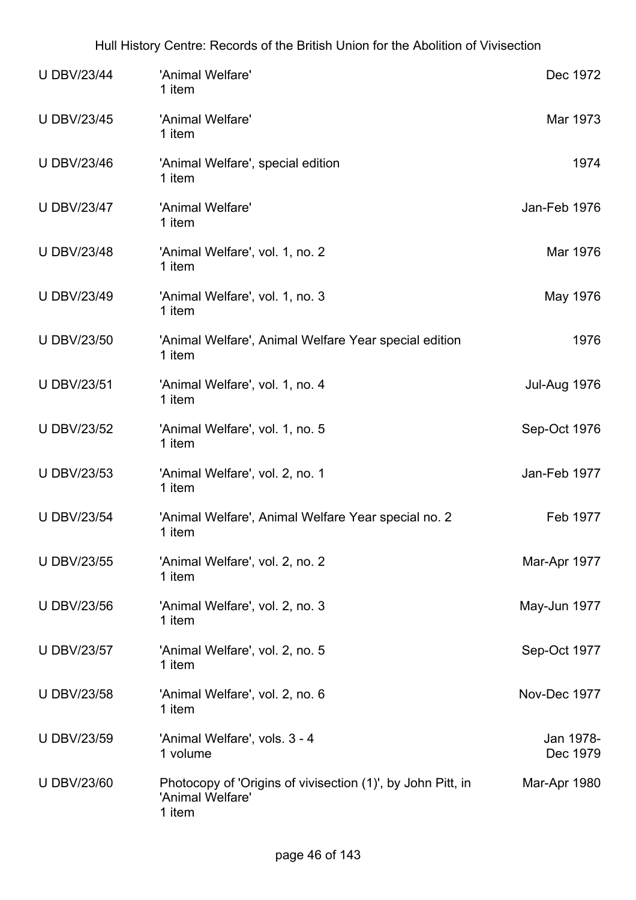| <b>U DBV/23/44</b> | 'Animal Welfare'<br>1 item                                                                | Dec 1972              |
|--------------------|-------------------------------------------------------------------------------------------|-----------------------|
| <b>U DBV/23/45</b> | 'Animal Welfare'<br>1 item                                                                | Mar 1973              |
| <b>U DBV/23/46</b> | 'Animal Welfare', special edition<br>1 item                                               | 1974                  |
| <b>U DBV/23/47</b> | 'Animal Welfare'<br>1 item                                                                | Jan-Feb 1976          |
| <b>U DBV/23/48</b> | 'Animal Welfare', vol. 1, no. 2<br>1 item                                                 | Mar 1976              |
| <b>U DBV/23/49</b> | 'Animal Welfare', vol. 1, no. 3<br>1 item                                                 | May 1976              |
| <b>U DBV/23/50</b> | 'Animal Welfare', Animal Welfare Year special edition<br>1 item                           | 1976                  |
| <b>U DBV/23/51</b> | 'Animal Welfare', vol. 1, no. 4<br>1 item                                                 | <b>Jul-Aug 1976</b>   |
| <b>U DBV/23/52</b> | 'Animal Welfare', vol. 1, no. 5<br>1 item                                                 | Sep-Oct 1976          |
| <b>U DBV/23/53</b> | 'Animal Welfare', vol. 2, no. 1<br>1 item                                                 | Jan-Feb 1977          |
| <b>U DBV/23/54</b> | 'Animal Welfare', Animal Welfare Year special no. 2<br>1 item                             | Feb 1977              |
| <b>U DBV/23/55</b> | 'Animal Welfare', vol. 2, no. 2<br>1 item                                                 | Mar-Apr 1977          |
| <b>U DBV/23/56</b> | 'Animal Welfare', vol. 2, no. 3<br>1 item                                                 | May-Jun 1977          |
| <b>U DBV/23/57</b> | 'Animal Welfare', vol. 2, no. 5<br>1 item                                                 | Sep-Oct 1977          |
| <b>U DBV/23/58</b> | 'Animal Welfare', vol. 2, no. 6<br>1 item                                                 | Nov-Dec 1977          |
| <b>U DBV/23/59</b> | 'Animal Welfare', vols. 3 - 4<br>1 volume                                                 | Jan 1978-<br>Dec 1979 |
| <b>U DBV/23/60</b> | Photocopy of 'Origins of vivisection (1)', by John Pitt, in<br>'Animal Welfare'<br>1 item | Mar-Apr 1980          |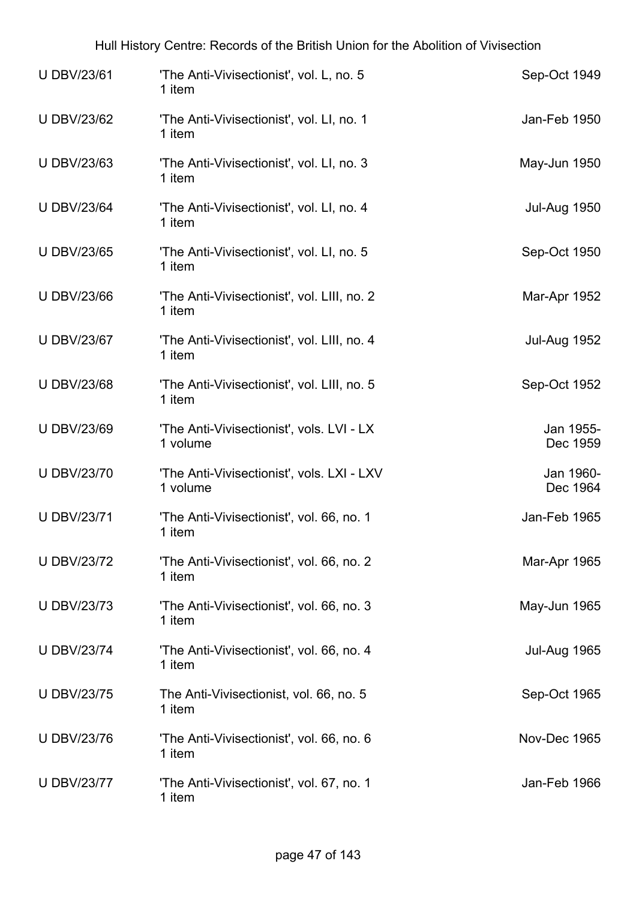| <b>UDBV/23/61</b>  | 'The Anti-Vivisectionist', vol. L, no. 5<br>1 item     | Sep-Oct 1949          |
|--------------------|--------------------------------------------------------|-----------------------|
| <b>U DBV/23/62</b> | 'The Anti-Vivisectionist', vol. LI, no. 1<br>1 item    | Jan-Feb 1950          |
| <b>U DBV/23/63</b> | 'The Anti-Vivisectionist', vol. LI, no. 3<br>1 item    | May-Jun 1950          |
| <b>U DBV/23/64</b> | 'The Anti-Vivisectionist', vol. LI, no. 4<br>1 item    | <b>Jul-Aug 1950</b>   |
| <b>U DBV/23/65</b> | 'The Anti-Vivisectionist', vol. LI, no. 5<br>1 item    | Sep-Oct 1950          |
| <b>U DBV/23/66</b> | 'The Anti-Vivisectionist', vol. LIII, no. 2<br>1 item  | Mar-Apr 1952          |
| <b>U DBV/23/67</b> | 'The Anti-Vivisectionist', vol. LIII, no. 4<br>1 item  | <b>Jul-Aug 1952</b>   |
| <b>U DBV/23/68</b> | 'The Anti-Vivisectionist', vol. LIII, no. 5<br>1 item  | Sep-Oct 1952          |
| <b>U DBV/23/69</b> | 'The Anti-Vivisectionist', vols. LVI - LX<br>1 volume  | Jan 1955-<br>Dec 1959 |
| <b>U DBV/23/70</b> | 'The Anti-Vivisectionist', vols. LXI - LXV<br>1 volume | Jan 1960-<br>Dec 1964 |
| <b>U DBV/23/71</b> | 'The Anti-Vivisectionist', vol. 66, no. 1<br>1 item    | Jan-Feb 1965          |
| <b>U DBV/23/72</b> | 'The Anti-Vivisectionist', vol. 66, no. 2<br>1 item    | Mar-Apr 1965          |
| <b>U DBV/23/73</b> | 'The Anti-Vivisectionist', vol. 66, no. 3<br>1 item    | May-Jun 1965          |
| <b>U DBV/23/74</b> | 'The Anti-Vivisectionist', vol. 66, no. 4<br>1 item    | <b>Jul-Aug 1965</b>   |
| <b>U DBV/23/75</b> | The Anti-Vivisectionist, vol. 66, no. 5<br>1 item      | Sep-Oct 1965          |
| <b>U DBV/23/76</b> | 'The Anti-Vivisectionist', vol. 66, no. 6<br>1 item    | Nov-Dec 1965          |
| <b>U DBV/23/77</b> | 'The Anti-Vivisectionist', vol. 67, no. 1<br>1 item    | Jan-Feb 1966          |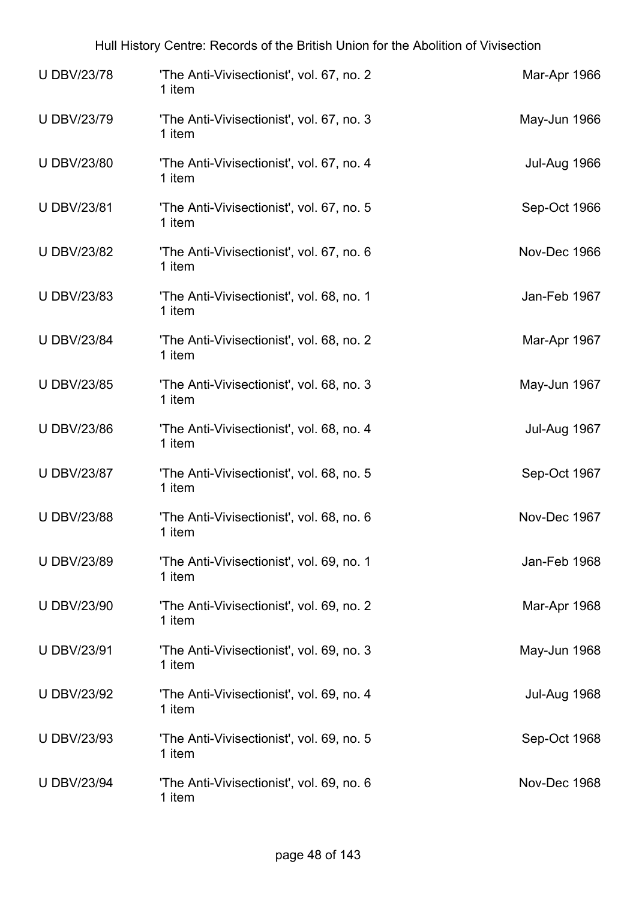| <b>UDBV/23/78</b>  | 'The Anti-Vivisectionist', vol. 67, no. 2<br>1 item | Mar-Apr 1966        |
|--------------------|-----------------------------------------------------|---------------------|
| <b>UDBV/23/79</b>  | 'The Anti-Vivisectionist', vol. 67, no. 3<br>1 item | May-Jun 1966        |
| <b>U DBV/23/80</b> | 'The Anti-Vivisectionist', vol. 67, no. 4<br>1 item | <b>Jul-Aug 1966</b> |
| <b>U DBV/23/81</b> | 'The Anti-Vivisectionist', vol. 67, no. 5<br>1 item | Sep-Oct 1966        |
| <b>U DBV/23/82</b> | 'The Anti-Vivisectionist', vol. 67, no. 6<br>1 item | Nov-Dec 1966        |
| <b>U DBV/23/83</b> | 'The Anti-Vivisectionist', vol. 68, no. 1<br>1 item | Jan-Feb 1967        |
| <b>U DBV/23/84</b> | 'The Anti-Vivisectionist', vol. 68, no. 2<br>1 item | Mar-Apr 1967        |
| <b>U DBV/23/85</b> | 'The Anti-Vivisectionist', vol. 68, no. 3<br>1 item | May-Jun 1967        |
| <b>U DBV/23/86</b> | 'The Anti-Vivisectionist', vol. 68, no. 4<br>1 item | Jul-Aug 1967        |
| <b>U DBV/23/87</b> | 'The Anti-Vivisectionist', vol. 68, no. 5<br>1 item | Sep-Oct 1967        |
| <b>U DBV/23/88</b> | 'The Anti-Vivisectionist', vol. 68, no. 6<br>1 item | Nov-Dec 1967        |
| <b>U DBV/23/89</b> | 'The Anti-Vivisectionist', vol. 69, no. 1<br>1 item | Jan-Feb 1968        |
| <b>U DBV/23/90</b> | 'The Anti-Vivisectionist', vol. 69, no. 2<br>1 item | Mar-Apr 1968        |
| <b>U DBV/23/91</b> | 'The Anti-Vivisectionist', vol. 69, no. 3<br>1 item | May-Jun 1968        |
| <b>U DBV/23/92</b> | 'The Anti-Vivisectionist', vol. 69, no. 4<br>1 item | <b>Jul-Aug 1968</b> |
| <b>U DBV/23/93</b> | 'The Anti-Vivisectionist', vol. 69, no. 5<br>1 item | Sep-Oct 1968        |
| <b>U DBV/23/94</b> | 'The Anti-Vivisectionist', vol. 69, no. 6<br>1 item | Nov-Dec 1968        |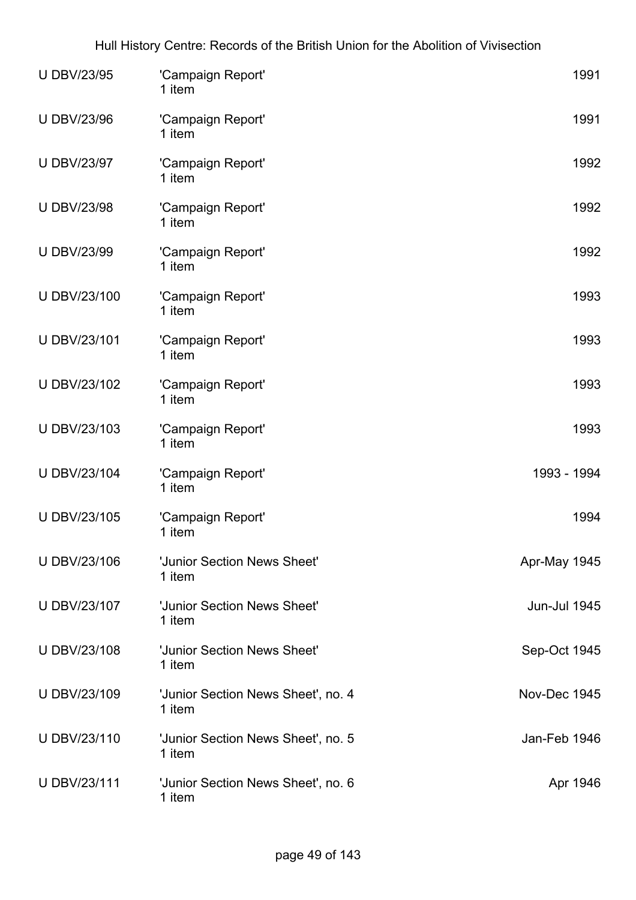| <b>U DBV/23/95</b> | 'Campaign Report'<br>1 item                  | 1991                |
|--------------------|----------------------------------------------|---------------------|
| <b>U DBV/23/96</b> | 'Campaign Report'<br>1 item                  | 1991                |
| <b>U DBV/23/97</b> | 'Campaign Report'<br>1 item                  | 1992                |
| <b>U DBV/23/98</b> | 'Campaign Report'<br>1 item                  | 1992                |
| <b>U DBV/23/99</b> | 'Campaign Report'<br>1 item                  | 1992                |
| U DBV/23/100       | 'Campaign Report'<br>1 item                  | 1993                |
| U DBV/23/101       | 'Campaign Report'<br>1 item                  | 1993                |
| U DBV/23/102       | 'Campaign Report'<br>1 item                  | 1993                |
| U DBV/23/103       | 'Campaign Report'<br>1 item                  | 1993                |
| U DBV/23/104       | 'Campaign Report'<br>1 item                  | 1993 - 1994         |
| U DBV/23/105       | 'Campaign Report'<br>1 item                  | 1994                |
| U DBV/23/106       | 'Junior Section News Sheet'<br>1 item        | Apr-May 1945        |
| U DBV/23/107       | 'Junior Section News Sheet'<br>1 item        | <b>Jun-Jul 1945</b> |
| U DBV/23/108       | 'Junior Section News Sheet'<br>1 item        | Sep-Oct 1945        |
| U DBV/23/109       | 'Junior Section News Sheet', no. 4<br>1 item | Nov-Dec 1945        |
| U DBV/23/110       | 'Junior Section News Sheet', no. 5<br>1 item | Jan-Feb 1946        |
| U DBV/23/111       | 'Junior Section News Sheet', no. 6<br>1 item | Apr 1946            |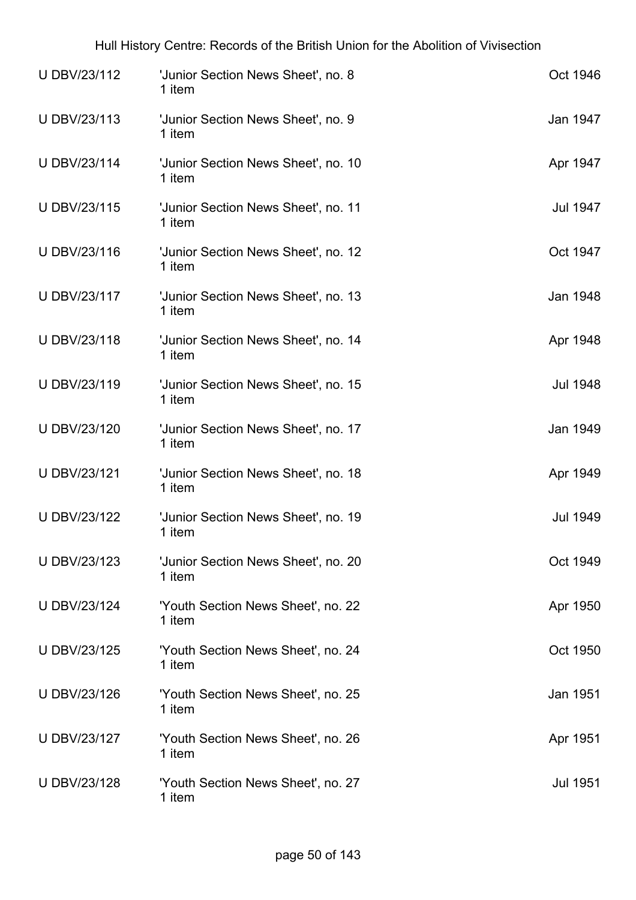| U DBV/23/112        | 'Junior Section News Sheet', no. 8<br>1 item  | Oct 1946        |
|---------------------|-----------------------------------------------|-----------------|
| U DBV/23/113        | 'Junior Section News Sheet', no. 9<br>1 item  | Jan 1947        |
| U DBV/23/114        | 'Junior Section News Sheet', no. 10<br>1 item | Apr 1947        |
| U DBV/23/115        | 'Junior Section News Sheet', no. 11<br>1 item | Jul 1947        |
| U DBV/23/116        | 'Junior Section News Sheet', no. 12<br>1 item | Oct 1947        |
| U DBV/23/117        | 'Junior Section News Sheet', no. 13<br>1 item | Jan 1948        |
| <b>UDBV/23/118</b>  | 'Junior Section News Sheet', no. 14<br>1 item | Apr 1948        |
| U DBV/23/119        | 'Junior Section News Sheet', no. 15<br>1 item | <b>Jul 1948</b> |
| U DBV/23/120        | 'Junior Section News Sheet', no. 17<br>1 item | Jan 1949        |
| U DBV/23/121        | 'Junior Section News Sheet', no. 18<br>1 item | Apr 1949        |
| <b>U DBV/23/122</b> | 'Junior Section News Sheet', no. 19<br>1 item | Jul 1949        |
| U DBV/23/123        | 'Junior Section News Sheet', no. 20<br>1 item | Oct 1949        |
| U DBV/23/124        | 'Youth Section News Sheet', no. 22<br>1 item  | Apr 1950        |
| U DBV/23/125        | 'Youth Section News Sheet', no. 24<br>1 item  | Oct 1950        |
| <b>UDBV/23/126</b>  | 'Youth Section News Sheet', no. 25<br>1 item  | Jan 1951        |
| U DBV/23/127        | 'Youth Section News Sheet', no. 26<br>1 item  | Apr 1951        |
| <b>UDBV/23/128</b>  | 'Youth Section News Sheet', no. 27<br>1 item  | <b>Jul 1951</b> |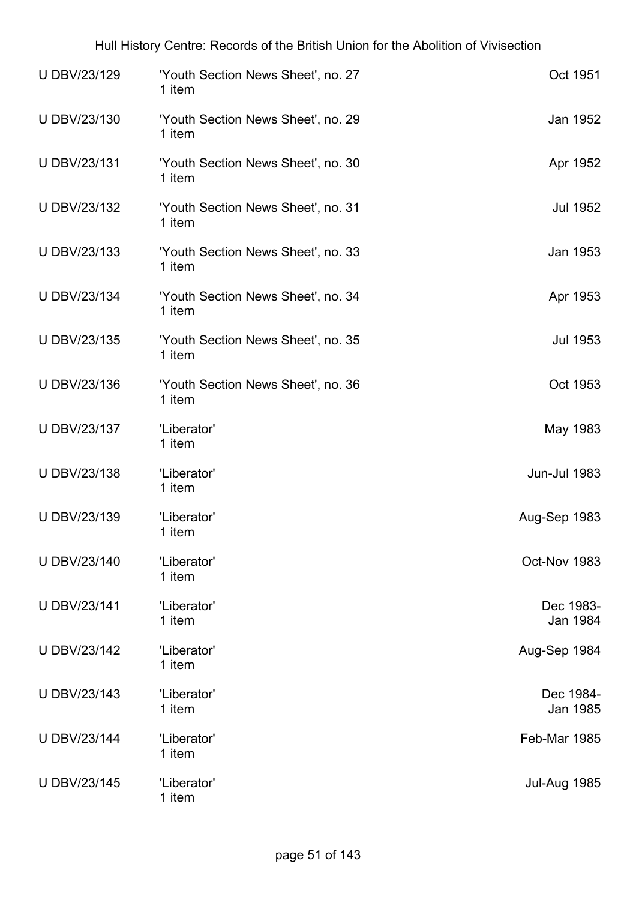| U DBV/23/129        | 'Youth Section News Sheet', no. 27<br>1 item | Oct 1951              |
|---------------------|----------------------------------------------|-----------------------|
| U DBV/23/130        | 'Youth Section News Sheet', no. 29<br>1 item | Jan 1952              |
| U DBV/23/131        | 'Youth Section News Sheet', no. 30<br>1 item | Apr 1952              |
| U DBV/23/132        | 'Youth Section News Sheet', no. 31<br>1 item | <b>Jul 1952</b>       |
| U DBV/23/133        | 'Youth Section News Sheet', no. 33<br>1 item | Jan 1953              |
| U DBV/23/134        | 'Youth Section News Sheet', no. 34<br>1 item | Apr 1953              |
| U DBV/23/135        | 'Youth Section News Sheet', no. 35<br>1 item | <b>Jul 1953</b>       |
| U DBV/23/136        | 'Youth Section News Sheet', no. 36<br>1 item | Oct 1953              |
| U DBV/23/137        | 'Liberator'<br>1 item                        | May 1983              |
| U DBV/23/138        | 'Liberator'<br>1 item                        | <b>Jun-Jul 1983</b>   |
| U DBV/23/139        | 'Liberator'<br>1 item                        | Aug-Sep 1983          |
| U DBV/23/140        | 'Liberator'<br>1 item                        | Oct-Nov 1983          |
| <b>U DBV/23/141</b> | 'Liberator'<br>1 item                        | Dec 1983-<br>Jan 1984 |
| U DBV/23/142        | 'Liberator'<br>1 item                        | Aug-Sep 1984          |
| U DBV/23/143        | 'Liberator'<br>1 item                        | Dec 1984-<br>Jan 1985 |
| <b>U DBV/23/144</b> | 'Liberator'<br>1 item                        | Feb-Mar 1985          |
| U DBV/23/145        | 'Liberator'<br>1 item                        | <b>Jul-Aug 1985</b>   |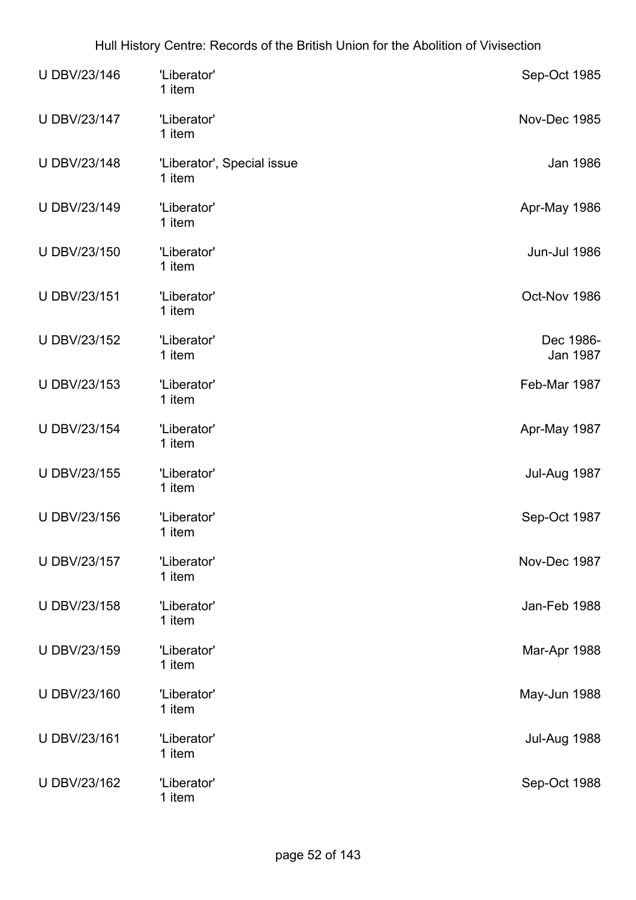| U DBV/23/146 | 'Liberator'<br>1 item                |  | Sep-Oct 1985          |
|--------------|--------------------------------------|--|-----------------------|
| U DBV/23/147 | 'Liberator'<br>1 item                |  | Nov-Dec 1985          |
| U DBV/23/148 | 'Liberator', Special issue<br>1 item |  | Jan 1986              |
| U DBV/23/149 | 'Liberator'<br>1 item                |  | Apr-May 1986          |
| U DBV/23/150 | 'Liberator'<br>1 item                |  | Jun-Jul 1986          |
| U DBV/23/151 | 'Liberator'<br>1 item                |  | Oct-Nov 1986          |
| U DBV/23/152 | 'Liberator'<br>1 item                |  | Dec 1986-<br>Jan 1987 |
| U DBV/23/153 | 'Liberator'<br>1 item                |  | Feb-Mar 1987          |
| U DBV/23/154 | 'Liberator'<br>1 item                |  | Apr-May 1987          |
| U DBV/23/155 | 'Liberator'<br>1 item                |  | Jul-Aug 1987          |
| U DBV/23/156 | 'Liberator'<br>1 item                |  | Sep-Oct 1987          |
| U DBV/23/157 | 'Liberator'<br>1 item                |  | Nov-Dec 1987          |
| U DBV/23/158 | 'Liberator'<br>1 item                |  | Jan-Feb 1988          |
| U DBV/23/159 | 'Liberator'<br>1 item                |  | Mar-Apr 1988          |
| U DBV/23/160 | 'Liberator'<br>1 item                |  | May-Jun 1988          |
| U DBV/23/161 | 'Liberator'<br>1 item                |  | Jul-Aug 1988          |
| U DBV/23/162 | 'Liberator'<br>1 item                |  | Sep-Oct 1988          |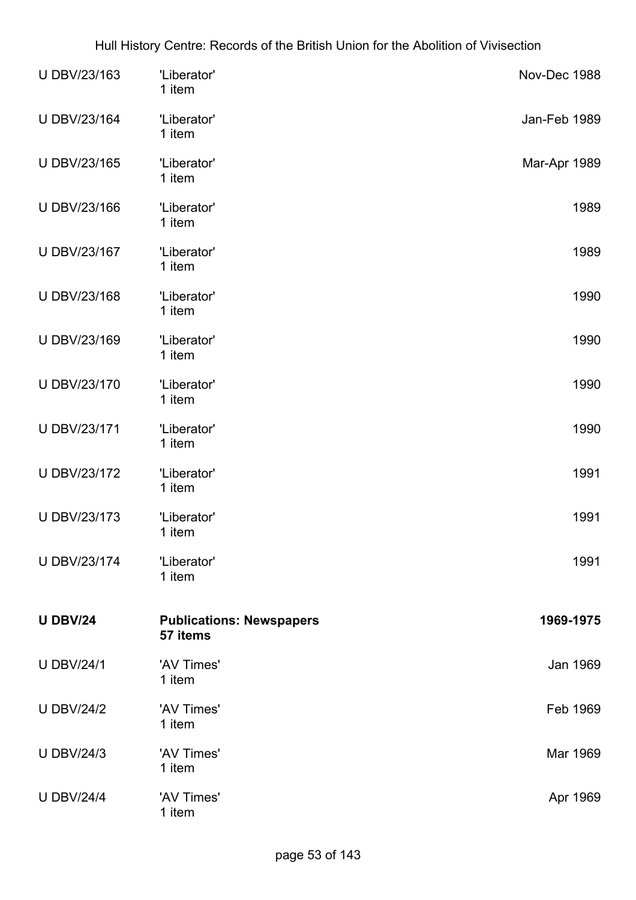| U DBV/23/163      | 'Liberator'<br>1 item                       | Nov-Dec 1988 |
|-------------------|---------------------------------------------|--------------|
| U DBV/23/164      | 'Liberator'<br>1 item                       | Jan-Feb 1989 |
| U DBV/23/165      | 'Liberator'<br>1 item                       | Mar-Apr 1989 |
| U DBV/23/166      | 'Liberator'<br>1 item                       | 1989         |
| U DBV/23/167      | 'Liberator'<br>1 item                       | 1989         |
| U DBV/23/168      | 'Liberator'<br>1 item                       | 1990         |
| U DBV/23/169      | 'Liberator'<br>1 item                       | 1990         |
| U DBV/23/170      | 'Liberator'<br>1 item                       | 1990         |
| U DBV/23/171      | 'Liberator'<br>1 item                       | 1990         |
| U DBV/23/172      | 'Liberator'<br>1 item                       | 1991         |
| U DBV/23/173      | 'Liberator'<br>1 item                       | 1991         |
| U DBV/23/174      | 'Liberator'<br>1 item                       | 1991         |
| <b>U DBV/24</b>   | <b>Publications: Newspapers</b><br>57 items | 1969-1975    |
| <b>U DBV/24/1</b> | 'AV Times'<br>1 item                        | Jan 1969     |
| <b>U DBV/24/2</b> | 'AV Times'<br>1 item                        | Feb 1969     |
| <b>U DBV/24/3</b> | 'AV Times'<br>1 item                        | Mar 1969     |
| <b>U DBV/24/4</b> | 'AV Times'<br>1 item                        | Apr 1969     |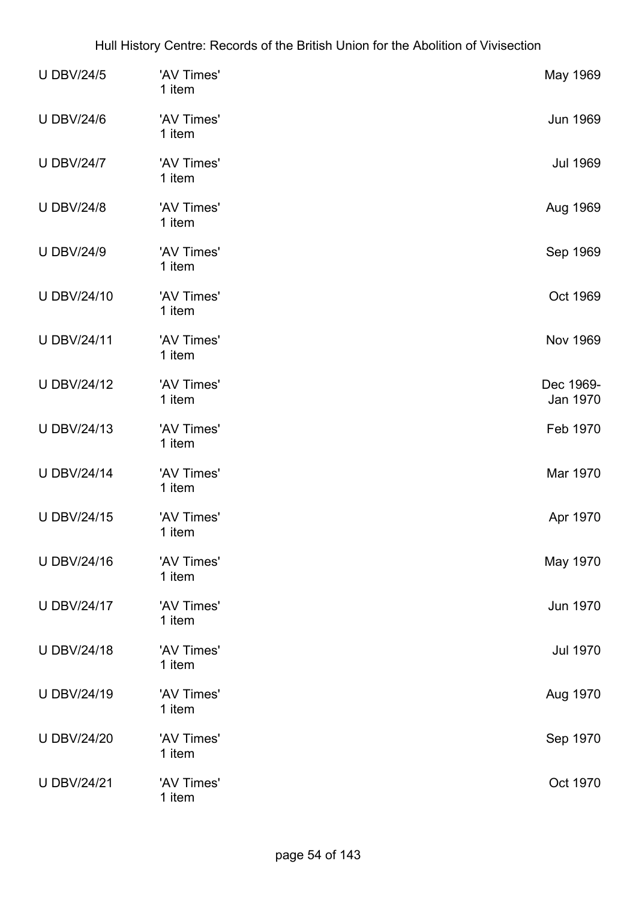| <b>U DBV/24/5</b>  | 'AV Times'<br>1 item | May 1969              |
|--------------------|----------------------|-----------------------|
| <b>U DBV/24/6</b>  | 'AV Times'<br>1 item | <b>Jun 1969</b>       |
| <b>U DBV/24/7</b>  | 'AV Times'<br>1 item | <b>Jul 1969</b>       |
| <b>U DBV/24/8</b>  | 'AV Times'<br>1 item | Aug 1969              |
| <b>U DBV/24/9</b>  | 'AV Times'<br>1 item | Sep 1969              |
| <b>U DBV/24/10</b> | 'AV Times'<br>1 item | Oct 1969              |
| <b>U DBV/24/11</b> | 'AV Times'<br>1 item | <b>Nov 1969</b>       |
| <b>U DBV/24/12</b> | 'AV Times'<br>1 item | Dec 1969-<br>Jan 1970 |
| <b>U DBV/24/13</b> | 'AV Times'<br>1 item | Feb 1970              |
| <b>U DBV/24/14</b> | 'AV Times'<br>1 item | Mar 1970              |
| <b>U DBV/24/15</b> | 'AV Times'<br>1 item | Apr 1970              |
| <b>UDBV/24/16</b>  | 'AV Times'<br>1 item | May 1970              |
| <b>U DBV/24/17</b> | 'AV Times'<br>1 item | <b>Jun 1970</b>       |
| <b>U DBV/24/18</b> | 'AV Times'<br>1 item | <b>Jul 1970</b>       |
| <b>U DBV/24/19</b> | 'AV Times'<br>1 item | Aug 1970              |
| <b>U DBV/24/20</b> | 'AV Times'<br>1 item | Sep 1970              |
| <b>U DBV/24/21</b> | 'AV Times'<br>1 item | Oct 1970              |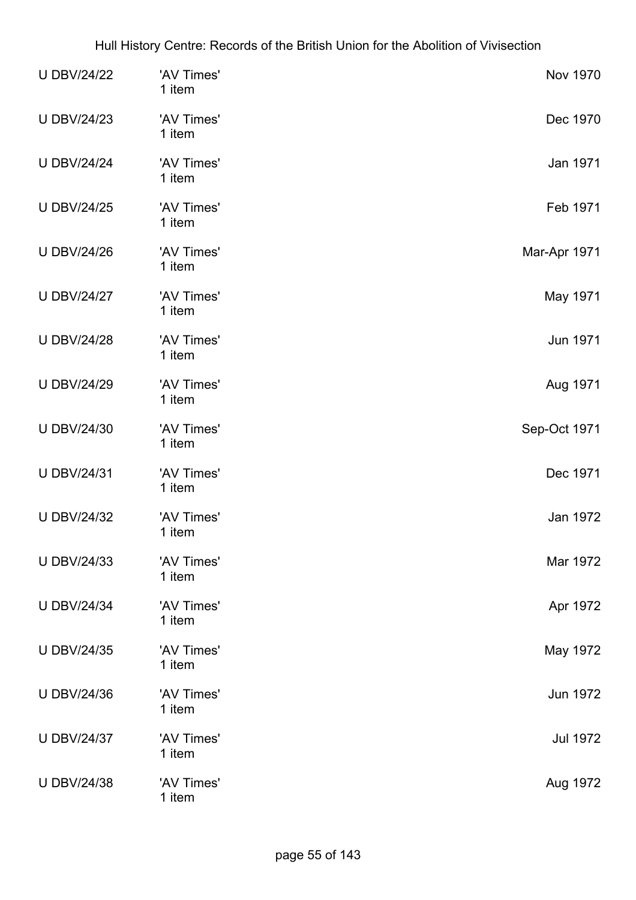| <b>U DBV/24/22</b> | 'AV Times'<br>1 item | <b>Nov 1970</b> |
|--------------------|----------------------|-----------------|
| <b>U DBV/24/23</b> | 'AV Times'<br>1 item | Dec 1970        |
| <b>U DBV/24/24</b> | 'AV Times'<br>1 item | Jan 1971        |
| <b>U DBV/24/25</b> | 'AV Times'<br>1 item | Feb 1971        |
| <b>U DBV/24/26</b> | 'AV Times'<br>1 item | Mar-Apr 1971    |
| <b>U DBV/24/27</b> | 'AV Times'<br>1 item | May 1971        |
| <b>U DBV/24/28</b> | 'AV Times'<br>1 item | Jun 1971        |
| <b>U DBV/24/29</b> | 'AV Times'<br>1 item | Aug 1971        |
| <b>U DBV/24/30</b> | 'AV Times'<br>1 item | Sep-Oct 1971    |
| <b>U DBV/24/31</b> | 'AV Times'<br>1 item | Dec 1971        |
| <b>U DBV/24/32</b> | 'AV Times'<br>1 item | Jan 1972        |
| <b>U DBV/24/33</b> | 'AV Times'<br>1 item | Mar 1972        |
| <b>U DBV/24/34</b> | 'AV Times'<br>1 item | Apr 1972        |
| <b>U DBV/24/35</b> | 'AV Times'<br>1 item | May 1972        |
| <b>U DBV/24/36</b> | 'AV Times'<br>1 item | Jun 1972        |
| <b>U DBV/24/37</b> | 'AV Times'<br>1 item | <b>Jul 1972</b> |
| <b>U DBV/24/38</b> | 'AV Times'<br>1 item | Aug 1972        |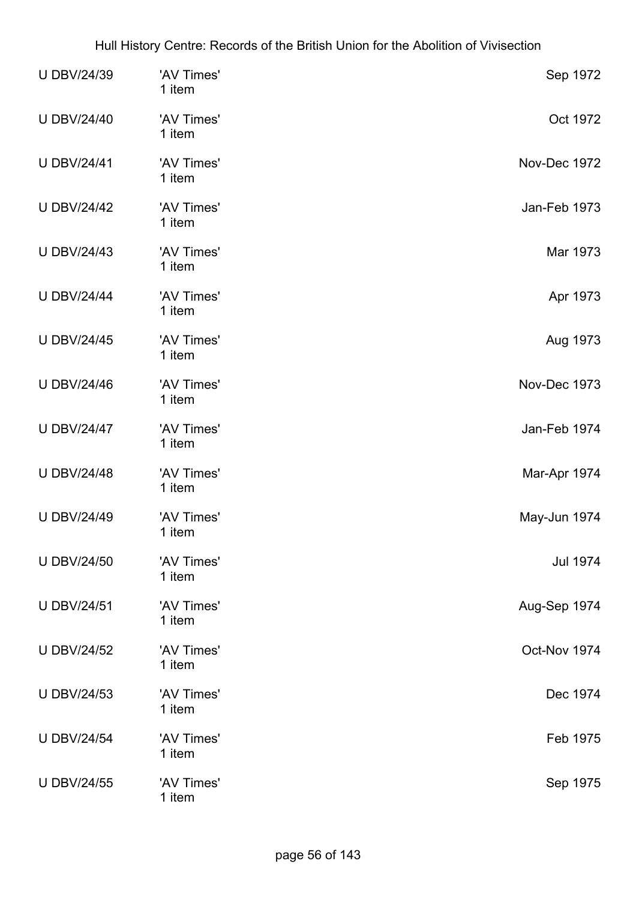| <b>U DBV/24/39</b> | 'AV Times'<br>1 item | Sep 1972        |
|--------------------|----------------------|-----------------|
| <b>U DBV/24/40</b> | 'AV Times'<br>1 item | Oct 1972        |
| <b>U DBV/24/41</b> | 'AV Times'<br>1 item | Nov-Dec 1972    |
| <b>U DBV/24/42</b> | 'AV Times'<br>1 item | Jan-Feb 1973    |
| <b>U DBV/24/43</b> | 'AV Times'<br>1 item | Mar 1973        |
| <b>U DBV/24/44</b> | 'AV Times'<br>1 item | Apr 1973        |
| <b>U DBV/24/45</b> | 'AV Times'<br>1 item | Aug 1973        |
| <b>U DBV/24/46</b> | 'AV Times'<br>1 item | Nov-Dec 1973    |
| <b>U DBV/24/47</b> | 'AV Times'<br>1 item | Jan-Feb 1974    |
| <b>U DBV/24/48</b> | 'AV Times'<br>1 item | Mar-Apr 1974    |
| <b>U DBV/24/49</b> | 'AV Times'<br>1 item | May-Jun 1974    |
| <b>U DBV/24/50</b> | 'AV Times'<br>1 item | <b>Jul 1974</b> |
| <b>U DBV/24/51</b> | 'AV Times'<br>1 item | Aug-Sep 1974    |
| <b>U DBV/24/52</b> | 'AV Times'<br>1 item | Oct-Nov 1974    |
| <b>U DBV/24/53</b> | 'AV Times'<br>1 item | Dec 1974        |
| <b>U DBV/24/54</b> | 'AV Times'<br>1 item | Feb 1975        |
| <b>U DBV/24/55</b> | 'AV Times'<br>1 item | Sep 1975        |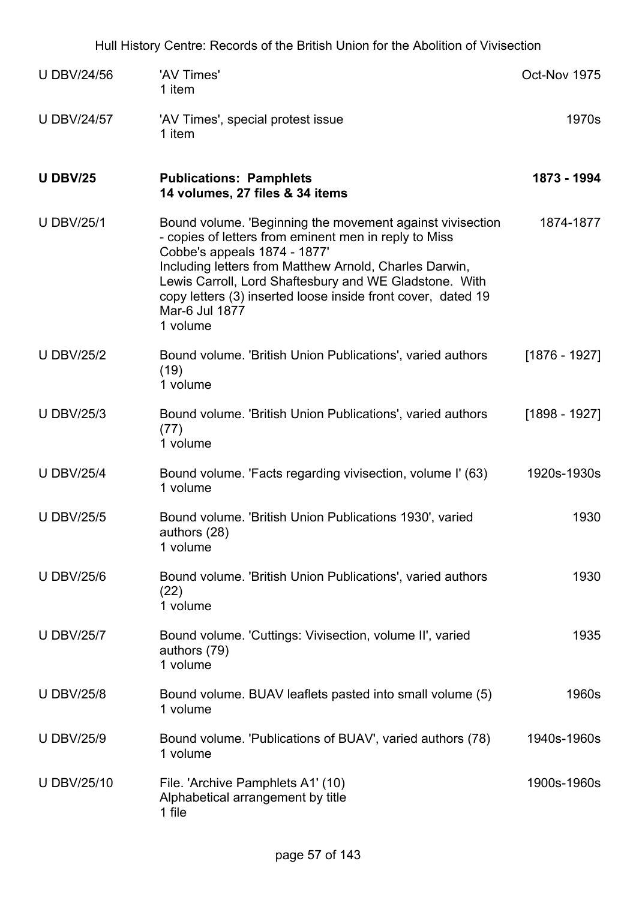| <b>U DBV/24/56</b> | 'AV Times'<br>1 item                                                                                                                                                                                                                                                                                                                                                 | Oct-Nov 1975    |
|--------------------|----------------------------------------------------------------------------------------------------------------------------------------------------------------------------------------------------------------------------------------------------------------------------------------------------------------------------------------------------------------------|-----------------|
| <b>U DBV/24/57</b> | 'AV Times', special protest issue<br>1 item                                                                                                                                                                                                                                                                                                                          | 1970s           |
| <b>U DBV/25</b>    | <b>Publications: Pamphlets</b><br>14 volumes, 27 files & 34 items                                                                                                                                                                                                                                                                                                    | 1873 - 1994     |
| <b>U DBV/25/1</b>  | Bound volume. 'Beginning the movement against vivisection<br>- copies of letters from eminent men in reply to Miss<br>Cobbe's appeals 1874 - 1877'<br>Including letters from Matthew Arnold, Charles Darwin,<br>Lewis Carroll, Lord Shaftesbury and WE Gladstone. With<br>copy letters (3) inserted loose inside front cover, dated 19<br>Mar-6 Jul 1877<br>1 volume | 1874-1877       |
| <b>U DBV/25/2</b>  | Bound volume. 'British Union Publications', varied authors<br>(19)<br>1 volume                                                                                                                                                                                                                                                                                       | $[1876 - 1927]$ |
| <b>U DBV/25/3</b>  | Bound volume. 'British Union Publications', varied authors<br>(77)<br>1 volume                                                                                                                                                                                                                                                                                       | $[1898 - 1927]$ |
| <b>U DBV/25/4</b>  | Bound volume. 'Facts regarding vivisection, volume I' (63)<br>1 volume                                                                                                                                                                                                                                                                                               | 1920s-1930s     |
| <b>U DBV/25/5</b>  | Bound volume. 'British Union Publications 1930', varied<br>authors (28)<br>1 volume                                                                                                                                                                                                                                                                                  | 1930            |
| <b>U DBV/25/6</b>  | Bound volume. 'British Union Publications', varied authors<br>(22)<br>1 volume                                                                                                                                                                                                                                                                                       | 1930            |
| <b>U DBV/25/7</b>  | Bound volume. 'Cuttings: Vivisection, volume II', varied<br>authors (79)<br>1 volume                                                                                                                                                                                                                                                                                 | 1935            |
| <b>U DBV/25/8</b>  | Bound volume. BUAV leaflets pasted into small volume (5)<br>1 volume                                                                                                                                                                                                                                                                                                 | 1960s           |
| <b>U DBV/25/9</b>  | Bound volume. 'Publications of BUAV', varied authors (78)<br>1 volume                                                                                                                                                                                                                                                                                                | 1940s-1960s     |
| <b>U DBV/25/10</b> | File. 'Archive Pamphlets A1' (10)<br>Alphabetical arrangement by title<br>1 file                                                                                                                                                                                                                                                                                     | 1900s-1960s     |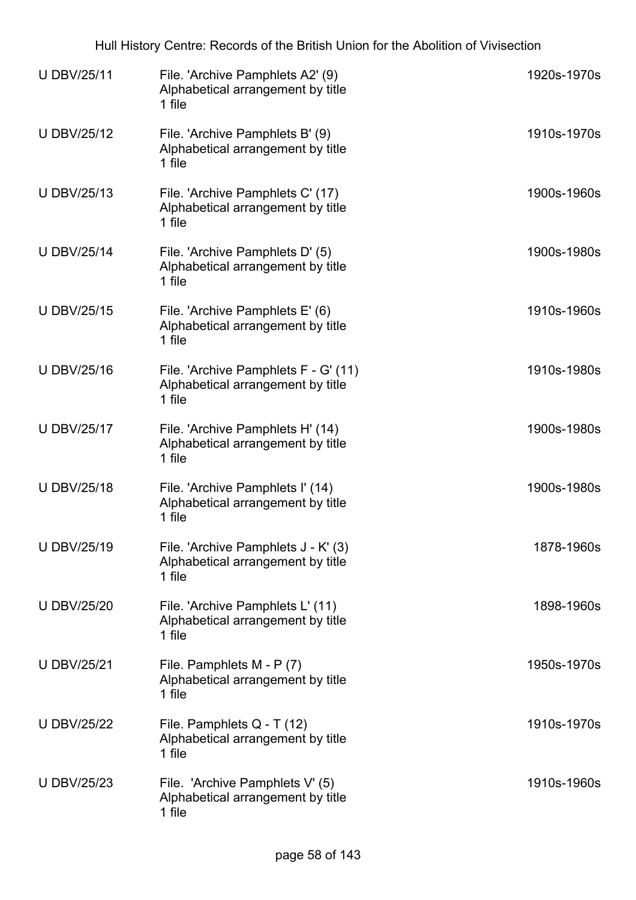| <b>U DBV/25/11</b> | File. 'Archive Pamphlets A2' (9)<br>Alphabetical arrangement by title<br>1 file     | 1920s-1970s |
|--------------------|-------------------------------------------------------------------------------------|-------------|
| <b>U DBV/25/12</b> | File. 'Archive Pamphlets B' (9)<br>Alphabetical arrangement by title<br>1 file      | 1910s-1970s |
| <b>U DBV/25/13</b> | File. 'Archive Pamphlets C' (17)<br>Alphabetical arrangement by title<br>1 file     | 1900s-1960s |
| <b>U DBV/25/14</b> | File. 'Archive Pamphlets D' (5)<br>Alphabetical arrangement by title<br>1 file      | 1900s-1980s |
| <b>U DBV/25/15</b> | File. 'Archive Pamphlets E' (6)<br>Alphabetical arrangement by title<br>1 file      | 1910s-1960s |
| <b>U DBV/25/16</b> | File. 'Archive Pamphlets F - G' (11)<br>Alphabetical arrangement by title<br>1 file | 1910s-1980s |
| <b>U DBV/25/17</b> | File. 'Archive Pamphlets H' (14)<br>Alphabetical arrangement by title<br>1 file     | 1900s-1980s |
| <b>U DBV/25/18</b> | File. 'Archive Pamphlets I' (14)<br>Alphabetical arrangement by title<br>1 file     | 1900s-1980s |
| U DBV/25/19        | File. 'Archive Pamphlets J - K' (3)<br>Alphabetical arrangement by title<br>1 file  | 1878-1960s  |
| <b>U DBV/25/20</b> | File. 'Archive Pamphlets L' (11)<br>Alphabetical arrangement by title<br>1 file     | 1898-1960s  |
| <b>U DBV/25/21</b> | File. Pamphlets M - P (7)<br>Alphabetical arrangement by title<br>1 file            | 1950s-1970s |
| <b>U DBV/25/22</b> | File. Pamphlets Q - T (12)<br>Alphabetical arrangement by title<br>1 file           | 1910s-1970s |
| <b>U DBV/25/23</b> | File. 'Archive Pamphlets V' (5)<br>Alphabetical arrangement by title<br>1 file      | 1910s-1960s |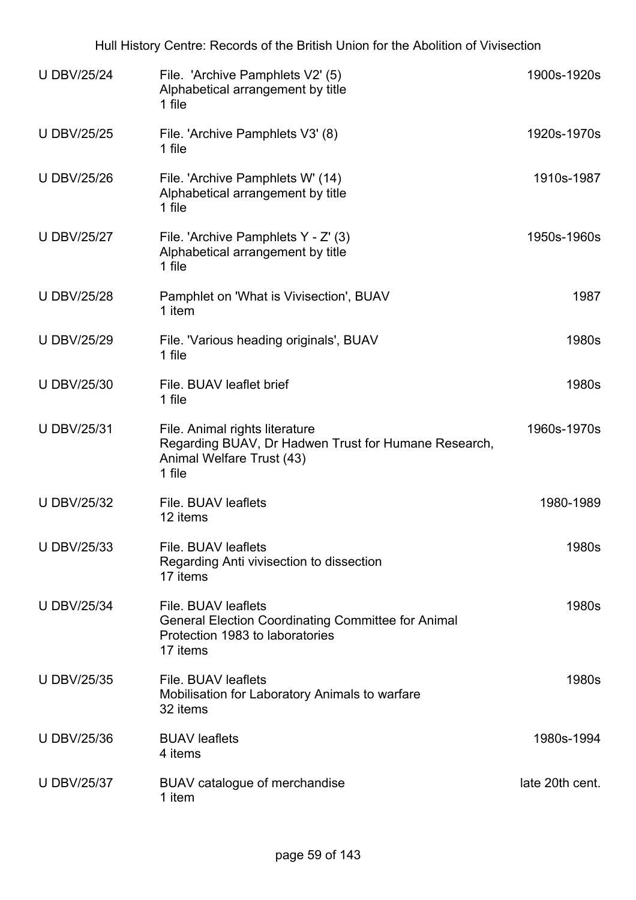| <b>U DBV/25/24</b> | File. 'Archive Pamphlets V2' (5)<br>Alphabetical arrangement by title<br>1 file                                                 | 1900s-1920s     |
|--------------------|---------------------------------------------------------------------------------------------------------------------------------|-----------------|
| <b>U DBV/25/25</b> | File. 'Archive Pamphlets V3' (8)<br>1 file                                                                                      | 1920s-1970s     |
| <b>U DBV/25/26</b> | File. 'Archive Pamphlets W' (14)<br>Alphabetical arrangement by title<br>1 file                                                 | 1910s-1987      |
| <b>U DBV/25/27</b> | File. 'Archive Pamphlets Y - Z' (3)<br>Alphabetical arrangement by title<br>1 file                                              | 1950s-1960s     |
| <b>U DBV/25/28</b> | Pamphlet on 'What is Vivisection', BUAV<br>1 item                                                                               | 1987            |
| <b>U DBV/25/29</b> | File. 'Various heading originals', BUAV<br>1 file                                                                               | 1980s           |
| <b>U DBV/25/30</b> | File, BUAV leaflet brief<br>1 file                                                                                              | 1980s           |
| <b>U DBV/25/31</b> | File. Animal rights literature<br>Regarding BUAV, Dr Hadwen Trust for Humane Research,<br>Animal Welfare Trust (43)<br>1 file   | 1960s-1970s     |
| <b>U DBV/25/32</b> | File. BUAV leaflets<br>12 items                                                                                                 | 1980-1989       |
| <b>U DBV/25/33</b> | File. BUAV leaflets<br>Regarding Anti vivisection to dissection<br>17 items                                                     | 1980s           |
| <b>U DBV/25/34</b> | File. BUAV leaflets<br><b>General Election Coordinating Committee for Animal</b><br>Protection 1983 to laboratories<br>17 items | 1980s           |
| <b>U DBV/25/35</b> | File. BUAV leaflets<br>Mobilisation for Laboratory Animals to warfare<br>32 items                                               | 1980s           |
| <b>U DBV/25/36</b> | <b>BUAV</b> leaflets<br>4 items                                                                                                 | 1980s-1994      |
| <b>U DBV/25/37</b> | BUAV catalogue of merchandise<br>1 item                                                                                         | late 20th cent. |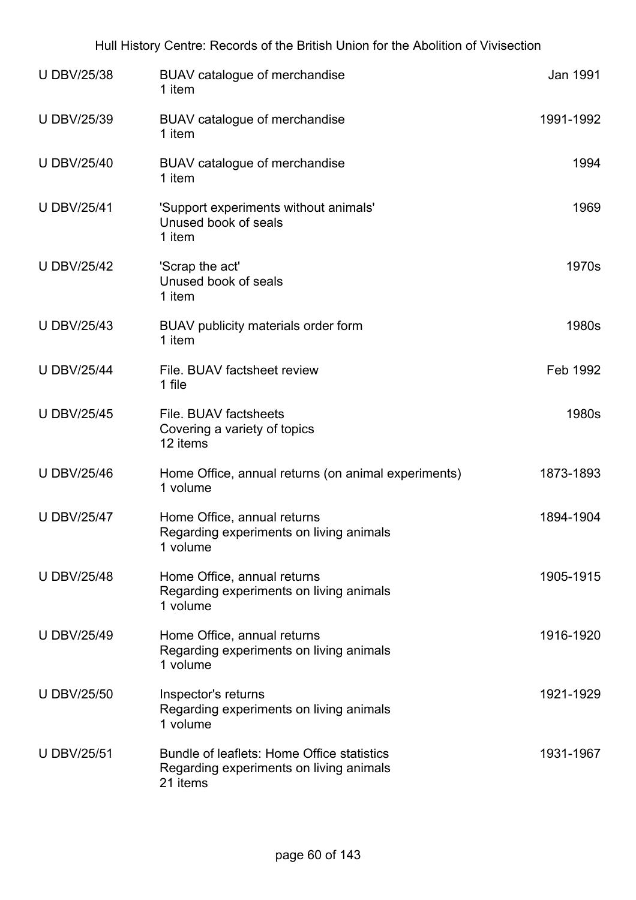| <b>U DBV/25/38</b> | BUAV catalogue of merchandise<br>1 item                                                           | Jan 1991  |
|--------------------|---------------------------------------------------------------------------------------------------|-----------|
| <b>U DBV/25/39</b> | BUAV catalogue of merchandise<br>1 item                                                           | 1991-1992 |
| <b>U DBV/25/40</b> | BUAV catalogue of merchandise<br>1 item                                                           | 1994      |
| <b>U DBV/25/41</b> | 'Support experiments without animals'<br>Unused book of seals<br>1 item                           | 1969      |
| <b>U DBV/25/42</b> | 'Scrap the act'<br>Unused book of seals<br>1 item                                                 | 1970s     |
| <b>U DBV/25/43</b> | BUAV publicity materials order form<br>1 item                                                     | 1980s     |
| <b>U DBV/25/44</b> | File. BUAV factsheet review<br>1 file                                                             | Feb 1992  |
| <b>U DBV/25/45</b> | File. BUAV factsheets<br>Covering a variety of topics<br>12 items                                 | 1980s     |
| <b>U DBV/25/46</b> | Home Office, annual returns (on animal experiments)<br>1 volume                                   | 1873-1893 |
| <b>U DBV/25/47</b> | Home Office, annual returns<br>Regarding experiments on living animals<br>1 volume                | 1894-1904 |
| <b>U DBV/25/48</b> | Home Office, annual returns<br>Regarding experiments on living animals<br>1 volume                | 1905-1915 |
| <b>U DBV/25/49</b> | Home Office, annual returns<br>Regarding experiments on living animals<br>1 volume                | 1916-1920 |
| <b>U DBV/25/50</b> | Inspector's returns<br>Regarding experiments on living animals<br>1 volume                        | 1921-1929 |
| <b>U DBV/25/51</b> | Bundle of leaflets: Home Office statistics<br>Regarding experiments on living animals<br>21 items | 1931-1967 |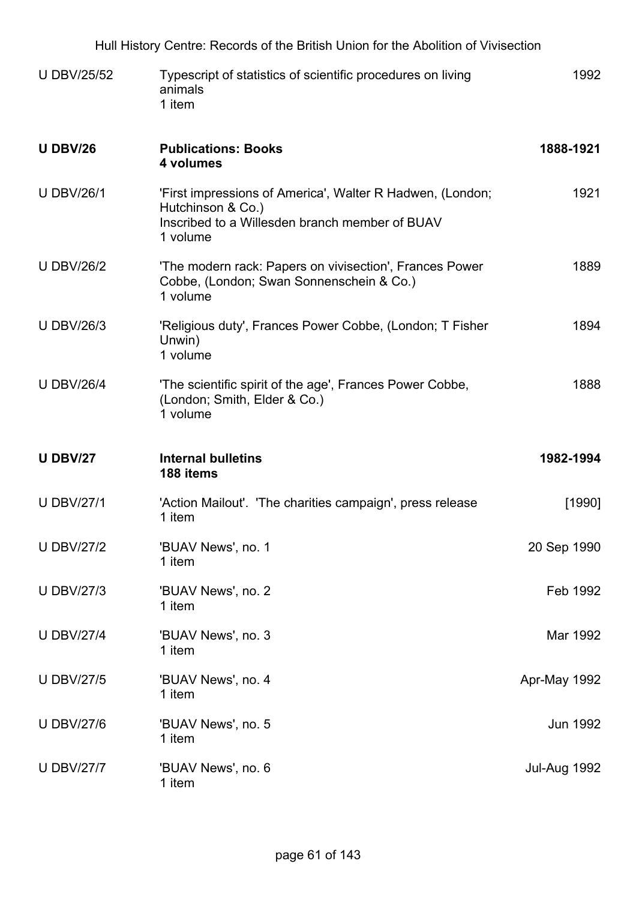| Hull History Centre: Records of the British Union for the Abolition of Vivisection |                                                                                                                                              |              |
|------------------------------------------------------------------------------------|----------------------------------------------------------------------------------------------------------------------------------------------|--------------|
| <b>U DBV/25/52</b>                                                                 | Typescript of statistics of scientific procedures on living<br>animals<br>1 item                                                             | 1992         |
| <b>U DBV/26</b>                                                                    | <b>Publications: Books</b><br>4 volumes                                                                                                      | 1888-1921    |
| <b>U DBV/26/1</b>                                                                  | 'First impressions of America', Walter R Hadwen, (London;<br>Hutchinson & Co.)<br>Inscribed to a Willesden branch member of BUAV<br>1 volume | 1921         |
| <b>U DBV/26/2</b>                                                                  | 'The modern rack: Papers on vivisection', Frances Power<br>Cobbe, (London; Swan Sonnenschein & Co.)<br>1 volume                              | 1889         |
| <b>U DBV/26/3</b>                                                                  | 'Religious duty', Frances Power Cobbe, (London; T Fisher<br>Unwin)<br>1 volume                                                               | 1894         |
| <b>U DBV/26/4</b>                                                                  | 'The scientific spirit of the age', Frances Power Cobbe,<br>(London; Smith, Elder & Co.)<br>1 volume                                         | 1888         |
| <b>U DBV/27</b>                                                                    | <b>Internal bulletins</b><br>188 items                                                                                                       | 1982-1994    |
| <b>U DBV/27/1</b>                                                                  | 'Action Mailout'. 'The charities campaign', press release<br>1 item                                                                          | [1990]       |
| <b>U DBV/27/2</b>                                                                  | 'BUAV News', no. 1<br>1 item                                                                                                                 | 20 Sep 1990  |
| <b>U DBV/27/3</b>                                                                  | 'BUAV News', no. 2<br>1 item                                                                                                                 | Feb 1992     |
| <b>U DBV/27/4</b>                                                                  | 'BUAV News', no. 3<br>1 item                                                                                                                 | Mar 1992     |
| <b>U DBV/27/5</b>                                                                  | 'BUAV News', no. 4<br>1 item                                                                                                                 | Apr-May 1992 |
| <b>U DBV/27/6</b>                                                                  | 'BUAV News', no. 5<br>1 item                                                                                                                 | Jun 1992     |
| <b>U DBV/27/7</b>                                                                  | 'BUAV News', no. 6<br>1 item                                                                                                                 | Jul-Aug 1992 |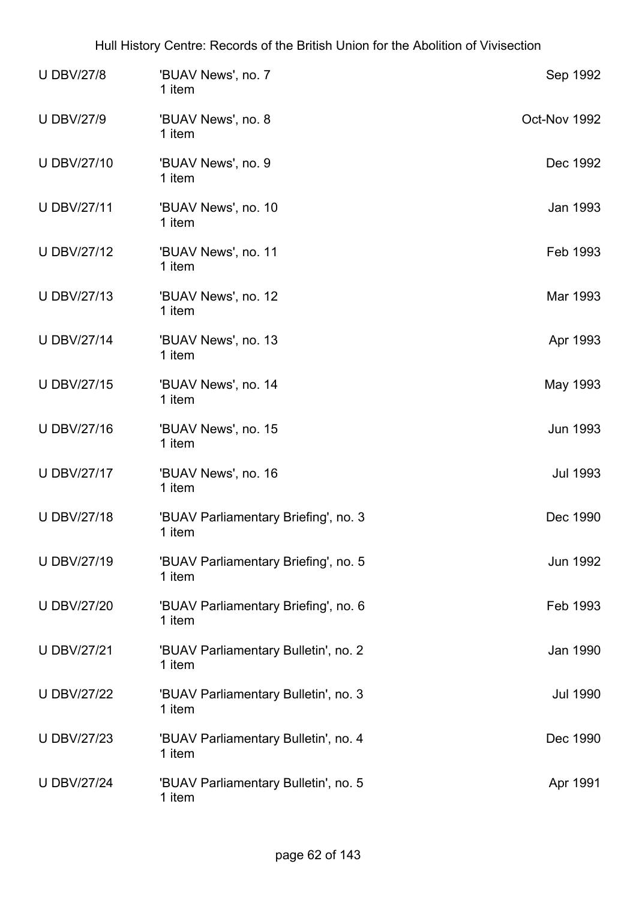| <b>U DBV/27/8</b>  | 'BUAV News', no. 7<br>1 item                   | Sep 1992        |
|--------------------|------------------------------------------------|-----------------|
| <b>U DBV/27/9</b>  | 'BUAV News', no. 8<br>1 item                   | Oct-Nov 1992    |
| U DBV/27/10        | 'BUAV News', no. 9<br>1 item                   | Dec 1992        |
| <b>U DBV/27/11</b> | 'BUAV News', no. 10<br>1 item                  | Jan 1993        |
| <b>U DBV/27/12</b> | 'BUAV News', no. 11<br>1 item                  | Feb 1993        |
| <b>U DBV/27/13</b> | 'BUAV News', no. 12<br>1 item                  | Mar 1993        |
| <b>U DBV/27/14</b> | 'BUAV News', no. 13<br>1 item                  | Apr 1993        |
| <b>U DBV/27/15</b> | 'BUAV News', no. 14<br>1 item                  | May 1993        |
| <b>UDBV/27/16</b>  | 'BUAV News', no. 15<br>1 item                  | <b>Jun 1993</b> |
| <b>U DBV/27/17</b> | 'BUAV News', no. 16<br>1 item                  | <b>Jul 1993</b> |
| <b>UDBV/27/18</b>  | 'BUAV Parliamentary Briefing', no. 3<br>1 item | Dec 1990        |
| <b>UDBV/27/19</b>  | 'BUAV Parliamentary Briefing', no. 5<br>1 item | <b>Jun 1992</b> |
| <b>U DBV/27/20</b> | 'BUAV Parliamentary Briefing', no. 6<br>1 item | Feb 1993        |
| <b>U DBV/27/21</b> | 'BUAV Parliamentary Bulletin', no. 2<br>1 item | Jan 1990        |
| <b>U DBV/27/22</b> | 'BUAV Parliamentary Bulletin', no. 3<br>1 item | <b>Jul 1990</b> |
| <b>U DBV/27/23</b> | 'BUAV Parliamentary Bulletin', no. 4<br>1 item | Dec 1990        |
| <b>U DBV/27/24</b> | 'BUAV Parliamentary Bulletin', no. 5<br>1 item | Apr 1991        |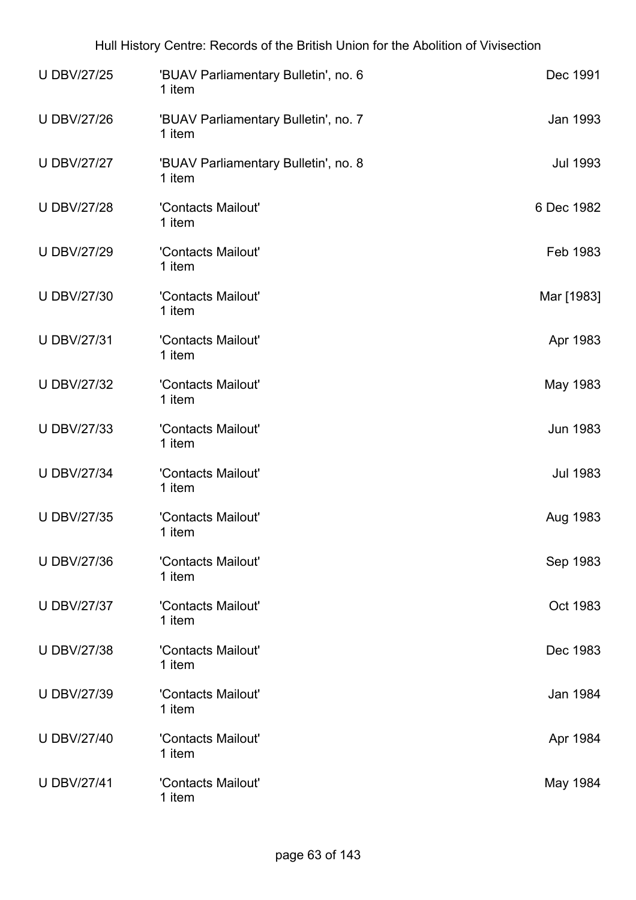| <b>U DBV/27/25</b> | 'BUAV Parliamentary Bulletin', no. 6<br>1 item | Dec 1991        |
|--------------------|------------------------------------------------|-----------------|
| <b>U DBV/27/26</b> | 'BUAV Parliamentary Bulletin', no. 7<br>1 item | Jan 1993        |
| <b>U DBV/27/27</b> | 'BUAV Parliamentary Bulletin', no. 8<br>1 item | <b>Jul 1993</b> |
| <b>U DBV/27/28</b> | 'Contacts Mailout'<br>1 item                   | 6 Dec 1982      |
| <b>U DBV/27/29</b> | 'Contacts Mailout'<br>1 item                   | Feb 1983        |
| <b>U DBV/27/30</b> | 'Contacts Mailout'<br>1 item                   | Mar [1983]      |
| <b>U DBV/27/31</b> | 'Contacts Mailout'<br>1 item                   | Apr 1983        |
| <b>U DBV/27/32</b> | 'Contacts Mailout'<br>1 item                   | May 1983        |
| <b>U DBV/27/33</b> | 'Contacts Mailout'<br>1 item                   | Jun 1983        |
| <b>U DBV/27/34</b> | 'Contacts Mailout'<br>1 item                   | <b>Jul 1983</b> |
| <b>U DBV/27/35</b> | 'Contacts Mailout'<br>1 item                   | Aug 1983        |
| <b>U DBV/27/36</b> | 'Contacts Mailout'<br>1 item                   | Sep 1983        |
| <b>U DBV/27/37</b> | 'Contacts Mailout'<br>1 item                   | Oct 1983        |
| <b>U DBV/27/38</b> | 'Contacts Mailout'<br>1 item                   | Dec 1983        |
| <b>U DBV/27/39</b> | 'Contacts Mailout'<br>1 item                   | Jan 1984        |
| <b>U DBV/27/40</b> | 'Contacts Mailout'<br>1 item                   | Apr 1984        |
| <b>U DBV/27/41</b> | 'Contacts Mailout'<br>1 item                   | May 1984        |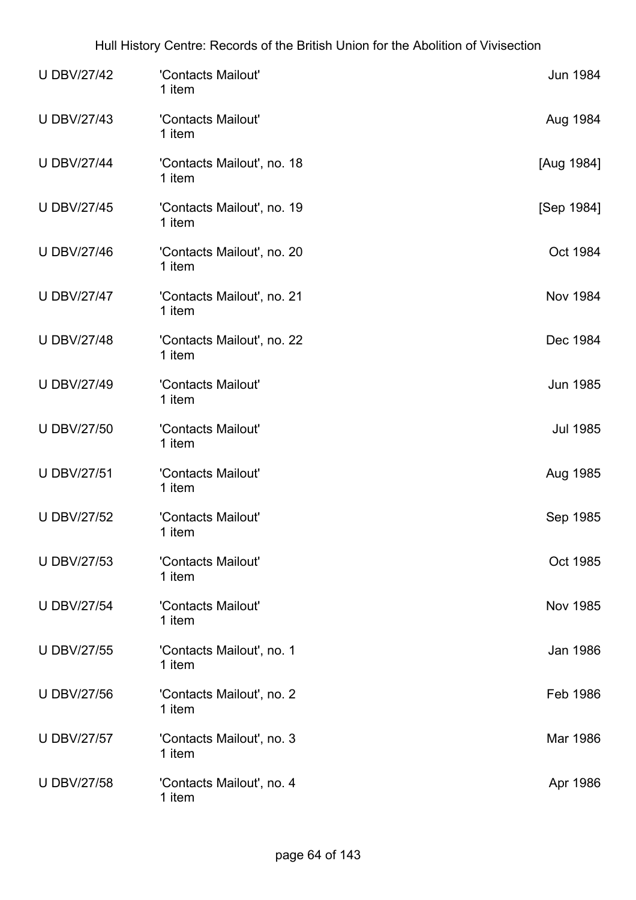| <b>U DBV/27/42</b> | 'Contacts Mailout'<br>1 item         | <b>Jun 1984</b> |
|--------------------|--------------------------------------|-----------------|
| <b>U DBV/27/43</b> | 'Contacts Mailout'<br>1 item         | Aug 1984        |
| <b>U DBV/27/44</b> | 'Contacts Mailout', no. 18<br>1 item | [Aug 1984]      |
| <b>U DBV/27/45</b> | 'Contacts Mailout', no. 19<br>1 item | [Sep 1984]      |
| <b>U DBV/27/46</b> | 'Contacts Mailout', no. 20<br>1 item | Oct 1984        |
| <b>U DBV/27/47</b> | 'Contacts Mailout', no. 21<br>1 item | <b>Nov 1984</b> |
| <b>U DBV/27/48</b> | 'Contacts Mailout', no. 22<br>1 item | Dec 1984        |
| <b>U DBV/27/49</b> | 'Contacts Mailout'<br>1 item         | <b>Jun 1985</b> |
| <b>U DBV/27/50</b> | 'Contacts Mailout'<br>1 item         | <b>Jul 1985</b> |
| <b>U DBV/27/51</b> | 'Contacts Mailout'<br>1 item         | Aug 1985        |
| <b>U DBV/27/52</b> | 'Contacts Mailout'<br>1 item         | Sep 1985        |
| <b>U DBV/27/53</b> | 'Contacts Mailout'<br>1 item         | Oct 1985        |
| <b>U DBV/27/54</b> | 'Contacts Mailout'<br>1 item         | <b>Nov 1985</b> |
| <b>U DBV/27/55</b> | 'Contacts Mailout', no. 1<br>1 item  | Jan 1986        |
| <b>U DBV/27/56</b> | 'Contacts Mailout', no. 2<br>1 item  | Feb 1986        |
| <b>U DBV/27/57</b> | 'Contacts Mailout', no. 3<br>1 item  | Mar 1986        |
| <b>U DBV/27/58</b> | 'Contacts Mailout', no. 4<br>1 item  | Apr 1986        |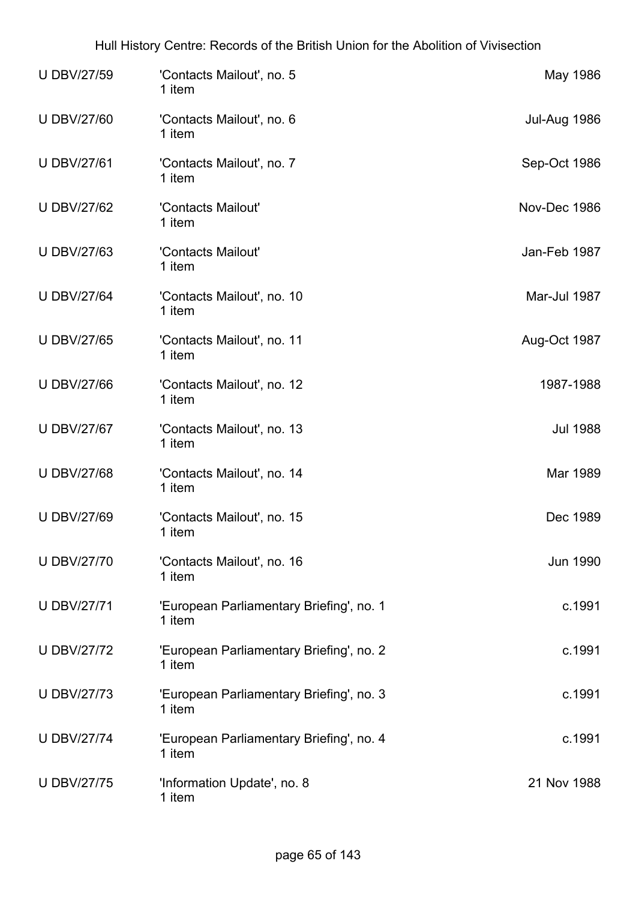| <b>U DBV/27/59</b> | 'Contacts Mailout', no. 5<br>1 item                | May 1986        |
|--------------------|----------------------------------------------------|-----------------|
| <b>U DBV/27/60</b> | 'Contacts Mailout', no. 6<br>1 item                | Jul-Aug 1986    |
| <b>U DBV/27/61</b> | 'Contacts Mailout', no. 7<br>1 item                | Sep-Oct 1986    |
| <b>U DBV/27/62</b> | 'Contacts Mailout'<br>1 item                       | Nov-Dec 1986    |
| <b>U DBV/27/63</b> | 'Contacts Mailout'<br>1 item                       | Jan-Feb 1987    |
| <b>U DBV/27/64</b> | 'Contacts Mailout', no. 10<br>1 item               | Mar-Jul 1987    |
| <b>U DBV/27/65</b> | 'Contacts Mailout', no. 11<br>1 item               | Aug-Oct 1987    |
| <b>U DBV/27/66</b> | 'Contacts Mailout', no. 12<br>1 item               | 1987-1988       |
| <b>U DBV/27/67</b> | 'Contacts Mailout', no. 13<br>1 item               | <b>Jul 1988</b> |
| <b>U DBV/27/68</b> | 'Contacts Mailout', no. 14<br>1 item               | Mar 1989        |
| <b>U DBV/27/69</b> | 'Contacts Mailout', no. 15<br>1 item               | Dec 1989        |
| <b>U DBV/27/70</b> | 'Contacts Mailout', no. 16<br>1 item               | <b>Jun 1990</b> |
| <b>U DBV/27/71</b> | 'European Parliamentary Briefing', no. 1<br>1 item | c.1991          |
| <b>U DBV/27/72</b> | 'European Parliamentary Briefing', no. 2<br>1 item | c.1991          |
| <b>U DBV/27/73</b> | 'European Parliamentary Briefing', no. 3<br>1 item | c.1991          |
| <b>U DBV/27/74</b> | 'European Parliamentary Briefing', no. 4<br>1 item | c.1991          |
| <b>U DBV/27/75</b> | 'Information Update', no. 8<br>1 item              | 21 Nov 1988     |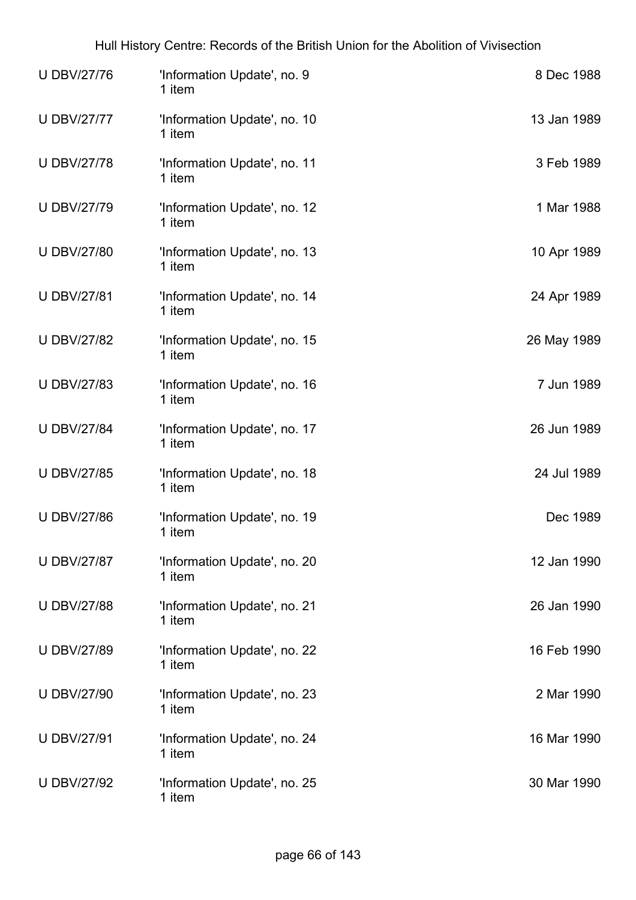| <b>UDBV/27/76</b>  | 'Information Update', no. 9<br>1 item  | 8 Dec 1988  |
|--------------------|----------------------------------------|-------------|
| <b>U DBV/27/77</b> | 'Information Update', no. 10<br>1 item | 13 Jan 1989 |
| <b>U DBV/27/78</b> | 'Information Update', no. 11<br>1 item | 3 Feb 1989  |
| <b>U DBV/27/79</b> | 'Information Update', no. 12<br>1 item | 1 Mar 1988  |
| <b>U DBV/27/80</b> | 'Information Update', no. 13<br>1 item | 10 Apr 1989 |
| <b>U DBV/27/81</b> | 'Information Update', no. 14<br>1 item | 24 Apr 1989 |
| <b>U DBV/27/82</b> | 'Information Update', no. 15<br>1 item | 26 May 1989 |
| <b>U DBV/27/83</b> | 'Information Update', no. 16<br>1 item | 7 Jun 1989  |
| <b>U DBV/27/84</b> | 'Information Update', no. 17<br>1 item | 26 Jun 1989 |
| <b>U DBV/27/85</b> | 'Information Update', no. 18<br>1 item | 24 Jul 1989 |
| <b>U DBV/27/86</b> | 'Information Update', no. 19<br>1 item | Dec 1989    |
| <b>U DBV/27/87</b> | 'Information Update', no. 20<br>1 item | 12 Jan 1990 |
| <b>U DBV/27/88</b> | 'Information Update', no. 21<br>1 item | 26 Jan 1990 |
| <b>U DBV/27/89</b> | 'Information Update', no. 22<br>1 item | 16 Feb 1990 |
| <b>U DBV/27/90</b> | 'Information Update', no. 23<br>1 item | 2 Mar 1990  |
| <b>U DBV/27/91</b> | 'Information Update', no. 24<br>1 item | 16 Mar 1990 |
| <b>U DBV/27/92</b> | 'Information Update', no. 25<br>1 item | 30 Mar 1990 |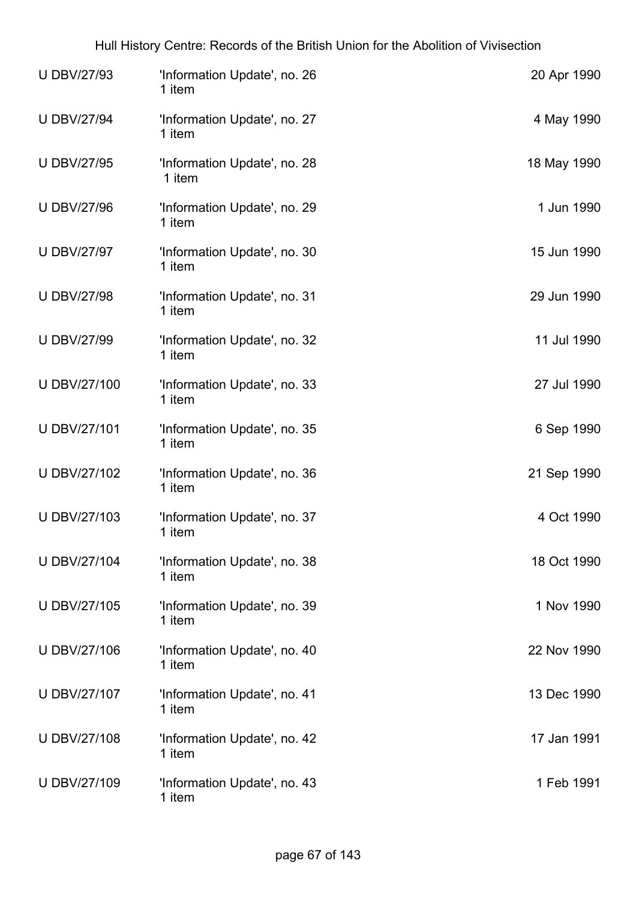| <b>U DBV/27/93</b>  | 'Information Update', no. 26<br>1 item | 20 Apr 1990 |
|---------------------|----------------------------------------|-------------|
| <b>U DBV/27/94</b>  | 'Information Update', no. 27<br>1 item | 4 May 1990  |
| <b>U DBV/27/95</b>  | 'Information Update', no. 28<br>1 item | 18 May 1990 |
| <b>U DBV/27/96</b>  | 'Information Update', no. 29<br>1 item | 1 Jun 1990  |
| <b>U DBV/27/97</b>  | 'Information Update', no. 30<br>1 item | 15 Jun 1990 |
| <b>U DBV/27/98</b>  | 'Information Update', no. 31<br>1 item | 29 Jun 1990 |
| <b>U DBV/27/99</b>  | 'Information Update', no. 32<br>1 item | 11 Jul 1990 |
| U DBV/27/100        | 'Information Update', no. 33<br>1 item | 27 Jul 1990 |
| <b>U DBV/27/101</b> | 'Information Update', no. 35<br>1 item | 6 Sep 1990  |
| U DBV/27/102        | 'Information Update', no. 36<br>1 item | 21 Sep 1990 |
| U DBV/27/103        | 'Information Update', no. 37<br>1 item | 4 Oct 1990  |
| <b>U DBV/27/104</b> | 'Information Update', no. 38<br>1 item | 18 Oct 1990 |
| <b>U DBV/27/105</b> | 'Information Update', no. 39<br>1 item | 1 Nov 1990  |
| <b>UDBV/27/106</b>  | 'Information Update', no. 40<br>1 item | 22 Nov 1990 |
| U DBV/27/107        | 'Information Update', no. 41<br>1 item | 13 Dec 1990 |
| <b>U DBV/27/108</b> | 'Information Update', no. 42<br>1 item | 17 Jan 1991 |
| U DBV/27/109        | 'Information Update', no. 43<br>1 item | 1 Feb 1991  |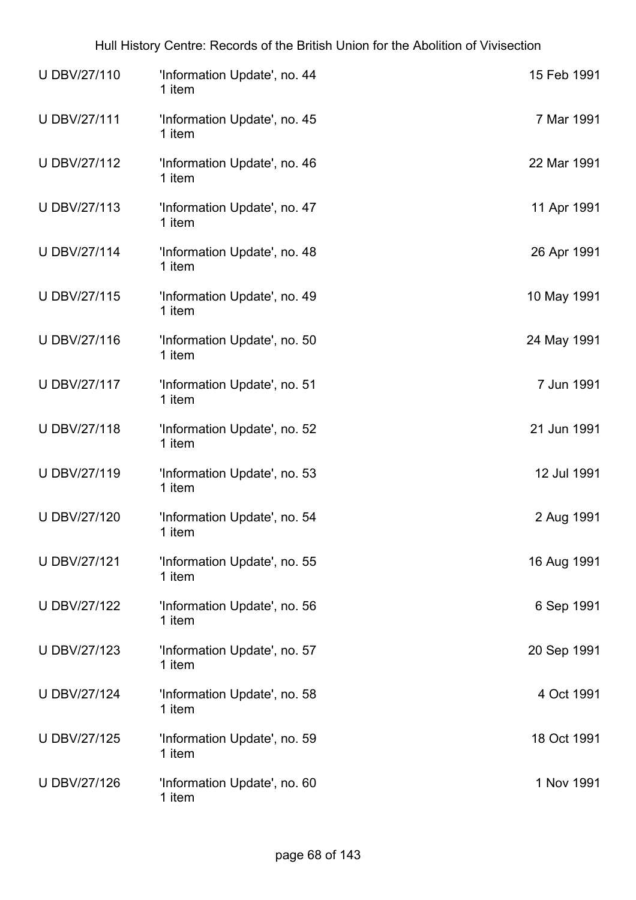| U DBV/27/110        | 'Information Update', no. 44<br>1 item | 15 Feb 1991 |
|---------------------|----------------------------------------|-------------|
| <b>UDBV/27/111</b>  | 'Information Update', no. 45<br>1 item | 7 Mar 1991  |
| U DBV/27/112        | 'Information Update', no. 46<br>1 item | 22 Mar 1991 |
| U DBV/27/113        | 'Information Update', no. 47<br>1 item | 11 Apr 1991 |
| <b>U DBV/27/114</b> | 'Information Update', no. 48<br>1 item | 26 Apr 1991 |
| U DBV/27/115        | 'Information Update', no. 49<br>1 item | 10 May 1991 |
| U DBV/27/116        | 'Information Update', no. 50<br>1 item | 24 May 1991 |
| U DBV/27/117        | 'Information Update', no. 51<br>1 item | 7 Jun 1991  |
| U DBV/27/118        | 'Information Update', no. 52<br>1 item | 21 Jun 1991 |
| U DBV/27/119        | 'Information Update', no. 53<br>1 item | 12 Jul 1991 |
| <b>U DBV/27/120</b> | 'Information Update', no. 54<br>1 item | 2 Aug 1991  |
| <b>U DBV/27/121</b> | 'Information Update', no. 55<br>1 item | 16 Aug 1991 |
| <b>U DBV/27/122</b> | 'Information Update', no. 56<br>1 item | 6 Sep 1991  |
| <b>U DBV/27/123</b> | 'Information Update', no. 57<br>1 item | 20 Sep 1991 |
| <b>U DBV/27/124</b> | 'Information Update', no. 58<br>1 item | 4 Oct 1991  |
| U DBV/27/125        | 'Information Update', no. 59<br>1 item | 18 Oct 1991 |
| <b>U DBV/27/126</b> | 'Information Update', no. 60<br>1 item | 1 Nov 1991  |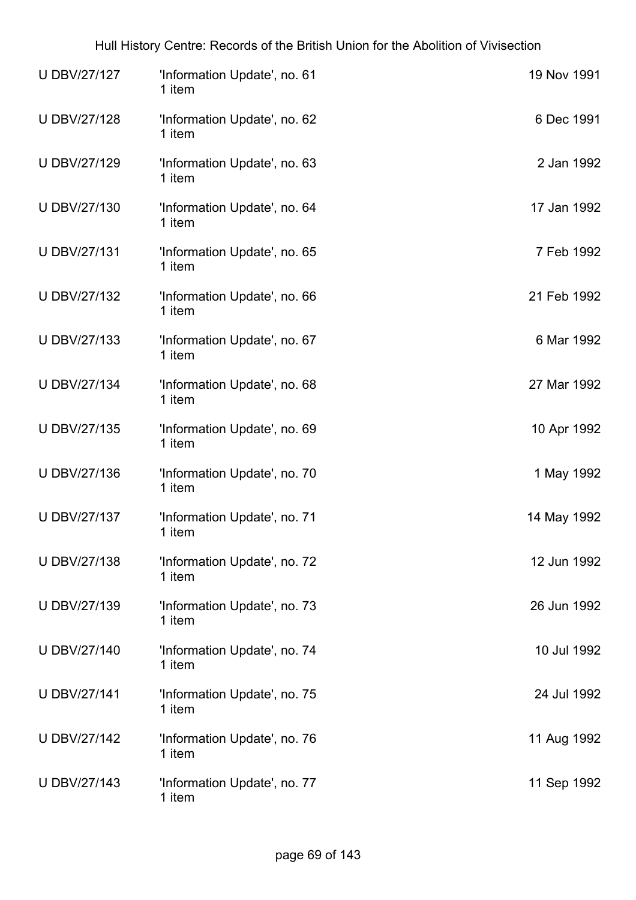| U DBV/27/127        | 'Information Update', no. 61<br>1 item | 19 Nov 1991 |
|---------------------|----------------------------------------|-------------|
| U DBV/27/128        | 'Information Update', no. 62<br>1 item | 6 Dec 1991  |
| U DBV/27/129        | 'Information Update', no. 63<br>1 item | 2 Jan 1992  |
| U DBV/27/130        | 'Information Update', no. 64<br>1 item | 17 Jan 1992 |
| U DBV/27/131        | 'Information Update', no. 65<br>1 item | 7 Feb 1992  |
| U DBV/27/132        | 'Information Update', no. 66<br>1 item | 21 Feb 1992 |
| U DBV/27/133        | 'Information Update', no. 67<br>1 item | 6 Mar 1992  |
| <b>U DBV/27/134</b> | 'Information Update', no. 68<br>1 item | 27 Mar 1992 |
| U DBV/27/135        | 'Information Update', no. 69<br>1 item | 10 Apr 1992 |
| U DBV/27/136        | 'Information Update', no. 70<br>1 item | 1 May 1992  |
| U DBV/27/137        | 'Information Update', no. 71<br>1 item | 14 May 1992 |
| U DBV/27/138        | 'Information Update', no. 72<br>1 item | 12 Jun 1992 |
| U DBV/27/139        | 'Information Update', no. 73<br>1 item | 26 Jun 1992 |
| U DBV/27/140        | 'Information Update', no. 74<br>1 item | 10 Jul 1992 |
| <b>U DBV/27/141</b> | 'Information Update', no. 75<br>1 item | 24 Jul 1992 |
| U DBV/27/142        | 'Information Update', no. 76<br>1 item | 11 Aug 1992 |
| U DBV/27/143        | 'Information Update', no. 77<br>1 item | 11 Sep 1992 |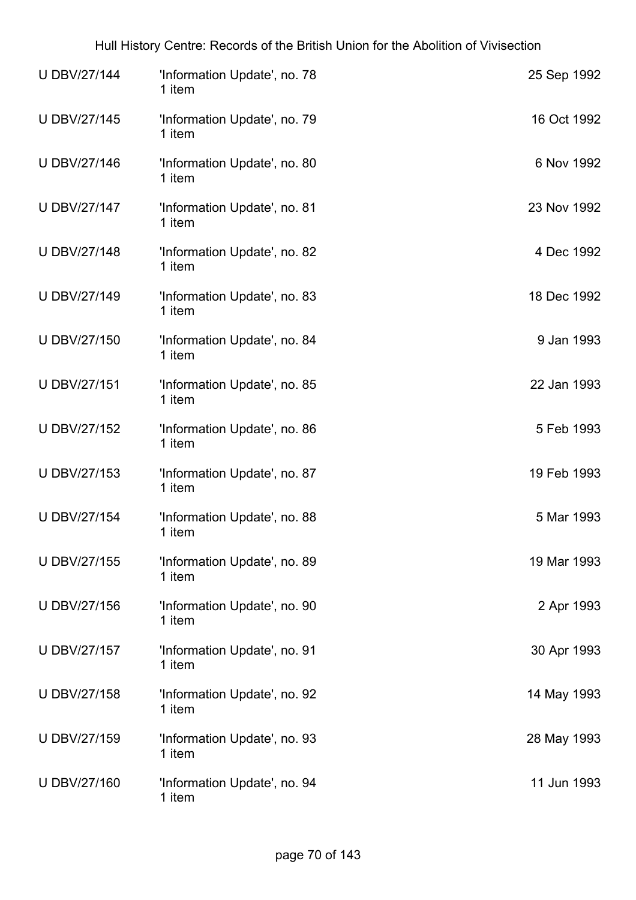| <b>U DBV/27/144</b> | 'Information Update', no. 78<br>1 item | 25 Sep 1992 |
|---------------------|----------------------------------------|-------------|
| U DBV/27/145        | 'Information Update', no. 79<br>1 item | 16 Oct 1992 |
| U DBV/27/146        | 'Information Update', no. 80<br>1 item | 6 Nov 1992  |
| U DBV/27/147        | 'Information Update', no. 81<br>1 item | 23 Nov 1992 |
| <b>U DBV/27/148</b> | 'Information Update', no. 82<br>1 item | 4 Dec 1992  |
| <b>U DBV/27/149</b> | 'Information Update', no. 83<br>1 item | 18 Dec 1992 |
| U DBV/27/150        | 'Information Update', no. 84<br>1 item | 9 Jan 1993  |
| U DBV/27/151        | 'Information Update', no. 85<br>1 item | 22 Jan 1993 |
| U DBV/27/152        | 'Information Update', no. 86<br>1 item | 5 Feb 1993  |
| U DBV/27/153        | 'Information Update', no. 87<br>1 item | 19 Feb 1993 |
| <b>U DBV/27/154</b> | 'Information Update', no. 88<br>1 item | 5 Mar 1993  |
| U DBV/27/155        | 'Information Update', no. 89<br>1 item | 19 Mar 1993 |
| U DBV/27/156        | 'Information Update', no. 90<br>1 item | 2 Apr 1993  |
| <b>U DBV/27/157</b> | 'Information Update', no. 91<br>1 item | 30 Apr 1993 |
| <b>U DBV/27/158</b> | 'Information Update', no. 92<br>1 item | 14 May 1993 |
| U DBV/27/159        | 'Information Update', no. 93<br>1 item | 28 May 1993 |
| U DBV/27/160        | 'Information Update', no. 94<br>1 item | 11 Jun 1993 |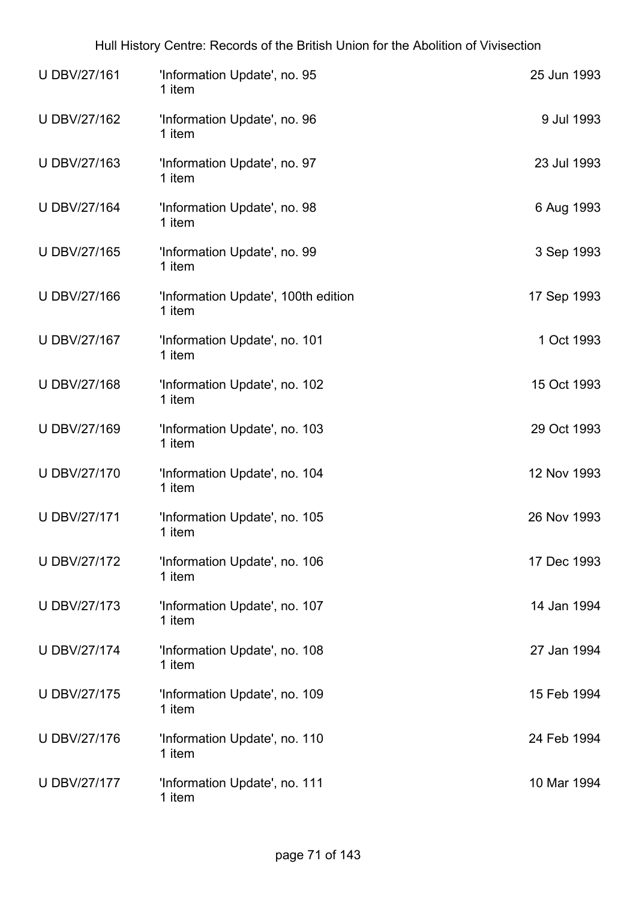| U DBV/27/161        | 'Information Update', no. 95<br>1 item        | 25 Jun 1993 |
|---------------------|-----------------------------------------------|-------------|
| U DBV/27/162        | 'Information Update', no. 96<br>1 item        | 9 Jul 1993  |
| U DBV/27/163        | 'Information Update', no. 97<br>1 item        | 23 Jul 1993 |
| <b>U DBV/27/164</b> | 'Information Update', no. 98<br>1 item        | 6 Aug 1993  |
| U DBV/27/165        | 'Information Update', no. 99<br>1 item        | 3 Sep 1993  |
| U DBV/27/166        | 'Information Update', 100th edition<br>1 item | 17 Sep 1993 |
| U DBV/27/167        | 'Information Update', no. 101<br>1 item       | 1 Oct 1993  |
| <b>UDBV/27/168</b>  | 'Information Update', no. 102<br>1 item       | 15 Oct 1993 |
| U DBV/27/169        | 'Information Update', no. 103<br>1 item       | 29 Oct 1993 |
| <b>U DBV/27/170</b> | 'Information Update', no. 104<br>1 item       | 12 Nov 1993 |
| <b>U DBV/27/171</b> | 'Information Update', no. 105<br>1 item       | 26 Nov 1993 |
| U DBV/27/172        | 'Information Update', no. 106<br>1 item       | 17 Dec 1993 |
| <b>U DBV/27/173</b> | 'Information Update', no. 107<br>1 item       | 14 Jan 1994 |
| <b>U DBV/27/174</b> | 'Information Update', no. 108<br>1 item       | 27 Jan 1994 |
| <b>U DBV/27/175</b> | 'Information Update', no. 109<br>1 item       | 15 Feb 1994 |
| <b>UDBV/27/176</b>  | 'Information Update', no. 110<br>1 item       | 24 Feb 1994 |
| <b>U DBV/27/177</b> | 'Information Update', no. 111<br>1 item       | 10 Mar 1994 |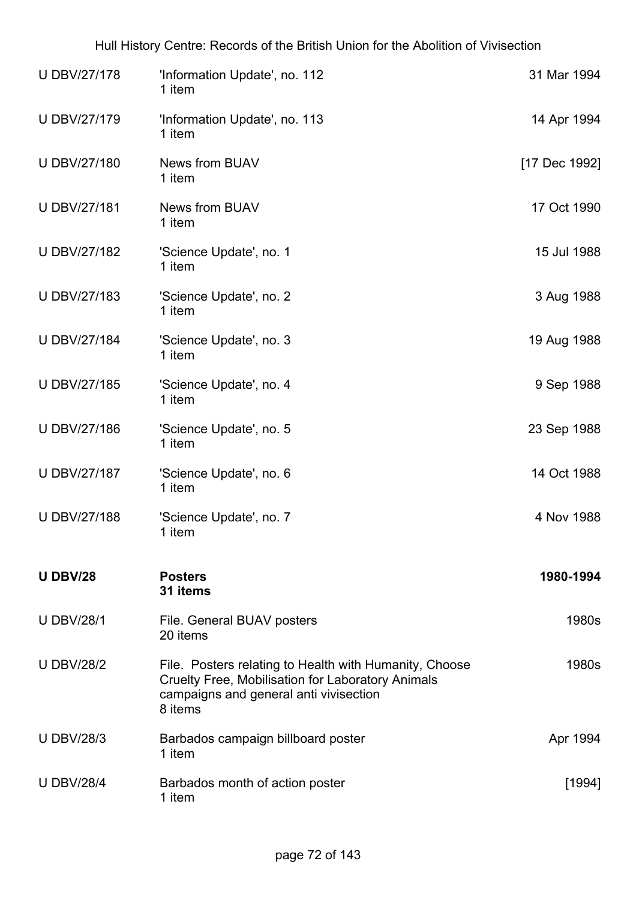| <b>UDBV/27/178</b>  | 'Information Update', no. 112<br>1 item                                                                                                                                 | 31 Mar 1994   |
|---------------------|-------------------------------------------------------------------------------------------------------------------------------------------------------------------------|---------------|
| U DBV/27/179        | 'Information Update', no. 113<br>1 item                                                                                                                                 | 14 Apr 1994   |
| <b>U DBV/27/180</b> | <b>News from BUAV</b><br>1 item                                                                                                                                         | [17 Dec 1992] |
| <b>UDBV/27/181</b>  | <b>News from BUAV</b><br>1 item                                                                                                                                         | 17 Oct 1990   |
| U DBV/27/182        | 'Science Update', no. 1<br>1 item                                                                                                                                       | 15 Jul 1988   |
| U DBV/27/183        | 'Science Update', no. 2<br>1 item                                                                                                                                       | 3 Aug 1988    |
| <b>U DBV/27/184</b> | 'Science Update', no. 3<br>1 item                                                                                                                                       | 19 Aug 1988   |
| U DBV/27/185        | 'Science Update', no. 4<br>1 item                                                                                                                                       | 9 Sep 1988    |
| U DBV/27/186        | 'Science Update', no. 5<br>1 item                                                                                                                                       | 23 Sep 1988   |
| <b>U DBV/27/187</b> | 'Science Update', no. 6<br>1 item                                                                                                                                       | 14 Oct 1988   |
| <b>U DBV/27/188</b> | 'Science Update', no. 7<br>1 item                                                                                                                                       | 4 Nov 1988    |
| <b>U DBV/28</b>     | <b>Posters</b><br>31 items                                                                                                                                              | 1980-1994     |
| <b>U DBV/28/1</b>   | File. General BUAV posters<br>20 items                                                                                                                                  | 1980s         |
| <b>U DBV/28/2</b>   | File. Posters relating to Health with Humanity, Choose<br><b>Cruelty Free, Mobilisation for Laboratory Animals</b><br>campaigns and general anti vivisection<br>8 items | 1980s         |
| <b>U DBV/28/3</b>   | Barbados campaign billboard poster<br>1 item                                                                                                                            | Apr 1994      |
| <b>U DBV/28/4</b>   | Barbados month of action poster<br>1 item                                                                                                                               | [1994]        |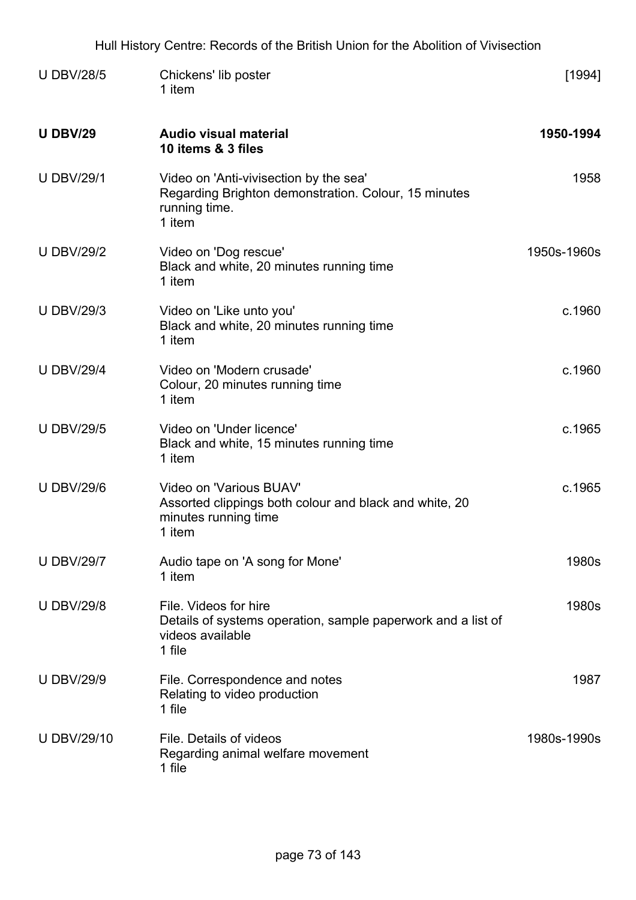| Hull History Centre: Records of the British Union for the Abolition of Vivisection |                                                                                                                           |             |
|------------------------------------------------------------------------------------|---------------------------------------------------------------------------------------------------------------------------|-------------|
| <b>U DBV/28/5</b>                                                                  | Chickens' lib poster<br>1 item                                                                                            | [1994]      |
| <b>U DBV/29</b>                                                                    | <b>Audio visual material</b><br>10 items & 3 files                                                                        | 1950-1994   |
| <b>U DBV/29/1</b>                                                                  | Video on 'Anti-vivisection by the sea'<br>Regarding Brighton demonstration. Colour, 15 minutes<br>running time.<br>1 item | 1958        |
| <b>U DBV/29/2</b>                                                                  | Video on 'Dog rescue'<br>Black and white, 20 minutes running time<br>1 item                                               | 1950s-1960s |
| <b>U DBV/29/3</b>                                                                  | Video on 'Like unto you'<br>Black and white, 20 minutes running time<br>1 item                                            | c.1960      |
| <b>U DBV/29/4</b>                                                                  | Video on 'Modern crusade'<br>Colour, 20 minutes running time<br>1 item                                                    | c.1960      |
| <b>U DBV/29/5</b>                                                                  | Video on 'Under licence'<br>Black and white, 15 minutes running time<br>1 item                                            | c.1965      |
| <b>U DBV/29/6</b>                                                                  | Video on 'Various BUAV'<br>Assorted clippings both colour and black and white, 20<br>minutes running time<br>1 item       | c.1965      |
| <b>U DBV/29/7</b>                                                                  | Audio tape on 'A song for Mone'<br>1 item                                                                                 | 1980s       |
| <b>U DBV/29/8</b>                                                                  | File. Videos for hire<br>Details of systems operation, sample paperwork and a list of<br>videos available<br>1 file       | 1980s       |
| <b>U DBV/29/9</b>                                                                  | File. Correspondence and notes<br>Relating to video production<br>1 file                                                  | 1987        |
| <b>U DBV/29/10</b>                                                                 | File. Details of videos<br>Regarding animal welfare movement<br>1 file                                                    | 1980s-1990s |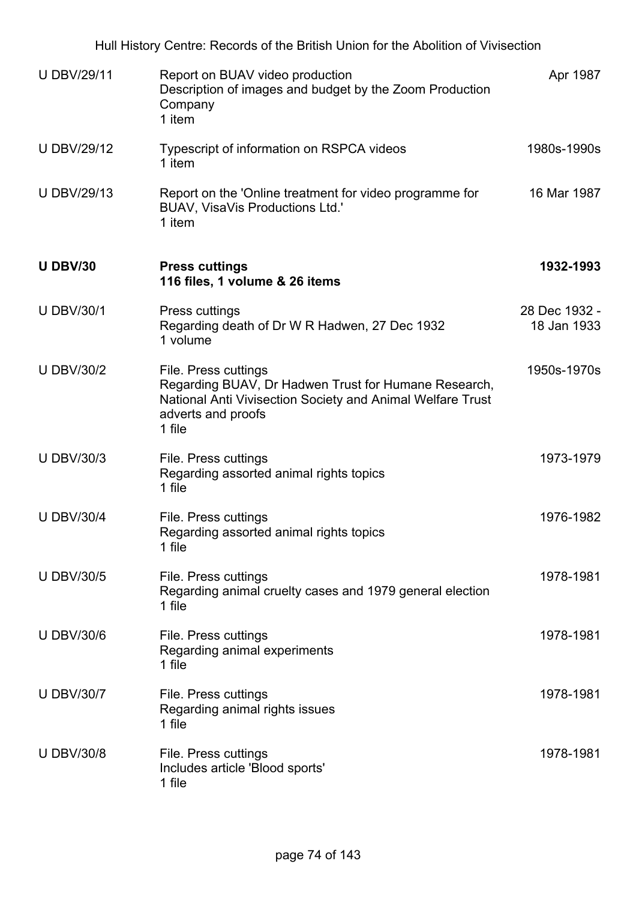Hull History Centre: Records of the British Union for the Abolition of Vivisection U DBV/29/11 Report on BUAV video production Description of images and budget by the Zoom Production **Company** 1 item Apr 1987 U DBV/29/12 Typescript of information on RSPCA videos 1 item 1980s-1990s U DBV/29/13 Report on the 'Online treatment for video programme for BUAV, VisaVis Productions Ltd.' 1 item 16 Mar 1987 **U DBV/30 Press cuttings 116 files, 1 volume & 26 items 1932-1993** U DBV/30/1 Press cuttings Regarding death of Dr W R Hadwen, 27 Dec 1932 1 volume 28 Dec 1932 - 18 Jan 1933 U DBV/30/2 File. Press cuttings Regarding BUAV, Dr Hadwen Trust for Humane Research, National Anti Vivisection Society and Animal Welfare Trust adverts and proofs 1 file 1950s-1970s U DBV/30/3 File. Press cuttings Regarding assorted animal rights topics 1 file 1973-1979 U DBV/30/4 File. Press cuttings Regarding assorted animal rights topics 1 file 1976-1982 U DBV/30/5 File. Press cuttings Regarding animal cruelty cases and 1979 general election 1 file 1978-1981 U DBV/30/6 File. Press cuttings Regarding animal experiments 1 file 1978-1981 U DBV/30/7 File. Press cuttings Regarding animal rights issues 1 file 1978-1981 U DBV/30/8 File. Press cuttings Includes article 'Blood sports' 1 file 1978-1981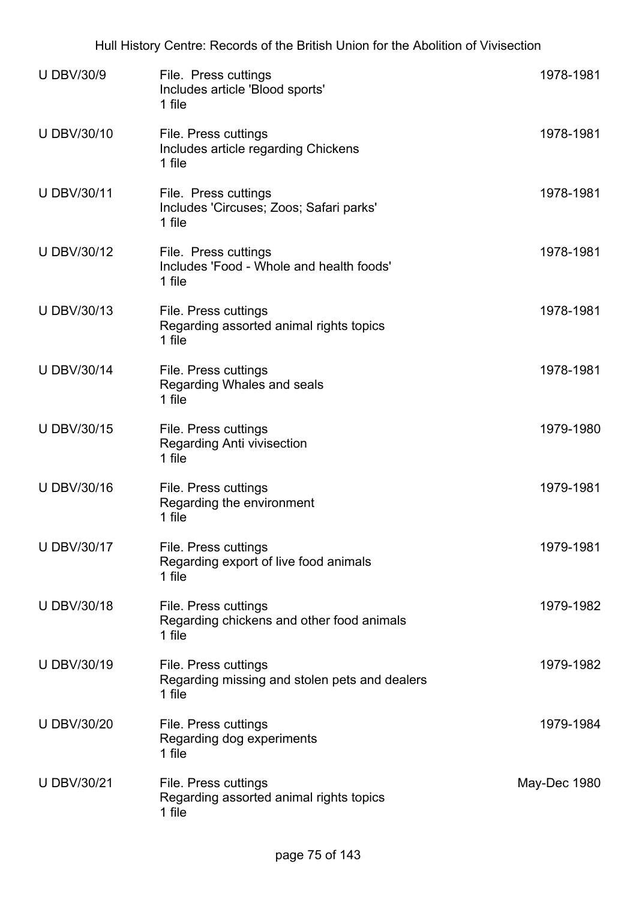| <b>U DBV/30/9</b>  | File. Press cuttings<br>Includes article 'Blood sports'<br>1 file               | 1978-1981    |
|--------------------|---------------------------------------------------------------------------------|--------------|
| U DBV/30/10        | File. Press cuttings<br>Includes article regarding Chickens<br>1 file           | 1978-1981    |
| <b>U DBV/30/11</b> | File. Press cuttings<br>Includes 'Circuses; Zoos; Safari parks'<br>1 file       | 1978-1981    |
| U DBV/30/12        | File. Press cuttings<br>Includes 'Food - Whole and health foods'<br>1 file      | 1978-1981    |
| U DBV/30/13        | File. Press cuttings<br>Regarding assorted animal rights topics<br>1 file       | 1978-1981    |
| <b>U DBV/30/14</b> | File. Press cuttings<br>Regarding Whales and seals<br>1 file                    | 1978-1981    |
| <b>U DBV/30/15</b> | File. Press cuttings<br>Regarding Anti vivisection<br>1 file                    | 1979-1980    |
| <b>U DBV/30/16</b> | File. Press cuttings<br>Regarding the environment<br>1 file                     | 1979-1981    |
| U DBV/30/17        | File. Press cuttings<br>Regarding export of live food animals<br>1 file         | 1979-1981    |
| <b>U DBV/30/18</b> | File. Press cuttings<br>Regarding chickens and other food animals<br>1 file     | 1979-1982    |
| U DBV/30/19        | File. Press cuttings<br>Regarding missing and stolen pets and dealers<br>1 file | 1979-1982    |
| <b>U DBV/30/20</b> | File. Press cuttings<br>Regarding dog experiments<br>1 file                     | 1979-1984    |
| <b>U DBV/30/21</b> | File. Press cuttings<br>Regarding assorted animal rights topics<br>1 file       | May-Dec 1980 |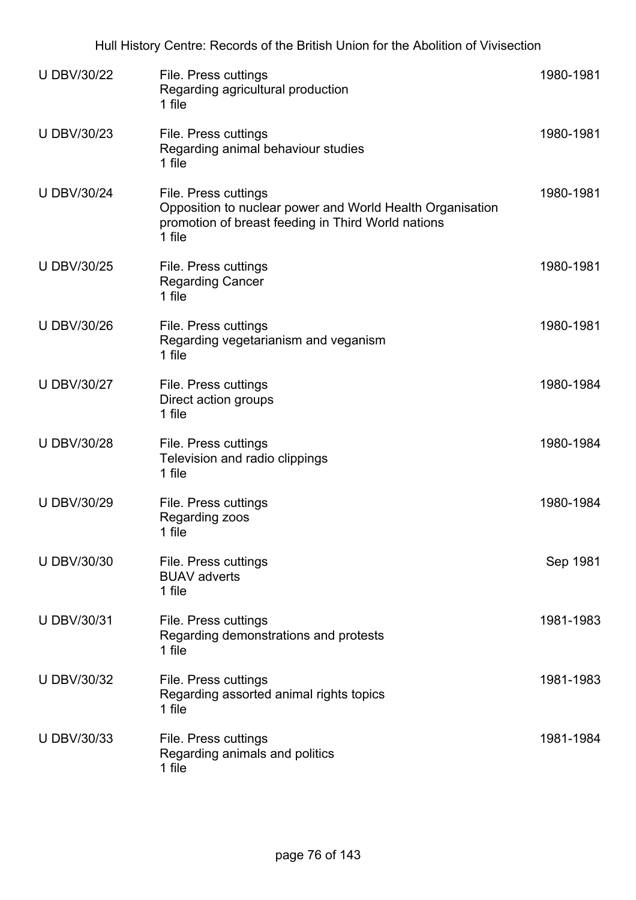| <b>U DBV/30/22</b> | File. Press cuttings<br>Regarding agricultural production<br>1 file                                                                               | 1980-1981 |
|--------------------|---------------------------------------------------------------------------------------------------------------------------------------------------|-----------|
| <b>U DBV/30/23</b> | File. Press cuttings<br>Regarding animal behaviour studies<br>1 file                                                                              | 1980-1981 |
| <b>U DBV/30/24</b> | File. Press cuttings<br>Opposition to nuclear power and World Health Organisation<br>promotion of breast feeding in Third World nations<br>1 file | 1980-1981 |
| <b>U DBV/30/25</b> | File. Press cuttings<br><b>Regarding Cancer</b><br>1 file                                                                                         | 1980-1981 |
| <b>U DBV/30/26</b> | File. Press cuttings<br>Regarding vegetarianism and veganism<br>1 file                                                                            | 1980-1981 |
| <b>U DBV/30/27</b> | File. Press cuttings<br>Direct action groups<br>1 file                                                                                            | 1980-1984 |
| <b>U DBV/30/28</b> | File. Press cuttings<br>Television and radio clippings<br>1 file                                                                                  | 1980-1984 |
| <b>U DBV/30/29</b> | File. Press cuttings<br>Regarding zoos<br>1 file                                                                                                  | 1980-1984 |
| U DBV/30/30        | File. Press cuttings<br><b>BUAV</b> adverts<br>1 file                                                                                             | Sep 1981  |
| <b>U DBV/30/31</b> | File. Press cuttings<br>Regarding demonstrations and protests<br>1 file                                                                           | 1981-1983 |
| <b>U DBV/30/32</b> | File. Press cuttings<br>Regarding assorted animal rights topics<br>1 file                                                                         | 1981-1983 |
| <b>U DBV/30/33</b> | File. Press cuttings<br>Regarding animals and politics<br>1 file                                                                                  | 1981-1984 |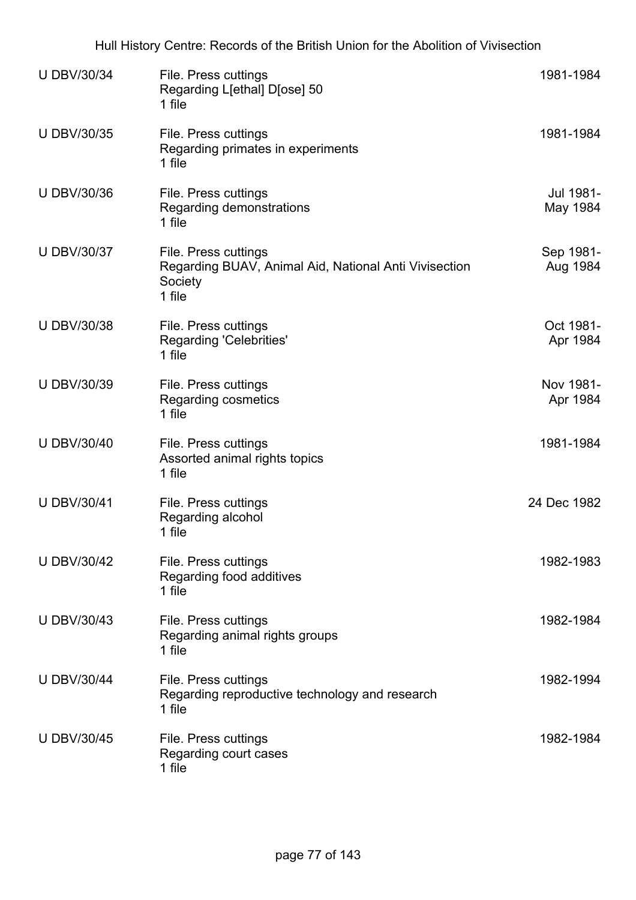| <b>U DBV/30/34</b> | File. Press cuttings<br>Regarding L[ethal] D[ose] 50<br>1 file                                     | 1981-1984             |
|--------------------|----------------------------------------------------------------------------------------------------|-----------------------|
| <b>U DBV/30/35</b> | File. Press cuttings<br>Regarding primates in experiments<br>1 file                                | 1981-1984             |
| <b>U DBV/30/36</b> | File. Press cuttings<br>Regarding demonstrations<br>1 file                                         | Jul 1981-<br>May 1984 |
| <b>U DBV/30/37</b> | File. Press cuttings<br>Regarding BUAV, Animal Aid, National Anti Vivisection<br>Society<br>1 file | Sep 1981-<br>Aug 1984 |
| <b>U DBV/30/38</b> | File. Press cuttings<br><b>Regarding 'Celebrities'</b><br>1 file                                   | Oct 1981-<br>Apr 1984 |
| <b>U DBV/30/39</b> | File. Press cuttings<br>Regarding cosmetics<br>1 file                                              | Nov 1981-<br>Apr 1984 |
| <b>U DBV/30/40</b> | File. Press cuttings<br>Assorted animal rights topics<br>1 file                                    | 1981-1984             |
| <b>U DBV/30/41</b> | File. Press cuttings<br>Regarding alcohol<br>1 file                                                | 24 Dec 1982           |
| <b>U DBV/30/42</b> | File. Press cuttings<br>Regarding food additives<br>1 file                                         | 1982-1983             |
| <b>U DBV/30/43</b> | File. Press cuttings<br>Regarding animal rights groups<br>1 file                                   | 1982-1984             |
| <b>U DBV/30/44</b> | File. Press cuttings<br>Regarding reproductive technology and research<br>1 file                   | 1982-1994             |
| <b>U DBV/30/45</b> | File. Press cuttings<br>Regarding court cases<br>1 file                                            | 1982-1984             |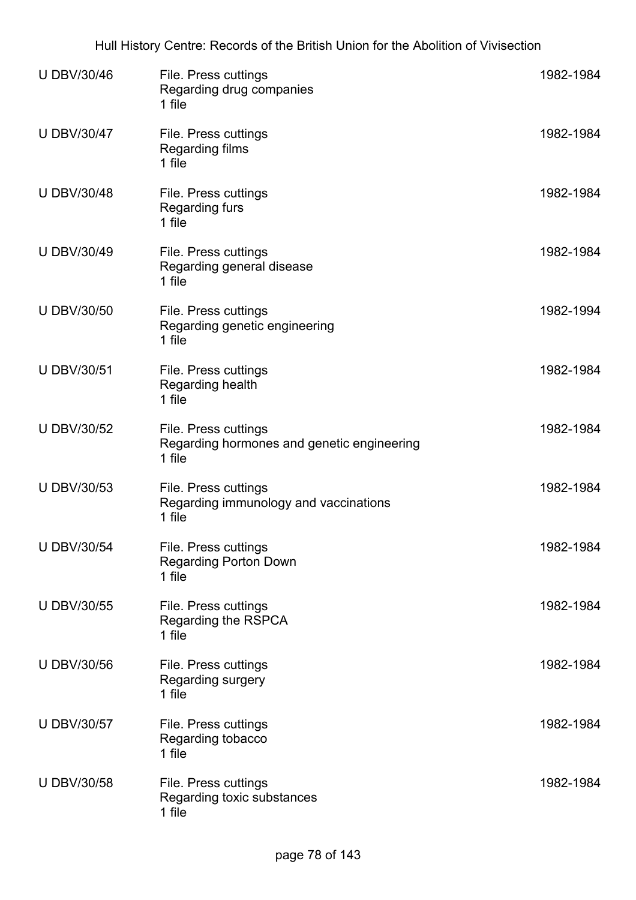| <b>U DBV/30/46</b> | File. Press cuttings<br>Regarding drug companies<br>1 file                   | 1982-1984 |
|--------------------|------------------------------------------------------------------------------|-----------|
| <b>U DBV/30/47</b> | File. Press cuttings<br><b>Regarding films</b><br>1 file                     | 1982-1984 |
| <b>U DBV/30/48</b> | File. Press cuttings<br><b>Regarding furs</b><br>1 file                      | 1982-1984 |
| U DBV/30/49        | File. Press cuttings<br>Regarding general disease<br>1 file                  | 1982-1984 |
| <b>U DBV/30/50</b> | File. Press cuttings<br>Regarding genetic engineering<br>1 file              | 1982-1994 |
| <b>U DBV/30/51</b> | File. Press cuttings<br>Regarding health<br>1 file                           | 1982-1984 |
| <b>U DBV/30/52</b> | File. Press cuttings<br>Regarding hormones and genetic engineering<br>1 file | 1982-1984 |
| <b>U DBV/30/53</b> | File. Press cuttings<br>Regarding immunology and vaccinations<br>1 file      | 1982-1984 |
| <b>U DBV/30/54</b> | File. Press cuttings<br><b>Regarding Porton Down</b><br>1 file               | 1982-1984 |
| U DBV/30/55        | File. Press cuttings<br>Regarding the RSPCA<br>1 file                        | 1982-1984 |
| <b>U DBV/30/56</b> | File. Press cuttings<br>Regarding surgery<br>1 file                          | 1982-1984 |
| <b>U DBV/30/57</b> | File. Press cuttings<br>Regarding tobacco<br>1 file                          | 1982-1984 |
| <b>U DBV/30/58</b> | File. Press cuttings<br>Regarding toxic substances<br>1 file                 | 1982-1984 |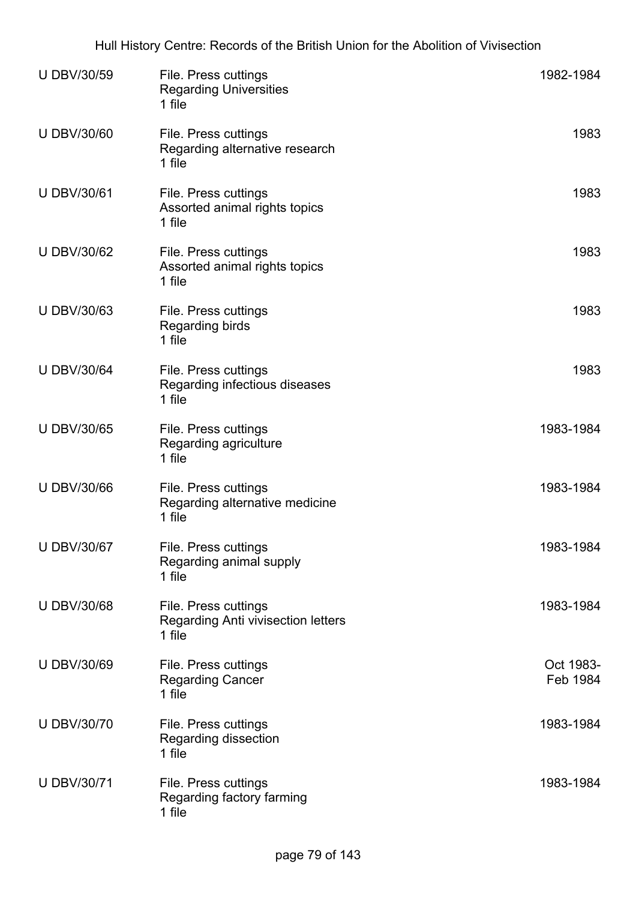| <b>U DBV/30/59</b> | File. Press cuttings<br><b>Regarding Universities</b><br>1 file      | 1982-1984             |
|--------------------|----------------------------------------------------------------------|-----------------------|
| <b>U DBV/30/60</b> | File. Press cuttings<br>Regarding alternative research<br>1 file     | 1983                  |
| <b>U DBV/30/61</b> | File. Press cuttings<br>Assorted animal rights topics<br>1 file      | 1983                  |
| <b>U DBV/30/62</b> | File. Press cuttings<br>Assorted animal rights topics<br>1 file      | 1983                  |
| U DBV/30/63        | File. Press cuttings<br><b>Regarding birds</b><br>1 file             | 1983                  |
| <b>U DBV/30/64</b> | File. Press cuttings<br>Regarding infectious diseases<br>1 file      | 1983                  |
| <b>U DBV/30/65</b> | File. Press cuttings<br>Regarding agriculture<br>1 file              | 1983-1984             |
| <b>U DBV/30/66</b> | File. Press cuttings<br>Regarding alternative medicine<br>1 file     | 1983-1984             |
| <b>U DBV/30/67</b> | File. Press cuttings<br>Regarding animal supply<br>1 file            | 1983-1984             |
| <b>U DBV/30/68</b> | File. Press cuttings<br>Regarding Anti vivisection letters<br>1 file | 1983-1984             |
| <b>U DBV/30/69</b> | File. Press cuttings<br><b>Regarding Cancer</b><br>1 file            | Oct 1983-<br>Feb 1984 |
| <b>U DBV/30/70</b> | File. Press cuttings<br>Regarding dissection<br>1 file               | 1983-1984             |
| <b>U DBV/30/71</b> | File. Press cuttings<br>Regarding factory farming<br>1 file          | 1983-1984             |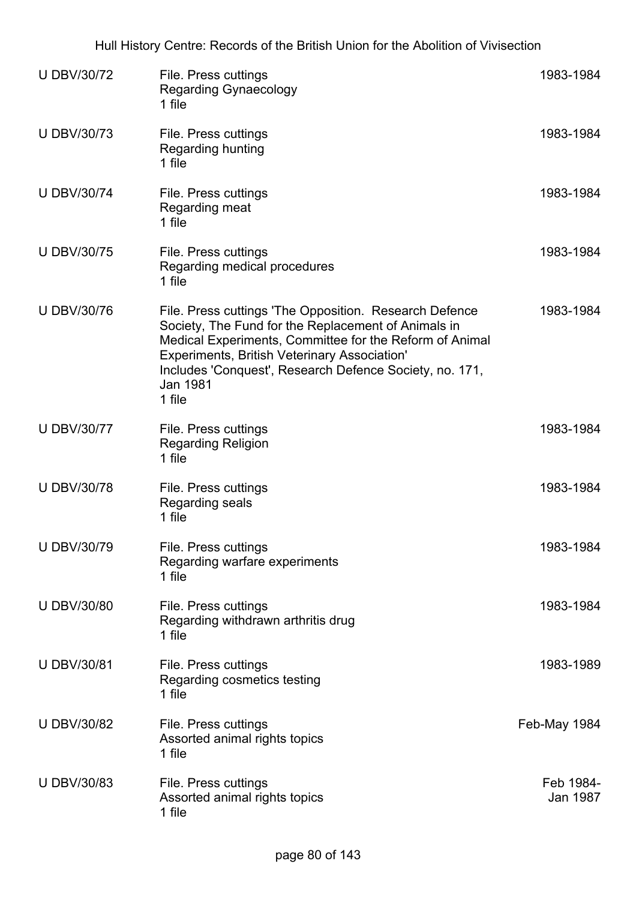| <b>U DBV/30/72</b> | File. Press cuttings<br><b>Regarding Gynaecology</b><br>1 file                                                                                                                                                                                                                                                   | 1983-1984             |
|--------------------|------------------------------------------------------------------------------------------------------------------------------------------------------------------------------------------------------------------------------------------------------------------------------------------------------------------|-----------------------|
| <b>UDBV/30/73</b>  | File. Press cuttings<br><b>Regarding hunting</b><br>1 file                                                                                                                                                                                                                                                       | 1983-1984             |
| <b>U DBV/30/74</b> | File. Press cuttings<br>Regarding meat<br>1 file                                                                                                                                                                                                                                                                 | 1983-1984             |
| <b>U DBV/30/75</b> | File. Press cuttings<br>Regarding medical procedures<br>1 file                                                                                                                                                                                                                                                   | 1983-1984             |
| <b>U DBV/30/76</b> | File. Press cuttings 'The Opposition. Research Defence<br>Society, The Fund for the Replacement of Animals in<br>Medical Experiments, Committee for the Reform of Animal<br><b>Experiments, British Veterinary Association'</b><br>Includes 'Conquest', Research Defence Society, no. 171,<br>Jan 1981<br>1 file | 1983-1984             |
| <b>U DBV/30/77</b> | File. Press cuttings<br><b>Regarding Religion</b><br>1 file                                                                                                                                                                                                                                                      | 1983-1984             |
| <b>U DBV/30/78</b> | File. Press cuttings<br>Regarding seals<br>1 file                                                                                                                                                                                                                                                                | 1983-1984             |
| <b>U DBV/30/79</b> | File. Press cuttings<br>Regarding warfare experiments<br>1 file                                                                                                                                                                                                                                                  | 1983-1984             |
| <b>U DBV/30/80</b> | File. Press cuttings<br>Regarding withdrawn arthritis drug<br>1 file                                                                                                                                                                                                                                             | 1983-1984             |
| <b>U DBV/30/81</b> | File. Press cuttings<br>Regarding cosmetics testing<br>1 file                                                                                                                                                                                                                                                    | 1983-1989             |
| <b>U DBV/30/82</b> | File. Press cuttings<br>Assorted animal rights topics<br>1 file                                                                                                                                                                                                                                                  | Feb-May 1984          |
| <b>U DBV/30/83</b> | File. Press cuttings<br>Assorted animal rights topics<br>1 file                                                                                                                                                                                                                                                  | Feb 1984-<br>Jan 1987 |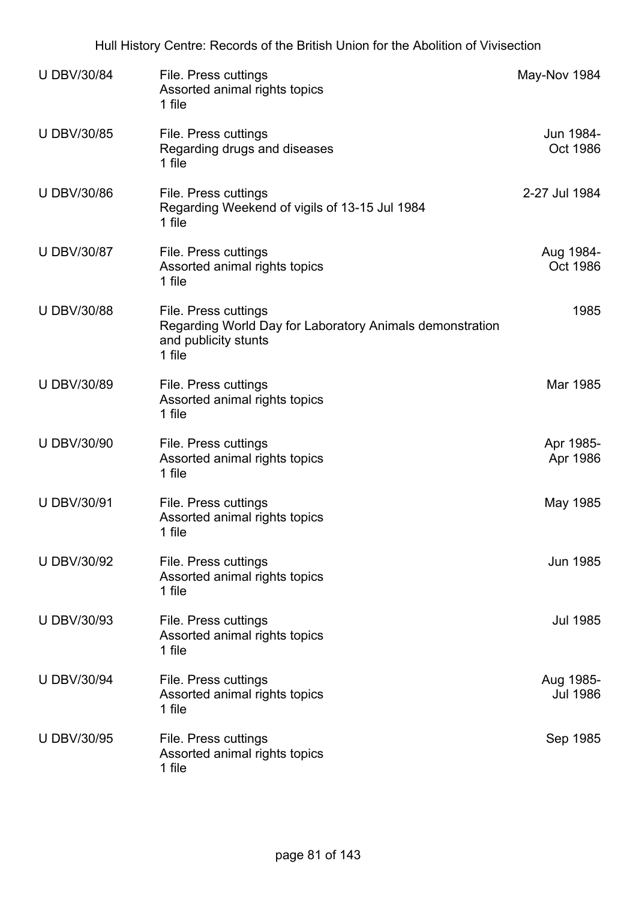| <b>U DBV/30/84</b> | File. Press cuttings<br>Assorted animal rights topics<br>1 file                                                    | May-Nov 1984                 |
|--------------------|--------------------------------------------------------------------------------------------------------------------|------------------------------|
| <b>U DBV/30/85</b> | File. Press cuttings<br>Regarding drugs and diseases<br>1 file                                                     | Jun 1984-<br>Oct 1986        |
| <b>U DBV/30/86</b> | File. Press cuttings<br>Regarding Weekend of vigils of 13-15 Jul 1984<br>1 file                                    | 2-27 Jul 1984                |
| <b>U DBV/30/87</b> | File. Press cuttings<br>Assorted animal rights topics<br>1 file                                                    | Aug 1984-<br>Oct 1986        |
| <b>U DBV/30/88</b> | File. Press cuttings<br>Regarding World Day for Laboratory Animals demonstration<br>and publicity stunts<br>1 file | 1985                         |
| <b>U DBV/30/89</b> | File. Press cuttings<br>Assorted animal rights topics<br>1 file                                                    | Mar 1985                     |
| <b>U DBV/30/90</b> | File. Press cuttings<br>Assorted animal rights topics<br>1 file                                                    | Apr 1985-<br>Apr 1986        |
| <b>U DBV/30/91</b> | File. Press cuttings<br>Assorted animal rights topics<br>1 file                                                    | May 1985                     |
| <b>U DBV/30/92</b> | File. Press cuttings<br>Assorted animal rights topics<br>1 file                                                    | <b>Jun 1985</b>              |
| <b>U DBV/30/93</b> | File. Press cuttings<br>Assorted animal rights topics<br>1 file                                                    | Jul 1985                     |
| <b>U DBV/30/94</b> | File. Press cuttings<br>Assorted animal rights topics<br>1 file                                                    | Aug 1985-<br><b>Jul 1986</b> |
| <b>U DBV/30/95</b> | File. Press cuttings<br>Assorted animal rights topics<br>1 file                                                    | Sep 1985                     |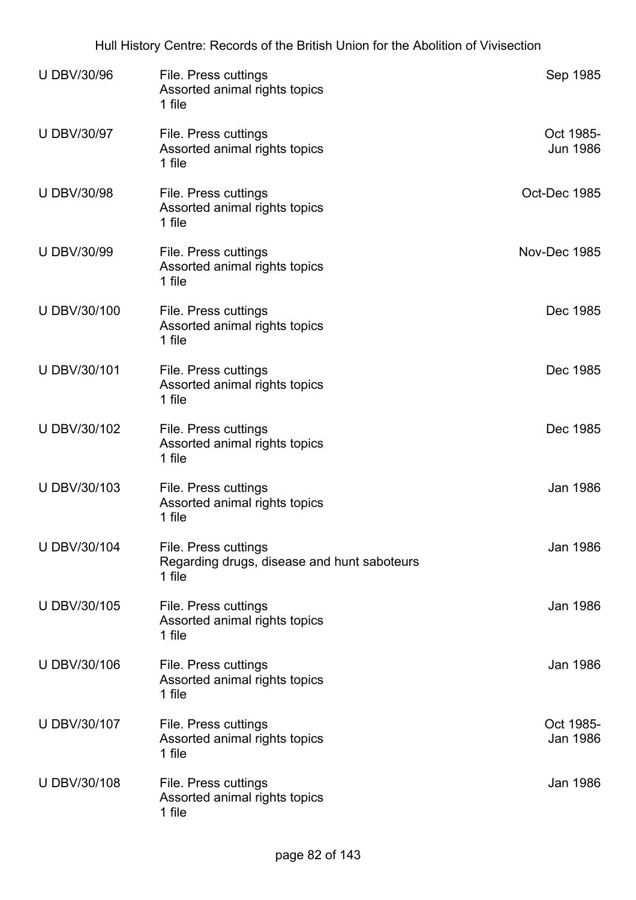| <b>U DBV/30/96</b> | File. Press cuttings<br>Assorted animal rights topics<br>1 file               | Sep 1985                     |
|--------------------|-------------------------------------------------------------------------------|------------------------------|
| <b>U DBV/30/97</b> | File. Press cuttings<br>Assorted animal rights topics<br>1 file               | Oct 1985-<br><b>Jun 1986</b> |
| <b>U DBV/30/98</b> | File. Press cuttings<br>Assorted animal rights topics<br>1 file               | Oct-Dec 1985                 |
| <b>U DBV/30/99</b> | File. Press cuttings<br>Assorted animal rights topics<br>1 file               | Nov-Dec 1985                 |
| U DBV/30/100       | File. Press cuttings<br>Assorted animal rights topics<br>1 file               | Dec 1985                     |
| U DBV/30/101       | File. Press cuttings<br>Assorted animal rights topics<br>1 file               | Dec 1985                     |
| U DBV/30/102       | File. Press cuttings<br>Assorted animal rights topics<br>1 file               | Dec 1985                     |
| U DBV/30/103       | File. Press cuttings<br>Assorted animal rights topics<br>1 file               | Jan 1986                     |
| U DBV/30/104       | File. Press cuttings<br>Regarding drugs, disease and hunt saboteurs<br>1 file | <b>Jan 1986</b>              |
| U DBV/30/105       | File. Press cuttings<br>Assorted animal rights topics<br>1 file               | <b>Jan 1986</b>              |
| U DBV/30/106       | File. Press cuttings<br>Assorted animal rights topics<br>1 file               | Jan 1986                     |
| U DBV/30/107       | File. Press cuttings<br>Assorted animal rights topics<br>1 file               | Oct 1985-<br>Jan 1986        |
| U DBV/30/108       | File. Press cuttings<br>Assorted animal rights topics<br>1 file               | Jan 1986                     |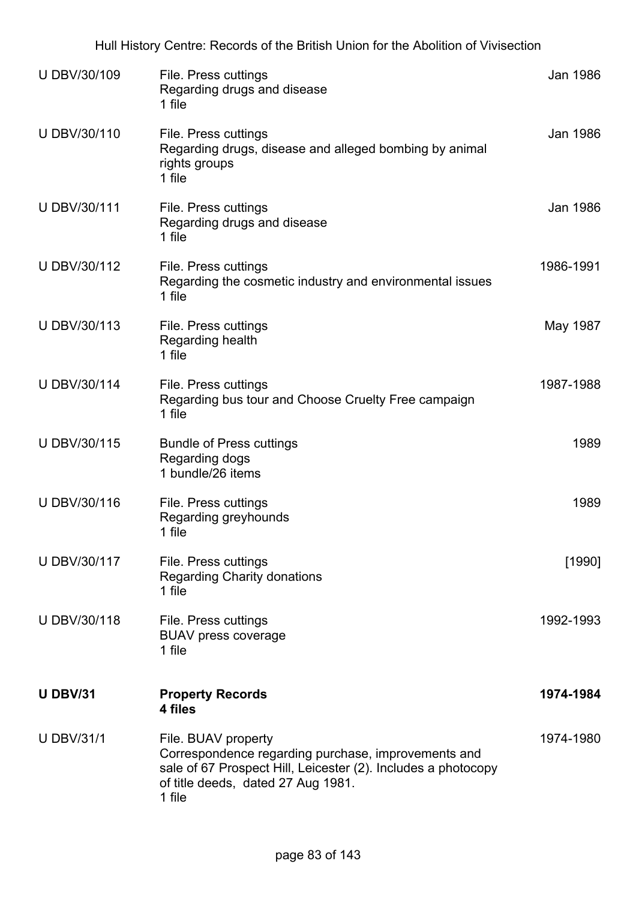| U DBV/30/109      | File. Press cuttings<br>Regarding drugs and disease<br>1 file                                                                                                                               | Jan 1986  |
|-------------------|---------------------------------------------------------------------------------------------------------------------------------------------------------------------------------------------|-----------|
| U DBV/30/110      | File. Press cuttings<br>Regarding drugs, disease and alleged bombing by animal<br>rights groups<br>1 file                                                                                   | Jan 1986  |
| U DBV/30/111      | File. Press cuttings<br>Regarding drugs and disease<br>1 file                                                                                                                               | Jan 1986  |
| U DBV/30/112      | File. Press cuttings<br>Regarding the cosmetic industry and environmental issues<br>1 file                                                                                                  | 1986-1991 |
| U DBV/30/113      | File. Press cuttings<br>Regarding health<br>1 file                                                                                                                                          | May 1987  |
| U DBV/30/114      | File. Press cuttings<br>Regarding bus tour and Choose Cruelty Free campaign<br>1 file                                                                                                       | 1987-1988 |
| U DBV/30/115      | <b>Bundle of Press cuttings</b><br>Regarding dogs<br>1 bundle/26 items                                                                                                                      | 1989      |
| U DBV/30/116      | File. Press cuttings<br>Regarding greyhounds<br>1 file                                                                                                                                      | 1989      |
| U DBV/30/117      | File. Press cuttings<br><b>Regarding Charity donations</b><br>1 file                                                                                                                        | [1990]    |
| U DBV/30/118      | File. Press cuttings<br><b>BUAV press coverage</b><br>1 file                                                                                                                                | 1992-1993 |
| <b>U DBV/31</b>   | <b>Property Records</b><br>4 files                                                                                                                                                          | 1974-1984 |
| <b>U DBV/31/1</b> | File. BUAV property<br>Correspondence regarding purchase, improvements and<br>sale of 67 Prospect Hill, Leicester (2). Includes a photocopy<br>of title deeds, dated 27 Aug 1981.<br>1 file | 1974-1980 |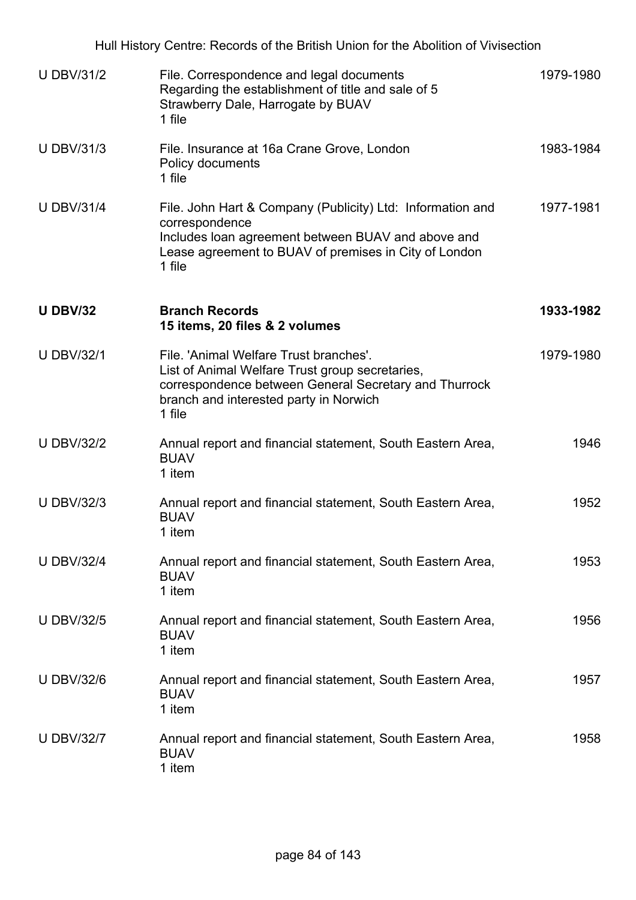|                   | Hull History Centre: Records of the British Union for the Abolition of Vivisection                                                                                                                     |           |
|-------------------|--------------------------------------------------------------------------------------------------------------------------------------------------------------------------------------------------------|-----------|
| <b>U DBV/31/2</b> | File. Correspondence and legal documents<br>Regarding the establishment of title and sale of 5<br>Strawberry Dale, Harrogate by BUAV<br>1 file                                                         | 1979-1980 |
| <b>U DBV/31/3</b> | File. Insurance at 16a Crane Grove, London<br>Policy documents<br>1 file                                                                                                                               | 1983-1984 |
| <b>U DBV/31/4</b> | File. John Hart & Company (Publicity) Ltd: Information and<br>correspondence<br>Includes loan agreement between BUAV and above and<br>Lease agreement to BUAV of premises in City of London<br>1 file  | 1977-1981 |
| <b>U DBV/32</b>   | <b>Branch Records</b><br>15 items, 20 files & 2 volumes                                                                                                                                                | 1933-1982 |
| <b>U DBV/32/1</b> | File. 'Animal Welfare Trust branches'.<br>List of Animal Welfare Trust group secretaries,<br>correspondence between General Secretary and Thurrock<br>branch and interested party in Norwich<br>1 file | 1979-1980 |
| <b>U DBV/32/2</b> | Annual report and financial statement, South Eastern Area,<br><b>BUAV</b><br>1 item                                                                                                                    | 1946      |
| <b>U DBV/32/3</b> | Annual report and financial statement, South Eastern Area,<br><b>BUAV</b><br>1 item                                                                                                                    | 1952      |
| <b>U DBV/32/4</b> | Annual report and financial statement, South Eastern Area,<br><b>BUAV</b><br>1 item                                                                                                                    | 1953      |
| <b>U DBV/32/5</b> | Annual report and financial statement, South Eastern Area,<br><b>BUAV</b><br>1 item                                                                                                                    | 1956      |
| <b>U DBV/32/6</b> | Annual report and financial statement, South Eastern Area,<br><b>BUAV</b><br>1 item                                                                                                                    | 1957      |
| <b>U DBV/32/7</b> | Annual report and financial statement, South Eastern Area,<br><b>BUAV</b><br>1 item                                                                                                                    | 1958      |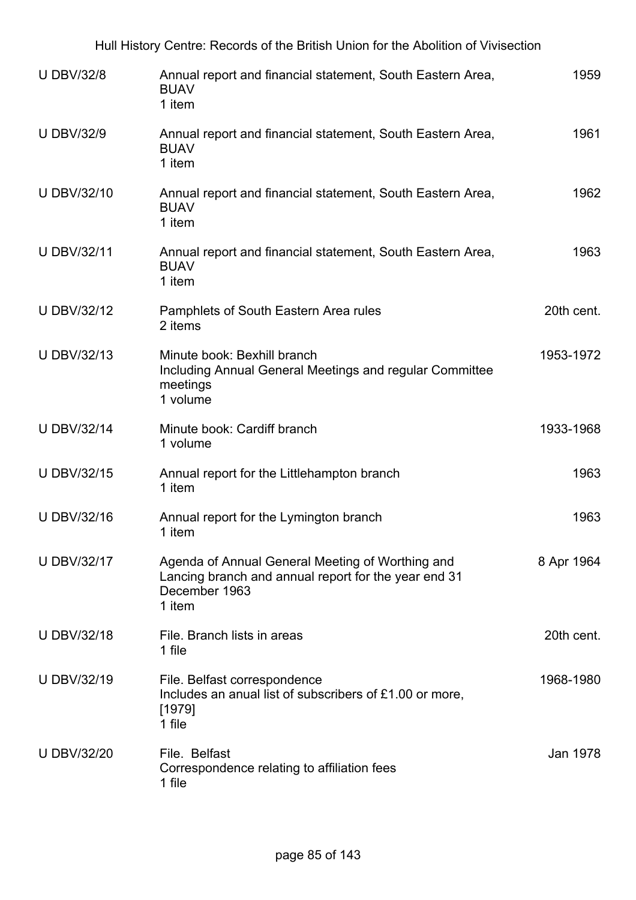| Hull History Centre: Records of the British Union for the Abolition of Vivisection |                                                                                                                                     |            |  |
|------------------------------------------------------------------------------------|-------------------------------------------------------------------------------------------------------------------------------------|------------|--|
| <b>U DBV/32/8</b>                                                                  | Annual report and financial statement, South Eastern Area,<br><b>BUAV</b><br>1 item                                                 | 1959       |  |
| <b>U DBV/32/9</b>                                                                  | Annual report and financial statement, South Eastern Area,<br><b>BUAV</b><br>1 item                                                 | 1961       |  |
| <b>U DBV/32/10</b>                                                                 | Annual report and financial statement, South Eastern Area,<br><b>BUAV</b><br>1 item                                                 | 1962       |  |
| <b>U DBV/32/11</b>                                                                 | Annual report and financial statement, South Eastern Area,<br><b>BUAV</b><br>1 item                                                 | 1963       |  |
| <b>U DBV/32/12</b>                                                                 | Pamphlets of South Eastern Area rules<br>2 items                                                                                    | 20th cent. |  |
| <b>U DBV/32/13</b>                                                                 | Minute book: Bexhill branch<br>Including Annual General Meetings and regular Committee<br>meetings<br>1 volume                      | 1953-1972  |  |
| <b>U DBV/32/14</b>                                                                 | Minute book: Cardiff branch<br>1 volume                                                                                             | 1933-1968  |  |
| <b>U DBV/32/15</b>                                                                 | Annual report for the Littlehampton branch<br>1 item                                                                                | 1963       |  |
| <b>U DBV/32/16</b>                                                                 | Annual report for the Lymington branch<br>1 item                                                                                    | 1963       |  |
| <b>U DBV/32/17</b>                                                                 | Agenda of Annual General Meeting of Worthing and<br>Lancing branch and annual report for the year end 31<br>December 1963<br>1 item | 8 Apr 1964 |  |
| <b>U DBV/32/18</b>                                                                 | File. Branch lists in areas<br>1 file                                                                                               | 20th cent. |  |
| <b>U DBV/32/19</b>                                                                 | File. Belfast correspondence<br>Includes an anual list of subscribers of £1.00 or more,<br>[1979]<br>1 file                         | 1968-1980  |  |
| <b>U DBV/32/20</b>                                                                 | File. Belfast<br>Correspondence relating to affiliation fees<br>1 file                                                              | Jan 1978   |  |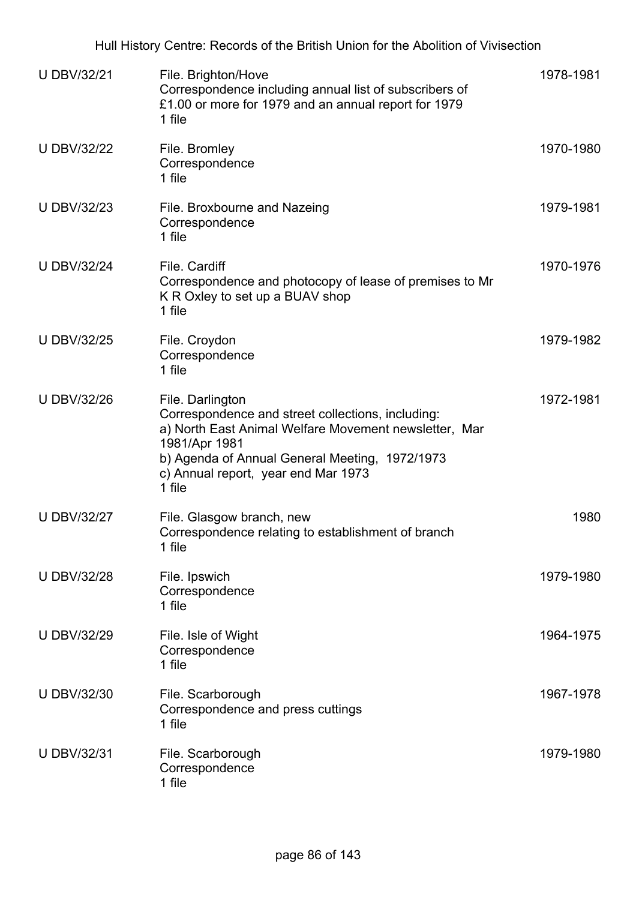| <b>U DBV/32/21</b> | File. Brighton/Hove<br>Correspondence including annual list of subscribers of<br>£1.00 or more for 1979 and an annual report for 1979<br>1 file                                                                                                    | 1978-1981 |
|--------------------|----------------------------------------------------------------------------------------------------------------------------------------------------------------------------------------------------------------------------------------------------|-----------|
| <b>U DBV/32/22</b> | File. Bromley<br>Correspondence<br>1 file                                                                                                                                                                                                          | 1970-1980 |
| <b>U DBV/32/23</b> | File. Broxbourne and Nazeing<br>Correspondence<br>1 file                                                                                                                                                                                           | 1979-1981 |
| <b>U DBV/32/24</b> | File. Cardiff<br>Correspondence and photocopy of lease of premises to Mr<br>K R Oxley to set up a BUAV shop<br>1 file                                                                                                                              | 1970-1976 |
| <b>U DBV/32/25</b> | File. Croydon<br>Correspondence<br>1 file                                                                                                                                                                                                          | 1979-1982 |
| <b>U DBV/32/26</b> | File. Darlington<br>Correspondence and street collections, including:<br>a) North East Animal Welfare Movement newsletter, Mar<br>1981/Apr 1981<br>b) Agenda of Annual General Meeting, 1972/1973<br>c) Annual report, year end Mar 1973<br>1 file | 1972-1981 |
| <b>U DBV/32/27</b> | File. Glasgow branch, new<br>Correspondence relating to establishment of branch<br>1 file                                                                                                                                                          | 1980      |
| <b>U DBV/32/28</b> | File. Ipswich<br>Correspondence<br>1 file                                                                                                                                                                                                          | 1979-1980 |
| <b>U DBV/32/29</b> | File. Isle of Wight<br>Correspondence<br>1 file                                                                                                                                                                                                    | 1964-1975 |
| U DBV/32/30        | File. Scarborough<br>Correspondence and press cuttings<br>1 file                                                                                                                                                                                   | 1967-1978 |
| <b>U DBV/32/31</b> | File. Scarborough<br>Correspondence<br>1 file                                                                                                                                                                                                      | 1979-1980 |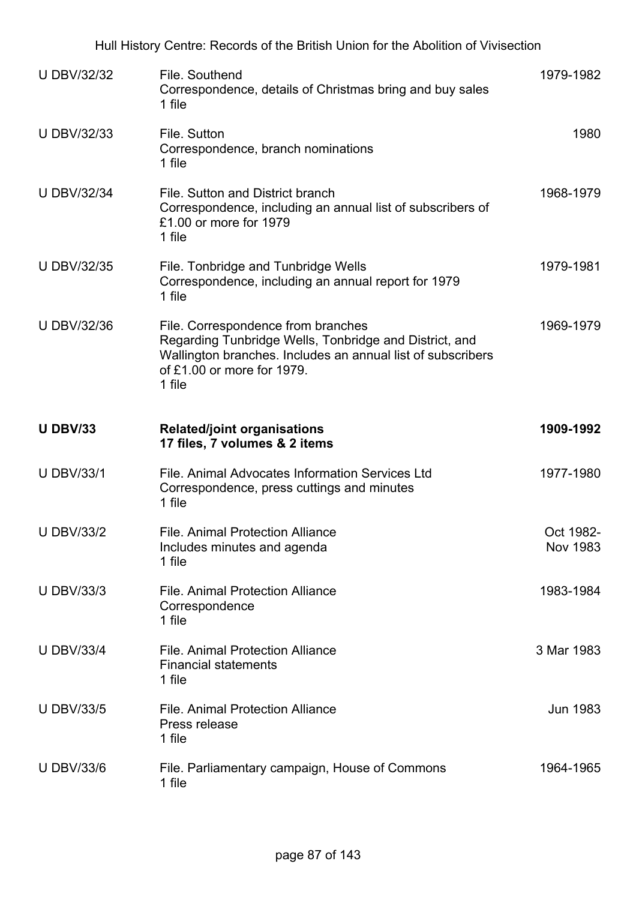| <b>U DBV/32/32</b> | File, Southend<br>Correspondence, details of Christmas bring and buy sales<br>1 file                                                                                                                | 1979-1982             |
|--------------------|-----------------------------------------------------------------------------------------------------------------------------------------------------------------------------------------------------|-----------------------|
| <b>U DBV/32/33</b> | File. Sutton<br>Correspondence, branch nominations<br>1 file                                                                                                                                        | 1980                  |
| <b>U DBV/32/34</b> | File, Sutton and District branch<br>Correspondence, including an annual list of subscribers of<br>£1.00 or more for 1979<br>1 file                                                                  | 1968-1979             |
| <b>U DBV/32/35</b> | File. Tonbridge and Tunbridge Wells<br>Correspondence, including an annual report for 1979<br>1 file                                                                                                | 1979-1981             |
| <b>U DBV/32/36</b> | File. Correspondence from branches<br>Regarding Tunbridge Wells, Tonbridge and District, and<br>Wallington branches. Includes an annual list of subscribers<br>of £1,00 or more for 1979.<br>1 file | 1969-1979             |
| <b>U DBV/33</b>    | <b>Related/joint organisations</b><br>17 files, 7 volumes & 2 items                                                                                                                                 | 1909-1992             |
| <b>U DBV/33/1</b>  | File. Animal Advocates Information Services Ltd<br>Correspondence, press cuttings and minutes<br>1 file                                                                                             | 1977-1980             |
| <b>U DBV/33/2</b>  | <b>File. Animal Protection Alliance</b><br>Includes minutes and agenda<br>1 file                                                                                                                    | Oct 1982-<br>Nov 1983 |
| <b>U DBV/33/3</b>  | <b>File, Animal Protection Alliance</b><br>Correspondence<br>1 file                                                                                                                                 | 1983-1984             |
| <b>U DBV/33/4</b>  | <b>File. Animal Protection Alliance</b><br><b>Financial statements</b><br>1 file                                                                                                                    | 3 Mar 1983            |
| <b>U DBV/33/5</b>  | <b>File. Animal Protection Alliance</b><br>Press release<br>1 file                                                                                                                                  | <b>Jun 1983</b>       |
| <b>U DBV/33/6</b>  | File. Parliamentary campaign, House of Commons<br>1 file                                                                                                                                            | 1964-1965             |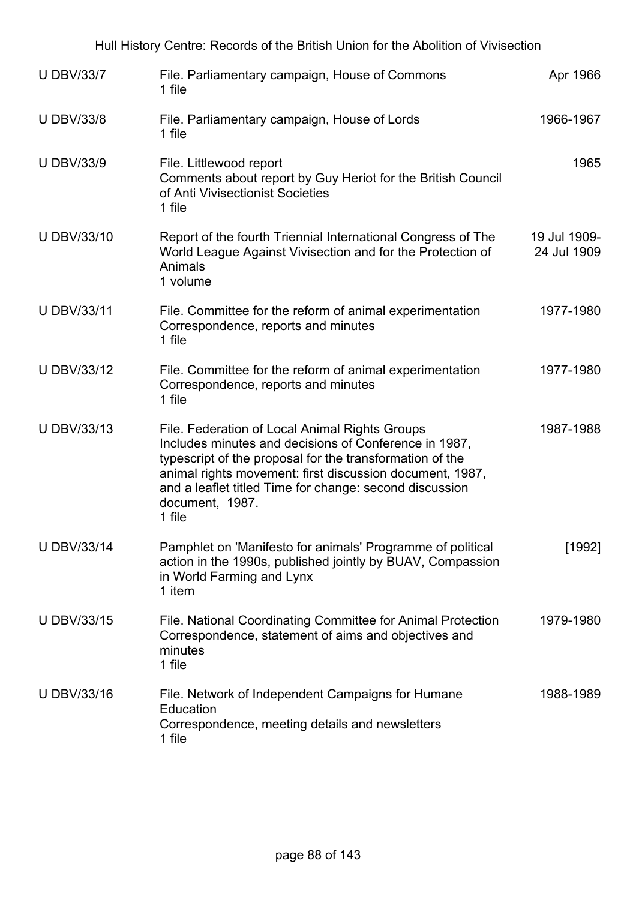| <b>U DBV/33/7</b>  | File. Parliamentary campaign, House of Commons<br>1 file                                                                                                                                                                                                                                                                | Apr 1966                    |
|--------------------|-------------------------------------------------------------------------------------------------------------------------------------------------------------------------------------------------------------------------------------------------------------------------------------------------------------------------|-----------------------------|
| <b>U DBV/33/8</b>  | File. Parliamentary campaign, House of Lords<br>1 file                                                                                                                                                                                                                                                                  | 1966-1967                   |
| <b>U DBV/33/9</b>  | File. Littlewood report<br>Comments about report by Guy Heriot for the British Council<br>of Anti Vivisectionist Societies<br>1 file                                                                                                                                                                                    | 1965                        |
| <b>U DBV/33/10</b> | Report of the fourth Triennial International Congress of The<br>World League Against Vivisection and for the Protection of<br>Animals<br>1 volume                                                                                                                                                                       | 19 Jul 1909-<br>24 Jul 1909 |
| <b>U DBV/33/11</b> | File. Committee for the reform of animal experimentation<br>Correspondence, reports and minutes<br>1 file                                                                                                                                                                                                               | 1977-1980                   |
| <b>U DBV/33/12</b> | File. Committee for the reform of animal experimentation<br>Correspondence, reports and minutes<br>1 file                                                                                                                                                                                                               | 1977-1980                   |
| <b>U DBV/33/13</b> | File. Federation of Local Animal Rights Groups<br>Includes minutes and decisions of Conference in 1987,<br>typescript of the proposal for the transformation of the<br>animal rights movement: first discussion document, 1987,<br>and a leaflet titled Time for change: second discussion<br>document, 1987.<br>1 file | 1987-1988                   |
| <b>U DBV/33/14</b> | Pamphlet on 'Manifesto for animals' Programme of political<br>action in the 1990s, published jointly by BUAV, Compassion<br>in World Farming and Lynx<br>1 item                                                                                                                                                         | [1992]                      |
| <b>U DBV/33/15</b> | File. National Coordinating Committee for Animal Protection<br>Correspondence, statement of aims and objectives and<br>minutes<br>1 file                                                                                                                                                                                | 1979-1980                   |
| <b>U DBV/33/16</b> | File. Network of Independent Campaigns for Humane<br>Education<br>Correspondence, meeting details and newsletters<br>1 file                                                                                                                                                                                             | 1988-1989                   |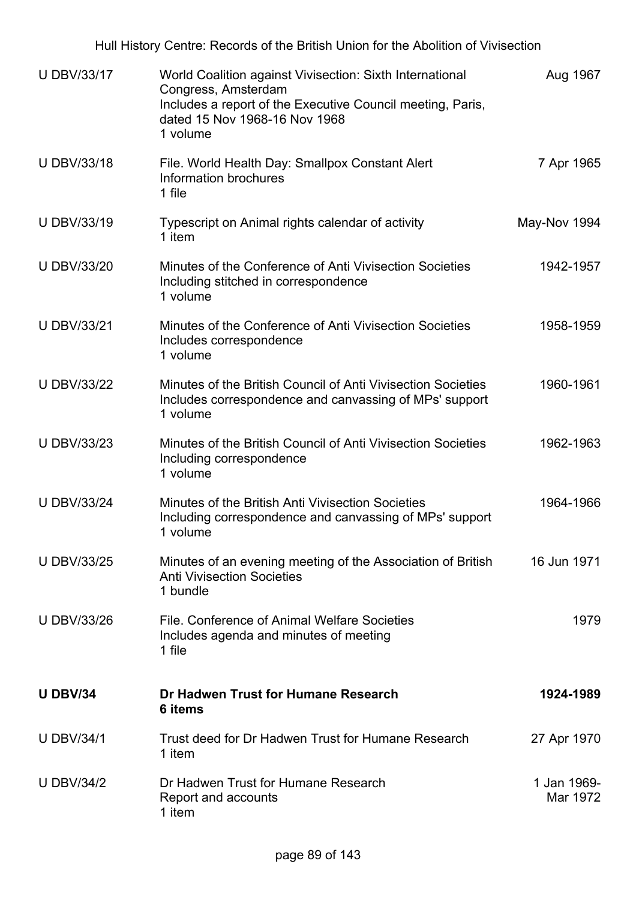| <b>U DBV/33/17</b> | World Coalition against Vivisection: Sixth International<br>Congress, Amsterdam<br>Includes a report of the Executive Council meeting, Paris,<br>dated 15 Nov 1968-16 Nov 1968<br>1 volume | Aug 1967                |
|--------------------|--------------------------------------------------------------------------------------------------------------------------------------------------------------------------------------------|-------------------------|
| <b>U DBV/33/18</b> | File. World Health Day: Smallpox Constant Alert<br>Information brochures<br>1 file                                                                                                         | 7 Apr 1965              |
| <b>U DBV/33/19</b> | Typescript on Animal rights calendar of activity<br>1 item                                                                                                                                 | May-Nov 1994            |
| <b>U DBV/33/20</b> | Minutes of the Conference of Anti Vivisection Societies<br>Including stitched in correspondence<br>1 volume                                                                                | 1942-1957               |
| <b>U DBV/33/21</b> | Minutes of the Conference of Anti Vivisection Societies<br>Includes correspondence<br>1 volume                                                                                             | 1958-1959               |
| <b>U DBV/33/22</b> | Minutes of the British Council of Anti Vivisection Societies<br>Includes correspondence and canvassing of MPs' support<br>1 volume                                                         | 1960-1961               |
| <b>U DBV/33/23</b> | Minutes of the British Council of Anti Vivisection Societies<br>Including correspondence<br>1 volume                                                                                       | 1962-1963               |
| <b>U DBV/33/24</b> | Minutes of the British Anti Vivisection Societies<br>Including correspondence and canvassing of MPs' support<br>1 volume                                                                   | 1964-1966               |
| <b>U DBV/33/25</b> | Minutes of an evening meeting of the Association of British<br><b>Anti Vivisection Societies</b><br>1 bundle                                                                               | 16 Jun 1971             |
| <b>U DBV/33/26</b> | File. Conference of Animal Welfare Societies<br>Includes agenda and minutes of meeting<br>1 file                                                                                           | 1979                    |
| <b>U DBV/34</b>    | Dr Hadwen Trust for Humane Research<br>6 items                                                                                                                                             | 1924-1989               |
| <b>U DBV/34/1</b>  | Trust deed for Dr Hadwen Trust for Humane Research<br>1 item                                                                                                                               | 27 Apr 1970             |
| <b>U DBV/34/2</b>  | Dr Hadwen Trust for Humane Research<br>Report and accounts<br>1 item                                                                                                                       | 1 Jan 1969-<br>Mar 1972 |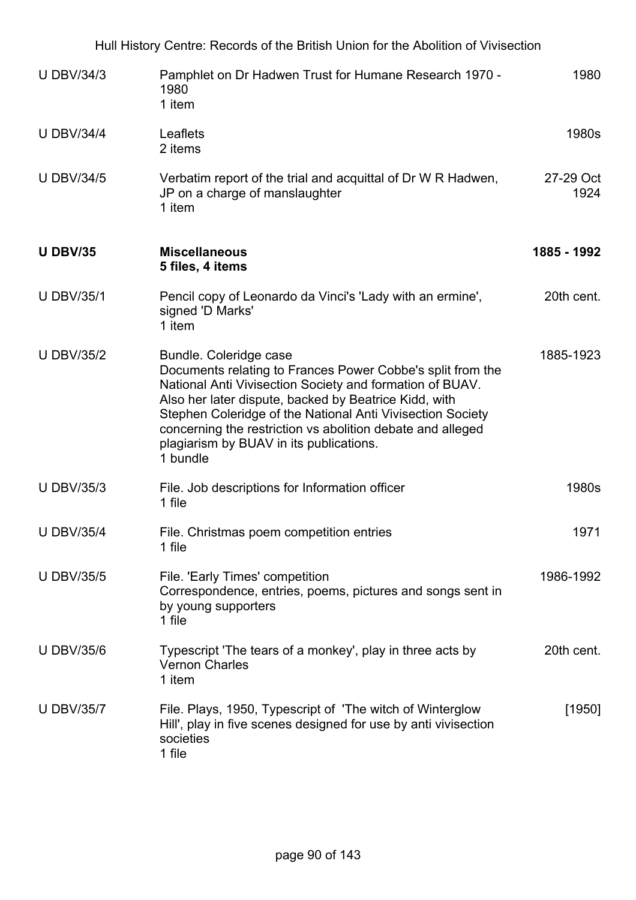|                   | Hull History Centre: Records of the British Union for the Abolition of Vivisection                                                                                                                                                                                                                                                                                                           |                   |
|-------------------|----------------------------------------------------------------------------------------------------------------------------------------------------------------------------------------------------------------------------------------------------------------------------------------------------------------------------------------------------------------------------------------------|-------------------|
| <b>U DBV/34/3</b> | Pamphlet on Dr Hadwen Trust for Humane Research 1970 -<br>1980<br>1 item                                                                                                                                                                                                                                                                                                                     | 1980              |
| <b>U DBV/34/4</b> | Leaflets<br>2 items                                                                                                                                                                                                                                                                                                                                                                          | 1980s             |
| <b>U DBV/34/5</b> | Verbatim report of the trial and acquittal of Dr W R Hadwen,<br>JP on a charge of manslaughter<br>1 item                                                                                                                                                                                                                                                                                     | 27-29 Oct<br>1924 |
| <b>U DBV/35</b>   | <b>Miscellaneous</b><br>5 files, 4 items                                                                                                                                                                                                                                                                                                                                                     | 1885 - 1992       |
| <b>U DBV/35/1</b> | Pencil copy of Leonardo da Vinci's 'Lady with an ermine',<br>signed 'D Marks'<br>1 item                                                                                                                                                                                                                                                                                                      | 20th cent.        |
| <b>U DBV/35/2</b> | Bundle. Coleridge case<br>Documents relating to Frances Power Cobbe's split from the<br>National Anti Vivisection Society and formation of BUAV.<br>Also her later dispute, backed by Beatrice Kidd, with<br>Stephen Coleridge of the National Anti Vivisection Society<br>concerning the restriction vs abolition debate and alleged<br>plagiarism by BUAV in its publications.<br>1 bundle | 1885-1923         |
| <b>U DBV/35/3</b> | File. Job descriptions for Information officer<br>1 file                                                                                                                                                                                                                                                                                                                                     | 1980s             |
| <b>U DBV/35/4</b> | File. Christmas poem competition entries<br>1 file                                                                                                                                                                                                                                                                                                                                           | 1971              |
| <b>U DBV/35/5</b> | File. 'Early Times' competition<br>Correspondence, entries, poems, pictures and songs sent in<br>by young supporters<br>1 file                                                                                                                                                                                                                                                               | 1986-1992         |
| <b>U DBV/35/6</b> | Typescript 'The tears of a monkey', play in three acts by<br><b>Vernon Charles</b><br>1 item                                                                                                                                                                                                                                                                                                 | 20th cent.        |
| <b>U DBV/35/7</b> | File. Plays, 1950, Typescript of 'The witch of Winterglow<br>Hill', play in five scenes designed for use by anti vivisection<br>societies<br>1 file                                                                                                                                                                                                                                          | $[1950]$          |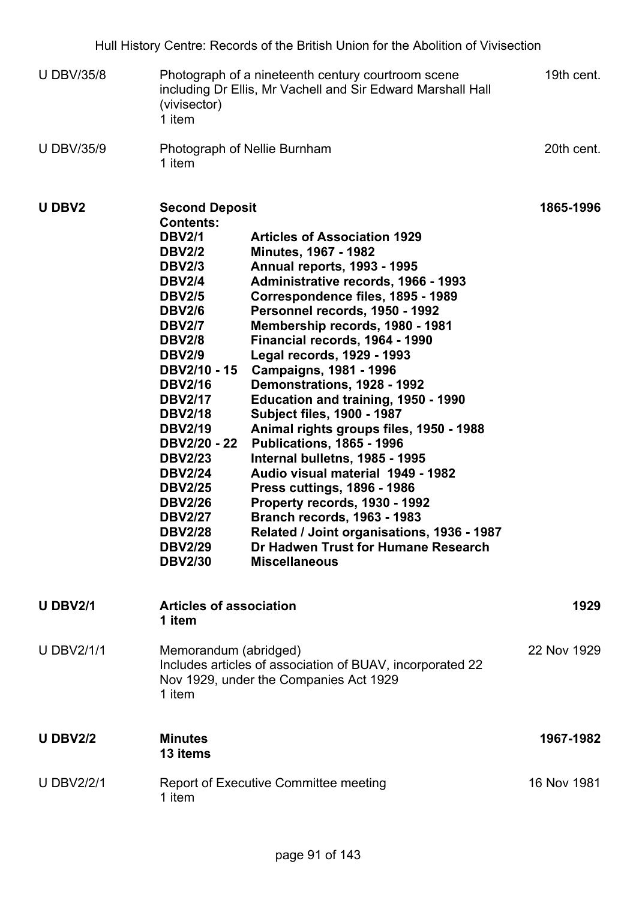- U DBV/35/8 Photograph of a nineteenth century courtroom scene including Dr Ellis, Mr Vachell and Sir Edward Marshall Hall (vivisector) 1 item 19th cent. 20th cent.
- U DBV/35/9 Photograph of Nellie Burnham 1 item

| <b>UDBV2</b>      | <b>Second Deposit</b>                                                                                                                                                                                                                                                                                                                                                                                                                           |                                                                                                                                                                                                                                                                                                                                                                                                                                                                                                                                                                                                                                                                                                                                                                                                                                                       | 1865-1996   |
|-------------------|-------------------------------------------------------------------------------------------------------------------------------------------------------------------------------------------------------------------------------------------------------------------------------------------------------------------------------------------------------------------------------------------------------------------------------------------------|-------------------------------------------------------------------------------------------------------------------------------------------------------------------------------------------------------------------------------------------------------------------------------------------------------------------------------------------------------------------------------------------------------------------------------------------------------------------------------------------------------------------------------------------------------------------------------------------------------------------------------------------------------------------------------------------------------------------------------------------------------------------------------------------------------------------------------------------------------|-------------|
|                   | <b>Contents:</b><br><b>DBV2/1</b><br><b>DBV2/2</b><br><b>DBV2/3</b><br><b>DBV2/4</b><br><b>DBV2/5</b><br><b>DBV2/6</b><br><b>DBV2/7</b><br><b>DBV2/8</b><br><b>DBV2/9</b><br><b>DBV2/10 - 15</b><br><b>DBV2/16</b><br><b>DBV2/17</b><br><b>DBV2/18</b><br><b>DBV2/19</b><br><b>DBV2/20 - 22</b><br><b>DBV2/23</b><br><b>DBV2/24</b><br><b>DBV2/25</b><br><b>DBV2/26</b><br><b>DBV2/27</b><br><b>DBV2/28</b><br><b>DBV2/29</b><br><b>DBV2/30</b> | <b>Articles of Association 1929</b><br><b>Minutes, 1967 - 1982</b><br><b>Annual reports, 1993 - 1995</b><br>Administrative records, 1966 - 1993<br>Correspondence files, 1895 - 1989<br>Personnel records, 1950 - 1992<br>Membership records, 1980 - 1981<br>Financial records, 1964 - 1990<br>Legal records, 1929 - 1993<br><b>Campaigns, 1981 - 1996</b><br>Demonstrations, 1928 - 1992<br>Education and training, 1950 - 1990<br><b>Subject files, 1900 - 1987</b><br>Animal rights groups files, 1950 - 1988<br><b>Publications, 1865 - 1996</b><br>Internal bulletns, 1985 - 1995<br>Audio visual material 1949 - 1982<br><b>Press cuttings, 1896 - 1986</b><br>Property records, 1930 - 1992<br><b>Branch records, 1963 - 1983</b><br>Related / Joint organisations, 1936 - 1987<br>Dr Hadwen Trust for Humane Research<br><b>Miscellaneous</b> |             |
| <b>U DBV2/1</b>   | <b>Articles of association</b><br>1 item                                                                                                                                                                                                                                                                                                                                                                                                        |                                                                                                                                                                                                                                                                                                                                                                                                                                                                                                                                                                                                                                                                                                                                                                                                                                                       | 1929        |
| <b>U DBV2/1/1</b> | Memorandum (abridged)<br>1 item                                                                                                                                                                                                                                                                                                                                                                                                                 | Includes articles of association of BUAV, incorporated 22<br>Nov 1929, under the Companies Act 1929                                                                                                                                                                                                                                                                                                                                                                                                                                                                                                                                                                                                                                                                                                                                                   | 22 Nov 1929 |
| <b>U DBV2/2</b>   | <b>Minutes</b><br>13 items                                                                                                                                                                                                                                                                                                                                                                                                                      |                                                                                                                                                                                                                                                                                                                                                                                                                                                                                                                                                                                                                                                                                                                                                                                                                                                       | 1967-1982   |
| <b>U DBV2/2/1</b> | 1 item                                                                                                                                                                                                                                                                                                                                                                                                                                          | <b>Report of Executive Committee meeting</b>                                                                                                                                                                                                                                                                                                                                                                                                                                                                                                                                                                                                                                                                                                                                                                                                          | 16 Nov 1981 |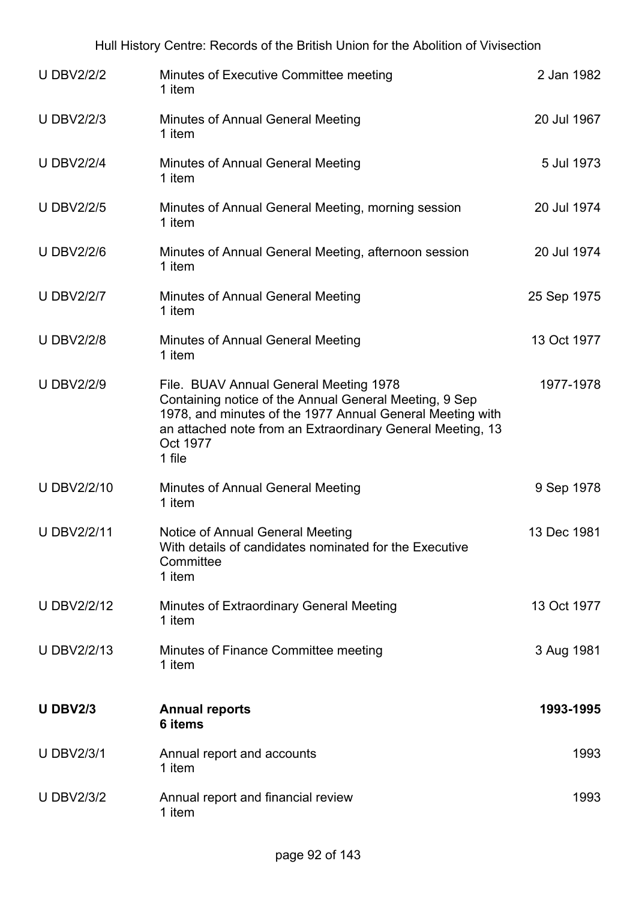| <b>U DBV2/2/2</b>  | Minutes of Executive Committee meeting<br>1 item                                                                                                                                                                                                  | 2 Jan 1982  |
|--------------------|---------------------------------------------------------------------------------------------------------------------------------------------------------------------------------------------------------------------------------------------------|-------------|
| <b>U DBV2/2/3</b>  | <b>Minutes of Annual General Meeting</b><br>1 item                                                                                                                                                                                                | 20 Jul 1967 |
| <b>U DBV2/2/4</b>  | <b>Minutes of Annual General Meeting</b><br>1 item                                                                                                                                                                                                | 5 Jul 1973  |
| <b>U DBV2/2/5</b>  | Minutes of Annual General Meeting, morning session<br>1 item                                                                                                                                                                                      | 20 Jul 1974 |
| <b>U DBV2/2/6</b>  | Minutes of Annual General Meeting, afternoon session<br>1 item                                                                                                                                                                                    | 20 Jul 1974 |
| <b>U DBV2/2/7</b>  | <b>Minutes of Annual General Meeting</b><br>1 item                                                                                                                                                                                                | 25 Sep 1975 |
| <b>U DBV2/2/8</b>  | <b>Minutes of Annual General Meeting</b><br>1 item                                                                                                                                                                                                | 13 Oct 1977 |
| <b>U DBV2/2/9</b>  | File. BUAV Annual General Meeting 1978<br>Containing notice of the Annual General Meeting, 9 Sep<br>1978, and minutes of the 1977 Annual General Meeting with<br>an attached note from an Extraordinary General Meeting, 13<br>Oct 1977<br>1 file | 1977-1978   |
| <b>U DBV2/2/10</b> | <b>Minutes of Annual General Meeting</b><br>1 item                                                                                                                                                                                                | 9 Sep 1978  |
| <b>U DBV2/2/11</b> | Notice of Annual General Meeting<br>With details of candidates nominated for the Executive<br>Committee<br>1 item                                                                                                                                 | 13 Dec 1981 |
| <b>U DBV2/2/12</b> | Minutes of Extraordinary General Meeting<br>1 item                                                                                                                                                                                                | 13 Oct 1977 |
| <b>U DBV2/2/13</b> | Minutes of Finance Committee meeting<br>1 item                                                                                                                                                                                                    | 3 Aug 1981  |
| <b>U DBV2/3</b>    | <b>Annual reports</b><br>6 items                                                                                                                                                                                                                  | 1993-1995   |
| <b>U DBV2/3/1</b>  | Annual report and accounts<br>1 item                                                                                                                                                                                                              | 1993        |
| <b>U DBV2/3/2</b>  | Annual report and financial review<br>1 item                                                                                                                                                                                                      | 1993        |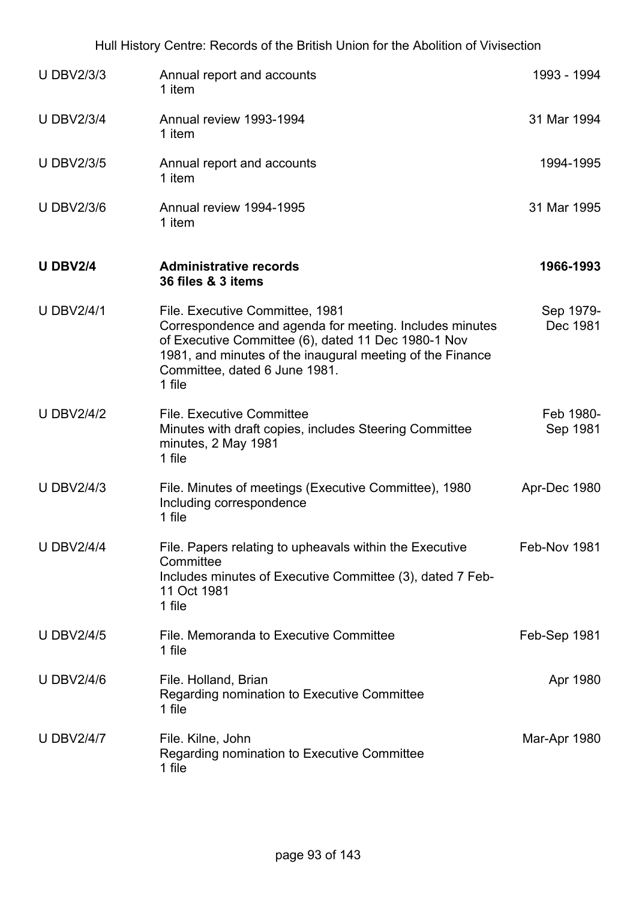| <b>U DBV2/3/3</b> | Annual report and accounts<br>1 item                                                                                                                                                                                                                      | 1993 - 1994           |
|-------------------|-----------------------------------------------------------------------------------------------------------------------------------------------------------------------------------------------------------------------------------------------------------|-----------------------|
| <b>U DBV2/3/4</b> | Annual review 1993-1994<br>1 item                                                                                                                                                                                                                         | 31 Mar 1994           |
| <b>U DBV2/3/5</b> | Annual report and accounts<br>1 item                                                                                                                                                                                                                      | 1994-1995             |
| <b>U DBV2/3/6</b> | Annual review 1994-1995<br>1 item                                                                                                                                                                                                                         | 31 Mar 1995           |
| <b>U DBV2/4</b>   | <b>Administrative records</b><br>36 files & 3 items                                                                                                                                                                                                       | 1966-1993             |
| <b>U DBV2/4/1</b> | File. Executive Committee, 1981<br>Correspondence and agenda for meeting. Includes minutes<br>of Executive Committee (6), dated 11 Dec 1980-1 Nov<br>1981, and minutes of the inaugural meeting of the Finance<br>Committee, dated 6 June 1981.<br>1 file | Sep 1979-<br>Dec 1981 |
| <b>U DBV2/4/2</b> | <b>File. Executive Committee</b><br>Minutes with draft copies, includes Steering Committee<br>minutes, 2 May 1981<br>1 file                                                                                                                               | Feb 1980-<br>Sep 1981 |
| <b>U DBV2/4/3</b> | File. Minutes of meetings (Executive Committee), 1980<br>Including correspondence<br>1 file                                                                                                                                                               | Apr-Dec 1980          |
| <b>U DBV2/4/4</b> | File. Papers relating to upheavals within the Executive<br>Committee<br>Includes minutes of Executive Committee (3), dated 7 Feb-<br>11 Oct 1981<br>1 file                                                                                                | Feb-Nov 1981          |
| <b>U DBV2/4/5</b> | File. Memoranda to Executive Committee<br>1 file                                                                                                                                                                                                          | Feb-Sep 1981          |
| <b>U DBV2/4/6</b> | File. Holland, Brian<br>Regarding nomination to Executive Committee<br>1 file                                                                                                                                                                             | Apr 1980              |
| <b>U DBV2/4/7</b> | File. Kilne, John<br>Regarding nomination to Executive Committee<br>1 file                                                                                                                                                                                | Mar-Apr 1980          |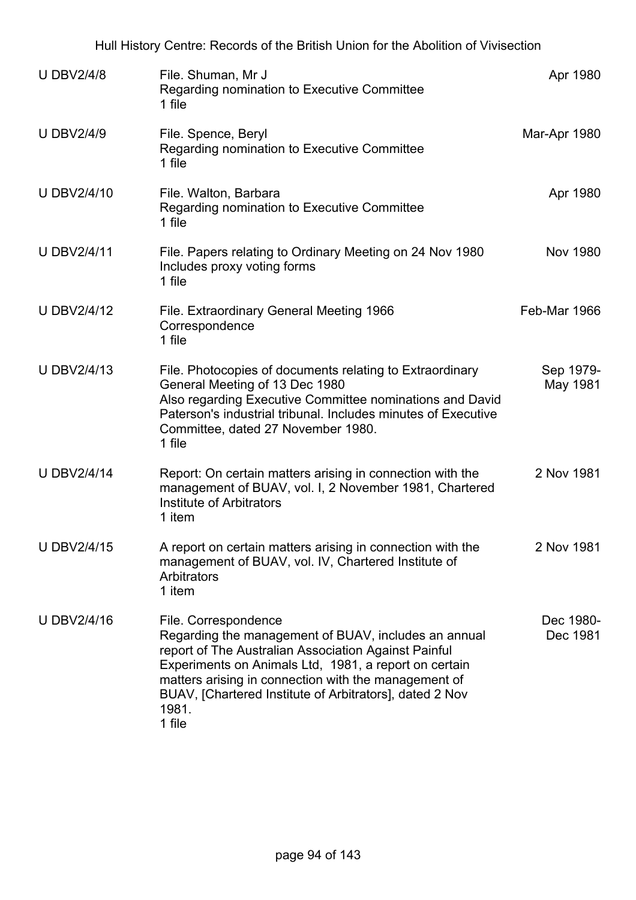|                    | Hull History Centre: Records of the British Union for the Abolition of Vivisection                                                                                                                                                                                                                                                  |                       |
|--------------------|-------------------------------------------------------------------------------------------------------------------------------------------------------------------------------------------------------------------------------------------------------------------------------------------------------------------------------------|-----------------------|
| <b>U DBV2/4/8</b>  | File. Shuman, Mr J<br>Regarding nomination to Executive Committee<br>1 file                                                                                                                                                                                                                                                         | Apr 1980              |
| <b>U DBV2/4/9</b>  | File. Spence, Beryl<br>Regarding nomination to Executive Committee<br>1 file                                                                                                                                                                                                                                                        | Mar-Apr 1980          |
| <b>U DBV2/4/10</b> | File. Walton, Barbara<br>Regarding nomination to Executive Committee<br>1 file                                                                                                                                                                                                                                                      | Apr 1980              |
| <b>U DBV2/4/11</b> | File. Papers relating to Ordinary Meeting on 24 Nov 1980<br>Includes proxy voting forms<br>1 file                                                                                                                                                                                                                                   | <b>Nov 1980</b>       |
| <b>U DBV2/4/12</b> | File. Extraordinary General Meeting 1966<br>Correspondence<br>1 file                                                                                                                                                                                                                                                                | Feb-Mar 1966          |
| <b>U DBV2/4/13</b> | File. Photocopies of documents relating to Extraordinary<br>General Meeting of 13 Dec 1980<br>Also regarding Executive Committee nominations and David<br>Paterson's industrial tribunal. Includes minutes of Executive<br>Committee, dated 27 November 1980.<br>1 file                                                             | Sep 1979-<br>May 1981 |
| <b>U DBV2/4/14</b> | Report: On certain matters arising in connection with the<br>management of BUAV, vol. I, 2 November 1981, Chartered<br>Institute of Arbitrators<br>1 item                                                                                                                                                                           | 2 Nov 1981            |
| <b>U DBV2/4/15</b> | A report on certain matters arising in connection with the<br>management of BUAV, vol. IV, Chartered Institute of<br>Arbitrators<br>1 item                                                                                                                                                                                          | 2 Nov 1981            |
| U DBV2/4/16        | File. Correspondence<br>Regarding the management of BUAV, includes an annual<br>report of The Australian Association Against Painful<br>Experiments on Animals Ltd, 1981, a report on certain<br>matters arising in connection with the management of<br>BUAV, [Chartered Institute of Arbitrators], dated 2 Nov<br>1981.<br>1 file | Dec 1980-<br>Dec 1981 |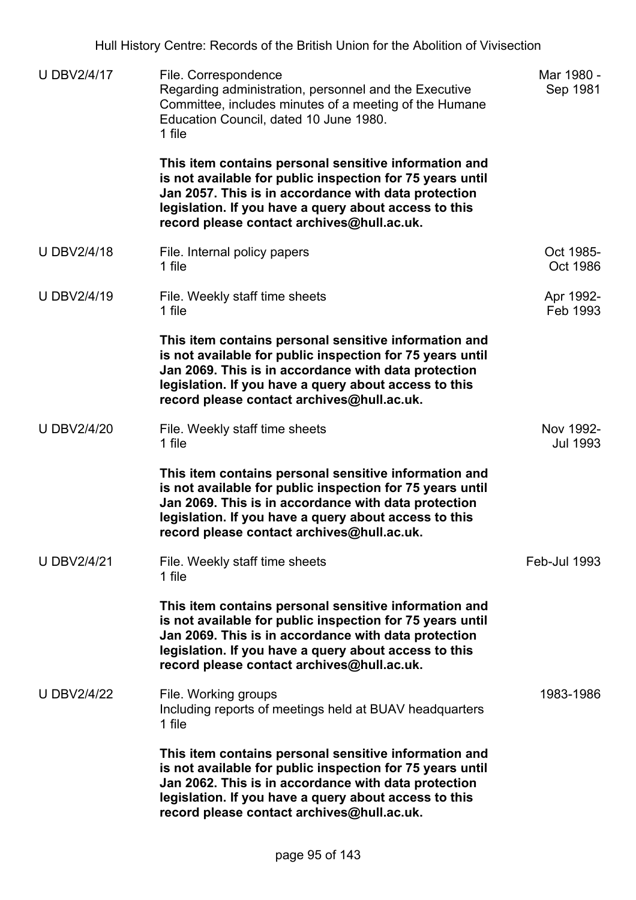Hull History Centre: Records of the British Union for the Abolition of Vivisection U DBV2/4/17 File. Correspondence Regarding administration, personnel and the Executive Committee, includes minutes of a meeting of the Humane Education Council, dated 10 June 1980. 1 file **This item contains personal sensitive information and is not available for public inspection for 75 years until Jan 2057. This is in accordance with data protection legislation. If you have a query about access to this record please contact archives@hull.ac.uk.** Mar 1980 - Sep 1981 U DBV2/4/18 File. Internal policy papers 1 file Oct 1985- Oct 1986 U DBV2/4/19 File. Weekly staff time sheets 1 file **This item contains personal sensitive information and is not available for public inspection for 75 years until Jan 2069. This is in accordance with data protection legislation. If you have a query about access to this record please contact archives@hull.ac.uk.** Apr 1992- Feb 1993 U DBV2/4/20 File. Weekly staff time sheets 1 file **This item contains personal sensitive information and is not available for public inspection for 75 years until Jan 2069. This is in accordance with data protection legislation. If you have a query about access to this record please contact archives@hull.ac.uk.** Nov 1992- Jul 1993 U DBV2/4/21 File. Weekly staff time sheets 1 file **This item contains personal sensitive information and is not available for public inspection for 75 years until Jan 2069. This is in accordance with data protection legislation. If you have a query about access to this record please contact archives@hull.ac.uk.** Feb-Jul 1993 U DBV2/4/22 File. Working groups Including reports of meetings held at BUAV headquarters 1 file **This item contains personal sensitive information and is not available for public inspection for 75 years until Jan 2062. This is in accordance with data protection legislation. If you have a query about access to this record please contact archives@hull.ac.uk.** 1983-1986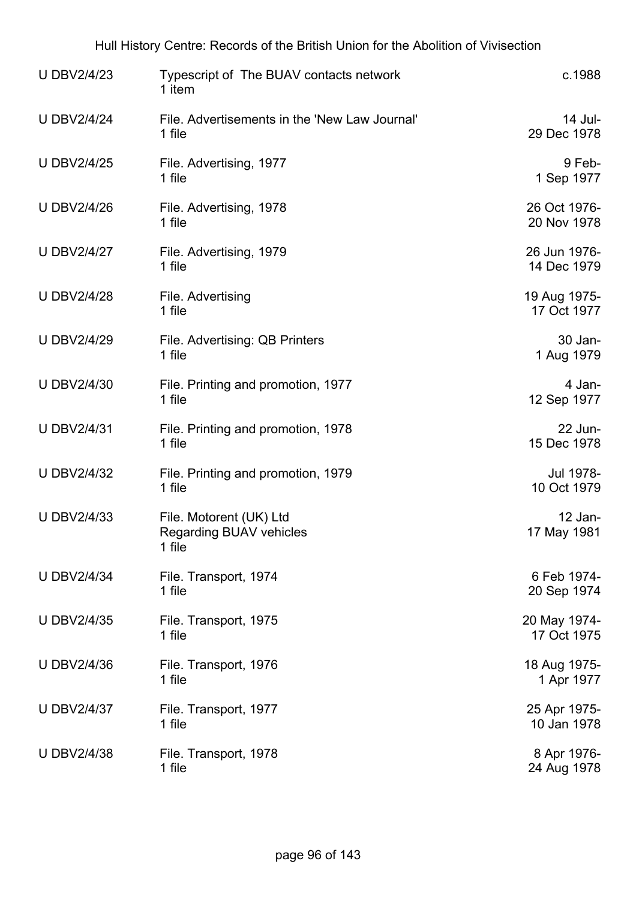| <b>U DBV2/4/23</b> | Typescript of The BUAV contacts network<br>1 item                   | c.1988                      |
|--------------------|---------------------------------------------------------------------|-----------------------------|
| <b>U DBV2/4/24</b> | File. Advertisements in the 'New Law Journal'<br>1 file             | 14 Jul-<br>29 Dec 1978      |
| <b>U DBV2/4/25</b> | File. Advertising, 1977<br>1 file                                   | 9 Feb-<br>1 Sep 1977        |
| <b>U DBV2/4/26</b> | File. Advertising, 1978<br>1 file                                   | 26 Oct 1976-<br>20 Nov 1978 |
| <b>U DBV2/4/27</b> | File. Advertising, 1979<br>1 file                                   | 26 Jun 1976-<br>14 Dec 1979 |
| <b>U DBV2/4/28</b> | File. Advertising<br>1 file                                         | 19 Aug 1975-<br>17 Oct 1977 |
| <b>U DBV2/4/29</b> | File. Advertising: QB Printers<br>1 file                            | 30 Jan-<br>1 Aug 1979       |
| <b>U DBV2/4/30</b> | File. Printing and promotion, 1977<br>1 file                        | 4 Jan-<br>12 Sep 1977       |
| <b>U DBV2/4/31</b> | File. Printing and promotion, 1978<br>1 file                        | 22 Jun-<br>15 Dec 1978      |
| <b>U DBV2/4/32</b> | File. Printing and promotion, 1979<br>1 file                        | Jul 1978-<br>10 Oct 1979    |
| <b>U DBV2/4/33</b> | File. Motorent (UK) Ltd<br><b>Regarding BUAV vehicles</b><br>1 file | $12$ Jan-<br>17 May 1981    |
| <b>U DBV2/4/34</b> | File. Transport, 1974<br>1 file                                     | 6 Feb 1974-<br>20 Sep 1974  |
| <b>U DBV2/4/35</b> | File. Transport, 1975<br>1 file                                     | 20 May 1974-<br>17 Oct 1975 |
| <b>U DBV2/4/36</b> | File. Transport, 1976<br>1 file                                     | 18 Aug 1975-<br>1 Apr 1977  |
| <b>U DBV2/4/37</b> | File. Transport, 1977<br>1 file                                     | 25 Apr 1975-<br>10 Jan 1978 |
| <b>U DBV2/4/38</b> | File. Transport, 1978<br>1 file                                     | 8 Apr 1976-<br>24 Aug 1978  |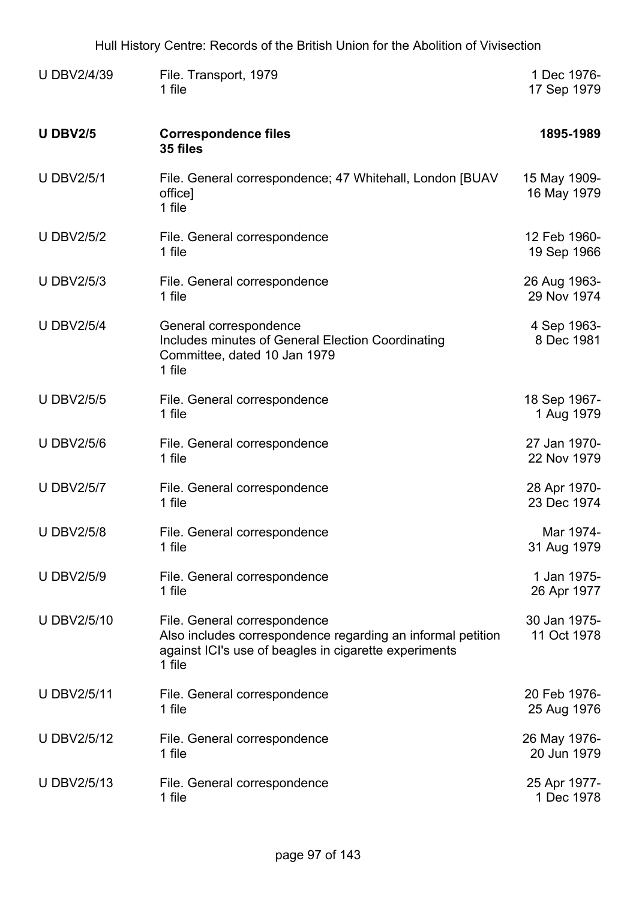| <b>U DBV2/4/39</b> | File. Transport, 1979<br>1 file                                                                                                                                | 1 Dec 1976-<br>17 Sep 1979  |
|--------------------|----------------------------------------------------------------------------------------------------------------------------------------------------------------|-----------------------------|
| <b>U DBV2/5</b>    | <b>Correspondence files</b><br>35 files                                                                                                                        | 1895-1989                   |
| <b>U DBV2/5/1</b>  | File. General correspondence; 47 Whitehall, London [BUAV]<br>office]<br>1 file                                                                                 | 15 May 1909-<br>16 May 1979 |
| <b>U DBV2/5/2</b>  | File. General correspondence<br>1 file                                                                                                                         | 12 Feb 1960-<br>19 Sep 1966 |
| <b>U DBV2/5/3</b>  | File. General correspondence<br>1 file                                                                                                                         | 26 Aug 1963-<br>29 Nov 1974 |
| <b>U DBV2/5/4</b>  | General correspondence<br>Includes minutes of General Election Coordinating<br>Committee, dated 10 Jan 1979<br>1 file                                          | 4 Sep 1963-<br>8 Dec 1981   |
| <b>U DBV2/5/5</b>  | File. General correspondence<br>1 file                                                                                                                         | 18 Sep 1967-<br>1 Aug 1979  |
| <b>U DBV2/5/6</b>  | File. General correspondence<br>1 file                                                                                                                         | 27 Jan 1970-<br>22 Nov 1979 |
| <b>U DBV2/5/7</b>  | File. General correspondence<br>1 file                                                                                                                         | 28 Apr 1970-<br>23 Dec 1974 |
| <b>U DBV2/5/8</b>  | File. General correspondence<br>1 file                                                                                                                         | Mar 1974-<br>31 Aug 1979    |
| <b>U DBV2/5/9</b>  | File. General correspondence<br>1 file                                                                                                                         | 1 Jan 1975-<br>26 Apr 1977  |
| <b>U DBV2/5/10</b> | File. General correspondence<br>Also includes correspondence regarding an informal petition<br>against ICI's use of beagles in cigarette experiments<br>1 file | 30 Jan 1975-<br>11 Oct 1978 |
| <b>U DBV2/5/11</b> | File. General correspondence<br>1 file                                                                                                                         | 20 Feb 1976-<br>25 Aug 1976 |
| <b>U DBV2/5/12</b> | File. General correspondence<br>1 file                                                                                                                         | 26 May 1976-<br>20 Jun 1979 |
| <b>U DBV2/5/13</b> | File. General correspondence<br>1 file                                                                                                                         | 25 Apr 1977-<br>1 Dec 1978  |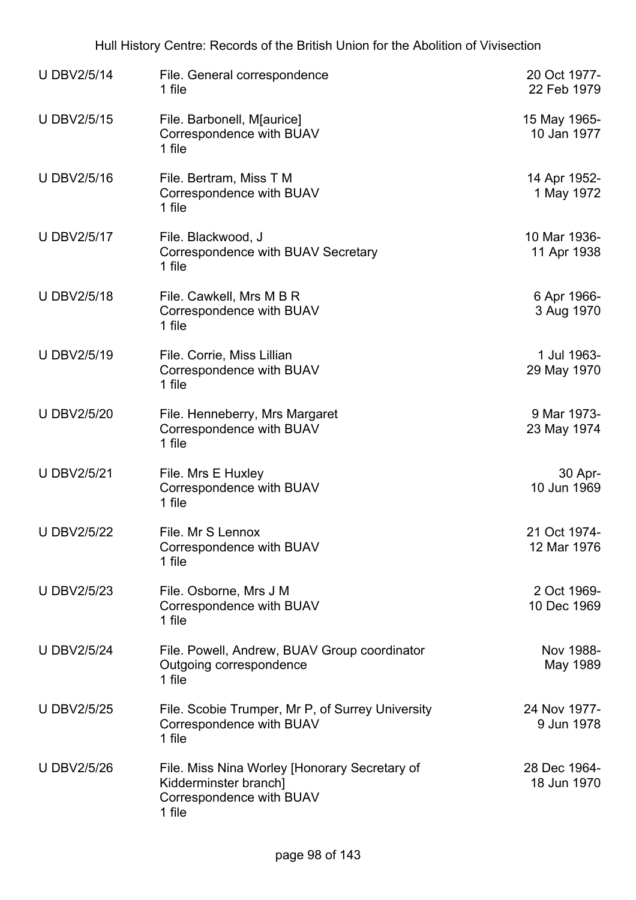| <b>U DBV2/5/14</b> | File. General correspondence<br>1 file                                                                       | 20 Oct 1977-<br>22 Feb 1979 |
|--------------------|--------------------------------------------------------------------------------------------------------------|-----------------------------|
| <b>U DBV2/5/15</b> | File. Barbonell, M[aurice]<br>Correspondence with BUAV<br>1 file                                             | 15 May 1965-<br>10 Jan 1977 |
| <b>U DBV2/5/16</b> | File. Bertram, Miss T M<br>Correspondence with BUAV<br>1 file                                                | 14 Apr 1952-<br>1 May 1972  |
| <b>U DBV2/5/17</b> | File. Blackwood, J<br>Correspondence with BUAV Secretary<br>1 file                                           | 10 Mar 1936-<br>11 Apr 1938 |
| <b>U DBV2/5/18</b> | File. Cawkell, Mrs M B R<br>Correspondence with BUAV<br>1 file                                               | 6 Apr 1966-<br>3 Aug 1970   |
| <b>U DBV2/5/19</b> | File. Corrie, Miss Lillian<br>Correspondence with BUAV<br>1 file                                             | 1 Jul 1963-<br>29 May 1970  |
| <b>U DBV2/5/20</b> | File. Henneberry, Mrs Margaret<br>Correspondence with BUAV<br>1 file                                         | 9 Mar 1973-<br>23 May 1974  |
| <b>U DBV2/5/21</b> | File. Mrs E Huxley<br>Correspondence with BUAV<br>1 file                                                     | 30 Apr-<br>10 Jun 1969      |
| <b>U DBV2/5/22</b> | File. Mr S Lennox<br>Correspondence with BUAV<br>1 file                                                      | 21 Oct 1974-<br>12 Mar 1976 |
| <b>U DBV2/5/23</b> | File. Osborne, Mrs J M<br>Correspondence with BUAV<br>1 file                                                 | 2 Oct 1969-<br>10 Dec 1969  |
| <b>U DBV2/5/24</b> | File. Powell, Andrew, BUAV Group coordinator<br>Outgoing correspondence<br>1 file                            | Nov 1988-<br>May 1989       |
| <b>U DBV2/5/25</b> | File. Scobie Trumper, Mr P, of Surrey University<br>Correspondence with BUAV<br>1 file                       | 24 Nov 1977-<br>9 Jun 1978  |
| <b>U DBV2/5/26</b> | File. Miss Nina Worley [Honorary Secretary of<br>Kidderminster branch]<br>Correspondence with BUAV<br>1 file | 28 Dec 1964-<br>18 Jun 1970 |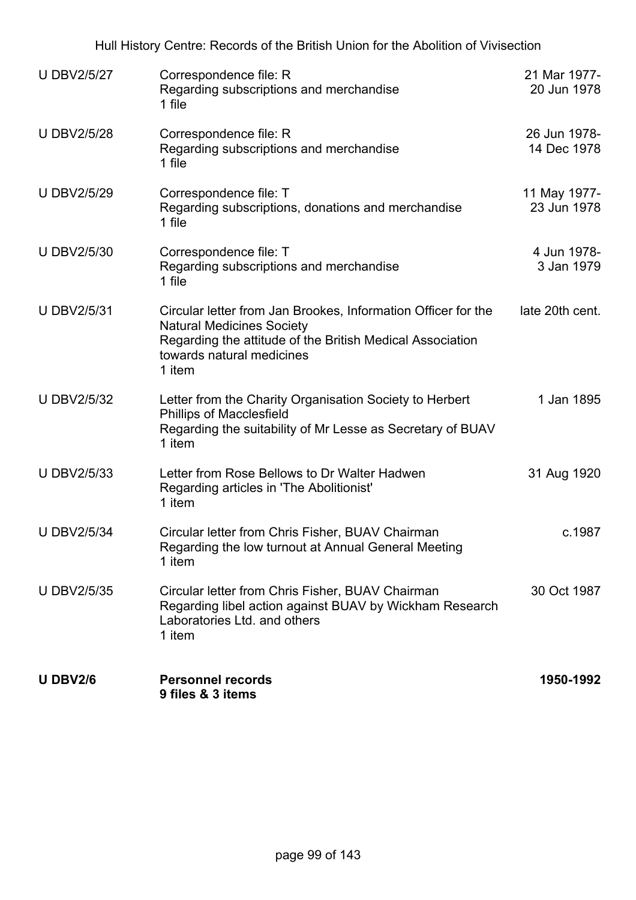| <b>U DBV2/5/27</b> | Correspondence file: R<br>Regarding subscriptions and merchandise<br>1 file                                                                                                                           | 21 Mar 1977-<br>20 Jun 1978 |
|--------------------|-------------------------------------------------------------------------------------------------------------------------------------------------------------------------------------------------------|-----------------------------|
| <b>UDBV2/5/28</b>  | Correspondence file: R<br>Regarding subscriptions and merchandise<br>1 file                                                                                                                           | 26 Jun 1978-<br>14 Dec 1978 |
| <b>U DBV2/5/29</b> | Correspondence file: T<br>Regarding subscriptions, donations and merchandise<br>1 file                                                                                                                | 11 May 1977-<br>23 Jun 1978 |
| <b>U DBV2/5/30</b> | Correspondence file: T<br>Regarding subscriptions and merchandise<br>1 file                                                                                                                           | 4 Jun 1978-<br>3 Jan 1979   |
| <b>U DBV2/5/31</b> | Circular letter from Jan Brookes, Information Officer for the<br><b>Natural Medicines Society</b><br>Regarding the attitude of the British Medical Association<br>towards natural medicines<br>1 item | late 20th cent.             |
| <b>U DBV2/5/32</b> | Letter from the Charity Organisation Society to Herbert<br><b>Phillips of Macclesfield</b><br>Regarding the suitability of Mr Lesse as Secretary of BUAV<br>1 item                                    | 1 Jan 1895                  |
| <b>U DBV2/5/33</b> | Letter from Rose Bellows to Dr Walter Hadwen<br>Regarding articles in 'The Abolitionist'<br>1 item                                                                                                    | 31 Aug 1920                 |
| <b>U DBV2/5/34</b> | Circular letter from Chris Fisher, BUAV Chairman<br>Regarding the low turnout at Annual General Meeting<br>1 item                                                                                     | c.1987                      |
| <b>U DBV2/5/35</b> | Circular letter from Chris Fisher, BUAV Chairman<br>Regarding libel action against BUAV by Wickham Research<br>Laboratories Ltd. and others<br>1 item                                                 | 30 Oct 1987                 |
| <b>U DBV2/6</b>    | <b>Personnel records</b><br>9 files & 3 items                                                                                                                                                         | 1950-1992                   |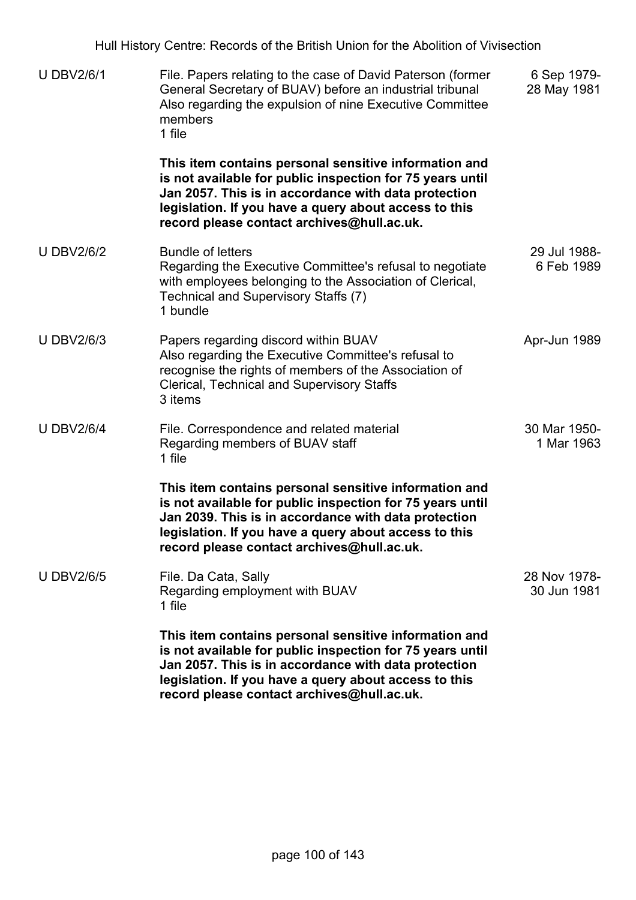| <b>U DBV2/6/1</b> | File. Papers relating to the case of David Paterson (former<br>General Secretary of BUAV) before an industrial tribunal<br>Also regarding the expulsion of nine Executive Committee<br>members<br>1 file                                                                          | 6 Sep 1979-<br>28 May 1981  |
|-------------------|-----------------------------------------------------------------------------------------------------------------------------------------------------------------------------------------------------------------------------------------------------------------------------------|-----------------------------|
|                   | This item contains personal sensitive information and<br>is not available for public inspection for 75 years until<br>Jan 2057. This is in accordance with data protection<br>legislation. If you have a query about access to this<br>record please contact archives@hull.ac.uk. |                             |
| <b>U DBV2/6/2</b> | <b>Bundle of letters</b><br>Regarding the Executive Committee's refusal to negotiate<br>with employees belonging to the Association of Clerical,<br>Technical and Supervisory Staffs (7)<br>1 bundle                                                                              | 29 Jul 1988-<br>6 Feb 1989  |
| <b>U DBV2/6/3</b> | Papers regarding discord within BUAV<br>Also regarding the Executive Committee's refusal to<br>recognise the rights of members of the Association of<br><b>Clerical, Technical and Supervisory Staffs</b><br>3 items                                                              | Apr-Jun 1989                |
| <b>U DBV2/6/4</b> | File. Correspondence and related material<br>Regarding members of BUAV staff<br>1 file                                                                                                                                                                                            | 30 Mar 1950-<br>1 Mar 1963  |
|                   | This item contains personal sensitive information and<br>is not available for public inspection for 75 years until<br>Jan 2039. This is in accordance with data protection<br>legislation. If you have a query about access to this<br>record please contact archives@hull.ac.uk. |                             |
| <b>U DBV2/6/5</b> | File. Da Cata, Sally<br>Regarding employment with BUAV<br>1 file                                                                                                                                                                                                                  | 28 Nov 1978-<br>30 Jun 1981 |
|                   | This item contains personal sensitive information and<br>is not available for public inspection for 75 years until<br>Jan 2057. This is in accordance with data protection<br>legislation. If you have a query about access to this<br>record please contact archives@hull.ac.uk. |                             |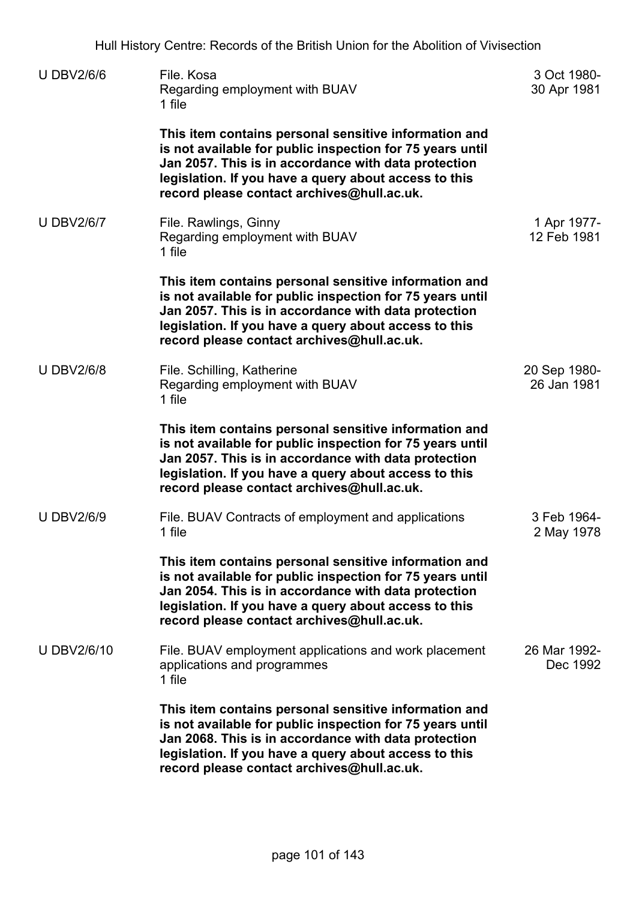| <b>U DBV2/6/6</b> | File, Kosa<br>Regarding employment with BUAV<br>1 file                                                                                                                                                                                                                            | 3 Oct 1980-<br>30 Apr 1981  |
|-------------------|-----------------------------------------------------------------------------------------------------------------------------------------------------------------------------------------------------------------------------------------------------------------------------------|-----------------------------|
|                   | This item contains personal sensitive information and<br>is not available for public inspection for 75 years until<br>Jan 2057. This is in accordance with data protection<br>legislation. If you have a query about access to this<br>record please contact archives@hull.ac.uk. |                             |
| <b>U DBV2/6/7</b> | File. Rawlings, Ginny<br>Regarding employment with BUAV<br>1 file                                                                                                                                                                                                                 | 1 Apr 1977-<br>12 Feb 1981  |
|                   | This item contains personal sensitive information and<br>is not available for public inspection for 75 years until<br>Jan 2057. This is in accordance with data protection<br>legislation. If you have a query about access to this<br>record please contact archives@hull.ac.uk. |                             |
| <b>U DBV2/6/8</b> | File. Schilling, Katherine<br>Regarding employment with BUAV<br>1 file                                                                                                                                                                                                            | 20 Sep 1980-<br>26 Jan 1981 |
|                   | This item contains personal sensitive information and<br>is not available for public inspection for 75 years until<br>Jan 2057. This is in accordance with data protection<br>legislation. If you have a query about access to this<br>record please contact archives@hull.ac.uk. |                             |
| <b>U DBV2/6/9</b> | File. BUAV Contracts of employment and applications<br>1 file                                                                                                                                                                                                                     | 3 Feb 1964-<br>2 May 1978   |
|                   | This item contains personal sensitive information and<br>is not available for public inspection for 75 years until<br>Jan 2054. This is in accordance with data protection<br>legislation. If you have a query about access to this<br>record please contact archives@hull.ac.uk. |                             |
| <b>UDBV2/6/10</b> | File. BUAV employment applications and work placement<br>applications and programmes<br>1 file                                                                                                                                                                                    | 26 Mar 1992-<br>Dec 1992    |
|                   | This item contains personal sensitive information and<br>is not available for public inspection for 75 years until<br>Jan 2068. This is in accordance with data protection<br>legislation. If you have a query about access to this<br>record please contact archives@hull.ac.uk. |                             |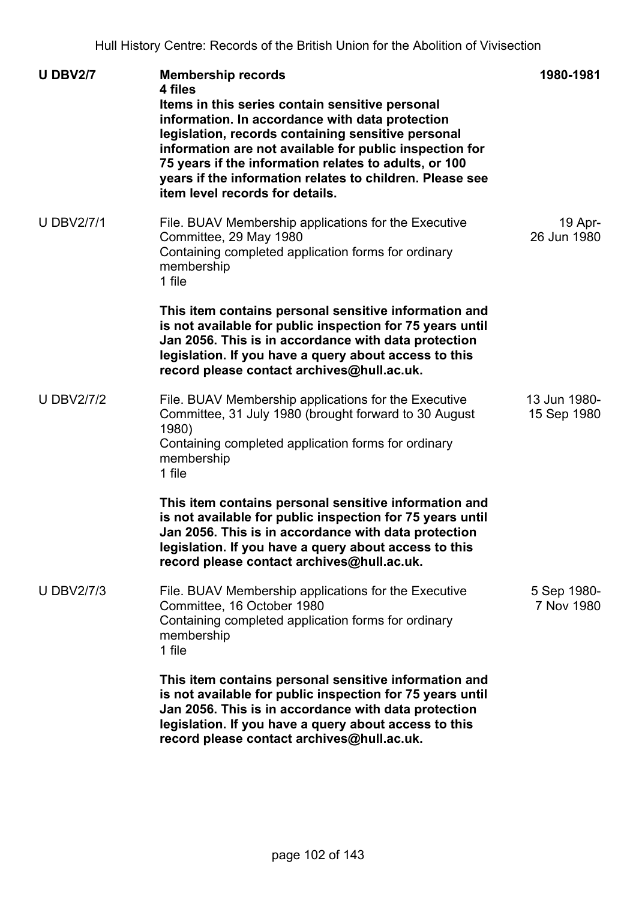| <b>U DBV2/7</b>   | <b>Membership records</b><br>4 files<br>Items in this series contain sensitive personal<br>information. In accordance with data protection<br>legislation, records containing sensitive personal<br>information are not available for public inspection for<br>75 years if the information relates to adults, or 100<br>years if the information relates to children. Please see<br>item level records for details. | 1980-1981                   |
|-------------------|---------------------------------------------------------------------------------------------------------------------------------------------------------------------------------------------------------------------------------------------------------------------------------------------------------------------------------------------------------------------------------------------------------------------|-----------------------------|
| <b>U DBV2/7/1</b> | File. BUAV Membership applications for the Executive<br>Committee, 29 May 1980<br>Containing completed application forms for ordinary<br>membership<br>1 file                                                                                                                                                                                                                                                       | 19 Apr-<br>26 Jun 1980      |
|                   | This item contains personal sensitive information and<br>is not available for public inspection for 75 years until<br>Jan 2056. This is in accordance with data protection<br>legislation. If you have a query about access to this<br>record please contact archives@hull.ac.uk.                                                                                                                                   |                             |
| <b>U DBV2/7/2</b> | File. BUAV Membership applications for the Executive<br>Committee, 31 July 1980 (brought forward to 30 August<br>1980)<br>Containing completed application forms for ordinary<br>membership<br>1 file                                                                                                                                                                                                               | 13 Jun 1980-<br>15 Sep 1980 |
|                   | This item contains personal sensitive information and<br>is not available for public inspection for 75 years until<br>Jan 2056. This is in accordance with data protection<br>legislation. If you have a query about access to this<br>record please contact archives@hull.ac.uk.                                                                                                                                   |                             |
| <b>U DBV2/7/3</b> | File. BUAV Membership applications for the Executive<br>Committee, 16 October 1980<br>Containing completed application forms for ordinary<br>membership<br>1 file                                                                                                                                                                                                                                                   | 5 Sep 1980-<br>7 Nov 1980   |
|                   | This item contains personal sensitive information and<br>is not available for public inspection for 75 years until<br>Jan 2056. This is in accordance with data protection<br>legislation. If you have a query about access to this<br>record please contact archives@hull.ac.uk.                                                                                                                                   |                             |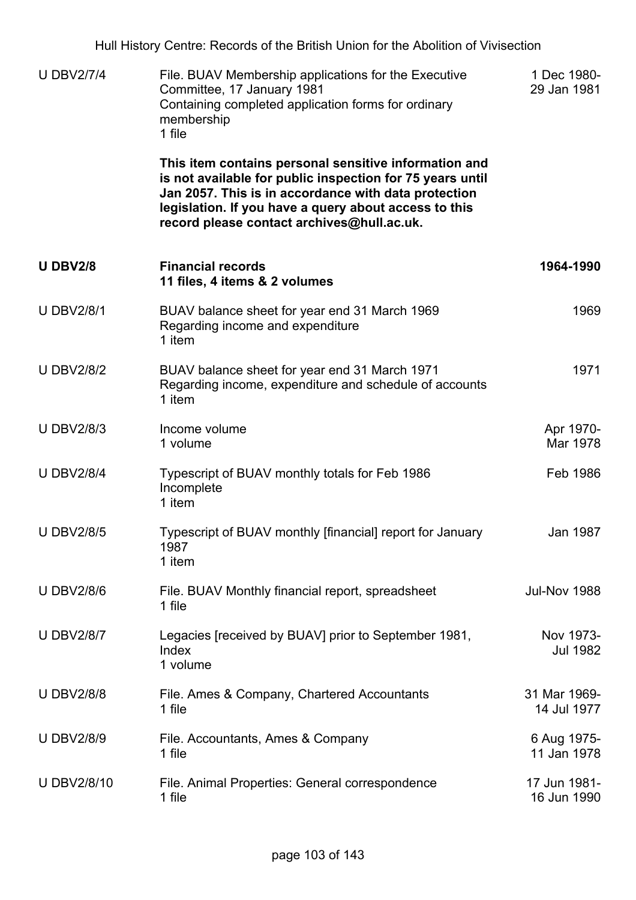| <b>U DBV2/7/4</b> | File. BUAV Membership applications for the Executive<br>Committee, 17 January 1981<br>Containing completed application forms for ordinary<br>membership<br>1 file                                                                                                                 | 1 Dec 1980-<br>29 Jan 1981   |
|-------------------|-----------------------------------------------------------------------------------------------------------------------------------------------------------------------------------------------------------------------------------------------------------------------------------|------------------------------|
|                   | This item contains personal sensitive information and<br>is not available for public inspection for 75 years until<br>Jan 2057. This is in accordance with data protection<br>legislation. If you have a query about access to this<br>record please contact archives@hull.ac.uk. |                              |
| <b>U DBV2/8</b>   | <b>Financial records</b><br>11 files, 4 items & 2 volumes                                                                                                                                                                                                                         | 1964-1990                    |
| <b>U DBV2/8/1</b> | BUAV balance sheet for year end 31 March 1969<br>Regarding income and expenditure<br>1 item                                                                                                                                                                                       | 1969                         |
| <b>U DBV2/8/2</b> | BUAV balance sheet for year end 31 March 1971<br>Regarding income, expenditure and schedule of accounts<br>1 item                                                                                                                                                                 | 1971                         |
| <b>U DBV2/8/3</b> | Income volume<br>1 volume                                                                                                                                                                                                                                                         | Apr 1970-<br>Mar 1978        |
| <b>U DBV2/8/4</b> | Typescript of BUAV monthly totals for Feb 1986<br>Incomplete<br>1 item                                                                                                                                                                                                            | Feb 1986                     |
| <b>U DBV2/8/5</b> | Typescript of BUAV monthly [financial] report for January<br>1987<br>1 item                                                                                                                                                                                                       | Jan 1987                     |
| <b>U DBV2/8/6</b> | File. BUAV Monthly financial report, spreadsheet<br>1 file                                                                                                                                                                                                                        | <b>Jul-Nov 1988</b>          |
| <b>U DBV2/8/7</b> | Legacies [received by BUAV] prior to September 1981,<br>Index<br>1 volume                                                                                                                                                                                                         | Nov 1973-<br><b>Jul 1982</b> |
| <b>U DBV2/8/8</b> | File. Ames & Company, Chartered Accountants<br>1 file                                                                                                                                                                                                                             | 31 Mar 1969-<br>14 Jul 1977  |
| <b>U DBV2/8/9</b> | File. Accountants, Ames & Company<br>1 file                                                                                                                                                                                                                                       | 6 Aug 1975-<br>11 Jan 1978   |
| <b>UDBV2/8/10</b> | File. Animal Properties: General correspondence<br>1 file                                                                                                                                                                                                                         | 17 Jun 1981-<br>16 Jun 1990  |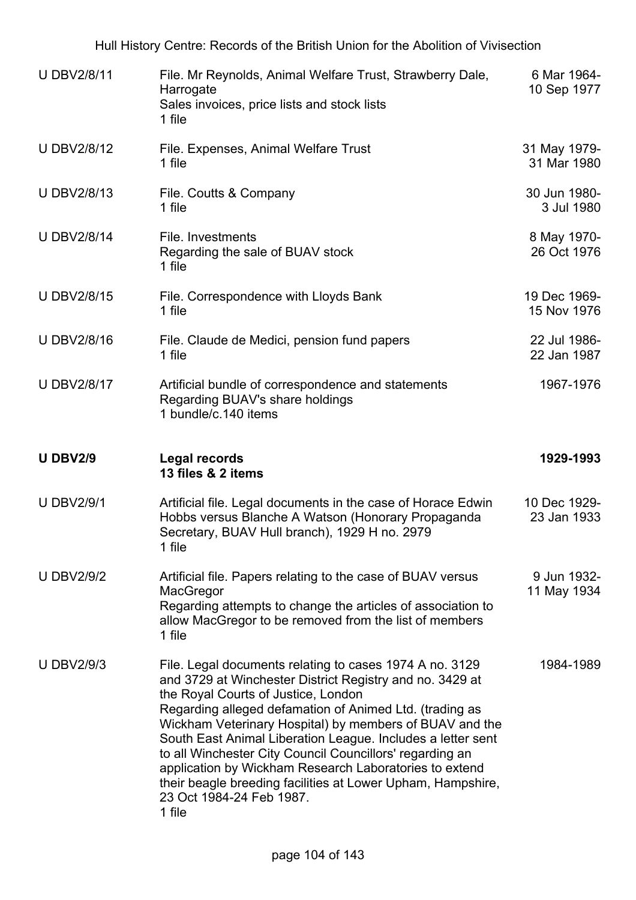| <b>U DBV2/8/11</b> | File. Mr Reynolds, Animal Welfare Trust, Strawberry Dale,<br>Harrogate<br>Sales invoices, price lists and stock lists<br>1 file                                                                             | 6 Mar 1964-<br>10 Sep 1977  |
|--------------------|-------------------------------------------------------------------------------------------------------------------------------------------------------------------------------------------------------------|-----------------------------|
| <b>UDBV2/8/12</b>  | File. Expenses, Animal Welfare Trust<br>1 file                                                                                                                                                              | 31 May 1979-<br>31 Mar 1980 |
| <b>U DBV2/8/13</b> | File. Coutts & Company<br>1 file                                                                                                                                                                            | 30 Jun 1980-<br>3 Jul 1980  |
| <b>U DBV2/8/14</b> | File. Investments<br>Regarding the sale of BUAV stock<br>1 file                                                                                                                                             | 8 May 1970-<br>26 Oct 1976  |
| <b>U DBV2/8/15</b> | File. Correspondence with Lloyds Bank<br>1 file                                                                                                                                                             | 19 Dec 1969-<br>15 Nov 1976 |
| <b>U DBV2/8/16</b> | File. Claude de Medici, pension fund papers<br>1 file                                                                                                                                                       | 22 Jul 1986-<br>22 Jan 1987 |
| <b>U DBV2/8/17</b> | Artificial bundle of correspondence and statements<br>Regarding BUAV's share holdings<br>1 bundle/c.140 items                                                                                               | 1967-1976                   |
|                    |                                                                                                                                                                                                             |                             |
| <b>U DBV2/9</b>    | <b>Legal records</b><br>13 files & 2 items                                                                                                                                                                  | 1929-1993                   |
| <b>U DBV2/9/1</b>  | Artificial file. Legal documents in the case of Horace Edwin<br>Hobbs versus Blanche A Watson (Honorary Propaganda<br>Secretary, BUAV Hull branch), 1929 H no. 2979<br>1 file                               | 10 Dec 1929-<br>23 Jan 1933 |
| <b>U DBV2/9/2</b>  | Artificial file. Papers relating to the case of BUAV versus<br>MacGregor<br>Regarding attempts to change the articles of association to<br>allow MacGregor to be removed from the list of members<br>1 file | 9 Jun 1932-<br>11 May 1934  |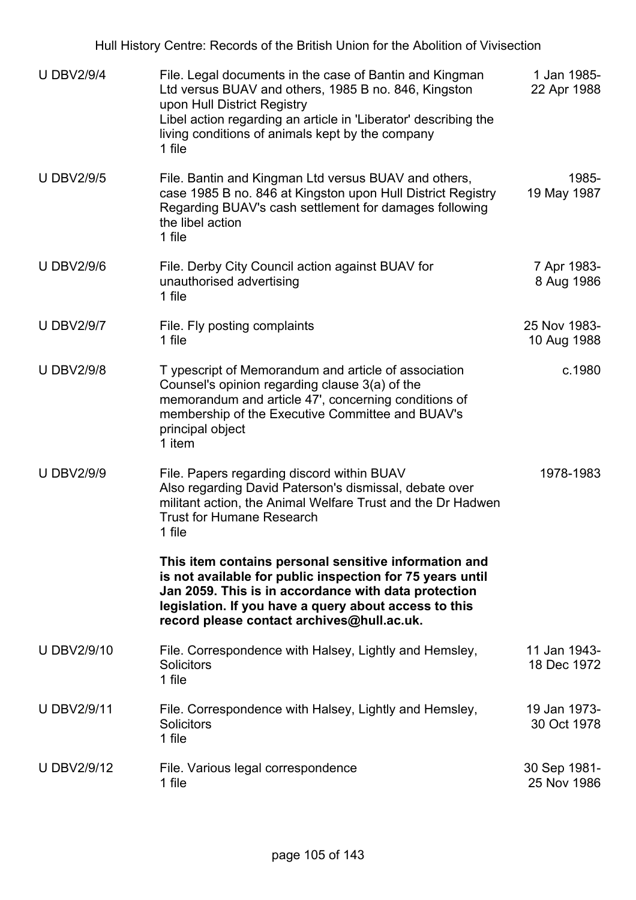| <b>U DBV2/9/4</b>  | File. Legal documents in the case of Bantin and Kingman<br>Ltd versus BUAV and others, 1985 B no. 846, Kingston<br>upon Hull District Registry<br>Libel action regarding an article in 'Liberator' describing the<br>living conditions of animals kept by the company<br>1 file   | 1 Jan 1985-<br>22 Apr 1988  |
|--------------------|-----------------------------------------------------------------------------------------------------------------------------------------------------------------------------------------------------------------------------------------------------------------------------------|-----------------------------|
| <b>U DBV2/9/5</b>  | File. Bantin and Kingman Ltd versus BUAV and others,<br>case 1985 B no. 846 at Kingston upon Hull District Registry<br>Regarding BUAV's cash settlement for damages following<br>the libel action<br>1 file                                                                       | 1985-<br>19 May 1987        |
| <b>U DBV2/9/6</b>  | File. Derby City Council action against BUAV for<br>unauthorised advertising<br>1 file                                                                                                                                                                                            | 7 Apr 1983-<br>8 Aug 1986   |
| <b>U DBV2/9/7</b>  | File. Fly posting complaints<br>1 file                                                                                                                                                                                                                                            | 25 Nov 1983-<br>10 Aug 1988 |
| <b>U DBV2/9/8</b>  | T ypescript of Memorandum and article of association<br>Counsel's opinion regarding clause 3(a) of the<br>memorandum and article 47', concerning conditions of<br>membership of the Executive Committee and BUAV's<br>principal object<br>1 item                                  | c.1980                      |
| <b>U DBV2/9/9</b>  | File. Papers regarding discord within BUAV<br>Also regarding David Paterson's dismissal, debate over<br>militant action, the Animal Welfare Trust and the Dr Hadwen<br><b>Trust for Humane Research</b><br>1 file                                                                 | 1978-1983                   |
|                    | This item contains personal sensitive information and<br>is not available for public inspection for 75 years until<br>Jan 2059. This is in accordance with data protection<br>legislation. If you have a query about access to this<br>record please contact archives@hull.ac.uk. |                             |
| <b>U DBV2/9/10</b> | File. Correspondence with Halsey, Lightly and Hemsley,<br><b>Solicitors</b><br>1 file                                                                                                                                                                                             | 11 Jan 1943-<br>18 Dec 1972 |
| <b>U DBV2/9/11</b> | File. Correspondence with Halsey, Lightly and Hemsley,<br><b>Solicitors</b><br>1 file                                                                                                                                                                                             | 19 Jan 1973-<br>30 Oct 1978 |
| U DBV2/9/12        | File. Various legal correspondence<br>1 file                                                                                                                                                                                                                                      | 30 Sep 1981-<br>25 Nov 1986 |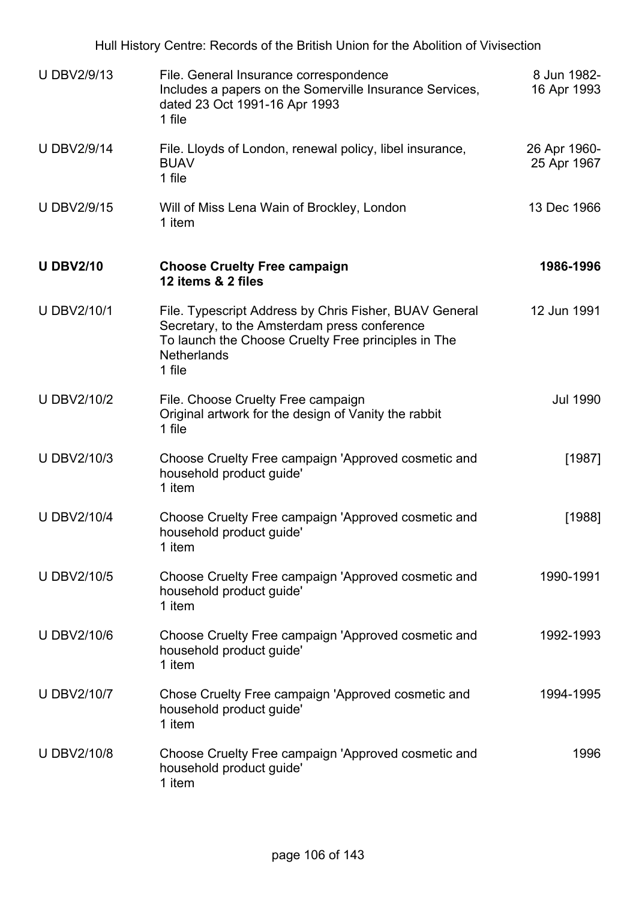|                    | Hull History Centre: Records of the British Union for the Abolition of Vivisection                                                                                                            |                             |
|--------------------|-----------------------------------------------------------------------------------------------------------------------------------------------------------------------------------------------|-----------------------------|
| <b>U DBV2/9/13</b> | File. General Insurance correspondence<br>Includes a papers on the Somerville Insurance Services,<br>dated 23 Oct 1991-16 Apr 1993<br>1 file                                                  | 8 Jun 1982-<br>16 Apr 1993  |
| <b>U DBV2/9/14</b> | File. Lloyds of London, renewal policy, libel insurance,<br><b>BUAV</b><br>1 file                                                                                                             | 26 Apr 1960-<br>25 Apr 1967 |
| <b>U DBV2/9/15</b> | Will of Miss Lena Wain of Brockley, London<br>1 item                                                                                                                                          | 13 Dec 1966                 |
| <b>U DBV2/10</b>   | <b>Choose Cruelty Free campaign</b><br>12 items & 2 files                                                                                                                                     | 1986-1996                   |
| <b>U DBV2/10/1</b> | File. Typescript Address by Chris Fisher, BUAV General<br>Secretary, to the Amsterdam press conference<br>To launch the Choose Cruelty Free principles in The<br><b>Netherlands</b><br>1 file | 12 Jun 1991                 |
| <b>U DBV2/10/2</b> | File. Choose Cruelty Free campaign<br>Original artwork for the design of Vanity the rabbit<br>1 file                                                                                          | <b>Jul 1990</b>             |
| <b>U DBV2/10/3</b> | Choose Cruelty Free campaign 'Approved cosmetic and<br>household product guide'<br>1 item                                                                                                     | [1987]                      |
| <b>U DBV2/10/4</b> | Choose Cruelty Free campaign 'Approved cosmetic and<br>household product guide'<br>1 item                                                                                                     | [1988]                      |
| <b>U DBV2/10/5</b> | Choose Cruelty Free campaign 'Approved cosmetic and<br>household product guide'<br>1 item                                                                                                     | 1990-1991                   |
| <b>UDBV2/10/6</b>  | Choose Cruelty Free campaign 'Approved cosmetic and<br>household product guide'<br>1 item                                                                                                     | 1992-1993                   |
| <b>U DBV2/10/7</b> | Chose Cruelty Free campaign 'Approved cosmetic and<br>household product guide'<br>1 item                                                                                                      | 1994-1995                   |
| <b>UDBV2/10/8</b>  | Choose Cruelty Free campaign 'Approved cosmetic and<br>household product guide'<br>1 item                                                                                                     | 1996                        |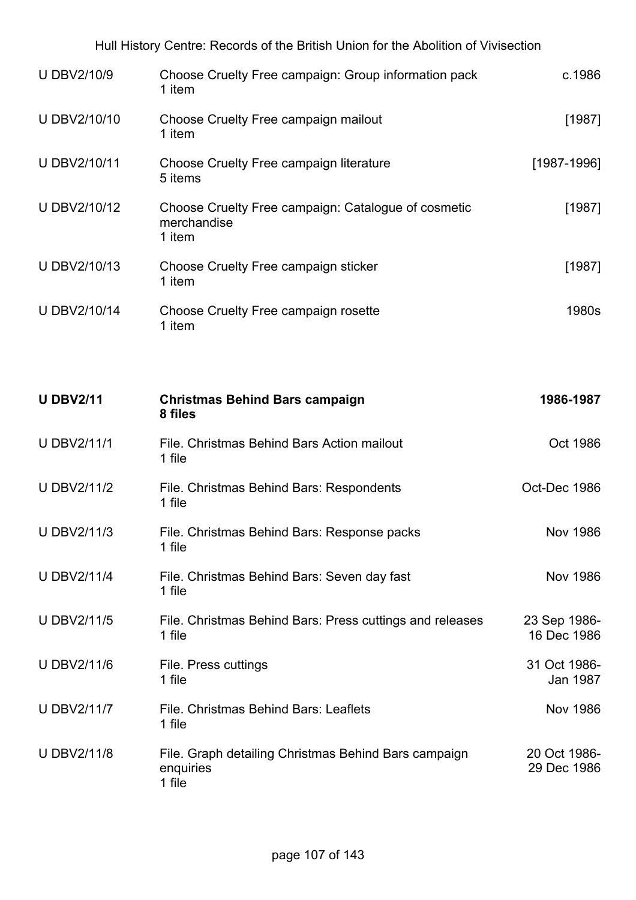| <b>U DBV2/10/9</b> | Choose Cruelty Free campaign: Group information pack<br>1 item               | c.1986                      |
|--------------------|------------------------------------------------------------------------------|-----------------------------|
| U DBV2/10/10       | Choose Cruelty Free campaign mailout<br>1 item                               | [1987]                      |
| U DBV2/10/11       | Choose Cruelty Free campaign literature<br>5 items                           | $[1987 - 1996]$             |
| U DBV2/10/12       | Choose Cruelty Free campaign: Catalogue of cosmetic<br>merchandise<br>1 item | [1987]                      |
| U DBV2/10/13       | Choose Cruelty Free campaign sticker<br>1 item                               | [1987]                      |
| U DBV2/10/14       | Choose Cruelty Free campaign rosette<br>1 item                               | 1980s                       |
|                    |                                                                              |                             |
| <b>U DBV2/11</b>   | <b>Christmas Behind Bars campaign</b><br>8 files                             | 1986-1987                   |
| <b>U DBV2/11/1</b> | File. Christmas Behind Bars Action mailout<br>1 file                         | Oct 1986                    |
| <b>U DBV2/11/2</b> | File. Christmas Behind Bars: Respondents<br>1 file                           | Oct-Dec 1986                |
| <b>U DBV2/11/3</b> | File. Christmas Behind Bars: Response packs<br>1 file                        | <b>Nov 1986</b>             |
| <b>U DBV2/11/4</b> | File. Christmas Behind Bars: Seven day fast<br>1 file                        | <b>Nov 1986</b>             |
| <b>U DBV2/11/5</b> | File. Christmas Behind Bars: Press cuttings and releases<br>1 file           | 23 Sep 1986-<br>16 Dec 1986 |
| <b>UDBV2/11/6</b>  | File. Press cuttings<br>1 file                                               | 31 Oct 1986-<br>Jan 1987    |
| <b>U DBV2/11/7</b> | File, Christmas Behind Bars: Leaflets<br>1 file                              | <b>Nov 1986</b>             |
| <b>UDBV2/11/8</b>  | File. Graph detailing Christmas Behind Bars campaign<br>enquiries<br>1 file  | 20 Oct 1986-<br>29 Dec 1986 |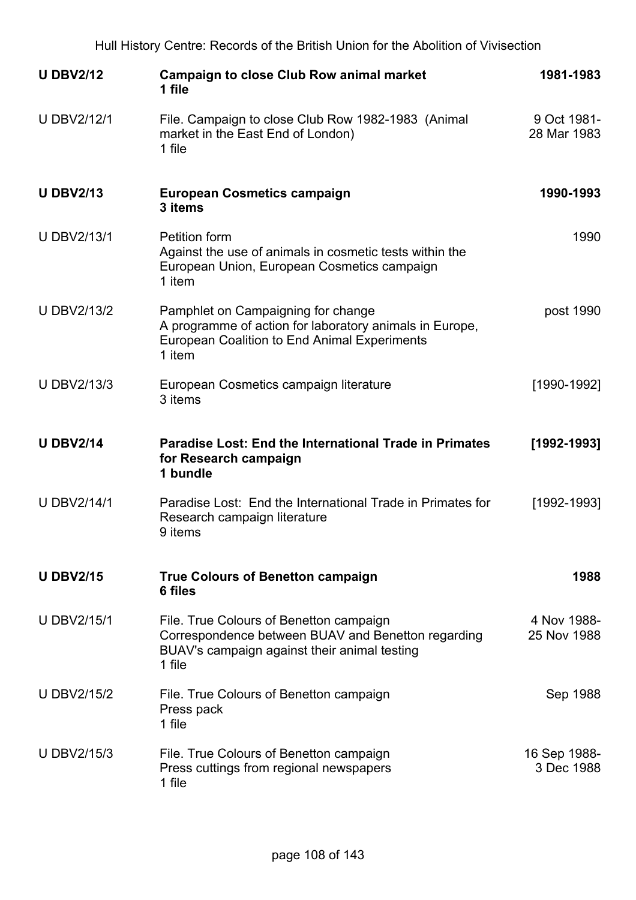| <b>U DBV2/12</b>   | <b>Campaign to close Club Row animal market</b><br>1 file                                                                                                      | 1981-1983                  |
|--------------------|----------------------------------------------------------------------------------------------------------------------------------------------------------------|----------------------------|
| <b>U DBV2/12/1</b> | File. Campaign to close Club Row 1982-1983 (Animal<br>market in the East End of London)<br>1 file                                                              | 9 Oct 1981-<br>28 Mar 1983 |
| <b>U DBV2/13</b>   | <b>European Cosmetics campaign</b><br>3 items                                                                                                                  | 1990-1993                  |
| <b>U DBV2/13/1</b> | <b>Petition form</b><br>Against the use of animals in cosmetic tests within the<br>European Union, European Cosmetics campaign<br>1 item                       | 1990                       |
| <b>U DBV2/13/2</b> | Pamphlet on Campaigning for change<br>A programme of action for laboratory animals in Europe,<br><b>European Coalition to End Animal Experiments</b><br>1 item | post 1990                  |
| <b>U DBV2/13/3</b> | European Cosmetics campaign literature<br>3 items                                                                                                              | [1990-1992]                |
| <b>U DBV2/14</b>   | <b>Paradise Lost: End the International Trade in Primates</b><br>for Research campaign<br>1 bundle                                                             | $[1992 - 1993]$            |
| <b>U DBV2/14/1</b> | Paradise Lost: End the International Trade in Primates for<br>Research campaign literature<br>9 items                                                          | [1992-1993]                |
| <b>U DBV2/15</b>   | <b>True Colours of Benetton campaign</b><br>6 files                                                                                                            | 1988                       |
| <b>U DBV2/15/1</b> | File. True Colours of Benetton campaign<br>Correspondence between BUAV and Benetton regarding<br>BUAV's campaign against their animal testing<br>1 file        | 4 Nov 1988-<br>25 Nov 1988 |
| <b>U DBV2/15/2</b> | File. True Colours of Benetton campaign<br>Press pack<br>1 file                                                                                                | Sep 1988                   |
| <b>U DBV2/15/3</b> | File. True Colours of Benetton campaign<br>Press cuttings from regional newspapers<br>1 file                                                                   | 16 Sep 1988-<br>3 Dec 1988 |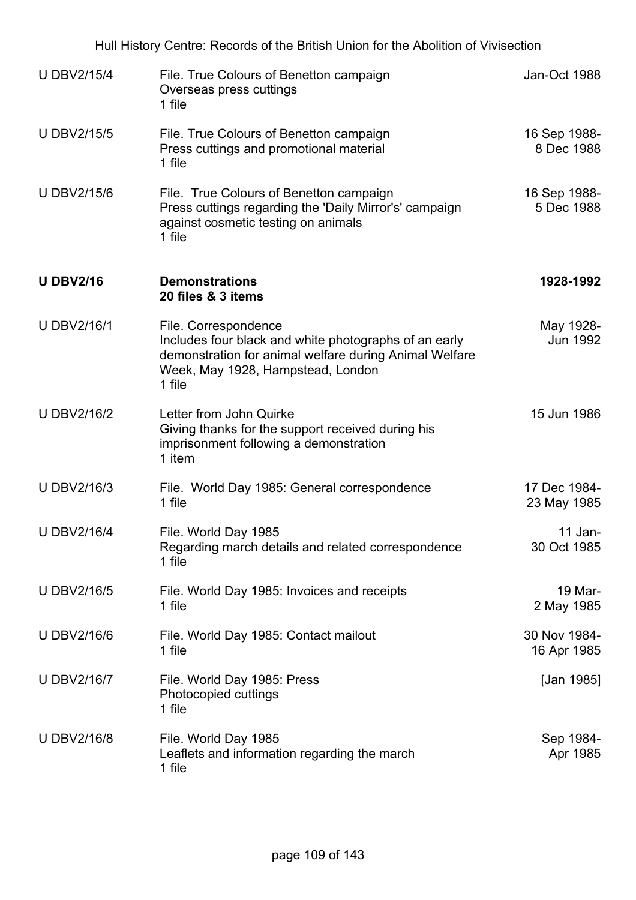| Hull History Centre: Records of the British Union for the Abolition of Vivisection |                                                                                                                                                                                        |                             |  |
|------------------------------------------------------------------------------------|----------------------------------------------------------------------------------------------------------------------------------------------------------------------------------------|-----------------------------|--|
| <b>U DBV2/15/4</b>                                                                 | File. True Colours of Benetton campaign<br>Overseas press cuttings<br>1 file                                                                                                           | Jan-Oct 1988                |  |
| <b>U DBV2/15/5</b>                                                                 | File. True Colours of Benetton campaign<br>Press cuttings and promotional material<br>1 file                                                                                           | 16 Sep 1988-<br>8 Dec 1988  |  |
| <b>U DBV2/15/6</b>                                                                 | File. True Colours of Benetton campaign<br>Press cuttings regarding the 'Daily Mirror's' campaign<br>against cosmetic testing on animals<br>1 file                                     | 16 Sep 1988-<br>5 Dec 1988  |  |
| <b>U DBV2/16</b>                                                                   | <b>Demonstrations</b><br>20 files & 3 items                                                                                                                                            | 1928-1992                   |  |
| <b>U DBV2/16/1</b>                                                                 | File. Correspondence<br>Includes four black and white photographs of an early<br>demonstration for animal welfare during Animal Welfare<br>Week, May 1928, Hampstead, London<br>1 file | May 1928-<br>Jun 1992       |  |
| <b>U DBV2/16/2</b>                                                                 | Letter from John Quirke<br>Giving thanks for the support received during his<br>imprisonment following a demonstration<br>1 item                                                       | 15 Jun 1986                 |  |
| U DBV2/16/3                                                                        | File. World Day 1985: General correspondence<br>1 file                                                                                                                                 | 17 Dec 1984-<br>23 May 1985 |  |
| <b>U DBV2/16/4</b>                                                                 | File. World Day 1985<br>Regarding march details and related correspondence<br>1 file                                                                                                   | $11$ Jan-<br>30 Oct 1985    |  |
| <b>UDBV2/16/5</b>                                                                  | File. World Day 1985: Invoices and receipts<br>1 file                                                                                                                                  | 19 Mar-<br>2 May 1985       |  |
| <b>U DBV2/16/6</b>                                                                 | File. World Day 1985: Contact mailout<br>1 file                                                                                                                                        | 30 Nov 1984-<br>16 Apr 1985 |  |
| <b>U DBV2/16/7</b>                                                                 | File. World Day 1985: Press<br>Photocopied cuttings<br>1 file                                                                                                                          | [Jan 1985]                  |  |
| <b>UDBV2/16/8</b>                                                                  | File. World Day 1985<br>Leaflets and information regarding the march<br>1 file                                                                                                         | Sep 1984-<br>Apr 1985       |  |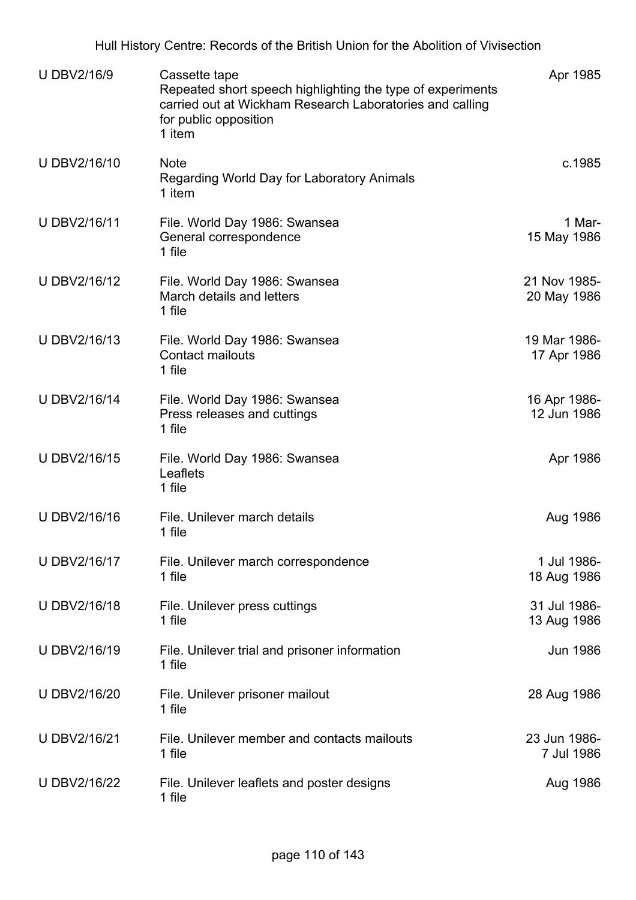| <b>UDBV2/16/9</b> | Cassette tape<br>Repeated short speech highlighting the type of experiments<br>carried out at Wickham Research Laboratories and calling<br>for public opposition<br>1 item | Apr 1985                    |
|-------------------|----------------------------------------------------------------------------------------------------------------------------------------------------------------------------|-----------------------------|
| U DBV2/16/10      | <b>Note</b><br>Regarding World Day for Laboratory Animals<br>1 item                                                                                                        | c.1985                      |
| U DBV2/16/11      | File. World Day 1986: Swansea<br>General correspondence<br>1 file                                                                                                          | 1 Mar-<br>15 May 1986       |
| U DBV2/16/12      | File. World Day 1986: Swansea<br>March details and letters<br>1 file                                                                                                       | 21 Nov 1985-<br>20 May 1986 |
| U DBV2/16/13      | File. World Day 1986: Swansea<br><b>Contact mailouts</b><br>1 file                                                                                                         | 19 Mar 1986-<br>17 Apr 1986 |
| U DBV2/16/14      | File. World Day 1986: Swansea<br>Press releases and cuttings<br>1 file                                                                                                     | 16 Apr 1986-<br>12 Jun 1986 |
| U DBV2/16/15      | File. World Day 1986: Swansea<br>Leaflets<br>1 file                                                                                                                        | Apr 1986                    |
| U DBV2/16/16      | File. Unilever march details<br>1 file                                                                                                                                     | Aug 1986                    |
| U DBV2/16/17      | File. Unilever march correspondence<br>1 file                                                                                                                              | 1 Jul 1986-<br>18 Aug 1986  |
| U DBV2/16/18      | File. Unilever press cuttings<br>1 file                                                                                                                                    | 31 Jul 1986-<br>13 Aug 1986 |
| U DBV2/16/19      | File. Unilever trial and prisoner information<br>1 file                                                                                                                    | <b>Jun 1986</b>             |
| U DBV2/16/20      | File. Unilever prisoner mailout<br>1 file                                                                                                                                  | 28 Aug 1986                 |
| U DBV2/16/21      | File. Unilever member and contacts mailouts<br>1 file                                                                                                                      | 23 Jun 1986-<br>7 Jul 1986  |
| U DBV2/16/22      | File. Unilever leaflets and poster designs<br>1 file                                                                                                                       | Aug 1986                    |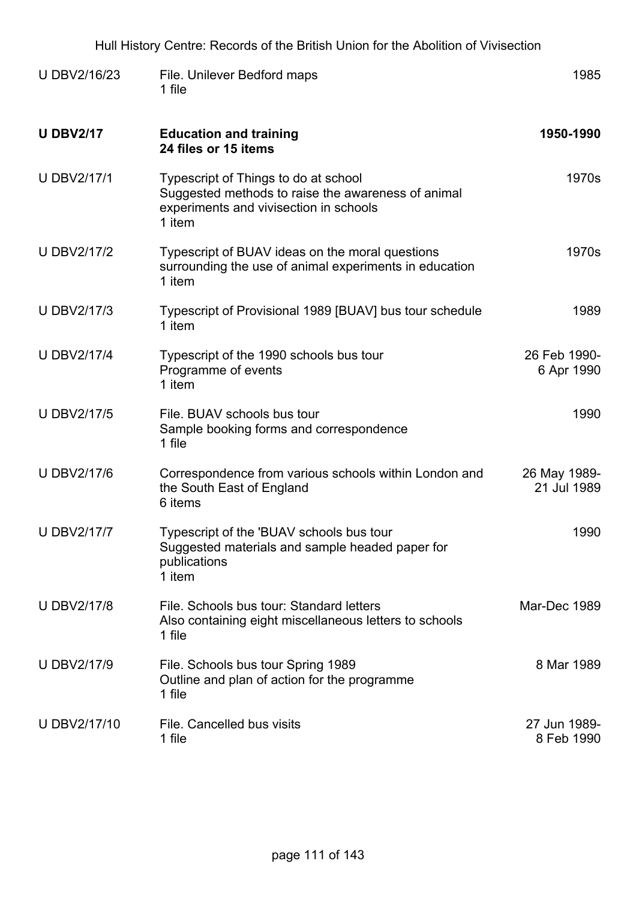| <b>UDBV2/16/23</b> | File. Unilever Bedford maps<br>1 file                                                                                                          | 1985                        |
|--------------------|------------------------------------------------------------------------------------------------------------------------------------------------|-----------------------------|
| <b>U DBV2/17</b>   | <b>Education and training</b><br>24 files or 15 items                                                                                          | 1950-1990                   |
| <b>U DBV2/17/1</b> | Typescript of Things to do at school<br>Suggested methods to raise the awareness of animal<br>experiments and vivisection in schools<br>1 item | 1970s                       |
| <b>U DBV2/17/2</b> | Typescript of BUAV ideas on the moral questions<br>surrounding the use of animal experiments in education<br>1 item                            | 1970s                       |
| <b>U DBV2/17/3</b> | Typescript of Provisional 1989 [BUAV] bus tour schedule<br>1 item                                                                              | 1989                        |
| <b>U DBV2/17/4</b> | Typescript of the 1990 schools bus tour<br>Programme of events<br>1 item                                                                       | 26 Feb 1990-<br>6 Apr 1990  |
| <b>UDBV2/17/5</b>  | File. BUAV schools bus tour<br>Sample booking forms and correspondence<br>1 file                                                               | 1990                        |
| <b>U DBV2/17/6</b> | Correspondence from various schools within London and<br>the South East of England<br>6 items                                                  | 26 May 1989-<br>21 Jul 1989 |
| <b>U DBV2/17/7</b> | Typescript of the 'BUAV schools bus tour<br>Suggested materials and sample headed paper for<br>publications<br>1 item                          | 1990                        |
| <b>U DBV2/17/8</b> | File. Schools bus tour: Standard letters<br>Also containing eight miscellaneous letters to schools<br>1 file                                   | Mar-Dec 1989                |
| <b>U DBV2/17/9</b> | File. Schools bus tour Spring 1989<br>Outline and plan of action for the programme<br>1 file                                                   | 8 Mar 1989                  |
| U DBV2/17/10       | File. Cancelled bus visits<br>1 file                                                                                                           | 27 Jun 1989-<br>8 Feb 1990  |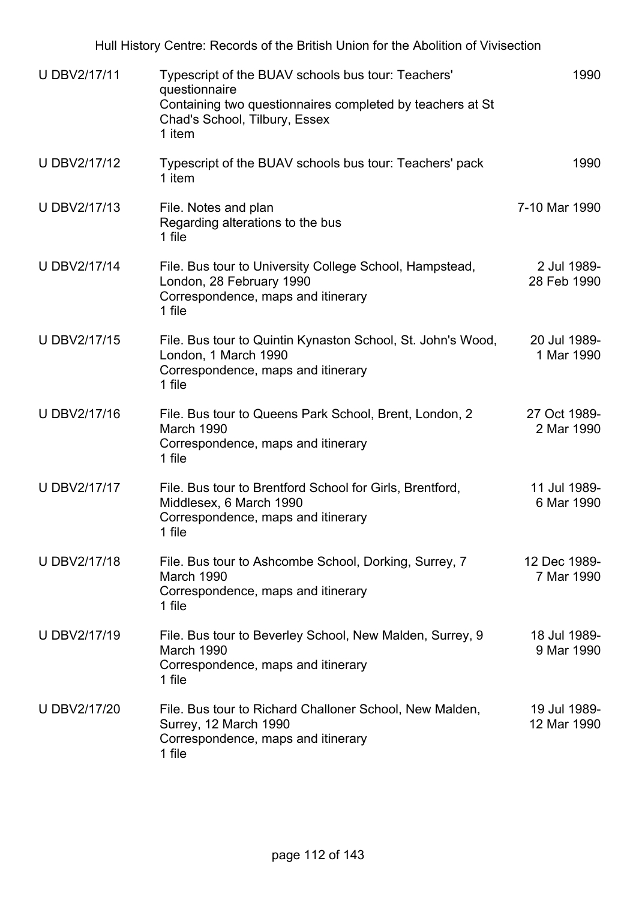| U DBV2/17/11        | Typescript of the BUAV schools bus tour: Teachers'<br>questionnaire<br>Containing two questionnaires completed by teachers at St<br>Chad's School, Tilbury, Essex<br>1 item | 1990                        |
|---------------------|-----------------------------------------------------------------------------------------------------------------------------------------------------------------------------|-----------------------------|
| <b>U DBV2/17/12</b> | Typescript of the BUAV schools bus tour: Teachers' pack<br>1 item                                                                                                           | 1990                        |
| U DBV2/17/13        | File. Notes and plan<br>Regarding alterations to the bus<br>1 file                                                                                                          | 7-10 Mar 1990               |
| U DBV2/17/14        | File. Bus tour to University College School, Hampstead,<br>London, 28 February 1990<br>Correspondence, maps and itinerary<br>1 file                                         | 2 Jul 1989-<br>28 Feb 1990  |
| U DBV2/17/15        | File. Bus tour to Quintin Kynaston School, St. John's Wood,<br>London, 1 March 1990<br>Correspondence, maps and itinerary<br>1 file                                         | 20 Jul 1989-<br>1 Mar 1990  |
| U DBV2/17/16        | File. Bus tour to Queens Park School, Brent, London, 2<br>March 1990<br>Correspondence, maps and itinerary<br>1 file                                                        | 27 Oct 1989-<br>2 Mar 1990  |
| U DBV2/17/17        | File. Bus tour to Brentford School for Girls, Brentford,<br>Middlesex, 6 March 1990<br>Correspondence, maps and itinerary<br>1 file                                         | 11 Jul 1989-<br>6 Mar 1990  |
| U DBV2/17/18        | File. Bus tour to Ashcombe School, Dorking, Surrey, 7<br>March 1990<br>Correspondence, maps and itinerary<br>1 file                                                         | 12 Dec 1989-<br>7 Mar 1990  |
| <b>U DBV2/17/19</b> | File. Bus tour to Beverley School, New Malden, Surrey, 9<br>March 1990<br>Correspondence, maps and itinerary<br>1 file                                                      | 18 Jul 1989-<br>9 Mar 1990  |
| U DBV2/17/20        | File. Bus tour to Richard Challoner School, New Malden,<br>Surrey, 12 March 1990<br>Correspondence, maps and itinerary<br>1 file                                            | 19 Jul 1989-<br>12 Mar 1990 |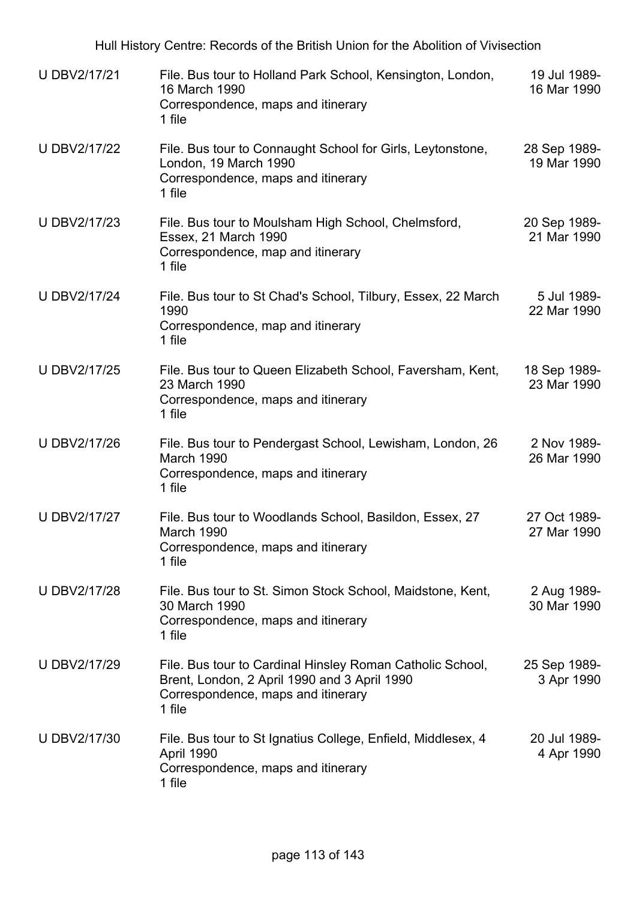| U DBV2/17/21        | File. Bus tour to Holland Park School, Kensington, London,<br>16 March 1990<br>Correspondence, maps and itinerary<br>1 file                               | 19 Jul 1989-<br>16 Mar 1990 |
|---------------------|-----------------------------------------------------------------------------------------------------------------------------------------------------------|-----------------------------|
| <b>U DBV2/17/22</b> | File. Bus tour to Connaught School for Girls, Leytonstone,<br>London, 19 March 1990<br>Correspondence, maps and itinerary<br>1 file                       | 28 Sep 1989-<br>19 Mar 1990 |
| U DBV2/17/23        | File. Bus tour to Moulsham High School, Chelmsford,<br>Essex, 21 March 1990<br>Correspondence, map and itinerary<br>1 file                                | 20 Sep 1989-<br>21 Mar 1990 |
| <b>U DBV2/17/24</b> | File. Bus tour to St Chad's School, Tilbury, Essex, 22 March<br>1990<br>Correspondence, map and itinerary<br>1 file                                       | 5 Jul 1989-<br>22 Mar 1990  |
| U DBV2/17/25        | File. Bus tour to Queen Elizabeth School, Faversham, Kent,<br>23 March 1990<br>Correspondence, maps and itinerary<br>1 file                               | 18 Sep 1989-<br>23 Mar 1990 |
| U DBV2/17/26        | File. Bus tour to Pendergast School, Lewisham, London, 26<br>March 1990<br>Correspondence, maps and itinerary<br>1 file                                   | 2 Nov 1989-<br>26 Mar 1990  |
| <b>U DBV2/17/27</b> | File. Bus tour to Woodlands School, Basildon, Essex, 27<br>March 1990<br>Correspondence, maps and itinerary<br>1 file                                     | 27 Oct 1989-<br>27 Mar 1990 |
| U DBV2/17/28        | File. Bus tour to St. Simon Stock School, Maidstone, Kent,<br>30 March 1990<br>Correspondence, maps and itinerary<br>1 file                               | 2 Aug 1989-<br>30 Mar 1990  |
| U DBV2/17/29        | File. Bus tour to Cardinal Hinsley Roman Catholic School,<br>Brent, London, 2 April 1990 and 3 April 1990<br>Correspondence, maps and itinerary<br>1 file | 25 Sep 1989-<br>3 Apr 1990  |
| <b>UDBV2/17/30</b>  | File. Bus tour to St Ignatius College, Enfield, Middlesex, 4<br>April 1990<br>Correspondence, maps and itinerary<br>1 file                                | 20 Jul 1989-<br>4 Apr 1990  |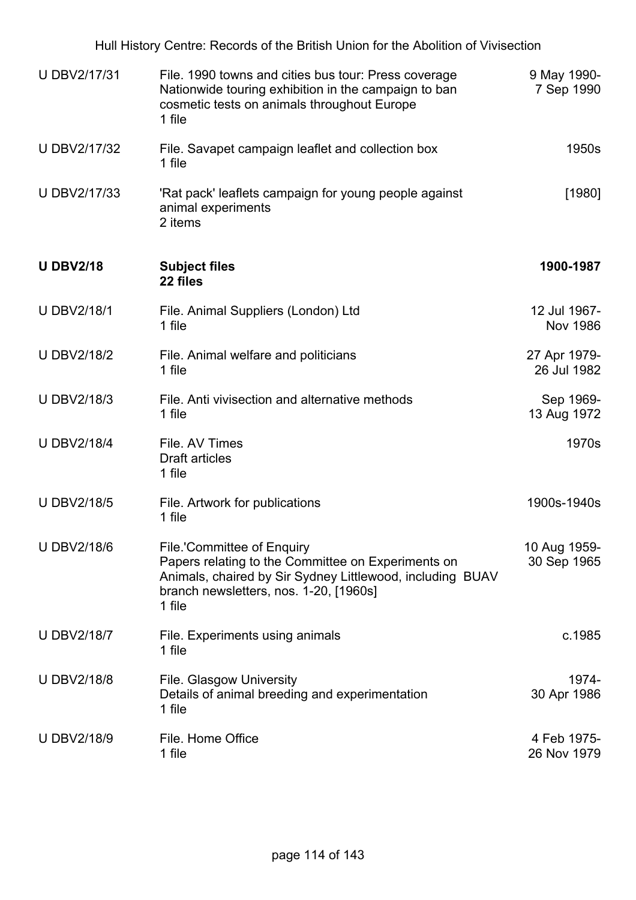| U DBV2/17/31       | File. 1990 towns and cities bus tour: Press coverage<br>Nationwide touring exhibition in the campaign to ban<br>cosmetic tests on animals throughout Europe<br>1 file                             | 9 May 1990-<br>7 Sep 1990       |
|--------------------|---------------------------------------------------------------------------------------------------------------------------------------------------------------------------------------------------|---------------------------------|
| U DBV2/17/32       | File. Savapet campaign leaflet and collection box<br>1 file                                                                                                                                       | 1950s                           |
| U DBV2/17/33       | 'Rat pack' leaflets campaign for young people against<br>animal experiments<br>2 items                                                                                                            | $[1980]$                        |
| <b>U DBV2/18</b>   | <b>Subject files</b><br>22 files                                                                                                                                                                  | 1900-1987                       |
| <b>U DBV2/18/1</b> | File. Animal Suppliers (London) Ltd<br>1 file                                                                                                                                                     | 12 Jul 1967-<br><b>Nov 1986</b> |
| <b>U DBV2/18/2</b> | File. Animal welfare and politicians<br>1 file                                                                                                                                                    | 27 Apr 1979-<br>26 Jul 1982     |
| <b>U DBV2/18/3</b> | File. Anti vivisection and alternative methods<br>1 file                                                                                                                                          | Sep 1969-<br>13 Aug 1972        |
| <b>U DBV2/18/4</b> | File. AV Times<br><b>Draft articles</b><br>1 file                                                                                                                                                 | 1970s                           |
| <b>U DBV2/18/5</b> | File. Artwork for publications<br>1 file                                                                                                                                                          | 1900s-1940s                     |
| <b>UDBV2/18/6</b>  | File.'Committee of Enquiry<br>Papers relating to the Committee on Experiments on<br>Animals, chaired by Sir Sydney Littlewood, including BUAV<br>branch newsletters, nos. 1-20, [1960s]<br>1 file | 10 Aug 1959-<br>30 Sep 1965     |
| <b>U DBV2/18/7</b> | File. Experiments using animals<br>1 file                                                                                                                                                         | c.1985                          |
| <b>UDBV2/18/8</b>  | <b>File. Glasgow University</b><br>Details of animal breeding and experimentation<br>1 file                                                                                                       | 1974-<br>30 Apr 1986            |
| <b>UDBV2/18/9</b>  | File. Home Office<br>1 file                                                                                                                                                                       | 4 Feb 1975-<br>26 Nov 1979      |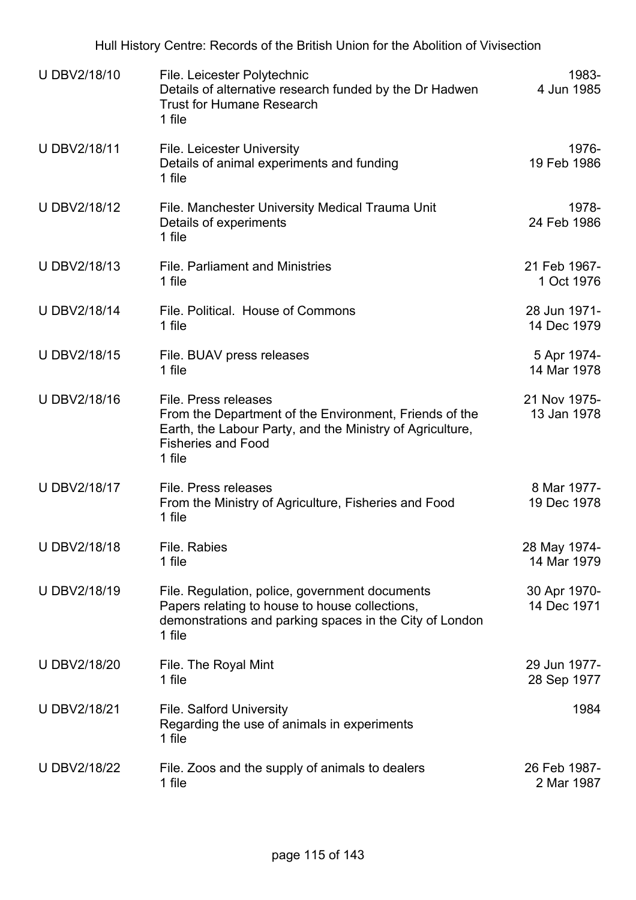Hull History Centre: Records of the British Union for the Abolition of Vivisection U DBV2/18/10 File. Leicester Polytechnic Details of alternative research funded by the Dr Hadwen Trust for Humane Research 1 file 1983- 4 Jun 1985 U DBV2/18/11 File. Leicester University Details of animal experiments and funding 1 file 1976- 19 Feb 1986 U DBV2/18/12 File. Manchester University Medical Trauma Unit Details of experiments 1 file 1978- 24 Feb 1986 U DBV2/18/13 File. Parliament and Ministries 1 file 21 Feb 1967- 1 Oct 1976 U DBV2/18/14 File. Political. House of Commons 1 file 28 Jun 1971- 14 Dec 1979 U DBV2/18/15 File. BUAV press releases 1 file 5 Apr 1974- 14 Mar 1978 U DBV2/18/16 File. Press releases From the Department of the Environment, Friends of the Earth, the Labour Party, and the Ministry of Agriculture, Fisheries and Food 1 file 21 Nov 1975- 13 Jan 1978 U DBV2/18/17 File. Press releases From the Ministry of Agriculture, Fisheries and Food 1 file 8 Mar 1977- 19 Dec 1978 U DBV2/18/18 File. Rabies 1 file 28 May 1974- 14 Mar 1979 U DBV2/18/19 File. Regulation, police, government documents Papers relating to house to house collections, demonstrations and parking spaces in the City of London 1 file 30 Apr 1970- 14 Dec 1971 U DBV2/18/20 File. The Royal Mint 1 file 29 Jun 1977- 28 Sep 1977 U DBV2/18/21 File. Salford University Regarding the use of animals in experiments 1 file 1984 U DBV2/18/22 File. Zoos and the supply of animals to dealers 1 file 26 Feb 1987- 2 Mar 1987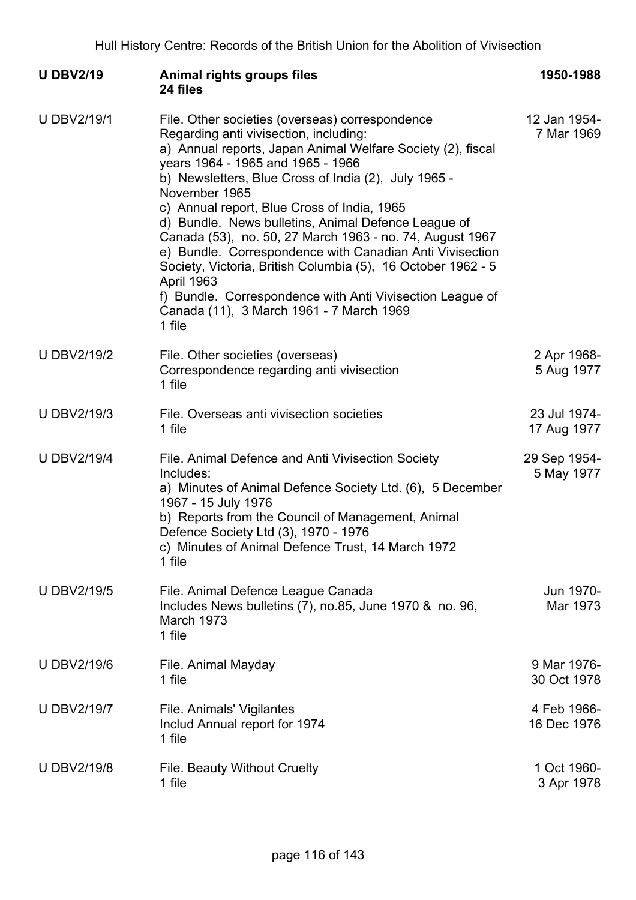| <b>U DBV2/19</b>   | Animal rights groups files<br>24 files                                                                                                                                                                                                                                                                                                                                                                                                                                                                                                                                                                                                                                                                | 1950-1988                   |
|--------------------|-------------------------------------------------------------------------------------------------------------------------------------------------------------------------------------------------------------------------------------------------------------------------------------------------------------------------------------------------------------------------------------------------------------------------------------------------------------------------------------------------------------------------------------------------------------------------------------------------------------------------------------------------------------------------------------------------------|-----------------------------|
| <b>U DBV2/19/1</b> | File. Other societies (overseas) correspondence<br>Regarding anti vivisection, including:<br>a) Annual reports, Japan Animal Welfare Society (2), fiscal<br>years 1964 - 1965 and 1965 - 1966<br>b) Newsletters, Blue Cross of India (2), July 1965 -<br>November 1965<br>c) Annual report, Blue Cross of India, 1965<br>d) Bundle. News bulletins, Animal Defence League of<br>Canada (53), no. 50, 27 March 1963 - no. 74, August 1967<br>e) Bundle. Correspondence with Canadian Anti Vivisection<br>Society, Victoria, British Columbia (5), 16 October 1962 - 5<br>April 1963<br>f) Bundle. Correspondence with Anti Vivisection League of<br>Canada (11), 3 March 1961 - 7 March 1969<br>1 file | 12 Jan 1954-<br>7 Mar 1969  |
| <b>U DBV2/19/2</b> | File. Other societies (overseas)<br>Correspondence regarding anti vivisection<br>1 file                                                                                                                                                                                                                                                                                                                                                                                                                                                                                                                                                                                                               | 2 Apr 1968-<br>5 Aug 1977   |
| <b>U DBV2/19/3</b> | File. Overseas anti vivisection societies<br>1 file                                                                                                                                                                                                                                                                                                                                                                                                                                                                                                                                                                                                                                                   | 23 Jul 1974-<br>17 Aug 1977 |
| <b>U DBV2/19/4</b> | File. Animal Defence and Anti Vivisection Society<br>Includes:<br>a) Minutes of Animal Defence Society Ltd. (6), 5 December<br>1967 - 15 July 1976<br>b) Reports from the Council of Management, Animal<br>Defence Society Ltd (3), 1970 - 1976<br>c) Minutes of Animal Defence Trust, 14 March 1972<br>1 file                                                                                                                                                                                                                                                                                                                                                                                        | 29 Sep 1954-<br>5 May 1977  |
| <b>U DBV2/19/5</b> | File. Animal Defence League Canada<br>Includes News bulletins (7), no.85, June 1970 & no. 96,<br>March 1973<br>1 file                                                                                                                                                                                                                                                                                                                                                                                                                                                                                                                                                                                 | Jun 1970-<br>Mar 1973       |
| <b>U DBV2/19/6</b> | File. Animal Mayday<br>1 file                                                                                                                                                                                                                                                                                                                                                                                                                                                                                                                                                                                                                                                                         | 9 Mar 1976-<br>30 Oct 1978  |
| <b>U DBV2/19/7</b> | File. Animals' Vigilantes<br>Includ Annual report for 1974<br>1 file                                                                                                                                                                                                                                                                                                                                                                                                                                                                                                                                                                                                                                  | 4 Feb 1966-<br>16 Dec 1976  |
| <b>U DBV2/19/8</b> | File. Beauty Without Cruelty<br>1 file                                                                                                                                                                                                                                                                                                                                                                                                                                                                                                                                                                                                                                                                | 1 Oct 1960-<br>3 Apr 1978   |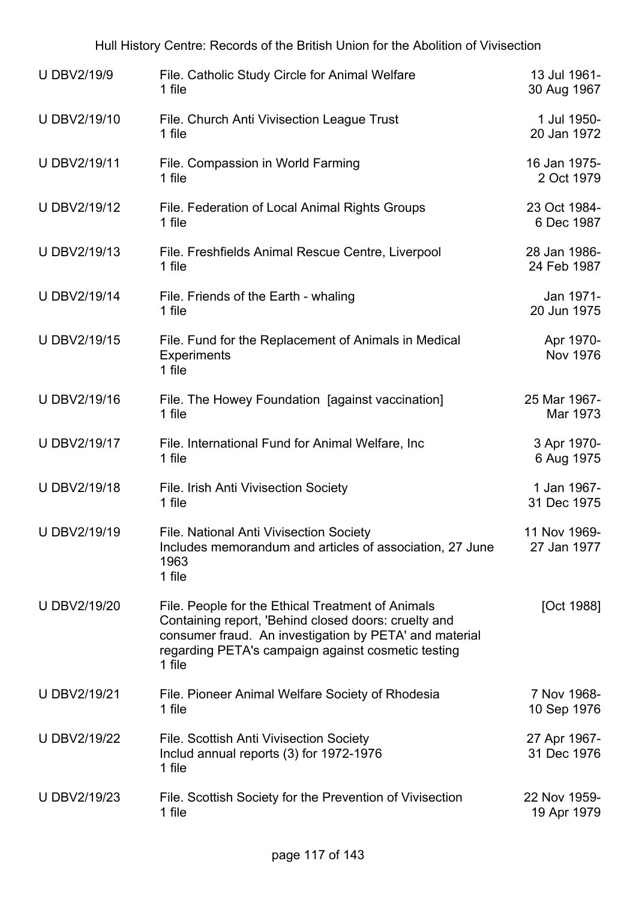| <b>U DBV2/19/9</b>  | File. Catholic Study Circle for Animal Welfare<br>1 file                                                                                                                                                                            | 13 Jul 1961-<br>30 Aug 1967  |
|---------------------|-------------------------------------------------------------------------------------------------------------------------------------------------------------------------------------------------------------------------------------|------------------------------|
| U DBV2/19/10        | File. Church Anti Vivisection League Trust<br>1 file                                                                                                                                                                                | 1 Jul 1950-<br>20 Jan 1972   |
| U DBV2/19/11        | File. Compassion in World Farming<br>1 file                                                                                                                                                                                         | 16 Jan 1975-<br>2 Oct 1979   |
| U DBV2/19/12        | File. Federation of Local Animal Rights Groups<br>1 file                                                                                                                                                                            | 23 Oct 1984-<br>6 Dec 1987   |
| U DBV2/19/13        | File. Freshfields Animal Rescue Centre, Liverpool<br>1 file                                                                                                                                                                         | 28 Jan 1986-<br>24 Feb 1987  |
| <b>U DBV2/19/14</b> | File. Friends of the Earth - whaling<br>1 file                                                                                                                                                                                      | Jan 1971-<br>20 Jun 1975     |
| U DBV2/19/15        | File. Fund for the Replacement of Animals in Medical<br><b>Experiments</b><br>1 file                                                                                                                                                | Apr 1970-<br><b>Nov 1976</b> |
| U DBV2/19/16        | File. The Howey Foundation [against vaccination]<br>1 file                                                                                                                                                                          | 25 Mar 1967-<br>Mar 1973     |
| U DBV2/19/17        | File. International Fund for Animal Welfare, Inc<br>1 file                                                                                                                                                                          | 3 Apr 1970-<br>6 Aug 1975    |
| U DBV2/19/18        | File. Irish Anti Vivisection Society<br>1 file                                                                                                                                                                                      | 1 Jan 1967-<br>31 Dec 1975   |
| U DBV2/19/19        | <b>File. National Anti Vivisection Society</b><br>Includes memorandum and articles of association, 27 June<br>1963<br>1 file                                                                                                        | 11 Nov 1969-<br>27 Jan 1977  |
| U DBV2/19/20        | File. People for the Ethical Treatment of Animals<br>Containing report, 'Behind closed doors: cruelty and<br>consumer fraud. An investigation by PETA' and material<br>regarding PETA's campaign against cosmetic testing<br>1 file | [Oct 1988]                   |
| <b>U DBV2/19/21</b> | File. Pioneer Animal Welfare Society of Rhodesia<br>1 file                                                                                                                                                                          | 7 Nov 1968-<br>10 Sep 1976   |
| U DBV2/19/22        | <b>File. Scottish Anti Vivisection Society</b><br>Includ annual reports (3) for 1972-1976<br>1 file                                                                                                                                 | 27 Apr 1967-<br>31 Dec 1976  |
| U DBV2/19/23        | File. Scottish Society for the Prevention of Vivisection<br>1 file                                                                                                                                                                  | 22 Nov 1959-<br>19 Apr 1979  |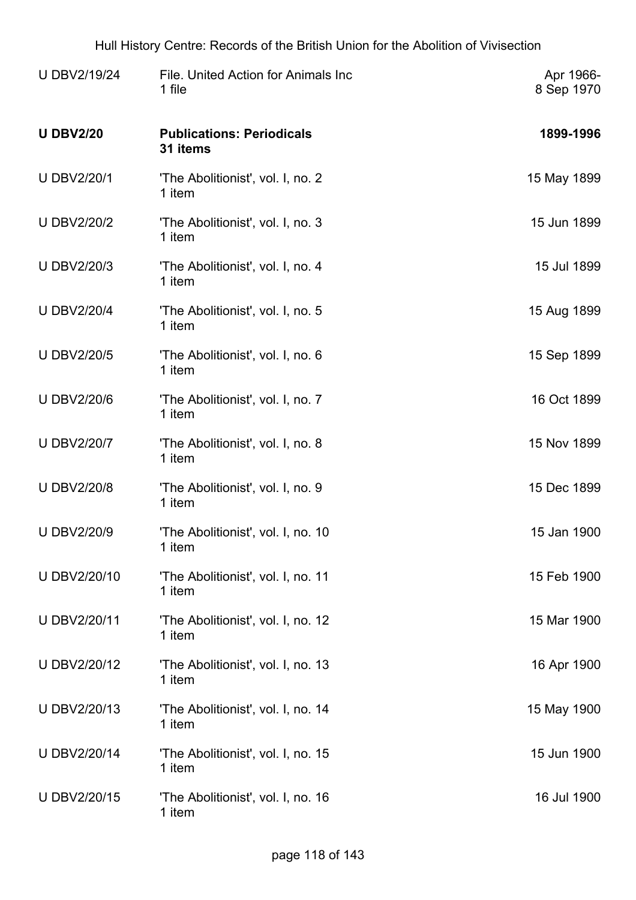| <b>U DBV2/19/24</b> | File. United Action for Animals Inc<br>1 file | Apr 1966-<br>8 Sep 1970 |
|---------------------|-----------------------------------------------|-------------------------|
| <b>U DBV2/20</b>    | <b>Publications: Periodicals</b><br>31 items  | 1899-1996               |
| <b>U DBV2/20/1</b>  | 'The Abolitionist', vol. I, no. 2<br>1 item   | 15 May 1899             |
| <b>U DBV2/20/2</b>  | 'The Abolitionist', vol. I, no. 3<br>1 item   | 15 Jun 1899             |
| <b>U DBV2/20/3</b>  | 'The Abolitionist', vol. I, no. 4<br>1 item   | 15 Jul 1899             |
| <b>U DBV2/20/4</b>  | 'The Abolitionist', vol. I, no. 5<br>1 item   | 15 Aug 1899             |
| <b>U DBV2/20/5</b>  | 'The Abolitionist', vol. I, no. 6<br>1 item   | 15 Sep 1899             |
| <b>U DBV2/20/6</b>  | 'The Abolitionist', vol. I, no. 7<br>1 item   | 16 Oct 1899             |
| <b>U DBV2/20/7</b>  | 'The Abolitionist', vol. I, no. 8<br>1 item   | 15 Nov 1899             |
| <b>U DBV2/20/8</b>  | 'The Abolitionist', vol. I, no. 9<br>1 item   | 15 Dec 1899             |
| <b>U DBV2/20/9</b>  | 'The Abolitionist', vol. I, no. 10<br>1 item  | 15 Jan 1900             |
| U DBV2/20/10        | 'The Abolitionist', vol. I, no. 11<br>1 item  | 15 Feb 1900             |
| U DBV2/20/11        | 'The Abolitionist', vol. I, no. 12<br>1 item  | 15 Mar 1900             |
| U DBV2/20/12        | 'The Abolitionist', vol. I, no. 13<br>1 item  | 16 Apr 1900             |
| U DBV2/20/13        | 'The Abolitionist', vol. I, no. 14<br>1 item  | 15 May 1900             |
| U DBV2/20/14        | 'The Abolitionist', vol. I, no. 15<br>1 item  | 15 Jun 1900             |
| U DBV2/20/15        | 'The Abolitionist', vol. I, no. 16<br>1 item  | 16 Jul 1900             |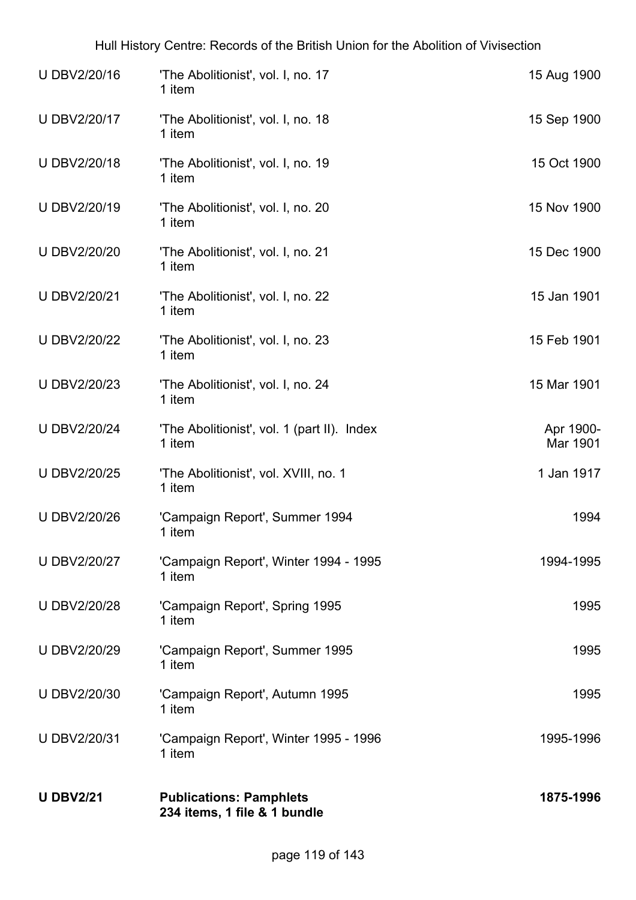|                                                       | 1875-1996                      |
|-------------------------------------------------------|--------------------------------|
| 'Campaign Report', Winter 1995 - 1996<br>1 item       | 1995-1996                      |
| 'Campaign Report', Autumn 1995<br>1 item              | 1995                           |
| 'Campaign Report', Summer 1995<br>1 item              | 1995                           |
| 'Campaign Report', Spring 1995<br>1 item              | 1995                           |
| 'Campaign Report', Winter 1994 - 1995<br>1 item       | 1994-1995                      |
| 'Campaign Report', Summer 1994<br>1 item              | 1994                           |
| 'The Abolitionist', vol. XVIII, no. 1<br>1 item       | 1 Jan 1917                     |
| 'The Abolitionist', vol. 1 (part II). Index<br>1 item | Apr 1900-<br>Mar 1901          |
| 'The Abolitionist', vol. I, no. 24<br>1 item          | 15 Mar 1901                    |
| 'The Abolitionist', vol. I, no. 23<br>1 item          | 15 Feb 1901                    |
| 'The Abolitionist', vol. I, no. 22<br>1 item          | 15 Jan 1901                    |
| 'The Abolitionist', vol. I, no. 21<br>1 item          | 15 Dec 1900                    |
| 'The Abolitionist', vol. I, no. 20<br>1 item          | 15 Nov 1900                    |
| 'The Abolitionist', vol. I, no. 19<br>1 item          | 15 Oct 1900                    |
| 'The Abolitionist', vol. I, no. 18<br>1 item          | 15 Sep 1900                    |
| 'The Abolitionist', vol. I, no. 17<br>1 item          | 15 Aug 1900                    |
|                                                       | <b>Publications: Pamphlets</b> |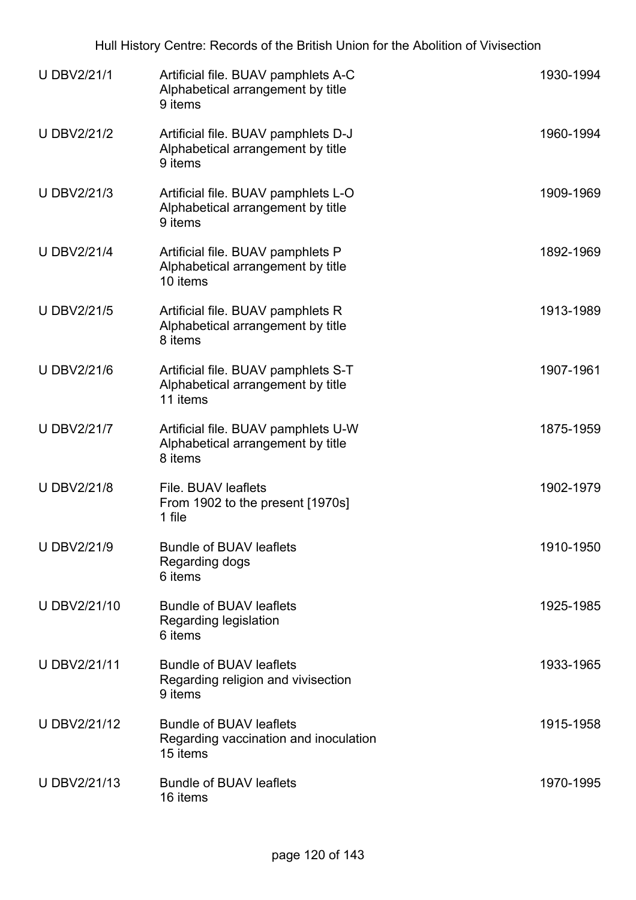| <b>U DBV2/21/1</b> | Artificial file. BUAV pamphlets A-C<br>Alphabetical arrangement by title<br>9 items  | 1930-1994 |
|--------------------|--------------------------------------------------------------------------------------|-----------|
| <b>U DBV2/21/2</b> | Artificial file. BUAV pamphlets D-J<br>Alphabetical arrangement by title<br>9 items  | 1960-1994 |
| U DBV2/21/3        | Artificial file. BUAV pamphlets L-O<br>Alphabetical arrangement by title<br>9 items  | 1909-1969 |
| <b>U DBV2/21/4</b> | Artificial file. BUAV pamphlets P<br>Alphabetical arrangement by title<br>10 items   | 1892-1969 |
| <b>U DBV2/21/5</b> | Artificial file. BUAV pamphlets R<br>Alphabetical arrangement by title<br>8 items    | 1913-1989 |
| <b>UDBV2/21/6</b>  | Artificial file. BUAV pamphlets S-T<br>Alphabetical arrangement by title<br>11 items | 1907-1961 |
| <b>U DBV2/21/7</b> | Artificial file. BUAV pamphlets U-W<br>Alphabetical arrangement by title<br>8 items  | 1875-1959 |
| <b>UDBV2/21/8</b>  | File. BUAV leaflets<br>From 1902 to the present [1970s]<br>1 file                    | 1902-1979 |
| <b>U DBV2/21/9</b> | <b>Bundle of BUAV leaflets</b><br>Regarding dogs<br>6 items                          | 1910-1950 |
| U DBV2/21/10       | <b>Bundle of BUAV leaflets</b><br>Regarding legislation<br>6 items                   | 1925-1985 |
| U DBV2/21/11       | <b>Bundle of BUAV leaflets</b><br>Regarding religion and vivisection<br>9 items      | 1933-1965 |
| U DBV2/21/12       | <b>Bundle of BUAV leaflets</b><br>Regarding vaccination and inoculation<br>15 items  | 1915-1958 |
| U DBV2/21/13       | <b>Bundle of BUAV leaflets</b><br>16 items                                           | 1970-1995 |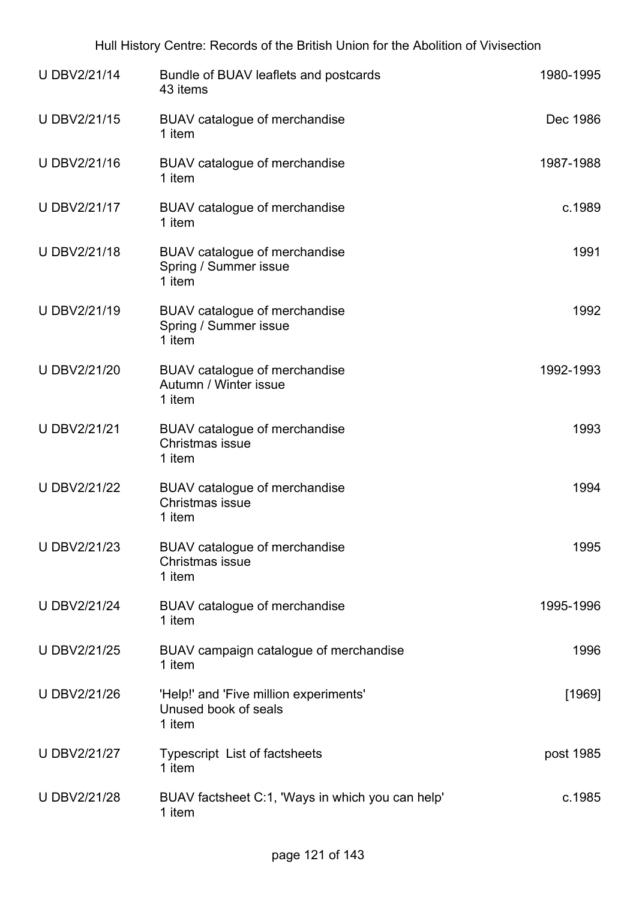| U DBV2/21/14        | Bundle of BUAV leaflets and postcards<br>43 items                        | 1980-1995 |
|---------------------|--------------------------------------------------------------------------|-----------|
| U DBV2/21/15        | BUAV catalogue of merchandise<br>1 item                                  | Dec 1986  |
| U DBV2/21/16        | BUAV catalogue of merchandise<br>1 item                                  | 1987-1988 |
| U DBV2/21/17        | BUAV catalogue of merchandise<br>1 item                                  | c.1989    |
| U DBV2/21/18        | BUAV catalogue of merchandise<br>Spring / Summer issue<br>1 item         | 1991      |
| U DBV2/21/19        | BUAV catalogue of merchandise<br>Spring / Summer issue<br>1 item         | 1992      |
| U DBV2/21/20        | BUAV catalogue of merchandise<br>Autumn / Winter issue<br>1 item         | 1992-1993 |
| U DBV2/21/21        | BUAV catalogue of merchandise<br>Christmas issue<br>1 item               | 1993      |
| <b>U DBV2/21/22</b> | BUAV catalogue of merchandise<br>Christmas issue<br>1 item               | 1994      |
| <b>U DBV2/21/23</b> | BUAV catalogue of merchandise<br>Christmas issue<br>1 item               | 1995      |
| <b>U DBV2/21/24</b> | BUAV catalogue of merchandise<br>1 item                                  | 1995-1996 |
| U DBV2/21/25        | BUAV campaign catalogue of merchandise<br>1 item                         | 1996      |
| U DBV2/21/26        | 'Help!' and 'Five million experiments'<br>Unused book of seals<br>1 item | $[1969]$  |
| U DBV2/21/27        | Typescript List of factsheets<br>1 item                                  | post 1985 |
| <b>U DBV2/21/28</b> | BUAV factsheet C:1, 'Ways in which you can help'<br>1 item               | c.1985    |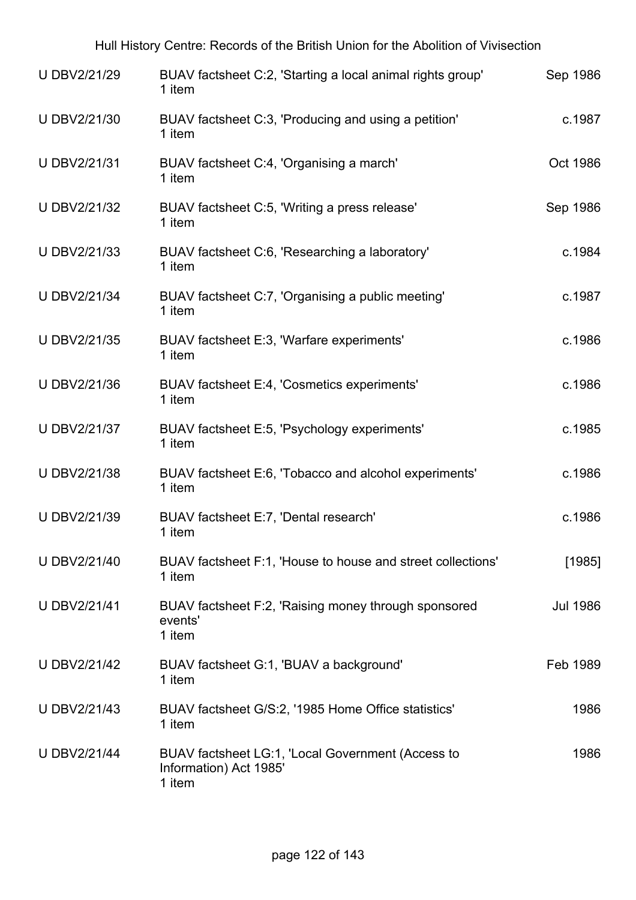| U DBV2/21/29        | 1 item                                                      | BUAV factsheet C:2, 'Starting a local animal rights group'  | Sep 1986        |
|---------------------|-------------------------------------------------------------|-------------------------------------------------------------|-----------------|
| U DBV2/21/30        | 1 item                                                      | BUAV factsheet C:3, 'Producing and using a petition'        | c.1987          |
| U DBV2/21/31        | BUAV factsheet C:4, 'Organising a march'<br>1 item          |                                                             | Oct 1986        |
| U DBV2/21/32        | BUAV factsheet C:5, 'Writing a press release'<br>1 item     |                                                             | Sep 1986        |
| U DBV2/21/33        | BUAV factsheet C:6, 'Researching a laboratory'<br>1 item    |                                                             | c.1984          |
| <b>U DBV2/21/34</b> | BUAV factsheet C:7, 'Organising a public meeting'<br>1 item |                                                             | c.1987          |
| U DBV2/21/35        | BUAV factsheet E:3, 'Warfare experiments'<br>1 item         |                                                             | c.1986          |
| U DBV2/21/36        | BUAV factsheet E:4, 'Cosmetics experiments'<br>1 item       |                                                             | c.1986          |
| U DBV2/21/37        | BUAV factsheet E:5, 'Psychology experiments'<br>1 item      |                                                             | c.1985          |
| U DBV2/21/38        | 1 item                                                      | BUAV factsheet E:6, 'Tobacco and alcohol experiments'       | c.1986          |
| U DBV2/21/39        | BUAV factsheet E:7, 'Dental research'<br>1 item             |                                                             | c.1986          |
| U DBV2/21/40        | 1 item                                                      | BUAV factsheet F:1, 'House to house and street collections' | [1985]          |
| <b>U DBV2/21/41</b> | events'<br>1 item                                           | BUAV factsheet F:2, 'Raising money through sponsored        | <b>Jul 1986</b> |
| <b>U DBV2/21/42</b> | BUAV factsheet G:1, 'BUAV a background'<br>1 item           |                                                             | Feb 1989        |
| <b>U DBV2/21/43</b> | 1 item                                                      | BUAV factsheet G/S:2, '1985 Home Office statistics'         | 1986            |
| <b>U DBV2/21/44</b> | Information) Act 1985'<br>1 item                            | BUAV factsheet LG:1, 'Local Government (Access to           | 1986            |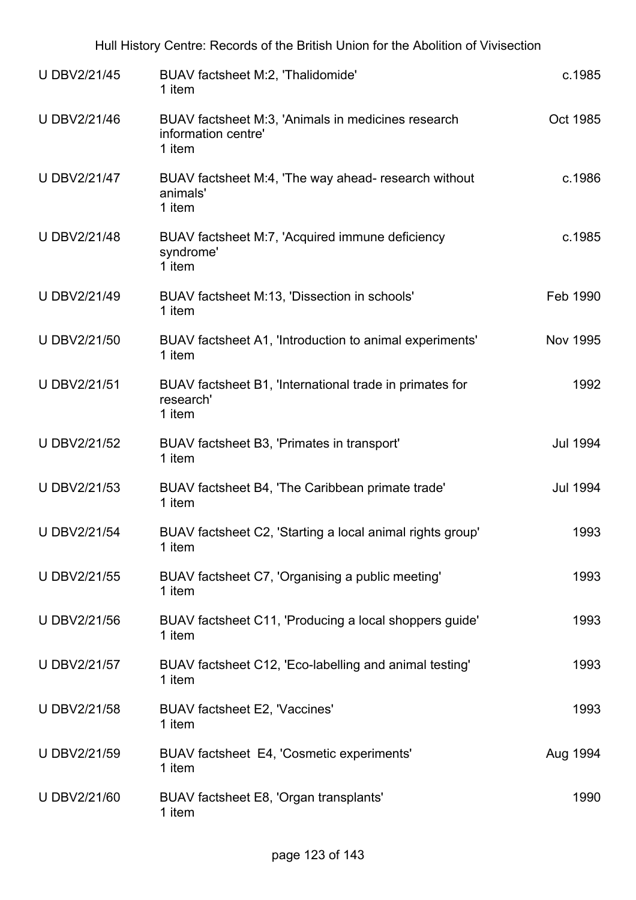|                     | Hull History Centre: Records of the British Union for the Abolition of Vivisection  |                 |
|---------------------|-------------------------------------------------------------------------------------|-----------------|
| <b>U DBV2/21/45</b> | BUAV factsheet M:2, 'Thalidomide'<br>1 item                                         | c.1985          |
| U DBV2/21/46        | BUAV factsheet M:3, 'Animals in medicines research<br>information centre'<br>1 item | Oct 1985        |
| U DBV2/21/47        | BUAV factsheet M:4, 'The way ahead- research without<br>animals'<br>1 item          | c.1986          |
| <b>UDBV2/21/48</b>  | BUAV factsheet M:7, 'Acquired immune deficiency<br>syndrome'<br>1 item              | c.1985          |
| U DBV2/21/49        | BUAV factsheet M:13, 'Dissection in schools'<br>1 item                              | Feb 1990        |
| U DBV2/21/50        | BUAV factsheet A1, 'Introduction to animal experiments'<br>1 item                   | <b>Nov 1995</b> |
| <b>U DBV2/21/51</b> | BUAV factsheet B1, 'International trade in primates for<br>research'<br>1 item      | 1992            |
| U DBV2/21/52        | BUAV factsheet B3, 'Primates in transport'<br>1 item                                | <b>Jul 1994</b> |
| <b>U DBV2/21/53</b> | BUAV factsheet B4, 'The Caribbean primate trade'<br>1 item                          | <b>Jul 1994</b> |
| <b>U DBV2/21/54</b> | BUAV factsheet C2, 'Starting a local animal rights group'<br>1 item                 | 1993            |
| U DBV2/21/55        | BUAV factsheet C7, 'Organising a public meeting'<br>1 item                          | 1993            |
| U DBV2/21/56        | BUAV factsheet C11, 'Producing a local shoppers guide'<br>1 item                    | 1993            |
| U DBV2/21/57        | BUAV factsheet C12, 'Eco-labelling and animal testing'<br>1 item                    | 1993            |
| <b>U DBV2/21/58</b> | BUAV factsheet E2, 'Vaccines'<br>1 item                                             | 1993            |
| U DBV2/21/59        | BUAV factsheet E4, 'Cosmetic experiments'<br>1 item                                 | Aug 1994        |
| U DBV2/21/60        | BUAV factsheet E8, 'Organ transplants'<br>1 item                                    | 1990            |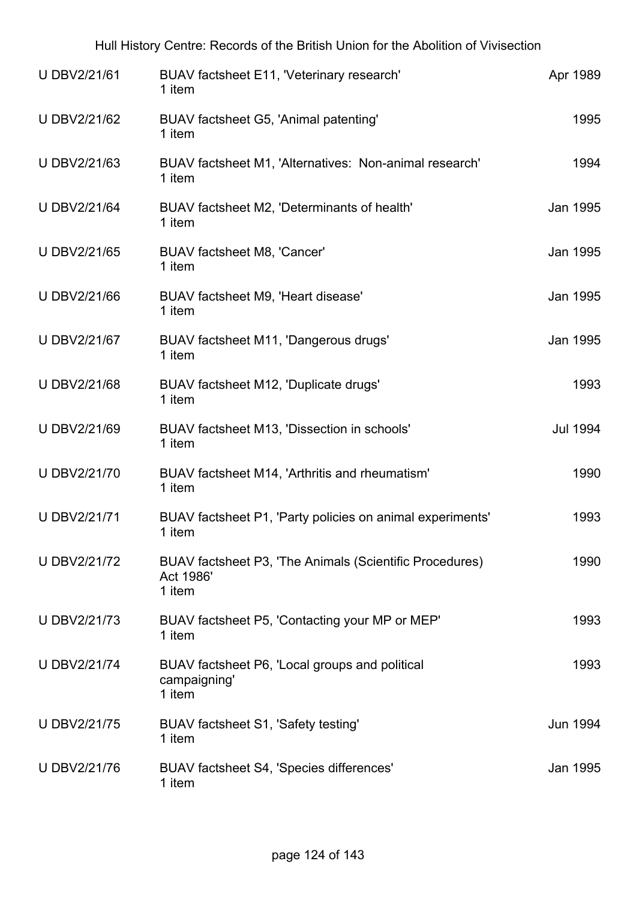| Hull History Centre: Records of the British Union for the Abolition of Vivisection |                                                       |                                                        |          |
|------------------------------------------------------------------------------------|-------------------------------------------------------|--------------------------------------------------------|----------|
| <b>UDBV2/21/61</b>                                                                 | BUAV factsheet E11, 'Veterinary research'<br>1 item   |                                                        | Apr 1989 |
| U DBV2/21/62                                                                       | BUAV factsheet G5, 'Animal patenting'<br>1 item       |                                                        | 1995     |
| U DBV2/21/63                                                                       | 1 item                                                | BUAV factsheet M1, 'Alternatives: Non-animal research' | 1994     |
| U DBV2/21/64                                                                       | BUAV factsheet M2, 'Determinants of health'<br>1 item |                                                        | Jan 1995 |
| U DBV2/21/65                                                                       | BUAV factsheet M8, 'Cancer'<br>1 item                 |                                                        | Jan 1995 |

Jan 1995

| U DBV2/21/67        | BUAV factsheet M11, 'Dangerous drugs'<br>1 item                     | Jan 1995 |
|---------------------|---------------------------------------------------------------------|----------|
| <b>UDBV2/21/68</b>  | BUAV factsheet M12, 'Duplicate drugs'<br>1 item                     | 1993     |
| <b>UDBV2/21/69</b>  | BUAV factsheet M13, 'Dissection in schools'<br>1 item               | Jul 1994 |
| <b>UDBV2/21/70</b>  | BUAV factsheet M14, 'Arthritis and rheumatism'<br>1 item            | 1990     |
| <b>U DBV2/21/71</b> | BUAV factsheet P1, 'Party policies on animal experiments'<br>1 item | 1993     |
| <b>UDBV2/21/72</b>  | BUAV factsheet P3, 'The Animals (Scientific Procedures)             | 1990     |

U DBV2/21/66 BUAV factsheet M9, 'Heart disease'

1 item

Act 1986'

|                     | 1 item                                                                   |          |
|---------------------|--------------------------------------------------------------------------|----------|
| U DBV2/21/73        | BUAV factsheet P5, 'Contacting your MP or MEP'<br>1 item                 | 1993     |
| <b>U DBV2/21/74</b> | BUAV factsheet P6, 'Local groups and political<br>campaigning'<br>1 item | 1993     |
| <b>UDBV2/21/75</b>  | BUAV factsheet S1, 'Safety testing'<br>1 item                            | Jun 1994 |
| U DBV2/21/76        | BUAV factsheet S4, 'Species differences'<br>1 item                       | Jan 1995 |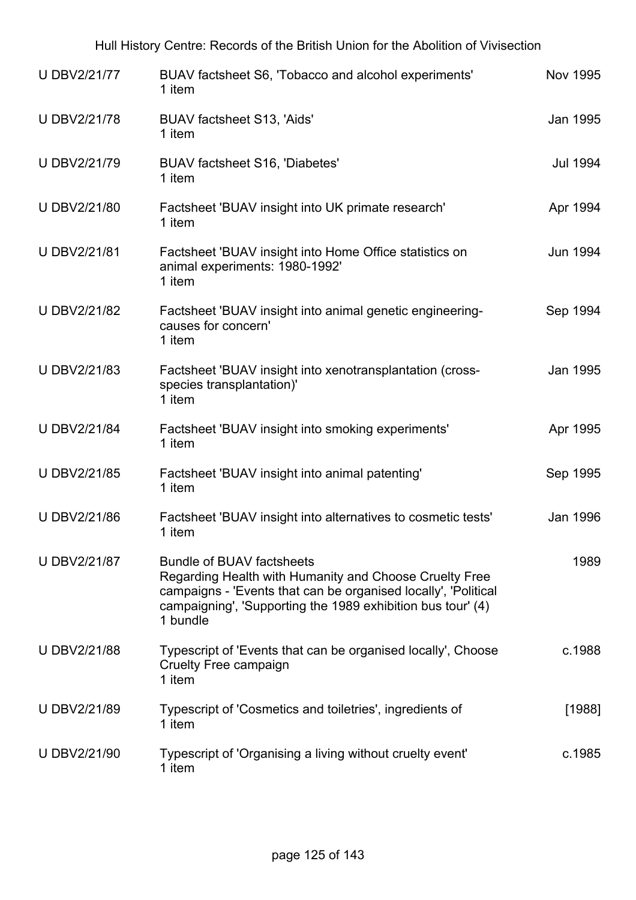| U DBV2/21/77        | BUAV factsheet S6, 'Tobacco and alcohol experiments'<br>1 item                                                                                                                                                                          | <b>Nov 1995</b> |
|---------------------|-----------------------------------------------------------------------------------------------------------------------------------------------------------------------------------------------------------------------------------------|-----------------|
| <b>UDBV2/21/78</b>  | BUAV factsheet S13, 'Aids'<br>1 item                                                                                                                                                                                                    | Jan 1995        |
| U DBV2/21/79        | BUAV factsheet S16, 'Diabetes'<br>1 item                                                                                                                                                                                                | <b>Jul 1994</b> |
| U DBV2/21/80        | Factsheet 'BUAV insight into UK primate research'<br>1 item                                                                                                                                                                             | Apr 1994        |
| <b>UDBV2/21/81</b>  | Factsheet 'BUAV insight into Home Office statistics on<br>animal experiments: 1980-1992'<br>1 item                                                                                                                                      | <b>Jun 1994</b> |
| <b>U DBV2/21/82</b> | Factsheet 'BUAV insight into animal genetic engineering-<br>causes for concern'<br>1 item                                                                                                                                               | Sep 1994        |
| <b>U DBV2/21/83</b> | Factsheet 'BUAV insight into xenotransplantation (cross-<br>species transplantation)'<br>1 item                                                                                                                                         | Jan 1995        |
| <b>U DBV2/21/84</b> | Factsheet 'BUAV insight into smoking experiments'<br>1 item                                                                                                                                                                             | Apr 1995        |
| <b>U DBV2/21/85</b> | Factsheet 'BUAV insight into animal patenting'<br>1 item                                                                                                                                                                                | Sep 1995        |
| <b>UDBV2/21/86</b>  | Factsheet 'BUAV insight into alternatives to cosmetic tests'<br>1 item                                                                                                                                                                  | Jan 1996        |
| <b>U DBV2/21/87</b> | <b>Bundle of BUAV factsheets</b><br>Regarding Health with Humanity and Choose Cruelty Free<br>campaigns - 'Events that can be organised locally', 'Political<br>campaigning', 'Supporting the 1989 exhibition bus tour' (4)<br>1 bundle | 1989            |
| <b>UDBV2/21/88</b>  | Typescript of 'Events that can be organised locally', Choose<br><b>Cruelty Free campaign</b><br>1 item                                                                                                                                  | c.1988          |
| <b>U DBV2/21/89</b> | Typescript of 'Cosmetics and toiletries', ingredients of<br>1 item                                                                                                                                                                      | [1988]          |
| U DBV2/21/90        | Typescript of 'Organising a living without cruelty event'<br>1 item                                                                                                                                                                     | c.1985          |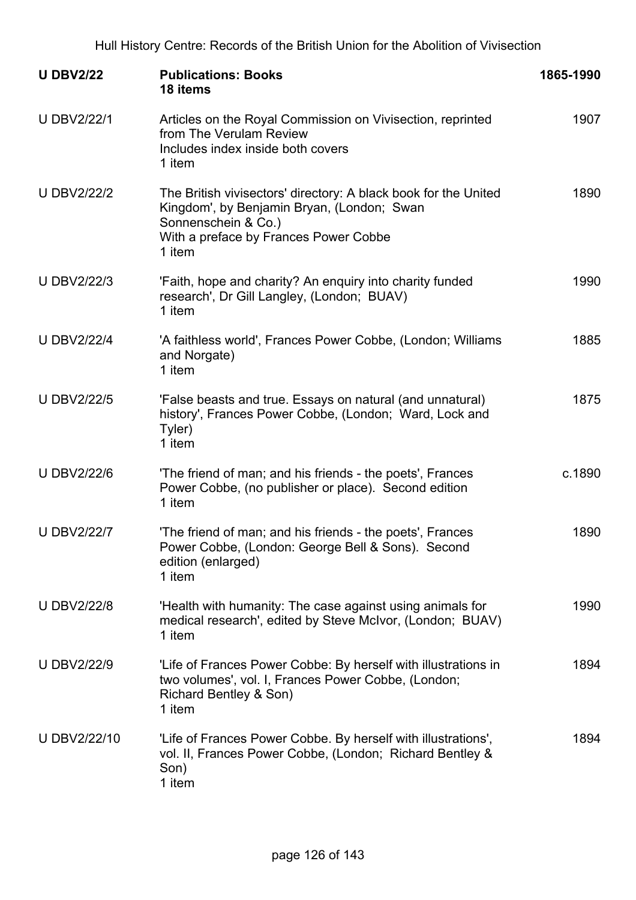| <b>U DBV2/22</b>   | <b>Publications: Books</b><br>18 items                                                                                                                                                  | 1865-1990 |
|--------------------|-----------------------------------------------------------------------------------------------------------------------------------------------------------------------------------------|-----------|
| <b>U DBV2/22/1</b> | Articles on the Royal Commission on Vivisection, reprinted<br>from The Verulam Review<br>Includes index inside both covers<br>1 item                                                    | 1907      |
| <b>U DBV2/22/2</b> | The British vivisectors' directory: A black book for the United<br>Kingdom', by Benjamin Bryan, (London; Swan<br>Sonnenschein & Co.)<br>With a preface by Frances Power Cobbe<br>1 item | 1890      |
| <b>U DBV2/22/3</b> | 'Faith, hope and charity? An enquiry into charity funded<br>research', Dr Gill Langley, (London; BUAV)<br>1 item                                                                        | 1990      |
| <b>U DBV2/22/4</b> | 'A faithless world', Frances Power Cobbe, (London; Williams<br>and Norgate)<br>1 item                                                                                                   | 1885      |
| <b>U DBV2/22/5</b> | 'False beasts and true. Essays on natural (and unnatural)<br>history', Frances Power Cobbe, (London; Ward, Lock and<br>Tyler)<br>1 item                                                 | 1875      |
| <b>U DBV2/22/6</b> | 'The friend of man; and his friends - the poets', Frances<br>Power Cobbe, (no publisher or place). Second edition<br>1 item                                                             | c.1890    |
| <b>U DBV2/22/7</b> | 'The friend of man; and his friends - the poets', Frances<br>Power Cobbe, (London: George Bell & Sons). Second<br>edition (enlarged)<br>1 item                                          | 1890      |
| <b>U DBV2/22/8</b> | 'Health with humanity: The case against using animals for<br>medical research', edited by Steve McIvor, (London; BUAV)<br>1 item                                                        | 1990      |
| <b>U DBV2/22/9</b> | 'Life of Frances Power Cobbe: By herself with illustrations in<br>two volumes', vol. I, Frances Power Cobbe, (London;<br>Richard Bentley & Son)<br>1 item                               | 1894      |
| U DBV2/22/10       | 'Life of Frances Power Cobbe. By herself with illustrations',<br>vol. II, Frances Power Cobbe, (London; Richard Bentley &<br>Son)<br>1 item                                             | 1894      |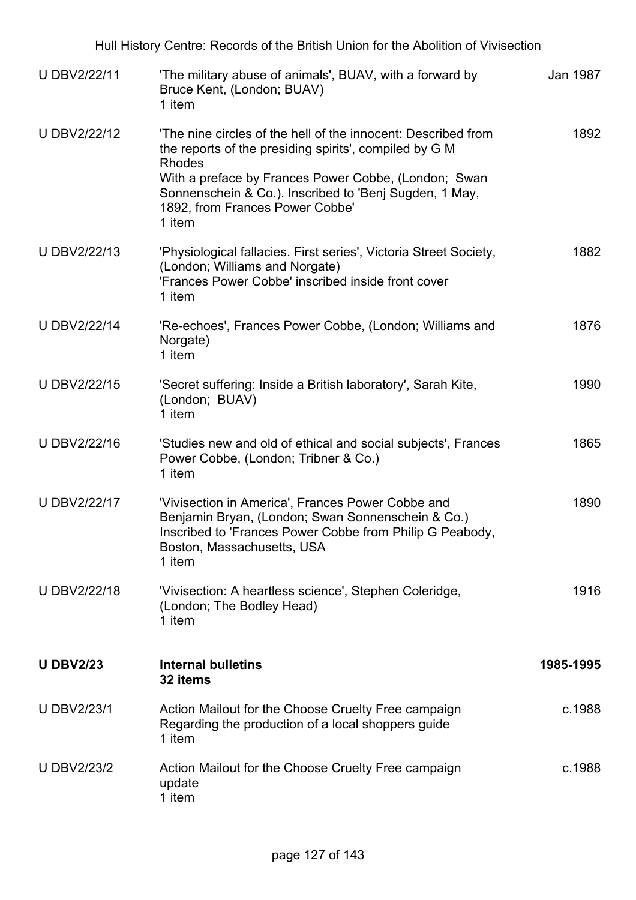| U DBV2/22/11       | 'The military abuse of animals', BUAV, with a forward by<br>Bruce Kent, (London; BUAV)<br>1 item                                                                                                                                                                                                        | Jan 1987  |
|--------------------|---------------------------------------------------------------------------------------------------------------------------------------------------------------------------------------------------------------------------------------------------------------------------------------------------------|-----------|
| U DBV2/22/12       | 'The nine circles of the hell of the innocent: Described from<br>the reports of the presiding spirits', compiled by G M<br><b>Rhodes</b><br>With a preface by Frances Power Cobbe, (London; Swan<br>Sonnenschein & Co.). Inscribed to 'Benj Sugden, 1 May,<br>1892, from Frances Power Cobbe'<br>1 item | 1892      |
| U DBV2/22/13       | 'Physiological fallacies. First series', Victoria Street Society,<br>(London; Williams and Norgate)<br>'Frances Power Cobbe' inscribed inside front cover<br>1 item                                                                                                                                     | 1882      |
| U DBV2/22/14       | 'Re-echoes', Frances Power Cobbe, (London; Williams and<br>Norgate)<br>1 item                                                                                                                                                                                                                           | 1876      |
| U DBV2/22/15       | 'Secret suffering: Inside a British laboratory', Sarah Kite,<br>(London; BUAV)<br>1 item                                                                                                                                                                                                                | 1990      |
| U DBV2/22/16       | 'Studies new and old of ethical and social subjects', Frances<br>Power Cobbe, (London; Tribner & Co.)<br>1 item                                                                                                                                                                                         | 1865      |
| U DBV2/22/17       | 'Vivisection in America', Frances Power Cobbe and<br>Benjamin Bryan, (London; Swan Sonnenschein & Co.)<br>Inscribed to 'Frances Power Cobbe from Philip G Peabody,<br>Boston, Massachusetts, USA<br>1 item                                                                                              | 1890      |
| U DBV2/22/18       | 'Vivisection: A heartless science', Stephen Coleridge,<br>(London; The Bodley Head)<br>1 item                                                                                                                                                                                                           | 1916      |
| <b>U DBV2/23</b>   | <b>Internal bulletins</b><br>32 items                                                                                                                                                                                                                                                                   | 1985-1995 |
| <b>U DBV2/23/1</b> | Action Mailout for the Choose Cruelty Free campaign<br>Regarding the production of a local shoppers guide<br>1 item                                                                                                                                                                                     | c.1988    |
| <b>U DBV2/23/2</b> | Action Mailout for the Choose Cruelty Free campaign<br>update<br>1 item                                                                                                                                                                                                                                 | c.1988    |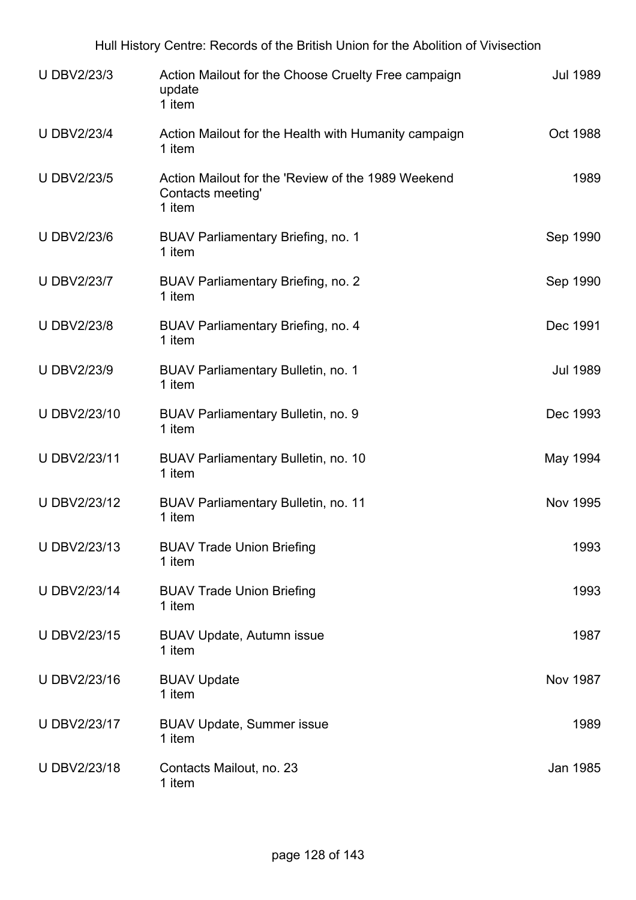| <b>U DBV2/23/3</b> | Action Mailout for the Choose Cruelty Free campaign<br>update<br>1 item           | <b>Jul 1989</b> |
|--------------------|-----------------------------------------------------------------------------------|-----------------|
| <b>U DBV2/23/4</b> | Action Mailout for the Health with Humanity campaign<br>1 item                    | Oct 1988        |
| <b>U DBV2/23/5</b> | Action Mailout for the 'Review of the 1989 Weekend<br>Contacts meeting'<br>1 item | 1989            |
| <b>UDBV2/23/6</b>  | <b>BUAV Parliamentary Briefing, no. 1</b><br>1 item                               | Sep 1990        |
| <b>U DBV2/23/7</b> | <b>BUAV Parliamentary Briefing, no. 2</b><br>1 item                               | Sep 1990        |
| <b>U DBV2/23/8</b> | <b>BUAV Parliamentary Briefing, no. 4</b><br>1 item                               | Dec 1991        |
| <b>U DBV2/23/9</b> | <b>BUAV Parliamentary Bulletin, no. 1</b><br>1 item                               | <b>Jul 1989</b> |
| U DBV2/23/10       | BUAV Parliamentary Bulletin, no. 9<br>1 item                                      | Dec 1993        |
| U DBV2/23/11       | <b>BUAV Parliamentary Bulletin, no. 10</b><br>1 item                              | May 1994        |
| U DBV2/23/12       | <b>BUAV Parliamentary Bulletin, no. 11</b><br>1 item                              | <b>Nov 1995</b> |
| U DBV2/23/13       | <b>BUAV Trade Union Briefing</b><br>1 item                                        | 1993            |
| U DBV2/23/14       | <b>BUAV Trade Union Briefing</b><br>1 item                                        | 1993            |
| U DBV2/23/15       | <b>BUAV Update, Autumn issue</b><br>1 item                                        | 1987            |
| U DBV2/23/16       | <b>BUAV Update</b><br>1 item                                                      | <b>Nov 1987</b> |
| U DBV2/23/17       | <b>BUAV Update, Summer issue</b><br>1 item                                        | 1989            |
| U DBV2/23/18       | Contacts Mailout, no. 23<br>1 item                                                | Jan 1985        |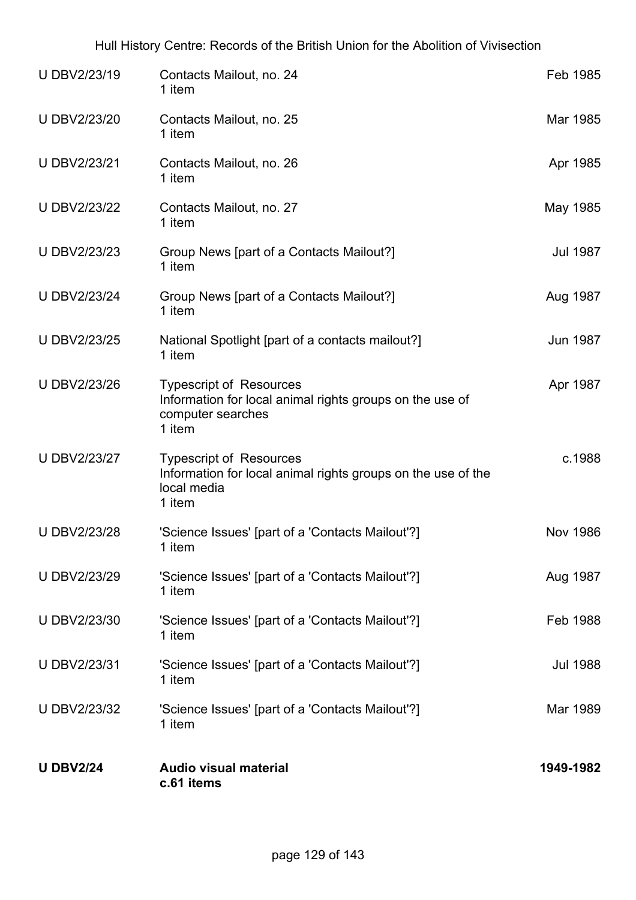| <b>U DBV2/24</b>    | <b>Audio visual material</b><br>c.61 items                                                                                | 1949-1982       |
|---------------------|---------------------------------------------------------------------------------------------------------------------------|-----------------|
| U DBV2/23/32        | 'Science Issues' [part of a 'Contacts Mailout'?]<br>1 item                                                                | Mar 1989        |
| U DBV2/23/31        | 'Science Issues' [part of a 'Contacts Mailout'?]<br>1 item                                                                | <b>Jul 1988</b> |
| U DBV2/23/30        | 'Science Issues' [part of a 'Contacts Mailout'?]<br>1 item                                                                | Feb 1988        |
| <b>UDBV2/23/29</b>  | 'Science Issues' [part of a 'Contacts Mailout'?]<br>1 item                                                                | Aug 1987        |
| <b>U DBV2/23/28</b> | 'Science Issues' [part of a 'Contacts Mailout'?]<br>1 item                                                                | <b>Nov 1986</b> |
| U DBV2/23/27        | <b>Typescript of Resources</b><br>Information for local animal rights groups on the use of the<br>local media<br>1 item   | c.1988          |
| U DBV2/23/26        | <b>Typescript of Resources</b><br>Information for local animal rights groups on the use of<br>computer searches<br>1 item | Apr 1987        |
| U DBV2/23/25        | National Spotlight [part of a contacts mailout?]<br>1 item                                                                | <b>Jun 1987</b> |
| <b>U DBV2/23/24</b> | Group News [part of a Contacts Mailout?]<br>1 item                                                                        | Aug 1987        |
| U DBV2/23/23        | Group News [part of a Contacts Mailout?]<br>1 item                                                                        | <b>Jul 1987</b> |
| <b>U DBV2/23/22</b> | Contacts Mailout, no. 27<br>1 item                                                                                        | May 1985        |
| U DBV2/23/21        | Contacts Mailout, no. 26<br>1 item                                                                                        | Apr 1985        |
| U DBV2/23/20        | Contacts Mailout, no. 25<br>1 item                                                                                        | Mar 1985        |
| U DBV2/23/19        | Contacts Mailout, no. 24<br>1 item                                                                                        | Feb 1985        |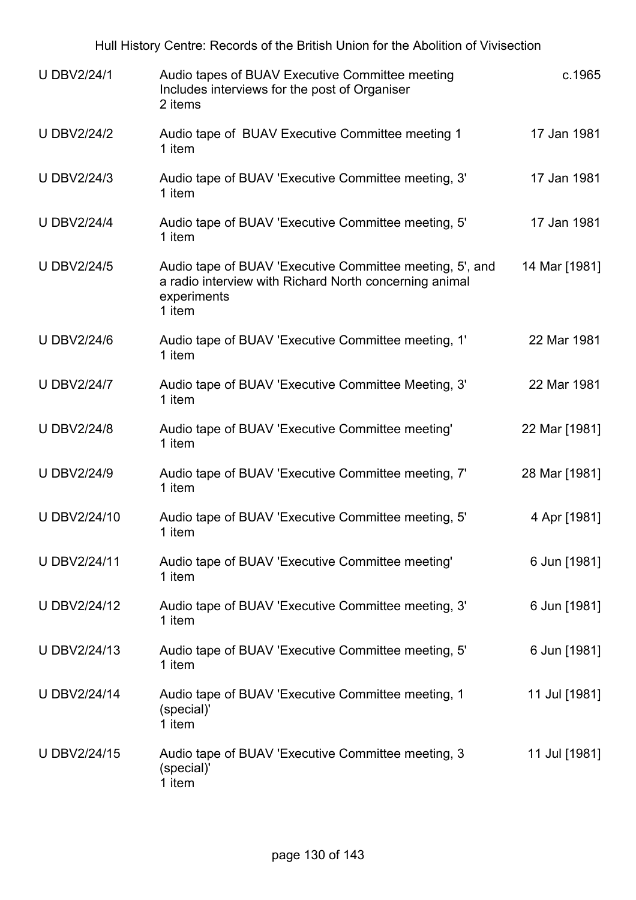| c.1965        | Audio tapes of BUAV Executive Committee meeting<br>Includes interviews for the post of Organiser<br>2 items                                 | <b>U DBV2/24/1</b> |
|---------------|---------------------------------------------------------------------------------------------------------------------------------------------|--------------------|
| 17 Jan 1981   | Audio tape of BUAV Executive Committee meeting 1<br>1 item                                                                                  | <b>U DBV2/24/2</b> |
| 17 Jan 1981   | Audio tape of BUAV 'Executive Committee meeting, 3'<br>1 item                                                                               | <b>U DBV2/24/3</b> |
| 17 Jan 1981   | Audio tape of BUAV 'Executive Committee meeting, 5'<br>1 item                                                                               | <b>U DBV2/24/4</b> |
| 14 Mar [1981] | Audio tape of BUAV 'Executive Committee meeting, 5', and<br>a radio interview with Richard North concerning animal<br>experiments<br>1 item | <b>U DBV2/24/5</b> |
| 22 Mar 1981   | Audio tape of BUAV 'Executive Committee meeting, 1'<br>1 item                                                                               | <b>U DBV2/24/6</b> |
| 22 Mar 1981   | Audio tape of BUAV 'Executive Committee Meeting, 3'<br>1 item                                                                               | <b>U DBV2/24/7</b> |
| 22 Mar [1981] | Audio tape of BUAV 'Executive Committee meeting'<br>1 item                                                                                  | <b>U DBV2/24/8</b> |
| 28 Mar [1981] | Audio tape of BUAV 'Executive Committee meeting, 7'<br>1 item                                                                               | <b>U DBV2/24/9</b> |
| 4 Apr [1981]  | Audio tape of BUAV 'Executive Committee meeting, 5'<br>1 item                                                                               | U DBV2/24/10       |
| 6 Jun [1981]  | Audio tape of BUAV 'Executive Committee meeting'<br>1 item                                                                                  | U DBV2/24/11       |
| 6 Jun [1981]  | Audio tape of BUAV 'Executive Committee meeting, 3'<br>1 item                                                                               | U DBV2/24/12       |
| 6 Jun [1981]  | Audio tape of BUAV 'Executive Committee meeting, 5'<br>1 item                                                                               | U DBV2/24/13       |
| 11 Jul [1981] | Audio tape of BUAV 'Executive Committee meeting, 1<br>(special)'<br>1 item                                                                  | U DBV2/24/14       |
| 11 Jul [1981] | Audio tape of BUAV 'Executive Committee meeting, 3<br>(special)'                                                                            | U DBV2/24/15       |

1 item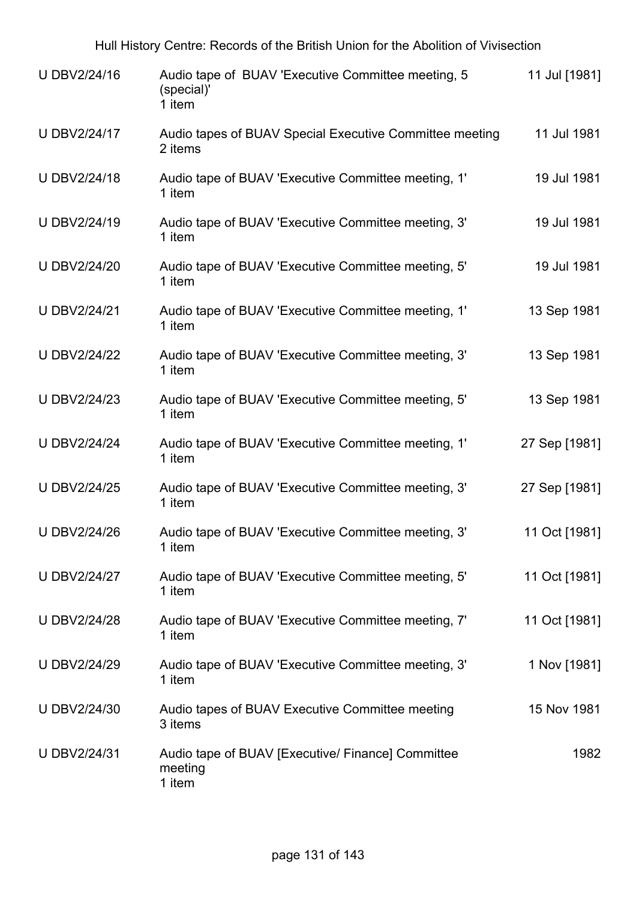| U DBV2/24/16        | Audio tape of BUAV 'Executive Committee meeting, 5<br>(special)'<br>1 item | 11 Jul [1981] |
|---------------------|----------------------------------------------------------------------------|---------------|
| U DBV2/24/17        | Audio tapes of BUAV Special Executive Committee meeting<br>2 items         | 11 Jul 1981   |
| U DBV2/24/18        | Audio tape of BUAV 'Executive Committee meeting, 1'<br>1 item              | 19 Jul 1981   |
| U DBV2/24/19        | Audio tape of BUAV 'Executive Committee meeting, 3'<br>1 item              | 19 Jul 1981   |
| <b>U DBV2/24/20</b> | Audio tape of BUAV 'Executive Committee meeting, 5'<br>1 item              | 19 Jul 1981   |
| <b>U DBV2/24/21</b> | Audio tape of BUAV 'Executive Committee meeting, 1'<br>1 item              | 13 Sep 1981   |
| <b>U DBV2/24/22</b> | Audio tape of BUAV 'Executive Committee meeting, 3'<br>1 item              | 13 Sep 1981   |
| <b>U DBV2/24/23</b> | Audio tape of BUAV 'Executive Committee meeting, 5'<br>1 item              | 13 Sep 1981   |
| <b>U DBV2/24/24</b> | Audio tape of BUAV 'Executive Committee meeting, 1'<br>1 item              | 27 Sep [1981] |
| <b>U DBV2/24/25</b> | Audio tape of BUAV 'Executive Committee meeting, 3'<br>1 item              | 27 Sep [1981] |
| <b>U DBV2/24/26</b> | Audio tape of BUAV 'Executive Committee meeting, 3'<br>1 item              | 11 Oct [1981] |
| <b>U DBV2/24/27</b> | Audio tape of BUAV 'Executive Committee meeting, 5'<br>1 item              | 11 Oct [1981] |
| <b>U DBV2/24/28</b> | Audio tape of BUAV 'Executive Committee meeting, 7'<br>1 item              | 11 Oct [1981] |
| <b>U DBV2/24/29</b> | Audio tape of BUAV 'Executive Committee meeting, 3'<br>1 item              | 1 Nov [1981]  |
| U DBV2/24/30        | Audio tapes of BUAV Executive Committee meeting<br>3 items                 | 15 Nov 1981   |
| U DBV2/24/31        | Audio tape of BUAV [Executive/ Finance] Committee<br>meeting<br>1 item     | 1982          |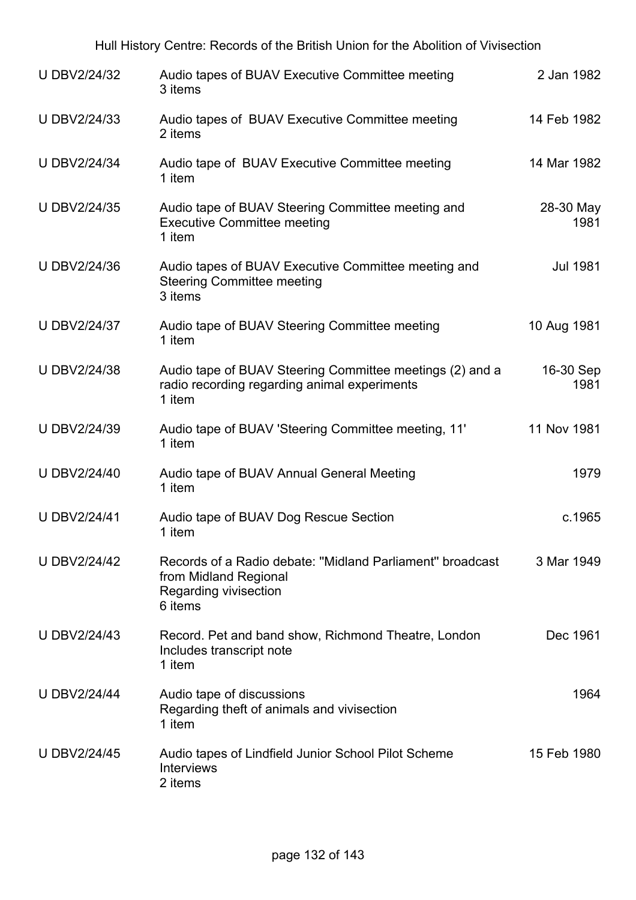| <b>U DBV2/24/32</b> | Audio tapes of BUAV Executive Committee meeting<br>3 items                                                             | 2 Jan 1982        |
|---------------------|------------------------------------------------------------------------------------------------------------------------|-------------------|
| <b>U DBV2/24/33</b> | Audio tapes of BUAV Executive Committee meeting<br>2 items                                                             | 14 Feb 1982       |
| <b>U DBV2/24/34</b> | Audio tape of BUAV Executive Committee meeting<br>1 item                                                               | 14 Mar 1982       |
| U DBV2/24/35        | Audio tape of BUAV Steering Committee meeting and<br><b>Executive Committee meeting</b><br>1 item                      | 28-30 May<br>1981 |
| U DBV2/24/36        | Audio tapes of BUAV Executive Committee meeting and<br><b>Steering Committee meeting</b><br>3 items                    | <b>Jul 1981</b>   |
| U DBV2/24/37        | Audio tape of BUAV Steering Committee meeting<br>1 item                                                                | 10 Aug 1981       |
| <b>UDBV2/24/38</b>  | Audio tape of BUAV Steering Committee meetings (2) and a<br>radio recording regarding animal experiments<br>1 item     | 16-30 Sep<br>1981 |
| U DBV2/24/39        | Audio tape of BUAV 'Steering Committee meeting, 11'<br>1 item                                                          | 11 Nov 1981       |
| U DBV2/24/40        | Audio tape of BUAV Annual General Meeting<br>1 item                                                                    | 1979              |
| <b>U DBV2/24/41</b> | Audio tape of BUAV Dog Rescue Section<br>1 item                                                                        | c.1965            |
| <b>U DBV2/24/42</b> | Records of a Radio debate: "Midland Parliament" broadcast<br>from Midland Regional<br>Regarding vivisection<br>6 items | 3 Mar 1949        |
| <b>U DBV2/24/43</b> | Record. Pet and band show, Richmond Theatre, London<br>Includes transcript note<br>1 item                              | Dec 1961          |
| <b>U DBV2/24/44</b> | Audio tape of discussions<br>Regarding theft of animals and vivisection<br>1 item                                      | 1964              |
| <b>U DBV2/24/45</b> | Audio tapes of Lindfield Junior School Pilot Scheme<br><b>Interviews</b><br>2 items                                    | 15 Feb 1980       |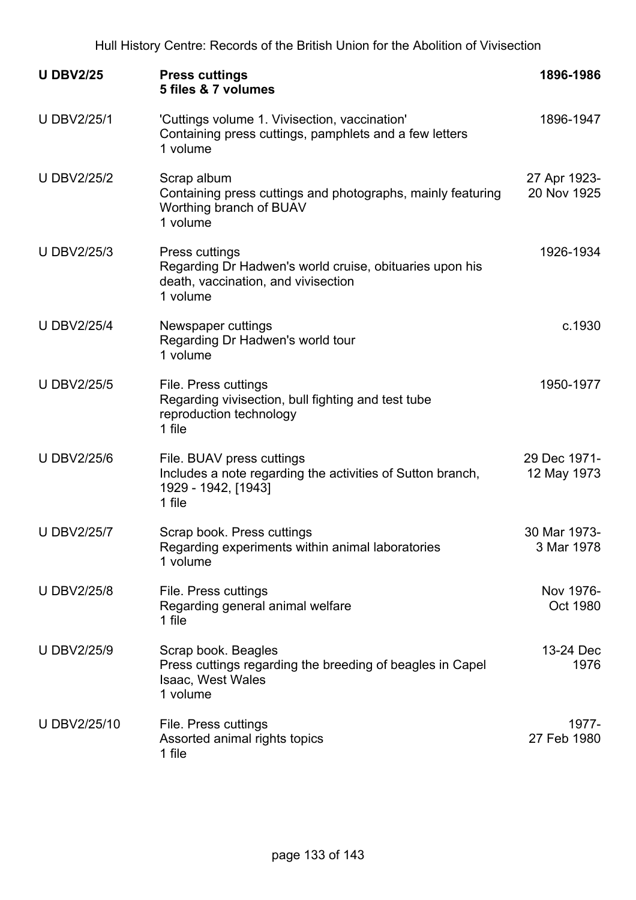| <b>U DBV2/25</b>   | <b>Press cuttings</b><br>5 files & 7 volumes                                                                                        | 1896-1986                   |
|--------------------|-------------------------------------------------------------------------------------------------------------------------------------|-----------------------------|
| <b>U DBV2/25/1</b> | 'Cuttings volume 1. Vivisection, vaccination'<br>Containing press cuttings, pamphlets and a few letters<br>1 volume                 | 1896-1947                   |
| <b>U DBV2/25/2</b> | Scrap album<br>Containing press cuttings and photographs, mainly featuring<br>Worthing branch of BUAV<br>1 volume                   | 27 Apr 1923-<br>20 Nov 1925 |
| <b>U DBV2/25/3</b> | <b>Press cuttings</b><br>Regarding Dr Hadwen's world cruise, obituaries upon his<br>death, vaccination, and vivisection<br>1 volume | 1926-1934                   |
| <b>U DBV2/25/4</b> | Newspaper cuttings<br>Regarding Dr Hadwen's world tour<br>1 volume                                                                  | c.1930                      |
| <b>U DBV2/25/5</b> | File. Press cuttings<br>Regarding vivisection, bull fighting and test tube<br>reproduction technology<br>1 file                     | 1950-1977                   |
| <b>U DBV2/25/6</b> | File. BUAV press cuttings<br>Includes a note regarding the activities of Sutton branch,<br>1929 - 1942, [1943]<br>1 file            | 29 Dec 1971-<br>12 May 1973 |
| <b>U DBV2/25/7</b> | Scrap book. Press cuttings<br>Regarding experiments within animal laboratories<br>1 volume                                          | 30 Mar 1973-<br>3 Mar 1978  |
| <b>U DBV2/25/8</b> | File. Press cuttings<br>Regarding general animal welfare<br>1 file                                                                  | Nov 1976-<br>Oct 1980       |
| <b>U DBV2/25/9</b> | Scrap book. Beagles<br>Press cuttings regarding the breeding of beagles in Capel<br>Isaac, West Wales<br>1 volume                   | 13-24 Dec<br>1976           |
| U DBV2/25/10       | File. Press cuttings<br>Assorted animal rights topics<br>1 file                                                                     | 1977-<br>27 Feb 1980        |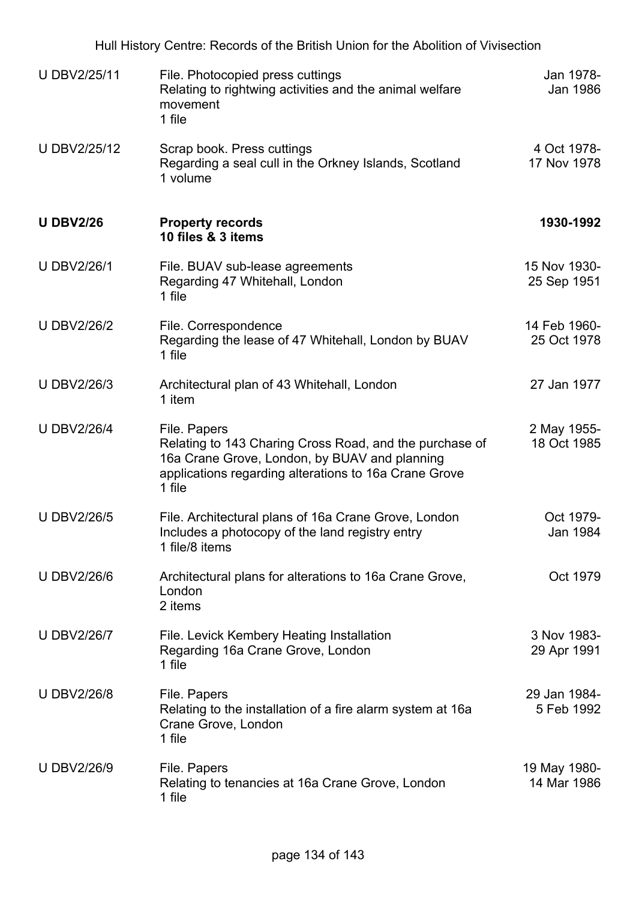|                    | Hull History Centre: Records of the British Union for the Abolition of Vivisection                                                                                                          |                             |
|--------------------|---------------------------------------------------------------------------------------------------------------------------------------------------------------------------------------------|-----------------------------|
| U DBV2/25/11       | File. Photocopied press cuttings<br>Relating to rightwing activities and the animal welfare<br>movement<br>1 file                                                                           | Jan 1978-<br>Jan 1986       |
| U DBV2/25/12       | Scrap book. Press cuttings<br>Regarding a seal cull in the Orkney Islands, Scotland<br>1 volume                                                                                             | 4 Oct 1978-<br>17 Nov 1978  |
| <b>U DBV2/26</b>   | <b>Property records</b><br>10 files & 3 items                                                                                                                                               | 1930-1992                   |
| <b>U DBV2/26/1</b> | File. BUAV sub-lease agreements<br>Regarding 47 Whitehall, London<br>1 file                                                                                                                 | 15 Nov 1930-<br>25 Sep 1951 |
| <b>U DBV2/26/2</b> | File. Correspondence<br>Regarding the lease of 47 Whitehall, London by BUAV<br>1 file                                                                                                       | 14 Feb 1960-<br>25 Oct 1978 |
| <b>U DBV2/26/3</b> | Architectural plan of 43 Whitehall, London<br>1 item                                                                                                                                        | 27 Jan 1977                 |
| <b>U DBV2/26/4</b> | File. Papers<br>Relating to 143 Charing Cross Road, and the purchase of<br>16a Crane Grove, London, by BUAV and planning<br>applications regarding alterations to 16a Crane Grove<br>1 file | 2 May 1955-<br>18 Oct 1985  |
| <b>U DBV2/26/5</b> | File. Architectural plans of 16a Crane Grove, London<br>Includes a photocopy of the land registry entry<br>1 file/8 items                                                                   | Oct 1979-<br>Jan 1984       |
| <b>U DBV2/26/6</b> | Architectural plans for alterations to 16a Crane Grove,<br>London<br>2 items                                                                                                                | Oct 1979                    |
| <b>U DBV2/26/7</b> | File. Levick Kembery Heating Installation<br>Regarding 16a Crane Grove, London<br>1 file                                                                                                    | 3 Nov 1983-<br>29 Apr 1991  |
| <b>U DBV2/26/8</b> | File. Papers<br>Relating to the installation of a fire alarm system at 16a<br>Crane Grove, London<br>1 file                                                                                 | 29 Jan 1984-<br>5 Feb 1992  |
| <b>U DBV2/26/9</b> | File. Papers<br>Relating to tenancies at 16a Crane Grove, London<br>1 file                                                                                                                  | 19 May 1980-<br>14 Mar 1986 |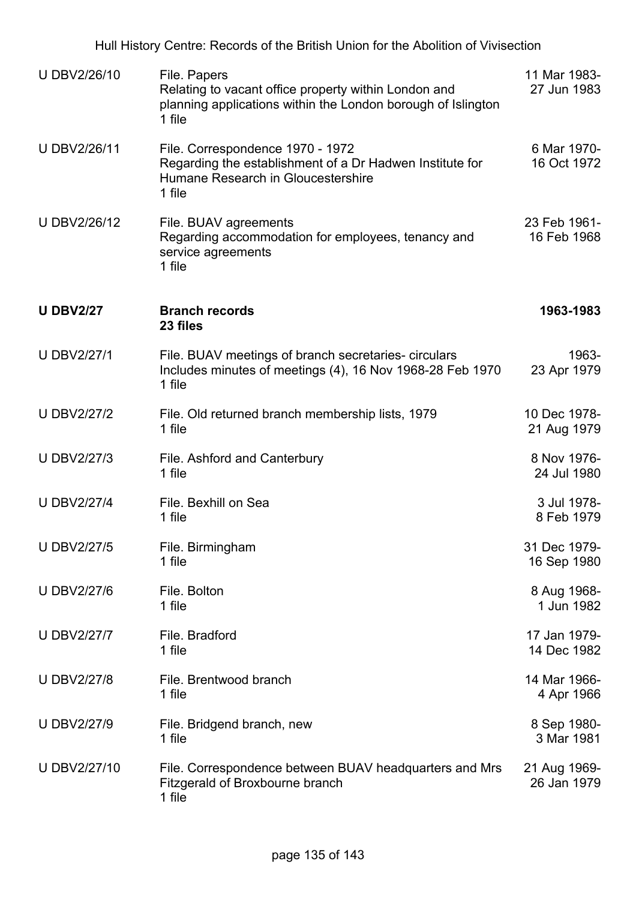| U DBV2/26/10       | File. Papers<br>Relating to vacant office property within London and<br>planning applications within the London borough of Islington<br>1 file | 11 Mar 1983-<br>27 Jun 1983 |
|--------------------|------------------------------------------------------------------------------------------------------------------------------------------------|-----------------------------|
| U DBV2/26/11       | File. Correspondence 1970 - 1972<br>Regarding the establishment of a Dr Hadwen Institute for<br>Humane Research in Gloucestershire<br>1 file   | 6 Mar 1970-<br>16 Oct 1972  |
| U DBV2/26/12       | File. BUAV agreements<br>Regarding accommodation for employees, tenancy and<br>service agreements<br>1 file                                    | 23 Feb 1961-<br>16 Feb 1968 |
| <b>U DBV2/27</b>   | <b>Branch records</b><br>23 files                                                                                                              | 1963-1983                   |
| <b>U DBV2/27/1</b> | File. BUAV meetings of branch secretaries- circulars<br>Includes minutes of meetings (4), 16 Nov 1968-28 Feb 1970<br>1 file                    | 1963-<br>23 Apr 1979        |
| <b>U DBV2/27/2</b> | File. Old returned branch membership lists, 1979<br>1 file                                                                                     | 10 Dec 1978-<br>21 Aug 1979 |
| <b>U DBV2/27/3</b> | File. Ashford and Canterbury<br>1 file                                                                                                         | 8 Nov 1976-<br>24 Jul 1980  |
| <b>U DBV2/27/4</b> | File. Bexhill on Sea<br>1 file                                                                                                                 | 3 Jul 1978-<br>8 Feb 1979   |
| <b>U DBV2/27/5</b> | File. Birmingham<br>1 file                                                                                                                     | 31 Dec 1979-<br>16 Sep 1980 |
| <b>U DBV2/27/6</b> | File. Bolton<br>1 file                                                                                                                         | 8 Aug 1968-<br>1 Jun 1982   |
| <b>U DBV2/27/7</b> | File. Bradford<br>1 file                                                                                                                       | 17 Jan 1979-<br>14 Dec 1982 |
| <b>U DBV2/27/8</b> | File. Brentwood branch<br>1 file                                                                                                               | 14 Mar 1966-<br>4 Apr 1966  |
| <b>U DBV2/27/9</b> | File. Bridgend branch, new<br>1 file                                                                                                           | 8 Sep 1980-<br>3 Mar 1981   |
| U DBV2/27/10       | File. Correspondence between BUAV headquarters and Mrs<br>Fitzgerald of Broxbourne branch<br>1 file                                            | 21 Aug 1969-<br>26 Jan 1979 |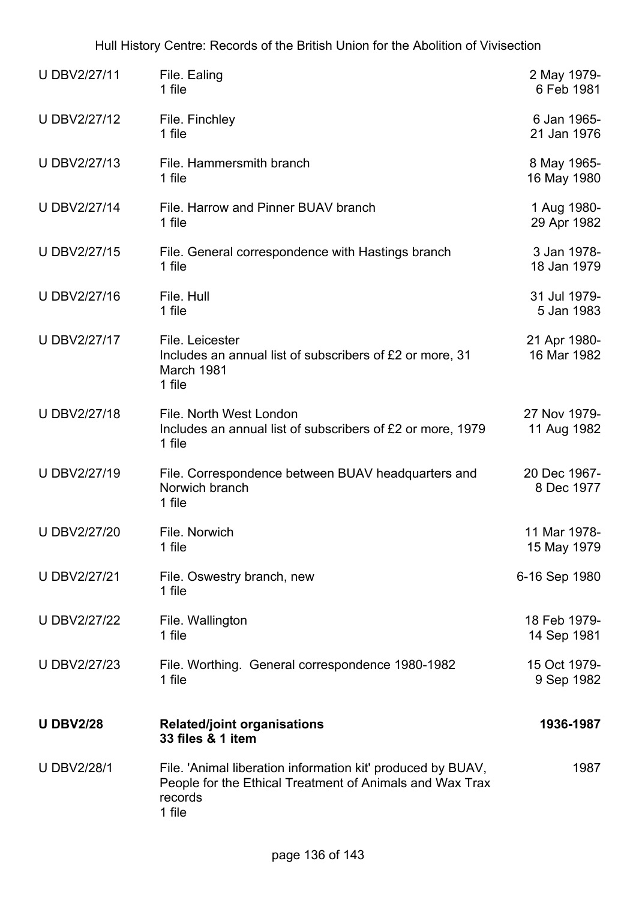| U DBV2/27/11        | File. Ealing<br>1 file                                                                                                                       | 2 May 1979-<br>6 Feb 1981   |
|---------------------|----------------------------------------------------------------------------------------------------------------------------------------------|-----------------------------|
| U DBV2/27/12        | File. Finchley<br>1 file                                                                                                                     | 6 Jan 1965-<br>21 Jan 1976  |
| U DBV2/27/13        | File. Hammersmith branch<br>1 file                                                                                                           | 8 May 1965-<br>16 May 1980  |
| <b>U DBV2/27/14</b> | File, Harrow and Pinner BUAV branch<br>1 file                                                                                                | 1 Aug 1980-<br>29 Apr 1982  |
| U DBV2/27/15        | File. General correspondence with Hastings branch<br>1 file                                                                                  | 3 Jan 1978-<br>18 Jan 1979  |
| U DBV2/27/16        | File. Hull<br>1 file                                                                                                                         | 31 Jul 1979-<br>5 Jan 1983  |
| <b>U DBV2/27/17</b> | File. Leicester<br>Includes an annual list of subscribers of £2 or more, 31<br>March 1981<br>1 file                                          | 21 Apr 1980-<br>16 Mar 1982 |
| U DBV2/27/18        | File. North West London<br>Includes an annual list of subscribers of £2 or more, 1979<br>1 file                                              | 27 Nov 1979-<br>11 Aug 1982 |
| U DBV2/27/19        | File. Correspondence between BUAV headquarters and<br>Norwich branch<br>1 file                                                               | 20 Dec 1967-<br>8 Dec 1977  |
| <b>U DBV2/27/20</b> | File. Norwich<br>1 file                                                                                                                      | 11 Mar 1978-<br>15 May 1979 |
| <b>U DBV2/27/21</b> | File. Oswestry branch, new<br>1 file                                                                                                         | 6-16 Sep 1980               |
| <b>U DBV2/27/22</b> | File. Wallington<br>1 file                                                                                                                   | 18 Feb 1979-<br>14 Sep 1981 |
| <b>U DBV2/27/23</b> | File. Worthing. General correspondence 1980-1982<br>1 file                                                                                   | 15 Oct 1979-<br>9 Sep 1982  |
| <b>U DBV2/28</b>    | <b>Related/joint organisations</b><br>33 files & 1 item                                                                                      | 1936-1987                   |
| <b>U DBV2/28/1</b>  | File. 'Animal liberation information kit' produced by BUAV,<br>People for the Ethical Treatment of Animals and Wax Trax<br>records<br>1 file | 1987                        |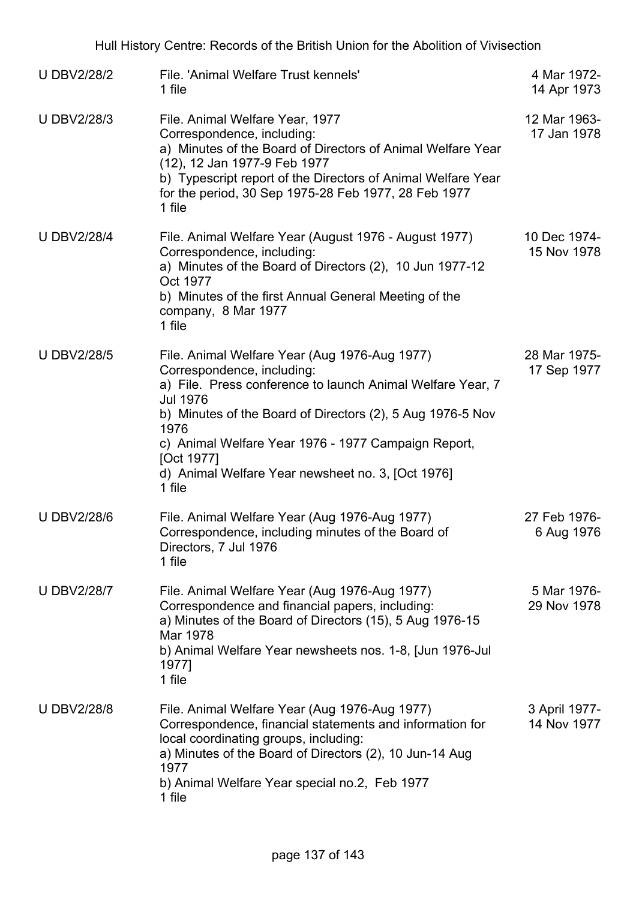| <b>U DBV2/28/2</b> | File, 'Animal Welfare Trust kennels'<br>1 file                                                                                                                                                                                                                                                                                                                         | 4 Mar 1972-<br>14 Apr 1973   |
|--------------------|------------------------------------------------------------------------------------------------------------------------------------------------------------------------------------------------------------------------------------------------------------------------------------------------------------------------------------------------------------------------|------------------------------|
| <b>U DBV2/28/3</b> | File. Animal Welfare Year, 1977<br>Correspondence, including:<br>a) Minutes of the Board of Directors of Animal Welfare Year<br>(12), 12 Jan 1977-9 Feb 1977<br>b) Typescript report of the Directors of Animal Welfare Year<br>for the period, 30 Sep 1975-28 Feb 1977, 28 Feb 1977<br>1 file                                                                         | 12 Mar 1963-<br>17 Jan 1978  |
| <b>U DBV2/28/4</b> | File. Animal Welfare Year (August 1976 - August 1977)<br>Correspondence, including:<br>a) Minutes of the Board of Directors (2), 10 Jun 1977-12<br>Oct 1977<br>b) Minutes of the first Annual General Meeting of the<br>company, 8 Mar 1977<br>1 file                                                                                                                  | 10 Dec 1974-<br>15 Nov 1978  |
| <b>U DBV2/28/5</b> | File. Animal Welfare Year (Aug 1976-Aug 1977)<br>Correspondence, including:<br>a) File. Press conference to launch Animal Welfare Year, 7<br><b>Jul 1976</b><br>b) Minutes of the Board of Directors (2), 5 Aug 1976-5 Nov<br>1976<br>c) Animal Welfare Year 1976 - 1977 Campaign Report,<br>[Oct 1977]<br>d) Animal Welfare Year newsheet no. 3, [Oct 1976]<br>1 file | 28 Mar 1975-<br>17 Sep 1977  |
| <b>U DBV2/28/6</b> | File. Animal Welfare Year (Aug 1976-Aug 1977)<br>Correspondence, including minutes of the Board of<br>Directors, 7 Jul 1976<br>1 file                                                                                                                                                                                                                                  | 27 Feb 1976-<br>6 Aug 1976   |
| <b>U DBV2/28/7</b> | File. Animal Welfare Year (Aug 1976-Aug 1977)<br>Correspondence and financial papers, including:<br>a) Minutes of the Board of Directors (15), 5 Aug 1976-15<br>Mar 1978<br>b) Animal Welfare Year newsheets nos. 1-8, [Jun 1976-Jul<br>1977]<br>1 file                                                                                                                | 5 Mar 1976-<br>29 Nov 1978   |
| <b>UDBV2/28/8</b>  | File. Animal Welfare Year (Aug 1976-Aug 1977)<br>Correspondence, financial statements and information for<br>local coordinating groups, including:<br>a) Minutes of the Board of Directors (2), 10 Jun-14 Aug<br>1977<br>b) Animal Welfare Year special no.2, Feb 1977<br>1 file                                                                                       | 3 April 1977-<br>14 Nov 1977 |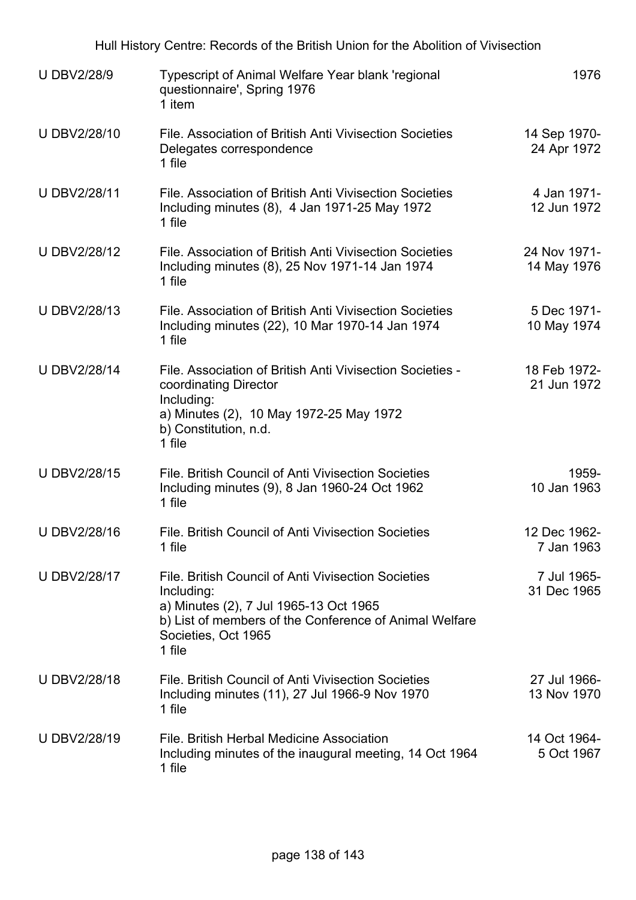|                    | Hull History Centre: Records of the British Union for the Abolition of Vivisection                                                                                                                     |                             |
|--------------------|--------------------------------------------------------------------------------------------------------------------------------------------------------------------------------------------------------|-----------------------------|
| <b>U DBV2/28/9</b> | <b>Typescript of Animal Welfare Year blank 'regional</b><br>questionnaire', Spring 1976<br>1 item                                                                                                      | 1976                        |
| U DBV2/28/10       | File. Association of British Anti Vivisection Societies<br>Delegates correspondence<br>1 file                                                                                                          | 14 Sep 1970-<br>24 Apr 1972 |
| U DBV2/28/11       | File, Association of British Anti Vivisection Societies<br>Including minutes $(8)$ , 4 Jan 1971-25 May 1972<br>1 file                                                                                  | 4 Jan 1971-<br>12 Jun 1972  |
| U DBV2/28/12       | File. Association of British Anti Vivisection Societies<br>Including minutes (8), 25 Nov 1971-14 Jan 1974<br>1 file                                                                                    | 24 Nov 1971-<br>14 May 1976 |
| U DBV2/28/13       | File. Association of British Anti Vivisection Societies<br>Including minutes (22), 10 Mar 1970-14 Jan 1974<br>1 file                                                                                   | 5 Dec 1971-<br>10 May 1974  |
| U DBV2/28/14       | File. Association of British Anti Vivisection Societies -<br>coordinating Director<br>Including:<br>a) Minutes (2), 10 May 1972-25 May 1972<br>b) Constitution, n.d.<br>1 file                         | 18 Feb 1972-<br>21 Jun 1972 |
| U DBV2/28/15       | File, British Council of Anti Vivisection Societies<br>Including minutes (9), 8 Jan 1960-24 Oct 1962<br>1 file                                                                                         | 1959-<br>10 Jan 1963        |
| U DBV2/28/16       | File. British Council of Anti Vivisection Societies<br>1 file                                                                                                                                          | 12 Dec 1962-<br>7 Jan 1963  |
| U DBV2/28/17       | File. British Council of Anti Vivisection Societies<br>Including:<br>a) Minutes (2), 7 Jul 1965-13 Oct 1965<br>b) List of members of the Conference of Animal Welfare<br>Societies, Oct 1965<br>1 file | 7 Jul 1965-<br>31 Dec 1965  |
| U DBV2/28/18       | File. British Council of Anti Vivisection Societies<br>Including minutes (11), 27 Jul 1966-9 Nov 1970<br>1 file                                                                                        | 27 Jul 1966-<br>13 Nov 1970 |
| U DBV2/28/19       | File. British Herbal Medicine Association<br>Including minutes of the inaugural meeting, 14 Oct 1964<br>1 file                                                                                         | 14 Oct 1964-<br>5 Oct 1967  |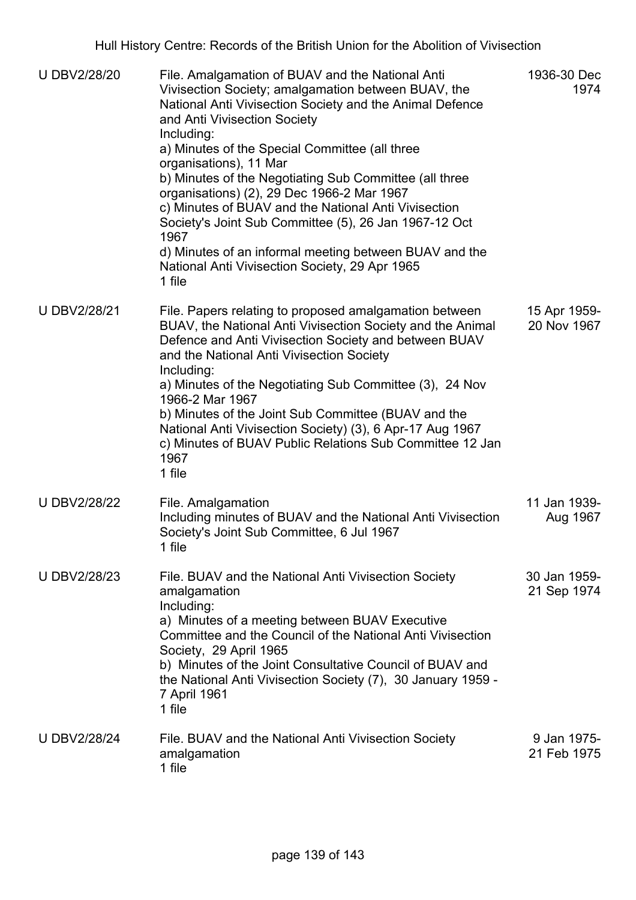| <b>U DBV2/28/20</b> | File. Amalgamation of BUAV and the National Anti<br>Vivisection Society; amalgamation between BUAV, the<br>National Anti Vivisection Society and the Animal Defence<br>and Anti Vivisection Society<br>Including:<br>a) Minutes of the Special Committee (all three<br>organisations), 11 Mar<br>b) Minutes of the Negotiating Sub Committee (all three<br>organisations) (2), 29 Dec 1966-2 Mar 1967<br>c) Minutes of BUAV and the National Anti Vivisection<br>Society's Joint Sub Committee (5), 26 Jan 1967-12 Oct<br>1967<br>d) Minutes of an informal meeting between BUAV and the<br>National Anti Vivisection Society, 29 Apr 1965<br>1 file | 1936-30 Dec<br>1974         |
|---------------------|------------------------------------------------------------------------------------------------------------------------------------------------------------------------------------------------------------------------------------------------------------------------------------------------------------------------------------------------------------------------------------------------------------------------------------------------------------------------------------------------------------------------------------------------------------------------------------------------------------------------------------------------------|-----------------------------|
| <b>UDBV2/28/21</b>  | File. Papers relating to proposed amalgamation between<br>BUAV, the National Anti Vivisection Society and the Animal<br>Defence and Anti Vivisection Society and between BUAV<br>and the National Anti Vivisection Society<br>Including:<br>a) Minutes of the Negotiating Sub Committee (3), 24 Nov<br>1966-2 Mar 1967<br>b) Minutes of the Joint Sub Committee (BUAV and the<br>National Anti Vivisection Society) (3), 6 Apr-17 Aug 1967<br>c) Minutes of BUAV Public Relations Sub Committee 12 Jan<br>1967<br>1 file                                                                                                                             | 15 Apr 1959-<br>20 Nov 1967 |
| <b>U DBV2/28/22</b> | File. Amalgamation<br>Including minutes of BUAV and the National Anti Vivisection<br>Society's Joint Sub Committee, 6 Jul 1967<br>1 file                                                                                                                                                                                                                                                                                                                                                                                                                                                                                                             | 11 Jan 1939-<br>Aug 1967    |
| <b>UDBV2/28/23</b>  | File. BUAV and the National Anti Vivisection Society<br>amalgamation<br>Including:<br>a) Minutes of a meeting between BUAV Executive<br>Committee and the Council of the National Anti Vivisection<br>Society, 29 April 1965<br>b) Minutes of the Joint Consultative Council of BUAV and<br>the National Anti Vivisection Society (7), 30 January 1959 -<br>7 April 1961<br>1 file                                                                                                                                                                                                                                                                   | 30 Jan 1959-<br>21 Sep 1974 |
| <b>U DBV2/28/24</b> | File. BUAV and the National Anti Vivisection Society<br>amalgamation<br>1 file                                                                                                                                                                                                                                                                                                                                                                                                                                                                                                                                                                       | 9 Jan 1975-<br>21 Feb 1975  |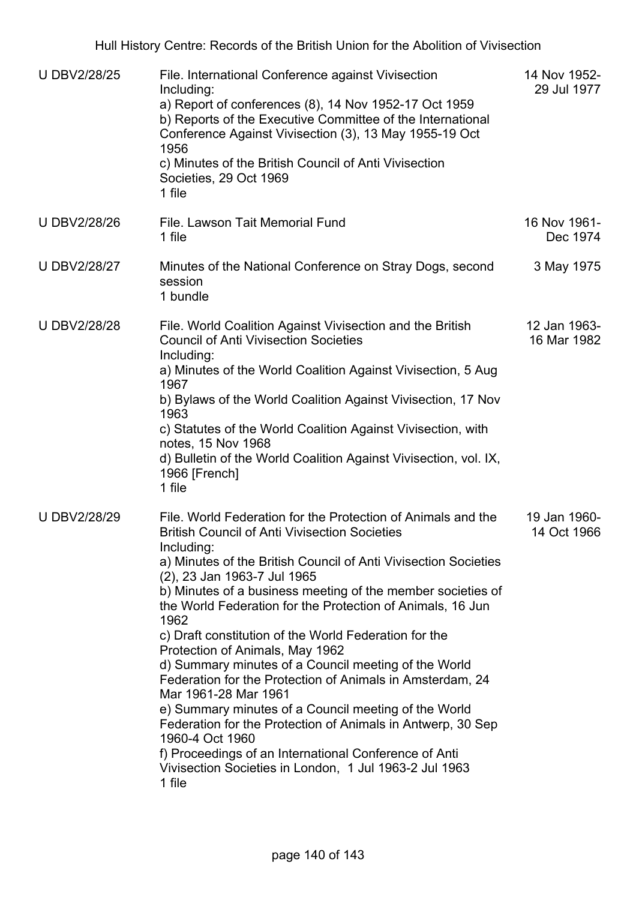| <b>U DBV2/28/25</b> | File. International Conference against Vivisection<br>Including:<br>a) Report of conferences (8), 14 Nov 1952-17 Oct 1959<br>b) Reports of the Executive Committee of the International<br>Conference Against Vivisection (3), 13 May 1955-19 Oct<br>1956<br>c) Minutes of the British Council of Anti Vivisection<br>Societies, 29 Oct 1969<br>1 file                                                                                                                                                                                                                                                                                                                                                                                                                                                                                                                                    | 14 Nov 1952-<br>29 Jul 1977 |
|---------------------|-------------------------------------------------------------------------------------------------------------------------------------------------------------------------------------------------------------------------------------------------------------------------------------------------------------------------------------------------------------------------------------------------------------------------------------------------------------------------------------------------------------------------------------------------------------------------------------------------------------------------------------------------------------------------------------------------------------------------------------------------------------------------------------------------------------------------------------------------------------------------------------------|-----------------------------|
| <b>UDBV2/28/26</b>  | File. Lawson Tait Memorial Fund<br>1 file                                                                                                                                                                                                                                                                                                                                                                                                                                                                                                                                                                                                                                                                                                                                                                                                                                                 | 16 Nov 1961-<br>Dec 1974    |
| <b>U DBV2/28/27</b> | Minutes of the National Conference on Stray Dogs, second<br>session<br>1 bundle                                                                                                                                                                                                                                                                                                                                                                                                                                                                                                                                                                                                                                                                                                                                                                                                           | 3 May 1975                  |
| <b>UDBV2/28/28</b>  | File. World Coalition Against Vivisection and the British<br><b>Council of Anti Vivisection Societies</b><br>Including:<br>a) Minutes of the World Coalition Against Vivisection, 5 Aug<br>1967<br>b) Bylaws of the World Coalition Against Vivisection, 17 Nov<br>1963<br>c) Statutes of the World Coalition Against Vivisection, with<br>notes, 15 Nov 1968<br>d) Bulletin of the World Coalition Against Vivisection, vol. IX,<br>1966 [French]<br>1 file                                                                                                                                                                                                                                                                                                                                                                                                                              | 12 Jan 1963-<br>16 Mar 1982 |
| <b>U DBV2/28/29</b> | File. World Federation for the Protection of Animals and the<br><b>British Council of Anti Vivisection Societies</b><br>Including:<br>a) Minutes of the British Council of Anti Vivisection Societies<br>(2), 23 Jan 1963-7 Jul 1965<br>b) Minutes of a business meeting of the member societies of<br>the World Federation for the Protection of Animals, 16 Jun<br>1962<br>c) Draft constitution of the World Federation for the<br>Protection of Animals, May 1962<br>d) Summary minutes of a Council meeting of the World<br>Federation for the Protection of Animals in Amsterdam, 24<br>Mar 1961-28 Mar 1961<br>e) Summary minutes of a Council meeting of the World<br>Federation for the Protection of Animals in Antwerp, 30 Sep<br>1960-4 Oct 1960<br>f) Proceedings of an International Conference of Anti<br>Vivisection Societies in London, 1 Jul 1963-2 Jul 1963<br>1 file | 19 Jan 1960-<br>14 Oct 1966 |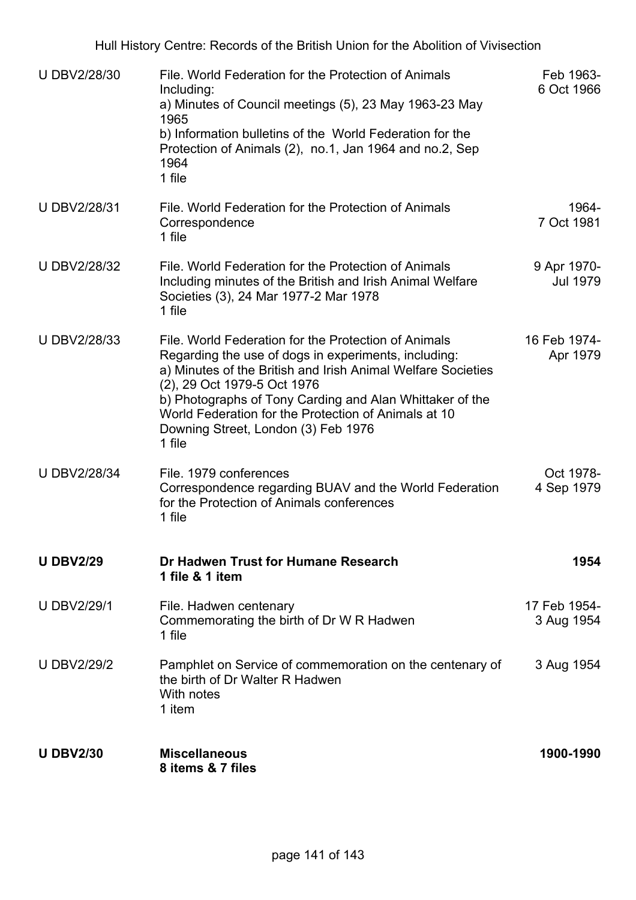| <b>UDBV2/28/30</b>  | File. World Federation for the Protection of Animals<br>Including:<br>a) Minutes of Council meetings (5), 23 May 1963-23 May<br>1965<br>b) Information bulletins of the World Federation for the<br>Protection of Animals (2), no.1, Jan 1964 and no.2, Sep<br>1964<br>1 file                                                                                                    | Feb 1963-<br>6 Oct 1966        |
|---------------------|----------------------------------------------------------------------------------------------------------------------------------------------------------------------------------------------------------------------------------------------------------------------------------------------------------------------------------------------------------------------------------|--------------------------------|
| U DBV2/28/31        | File. World Federation for the Protection of Animals<br>Correspondence<br>1 file                                                                                                                                                                                                                                                                                                 | 1964-<br>7 Oct 1981            |
| <b>U DBV2/28/32</b> | File. World Federation for the Protection of Animals<br>Including minutes of the British and Irish Animal Welfare<br>Societies (3), 24 Mar 1977-2 Mar 1978<br>1 file                                                                                                                                                                                                             | 9 Apr 1970-<br><b>Jul 1979</b> |
| <b>U DBV2/28/33</b> | File, World Federation for the Protection of Animals<br>Regarding the use of dogs in experiments, including:<br>a) Minutes of the British and Irish Animal Welfare Societies<br>(2), 29 Oct 1979-5 Oct 1976<br>b) Photographs of Tony Carding and Alan Whittaker of the<br>World Federation for the Protection of Animals at 10<br>Downing Street, London (3) Feb 1976<br>1 file | 16 Feb 1974-<br>Apr 1979       |
| <b>U DBV2/28/34</b> | File. 1979 conferences<br>Correspondence regarding BUAV and the World Federation<br>for the Protection of Animals conferences<br>1 file                                                                                                                                                                                                                                          | Oct 1978-<br>4 Sep 1979        |
| <b>U DBV2/29</b>    | Dr Hadwen Trust for Humane Research<br>1 file & 1 item                                                                                                                                                                                                                                                                                                                           | 1954                           |
| <b>U DBV2/29/1</b>  | File. Hadwen centenary<br>Commemorating the birth of Dr W R Hadwen<br>1 file                                                                                                                                                                                                                                                                                                     | 17 Feb 1954-<br>3 Aug 1954     |
| <b>U DBV2/29/2</b>  | Pamphlet on Service of commemoration on the centenary of<br>the birth of Dr Walter R Hadwen<br>With notes<br>1 item                                                                                                                                                                                                                                                              | 3 Aug 1954                     |
| <b>U DBV2/30</b>    | <b>Miscellaneous</b><br>8 items & 7 files                                                                                                                                                                                                                                                                                                                                        | 1900-1990                      |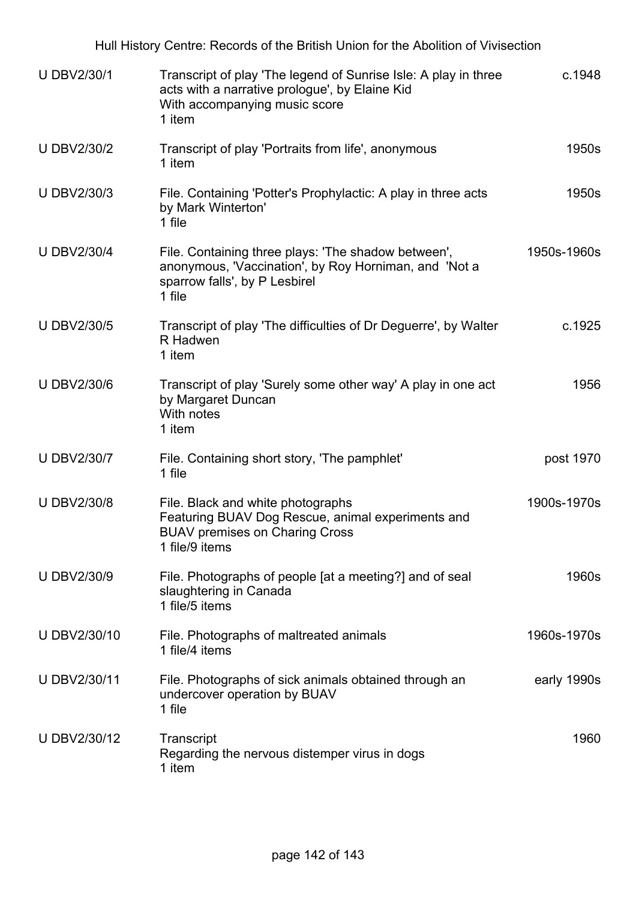| Hull History Centre: Records of the British Union for the Abolition of Vivisection |                                                                                                                                                              |             |  |
|------------------------------------------------------------------------------------|--------------------------------------------------------------------------------------------------------------------------------------------------------------|-------------|--|
| <b>U DBV2/30/1</b>                                                                 | Transcript of play 'The legend of Sunrise Isle: A play in three<br>acts with a narrative prologue', by Elaine Kid<br>With accompanying music score<br>1 item | c.1948      |  |
| <b>U DBV2/30/2</b>                                                                 | Transcript of play 'Portraits from life', anonymous<br>1 item                                                                                                | 1950s       |  |
| <b>U DBV2/30/3</b>                                                                 | File. Containing 'Potter's Prophylactic: A play in three acts<br>by Mark Winterton'<br>1 file                                                                | 1950s       |  |
| <b>U DBV2/30/4</b>                                                                 | File. Containing three plays: 'The shadow between',<br>anonymous, 'Vaccination', by Roy Horniman, and 'Not a<br>sparrow falls', by P Lesbirel<br>1 file      | 1950s-1960s |  |
| <b>U DBV2/30/5</b>                                                                 | Transcript of play 'The difficulties of Dr Deguerre', by Walter<br>R Hadwen<br>1 item                                                                        | c.1925      |  |
| <b>U DBV2/30/6</b>                                                                 | Transcript of play 'Surely some other way' A play in one act<br>by Margaret Duncan<br>With notes<br>1 item                                                   | 1956        |  |
| <b>U DBV2/30/7</b>                                                                 | File. Containing short story, 'The pamphlet'<br>1 file                                                                                                       | post 1970   |  |
| <b>UDBV2/30/8</b>                                                                  | File. Black and white photographs<br>Featuring BUAV Dog Rescue, animal experiments and<br><b>BUAV premises on Charing Cross</b><br>1 file/9 items            | 1900s-1970s |  |
| <b>U DBV2/30/9</b>                                                                 | File. Photographs of people [at a meeting?] and of seal<br>slaughtering in Canada<br>1 file/5 items                                                          | 1960s       |  |
| U DBV2/30/10                                                                       | File. Photographs of maltreated animals<br>1 file/4 items                                                                                                    | 1960s-1970s |  |
| U DBV2/30/11                                                                       | File. Photographs of sick animals obtained through an<br>undercover operation by BUAV<br>1 file                                                              | early 1990s |  |
| U DBV2/30/12                                                                       | Transcript<br>Regarding the nervous distemper virus in dogs<br>1 item                                                                                        | 1960        |  |